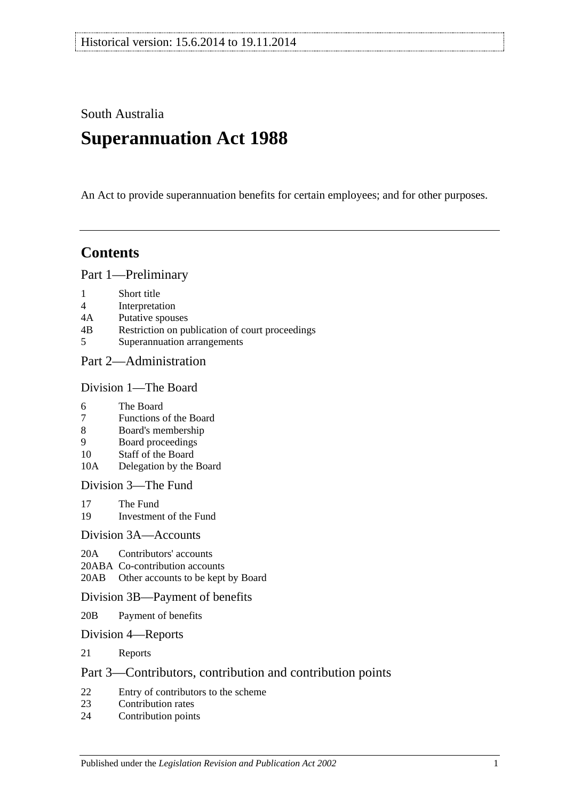South Australia

# **Superannuation Act 1988**

An Act to provide superannuation benefits for certain employees; and for other purposes.

## **Contents**

[Part 1—Preliminary](#page-6-0)

- 1 [Short title](#page-6-1)
- 4 [Interpretation](#page-6-2)
- 4A [Putative spouses](#page-13-0)
- 4B [Restriction on publication of court proceedings](#page-14-0)
- 5 [Superannuation arrangements](#page-15-0)

## [Part 2—Administration](#page-18-0)

#### [Division 1—The Board](#page-18-1)

- 6 [The Board](#page-18-2)
- 7 [Functions of the Board](#page-18-3)
- 8 [Board's membership](#page-18-4)
- 9 [Board proceedings](#page-19-0)
- 10 [Staff of the Board](#page-19-1)
- 10A [Delegation by the Board](#page-20-0)

[Division 3—The Fund](#page-20-1)

- 17 [The Fund](#page-20-2)<br>19 Investmen
- [Investment of the Fund](#page-21-0)

#### [Division 3A—Accounts](#page-21-1)

- 20A [Contributors' accounts](#page-21-2)
- 20ABA [Co-contribution accounts](#page-22-0)
- 20AB [Other accounts to be kept by Board](#page-23-0)

#### [Division 3B—Payment of benefits](#page-23-1)

- 20B [Payment of benefits](#page-23-2)
- [Division 4—Reports](#page-23-3)
- 21 [Reports](#page-23-4)

## [Part 3—Contributors, contribution and contribution points](#page-24-0)

- 22 [Entry of contributors to the scheme](#page-24-1)<br>23 Contribution rates
- [Contribution rates](#page-26-0)
- 24 [Contribution points](#page-28-0)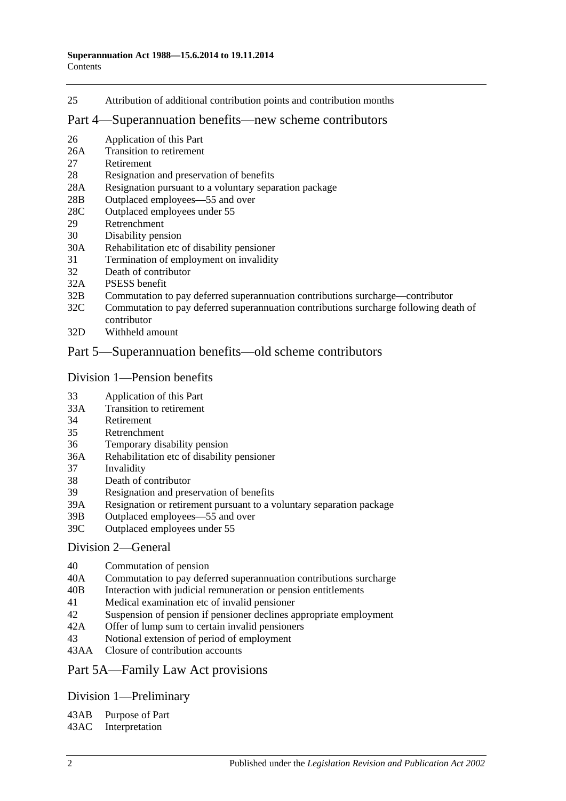25 [Attribution of additional contribution points and contribution months](#page-29-0)

#### [Part 4—Superannuation benefits—new scheme contributors](#page-30-0)

- 26 [Application of this Part](#page-30-1)
- 26A [Transition to retirement](#page-30-2)
- 27 [Retirement](#page-33-0)
- 28 [Resignation and preservation of benefits](#page-34-0)
- 28A [Resignation pursuant to a voluntary separation package](#page-38-0)
- 28B [Outplaced employees—55 and over](#page-39-0)
- 28C [Outplaced employees under 55](#page-39-1)
- 29 [Retrenchment](#page-40-0)
- 30 [Disability pension](#page-41-0)
- 30A [Rehabilitation etc of disability pensioner](#page-42-0)
- 31 [Termination of employment on invalidity](#page-42-1)
- 32 [Death of contributor](#page-45-0)
- 32A [PSESS benefit](#page-50-0)
- 32B [Commutation to pay deferred superannuation contributions surcharge—contributor](#page-51-0)
- 32C [Commutation to pay deferred superannuation contributions surcharge following death of](#page-52-0)  [contributor](#page-52-0)
- 32D [Withheld amount](#page-54-0)

### [Part 5—Superannuation benefits—old scheme contributors](#page-56-0)

#### [Division 1—Pension benefits](#page-56-1)

- 33 [Application of this Part](#page-56-2)
- 33A [Transition to retirement](#page-56-3)
- 34 [Retirement](#page-59-0)
- 35 [Retrenchment](#page-61-0)
- 36 [Temporary disability pension](#page-63-0)
- 36A [Rehabilitation etc of disability pensioner](#page-64-0)
- 37 [Invalidity](#page-65-0)
- 38 [Death of contributor](#page-68-0)
- 39 [Resignation and preservation of benefits](#page-71-0)
- 39A [Resignation or retirement pursuant to a voluntary separation package](#page-77-0)
- 39B [Outplaced employees—55 and over](#page-79-0)
- 39C [Outplaced employees under 55](#page-80-0)

#### [Division 2—General](#page-81-0)

- 40 [Commutation of pension](#page-81-1)
- 40A [Commutation to pay deferred superannuation contributions surcharge](#page-81-2)
- 40B [Interaction with judicial remuneration or pension entitlements](#page-82-0)
- 41 [Medical examination etc of invalid pensioner](#page-83-0)
- 42 [Suspension of pension if pensioner declines appropriate employment](#page-83-1)
- 42A [Offer of lump sum to certain invalid pensioners](#page-84-0)
- 43 [Notional extension of period of employment](#page-85-0)
- 43AA [Closure of contribution accounts](#page-85-1)

#### [Part 5A—Family Law Act provisions](#page-86-0)

## [Division 1—Preliminary](#page-86-1)

43AB [Purpose of Part](#page-86-2)

43AC [Interpretation](#page-86-3)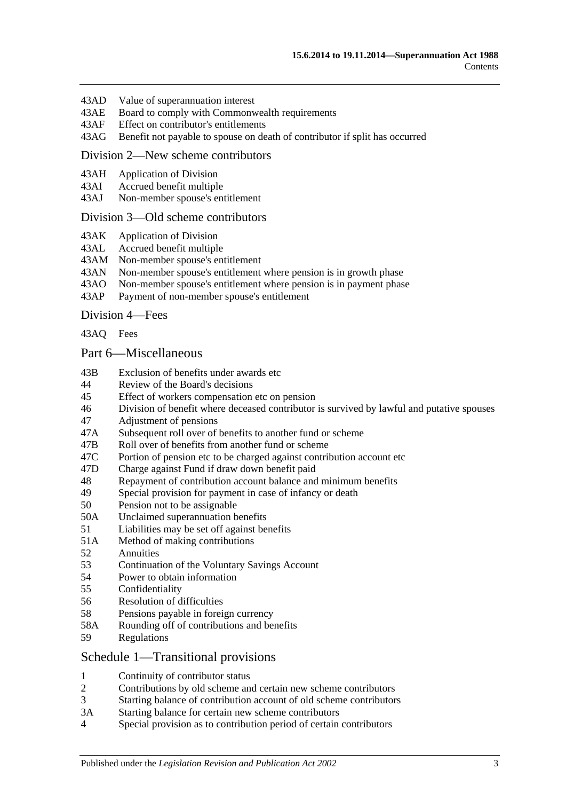- 43AD [Value of superannuation interest](#page-87-0)
- 43AE [Board to comply with Commonwealth requirements](#page-87-1)
- 43AF [Effect on contributor's entitlements](#page-87-2)
- 43AG [Benefit not payable to spouse on death of contributor if split has occurred](#page-88-0)

#### [Division 2—New scheme contributors](#page-88-1)

- 43AH [Application of Division](#page-88-2)
- 43AI [Accrued benefit multiple](#page-88-3)
- 43AJ [Non-member spouse's entitlement](#page-89-0)

#### [Division 3—Old scheme contributors](#page-89-1)

- 43AK [Application of Division](#page-89-2)
- 43AL [Accrued benefit multiple](#page-89-3)
- 43AM [Non-member spouse's entitlement](#page-90-0)
- 43AN [Non-member spouse's entitlement where pension is in growth phase](#page-90-1)
- 43AO [Non-member spouse's entitlement where pension is in payment phase](#page-90-2)<br>43AP Payment of non-member spouse's entitlement
- [Payment of non-member spouse's entitlement](#page-92-0)

[Division 4—Fees](#page-92-1)

[43AQ](#page-92-2) Fees

#### [Part 6—Miscellaneous](#page-94-0)

- 43B [Exclusion of benefits under awards etc](#page-94-1)
- 44 [Review of the Board's decisions](#page-94-2)
- 45 [Effect of workers compensation etc on pension](#page-94-3)
- 46 [Division of benefit where deceased contributor is survived by lawful and putative spouses](#page-96-0)
- 47 [Adjustment of pensions](#page-97-0)
- 47A [Subsequent roll over of benefits to another fund or scheme](#page-98-0)
- 47B [Roll over of benefits from another fund or scheme](#page-98-1)
- 47C [Portion of pension etc to be charged against contribution account etc](#page-98-2)
- 47D [Charge against Fund if draw down benefit paid](#page-98-3)
- 48 [Repayment of contribution account balance and minimum benefits](#page-98-4)
- 49 [Special provision for payment in case of infancy or death](#page-100-0)
- 50 [Pension not to be assignable](#page-100-1)
- 50A [Unclaimed superannuation benefits](#page-100-2)
- 51 [Liabilities may be set off against benefits](#page-100-3)
- 51A [Method of making contributions](#page-100-4)
- 52 [Annuities](#page-101-0)
- 53 [Continuation of the Voluntary Savings Account](#page-101-1)
- 54 [Power to obtain information](#page-101-2)
- 55 [Confidentiality](#page-102-0)
- 56 [Resolution of difficulties](#page-102-1)
- 58 [Pensions payable in foreign currency](#page-103-0)
- 58A [Rounding off of contributions and benefits](#page-103-1)
- 59 [Regulations](#page-103-2)

#### [Schedule 1—Transitional provisions](#page-106-0)

- 1 [Continuity of contributor status](#page-106-1)
- 2 [Contributions by old scheme and certain new scheme contributors](#page-106-2)
- 3 [Starting balance of contribution account of old scheme contributors](#page-107-0)
- 3A [Starting balance for certain new scheme contributors](#page-107-1)
- 4 [Special provision as to contribution period of certain contributors](#page-107-2)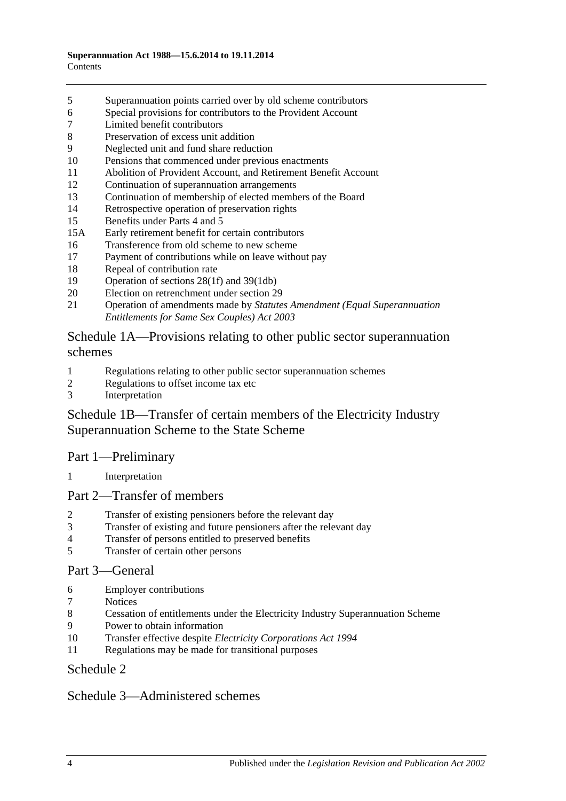- [Superannuation points carried over by old scheme contributors](#page-108-0)
- [Special provisions for contributors to the Provident Account](#page-109-0)
- [Limited benefit contributors](#page-110-0)
- [Preservation of excess unit addition](#page-111-0)
- [Neglected unit and fund share reduction](#page-111-1)
- [Pensions that commenced under previous enactments](#page-111-2)
- [Abolition of Provident Account, and Retirement Benefit Account](#page-112-0)
- [Continuation of superannuation arrangements](#page-112-1)
- [Continuation of membership of elected members of the Board](#page-112-2)
- [Retrospective operation of preservation rights](#page-112-3)
- [Benefits under Parts 4](#page-112-4) and [5](#page-112-4)
- 15A [Early retirement benefit for certain contributors](#page-113-0)
- [Transference from old scheme to new scheme](#page-114-0)
- [Payment of contributions while on leave without pay](#page-115-0)
- [Repeal of contribution rate](#page-115-1)
- [Operation of sections](#page-116-0) 28(1f) and [39\(1db\)](#page-116-0)
- [Election on retrenchment under section](#page-116-1) 29
- Operation of amendments made by *[Statutes Amendment \(Equal Superannuation](#page-116-2)  [Entitlements for Same Sex Couples\) Act 2003](#page-116-2)*

## [Schedule 1A—Provisions relating to other public sector superannuation](#page-116-3)  [schemes](#page-116-3)

- [Regulations relating to other public sector superannuation schemes](#page-116-4)
- [Regulations to offset income tax etc](#page-117-0)
- [Interpretation](#page-117-1)

## [Schedule 1B—Transfer of certain members of the Electricity Industry](#page-117-2)  [Superannuation Scheme to the State Scheme](#page-117-2)

## Part 1—Preliminary

[Interpretation](#page-117-3)

## Part 2—Transfer of members

- [Transfer of existing pensioners before the relevant day](#page-118-0)
- [Transfer of existing and future pensioners after the relevant day](#page-119-0)
- [Transfer of persons entitled to preserved benefits](#page-121-0)
- [Transfer of certain other persons](#page-123-0)

#### Part 3—General

- [Employer contributions](#page-124-0)
- [Notices](#page-125-0)
- [Cessation of entitlements under the Electricity Industry Superannuation Scheme](#page-125-1)
- [Power to obtain information](#page-125-2)
- Transfer effective despite *[Electricity Corporations Act](#page-125-3) 1994*
- [Regulations may be made for transitional purposes](#page-125-4)

## [Schedule 2](#page-126-0)

## [Schedule 3—Administered schemes](#page-130-0)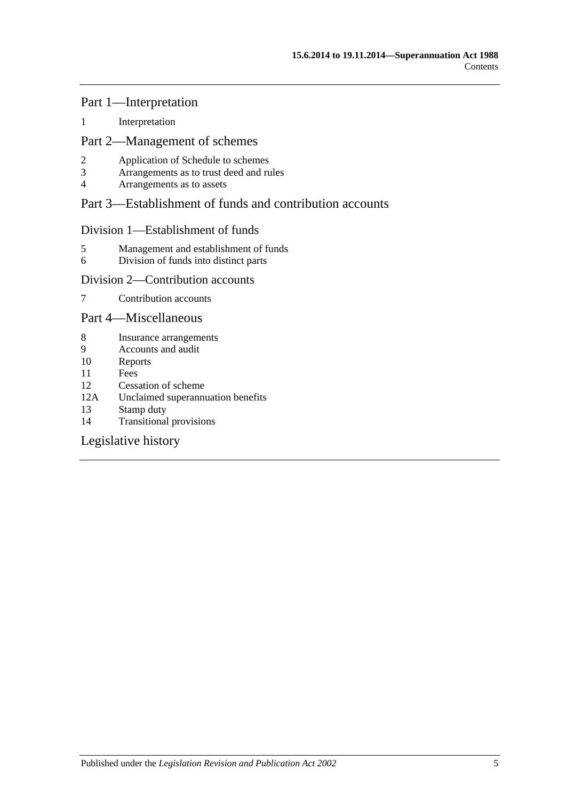### Part 1—Interpretation

1 [Interpretation](#page-130-1)

## Part 2—Management of schemes

- 2 [Application of Schedule to schemes](#page-131-0)<br>3 Arrangements as to trust deed and ru
- 3 [Arrangements as to trust deed and rules](#page-132-0)<br>4 Arrangements as to assets
- 4 [Arrangements as to assets](#page-133-0)

## Part 3—Establishment of funds and contribution accounts

### Division 1—Establishment of funds

- 5 [Management and establishment of funds](#page-133-1)
- 6 [Division of funds into distinct parts](#page-134-0)

## Division 2—Contribution accounts

7 [Contribution accounts](#page-135-0)

### Part 4—Miscellaneous

- 8 [Insurance arrangements](#page-135-1)<br>9 Accounts and audit
- 9 [Accounts and audit](#page-136-0)<br>10 Reports
- **[Reports](#page-136-1)**
- 11 [Fees](#page-136-2)
- 12 [Cessation of scheme](#page-137-0)
- 12A [Unclaimed superannuation benefits](#page-137-1)
- 13 [Stamp duty](#page-137-2)
- 14 [Transitional provisions](#page-137-3)

[Legislative history](#page-138-0)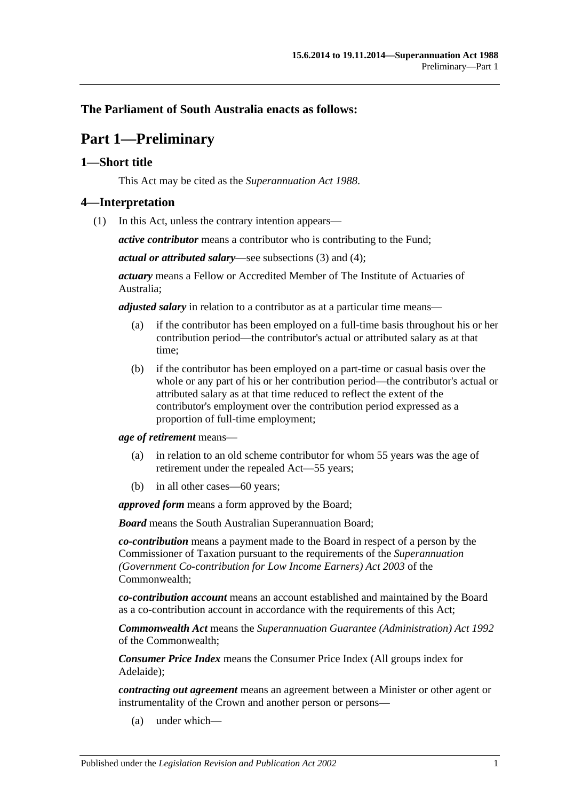## <span id="page-6-0"></span>**The Parliament of South Australia enacts as follows:**

## **Part 1—Preliminary**

## <span id="page-6-1"></span>**1—Short title**

This Act may be cited as the *Superannuation Act 1988*.

### <span id="page-6-3"></span><span id="page-6-2"></span>**4—Interpretation**

(1) In this Act, unless the contrary intention appears—

*active contributor* means a contributor who is contributing to the Fund;

*actual or attributed salary*—see [subsections](#page-11-0) (3) and [\(4\);](#page-11-1)

*actuary* means a Fellow or Accredited Member of The Institute of Actuaries of Australia;

*adjusted salary* in relation to a contributor as at a particular time means—

- (a) if the contributor has been employed on a full-time basis throughout his or her contribution period—the contributor's actual or attributed salary as at that time;
- (b) if the contributor has been employed on a part-time or casual basis over the whole or any part of his or her contribution period—the contributor's actual or attributed salary as at that time reduced to reflect the extent of the contributor's employment over the contribution period expressed as a proportion of full-time employment;

*age of retirement* means—

- (a) in relation to an old scheme contributor for whom 55 years was the age of retirement under the repealed Act—55 years;
- (b) in all other cases—60 years;

*approved form* means a form approved by the Board;

*Board* means the South Australian Superannuation Board;

*co-contribution* means a payment made to the Board in respect of a person by the Commissioner of Taxation pursuant to the requirements of the *Superannuation (Government Co-contribution for Low Income Earners) Act 2003* of the Commonwealth;

*co-contribution account* means an account established and maintained by the Board as a co-contribution account in accordance with the requirements of this Act;

*Commonwealth Act* means the *Superannuation Guarantee (Administration) Act 1992* of the Commonwealth;

*Consumer Price Index* means the Consumer Price Index (All groups index for Adelaide);

*contracting out agreement* means an agreement between a Minister or other agent or instrumentality of the Crown and another person or persons—

(a) under which—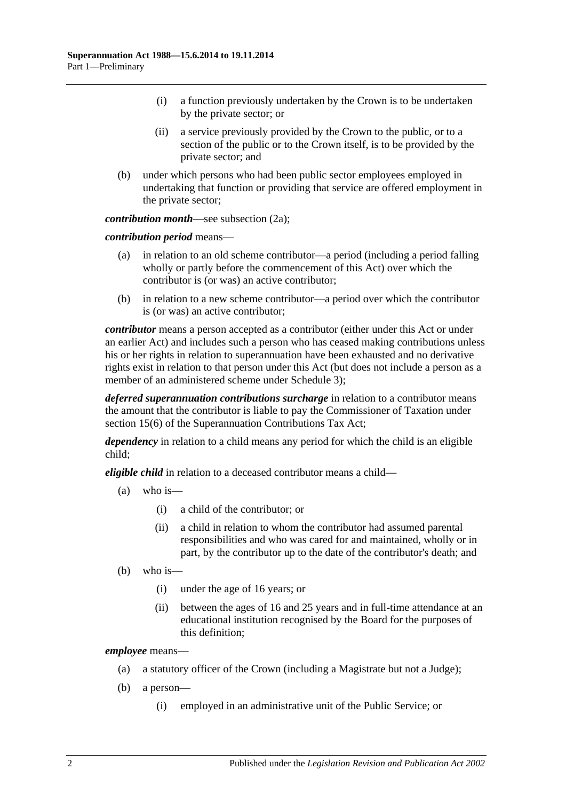- (i) a function previously undertaken by the Crown is to be undertaken by the private sector; or
- (ii) a service previously provided by the Crown to the public, or to a section of the public or to the Crown itself, is to be provided by the private sector; and
- (b) under which persons who had been public sector employees employed in undertaking that function or providing that service are offered employment in the private sector;

*contribution month*—see [subsection](#page-11-2) (2a);

*contribution period* means—

- (a) in relation to an old scheme contributor—a period (including a period falling wholly or partly before the commencement of this Act) over which the contributor is (or was) an active contributor;
- (b) in relation to a new scheme contributor—a period over which the contributor is (or was) an active contributor;

*contributor* means a person accepted as a contributor (either under this Act or under an earlier Act) and includes such a person who has ceased making contributions unless his or her rights in relation to superannuation have been exhausted and no derivative rights exist in relation to that person under this Act (but does not include a person as a member of an administered scheme under [Schedule](#page-130-0) 3);

*deferred superannuation contributions surcharge* in relation to a contributor means the amount that the contributor is liable to pay the Commissioner of Taxation under section 15(6) of the Superannuation Contributions Tax Act;

*dependency* in relation to a child means any period for which the child is an eligible child;

*eligible child* in relation to a deceased contributor means a child—

- (a) who is—
	- (i) a child of the contributor; or
	- (ii) a child in relation to whom the contributor had assumed parental responsibilities and who was cared for and maintained, wholly or in part, by the contributor up to the date of the contributor's death; and
- (b) who is—
	- (i) under the age of 16 years; or
	- (ii) between the ages of 16 and 25 years and in full-time attendance at an educational institution recognised by the Board for the purposes of this definition;

*employee* means—

- (a) a statutory officer of the Crown (including a Magistrate but not a Judge);
- (b) a person—
	- (i) employed in an administrative unit of the Public Service; or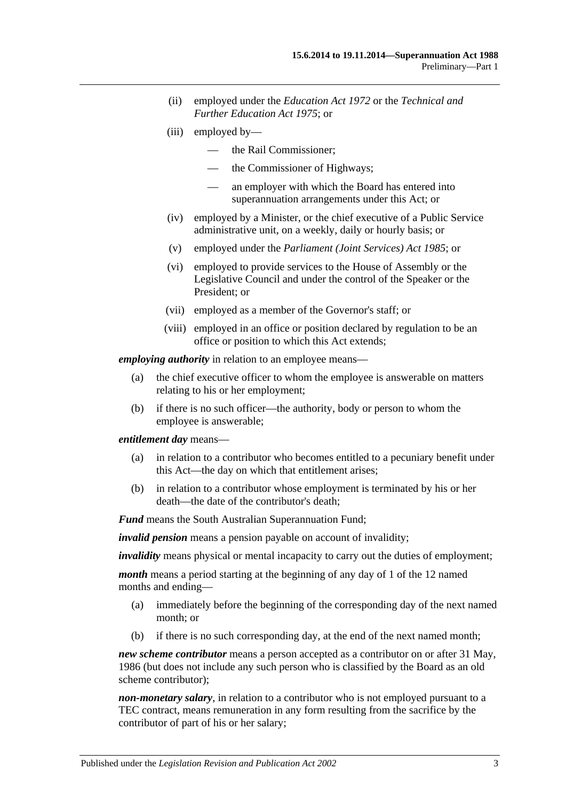- (ii) employed under the *[Education Act](http://www.legislation.sa.gov.au/index.aspx?action=legref&type=act&legtitle=Education%20Act%201972) 1972* or the *[Technical and](http://www.legislation.sa.gov.au/index.aspx?action=legref&type=act&legtitle=Technical%20and%20Further%20Education%20Act%201975)  [Further Education Act](http://www.legislation.sa.gov.au/index.aspx?action=legref&type=act&legtitle=Technical%20and%20Further%20Education%20Act%201975) 1975*; or
- (iii) employed by—
	- the Rail Commissioner;
	- the Commissioner of Highways;
	- an employer with which the Board has entered into superannuation arrangements under this Act; or
- (iv) employed by a Minister, or the chief executive of a Public Service administrative unit, on a weekly, daily or hourly basis; or
- (v) employed under the *[Parliament \(Joint Services\) Act](http://www.legislation.sa.gov.au/index.aspx?action=legref&type=act&legtitle=Parliament%20(Joint%20Services)%20Act%201985) 1985*; or
- (vi) employed to provide services to the House of Assembly or the Legislative Council and under the control of the Speaker or the President; or
- (vii) employed as a member of the Governor's staff; or
- (viii) employed in an office or position declared by regulation to be an office or position to which this Act extends;

*employing authority* in relation to an employee means—

- (a) the chief executive officer to whom the employee is answerable on matters relating to his or her employment;
- (b) if there is no such officer—the authority, body or person to whom the employee is answerable;

#### *entitlement day* means—

- (a) in relation to a contributor who becomes entitled to a pecuniary benefit under this Act—the day on which that entitlement arises;
- (b) in relation to a contributor whose employment is terminated by his or her death—the date of the contributor's death;

*Fund* means the South Australian Superannuation Fund;

*invalid pension* means a pension payable on account of invalidity;

*invalidity* means physical or mental incapacity to carry out the duties of employment;

*month* means a period starting at the beginning of any day of 1 of the 12 named months and ending—

- (a) immediately before the beginning of the corresponding day of the next named month; or
- (b) if there is no such corresponding day, at the end of the next named month;

*new scheme contributor* means a person accepted as a contributor on or after 31 May, 1986 (but does not include any such person who is classified by the Board as an old scheme contributor);

*non-monetary salary*, in relation to a contributor who is not employed pursuant to a TEC contract, means remuneration in any form resulting from the sacrifice by the contributor of part of his or her salary;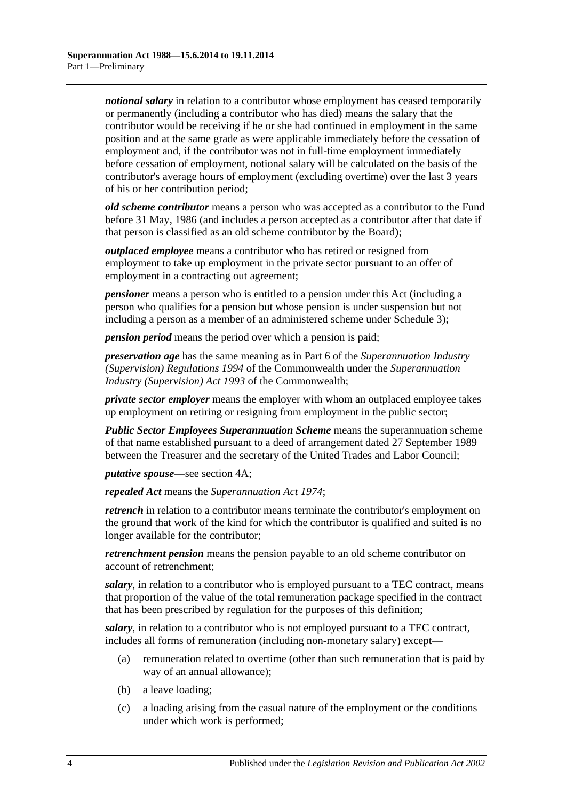*notional salary* in relation to a contributor whose employment has ceased temporarily or permanently (including a contributor who has died) means the salary that the contributor would be receiving if he or she had continued in employment in the same position and at the same grade as were applicable immediately before the cessation of employment and, if the contributor was not in full-time employment immediately before cessation of employment, notional salary will be calculated on the basis of the contributor's average hours of employment (excluding overtime) over the last 3 years of his or her contribution period;

*old scheme contributor* means a person who was accepted as a contributor to the Fund before 31 May, 1986 (and includes a person accepted as a contributor after that date if that person is classified as an old scheme contributor by the Board);

*outplaced employee* means a contributor who has retired or resigned from employment to take up employment in the private sector pursuant to an offer of employment in a contracting out agreement;

*pensioner* means a person who is entitled to a pension under this Act (including a person who qualifies for a pension but whose pension is under suspension but not including a person as a member of an administered scheme under [Schedule 3\)](#page-130-0);

*pension period* means the period over which a pension is paid;

*preservation age* has the same meaning as in Part 6 of the *Superannuation Industry (Supervision) Regulations 1994* of the Commonwealth under the *Superannuation Industry (Supervision) Act 1993* of the Commonwealth;

*private sector employer* means the employer with whom an outplaced employee takes up employment on retiring or resigning from employment in the public sector;

*Public Sector Employees Superannuation Scheme* means the superannuation scheme of that name established pursuant to a deed of arrangement dated 27 September 1989 between the Treasurer and the secretary of the United Trades and Labor Council;

*putative spouse*—see [section](#page-13-0) 4A;

*repealed Act* means the *[Superannuation Act](http://www.legislation.sa.gov.au/index.aspx?action=legref&type=act&legtitle=Superannuation%20Act%201974) 1974*;

*retrench* in relation to a contributor means terminate the contributor's employment on the ground that work of the kind for which the contributor is qualified and suited is no longer available for the contributor;

*retrenchment pension* means the pension payable to an old scheme contributor on account of retrenchment;

*salary*, in relation to a contributor who is employed pursuant to a TEC contract, means that proportion of the value of the total remuneration package specified in the contract that has been prescribed by regulation for the purposes of this definition;

*salary*, in relation to a contributor who is not employed pursuant to a TEC contract, includes all forms of remuneration (including non-monetary salary) except—

- (a) remuneration related to overtime (other than such remuneration that is paid by way of an annual allowance);
- (b) a leave loading;
- (c) a loading arising from the casual nature of the employment or the conditions under which work is performed;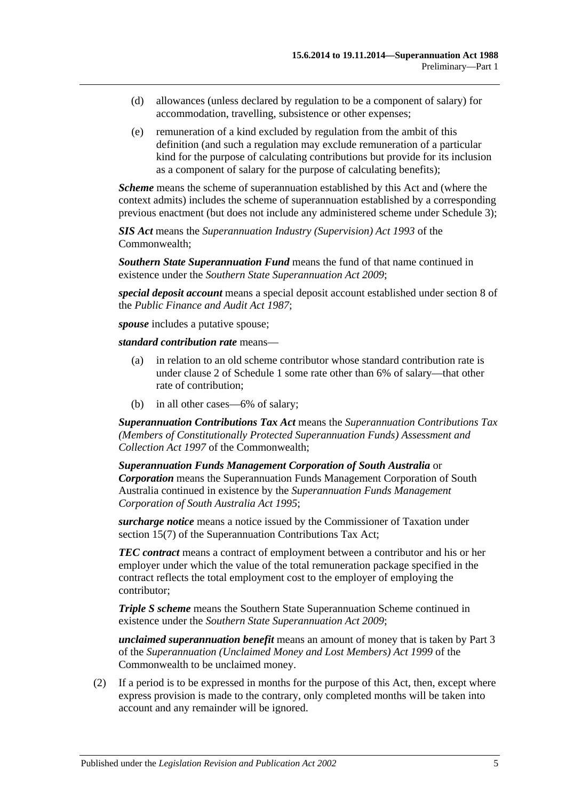- (d) allowances (unless declared by regulation to be a component of salary) for accommodation, travelling, subsistence or other expenses;
- (e) remuneration of a kind excluded by regulation from the ambit of this definition (and such a regulation may exclude remuneration of a particular kind for the purpose of calculating contributions but provide for its inclusion as a component of salary for the purpose of calculating benefits);

*Scheme* means the scheme of superannuation established by this Act and (where the context admits) includes the scheme of superannuation established by a corresponding previous enactment (but does not include any administered scheme under [Schedule 3\)](#page-130-0);

*SIS Act* means the *Superannuation Industry (Supervision) Act 1993* of the Commonwealth;

*Southern State Superannuation Fund* means the fund of that name continued in existence under the *[Southern State Superannuation Act](http://www.legislation.sa.gov.au/index.aspx?action=legref&type=act&legtitle=Southern%20State%20Superannuation%20Act%202009) 2009*;

*special deposit account* means a special deposit account established under section 8 of the *[Public Finance and Audit Act](http://www.legislation.sa.gov.au/index.aspx?action=legref&type=act&legtitle=Public%20Finance%20and%20Audit%20Act%201987) 1987*;

*spouse* includes a putative spouse;

*standard contribution rate* means—

- (a) in relation to an old scheme contributor whose standard contribution rate is under [clause](#page-106-2) 2 of [Schedule 1](#page-106-0) some rate other than 6% of salary—that other rate of contribution;
- (b) in all other cases—6% of salary;

*Superannuation Contributions Tax Act* means the *Superannuation Contributions Tax (Members of Constitutionally Protected Superannuation Funds) Assessment and Collection Act 1997* of the Commonwealth;

*Superannuation Funds Management Corporation of South Australia* or *Corporation* means the Superannuation Funds Management Corporation of South Australia continued in existence by the *[Superannuation Funds Management](http://www.legislation.sa.gov.au/index.aspx?action=legref&type=act&legtitle=Superannuation%20Funds%20Management%20Corporation%20of%20South%20Australia%20Act%201995)  [Corporation of South Australia Act](http://www.legislation.sa.gov.au/index.aspx?action=legref&type=act&legtitle=Superannuation%20Funds%20Management%20Corporation%20of%20South%20Australia%20Act%201995) 1995*;

*surcharge notice* means a notice issued by the Commissioner of Taxation under section 15(7) of the Superannuation Contributions Tax Act;

*TEC contract* means a contract of employment between a contributor and his or her employer under which the value of the total remuneration package specified in the contract reflects the total employment cost to the employer of employing the contributor;

*Triple S scheme* means the Southern State Superannuation Scheme continued in existence under the *[Southern State Superannuation Act](http://www.legislation.sa.gov.au/index.aspx?action=legref&type=act&legtitle=Southern%20State%20Superannuation%20Act%202009) 2009*;

*unclaimed superannuation benefit* means an amount of money that is taken by Part 3 of the *Superannuation (Unclaimed Money and Lost Members) Act 1999* of the Commonwealth to be unclaimed money.

(2) If a period is to be expressed in months for the purpose of this Act, then, except where express provision is made to the contrary, only completed months will be taken into account and any remainder will be ignored.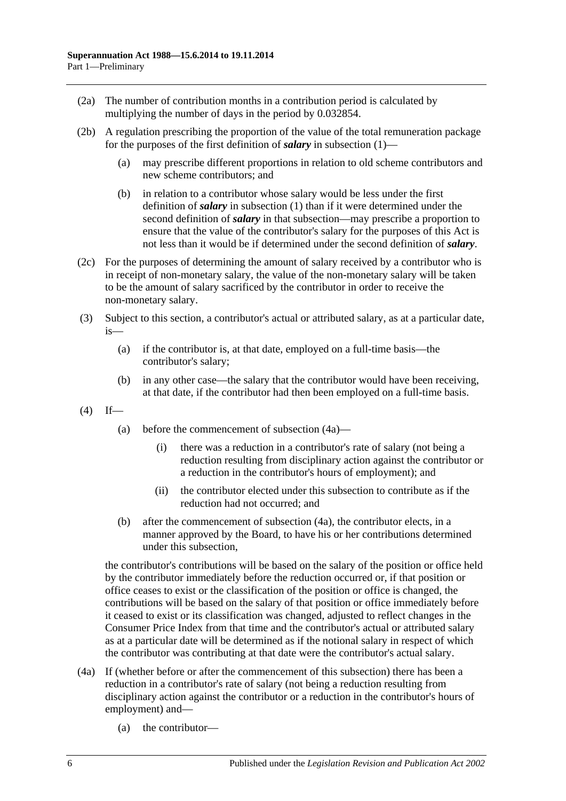- <span id="page-11-2"></span>(2a) The number of contribution months in a contribution period is calculated by multiplying the number of days in the period by 0.032854.
- (2b) A regulation prescribing the proportion of the value of the total remuneration package for the purposes of the first definition of *salary* in [subsection](#page-6-3) (1)—
	- (a) may prescribe different proportions in relation to old scheme contributors and new scheme contributors; and
	- (b) in relation to a contributor whose salary would be less under the first definition of *salary* in [subsection](#page-6-3) (1) than if it were determined under the second definition of *salary* in that subsection—may prescribe a proportion to ensure that the value of the contributor's salary for the purposes of this Act is not less than it would be if determined under the second definition of *salary*.
- (2c) For the purposes of determining the amount of salary received by a contributor who is in receipt of non-monetary salary, the value of the non-monetary salary will be taken to be the amount of salary sacrificed by the contributor in order to receive the non-monetary salary.
- <span id="page-11-0"></span>(3) Subject to this section, a contributor's actual or attributed salary, as at a particular date, is—
	- (a) if the contributor is, at that date, employed on a full-time basis—the contributor's salary;
	- (b) in any other case—the salary that the contributor would have been receiving, at that date, if the contributor had then been employed on a full-time basis.
- <span id="page-11-1"></span> $(4)$  If—
	- (a) before the commencement of [subsection](#page-11-3) (4a)—
		- (i) there was a reduction in a contributor's rate of salary (not being a reduction resulting from disciplinary action against the contributor or a reduction in the contributor's hours of employment); and
		- (ii) the contributor elected under this subsection to contribute as if the reduction had not occurred; and
	- (b) after the commencement of [subsection](#page-11-3) (4a), the contributor elects, in a manner approved by the Board, to have his or her contributions determined under this subsection,

<span id="page-11-4"></span>the contributor's contributions will be based on the salary of the position or office held by the contributor immediately before the reduction occurred or, if that position or office ceases to exist or the classification of the position or office is changed, the contributions will be based on the salary of that position or office immediately before it ceased to exist or its classification was changed, adjusted to reflect changes in the Consumer Price Index from that time and the contributor's actual or attributed salary as at a particular date will be determined as if the notional salary in respect of which the contributor was contributing at that date were the contributor's actual salary.

- <span id="page-11-3"></span>(4a) If (whether before or after the commencement of this subsection) there has been a reduction in a contributor's rate of salary (not being a reduction resulting from disciplinary action against the contributor or a reduction in the contributor's hours of employment) and—
	- (a) the contributor—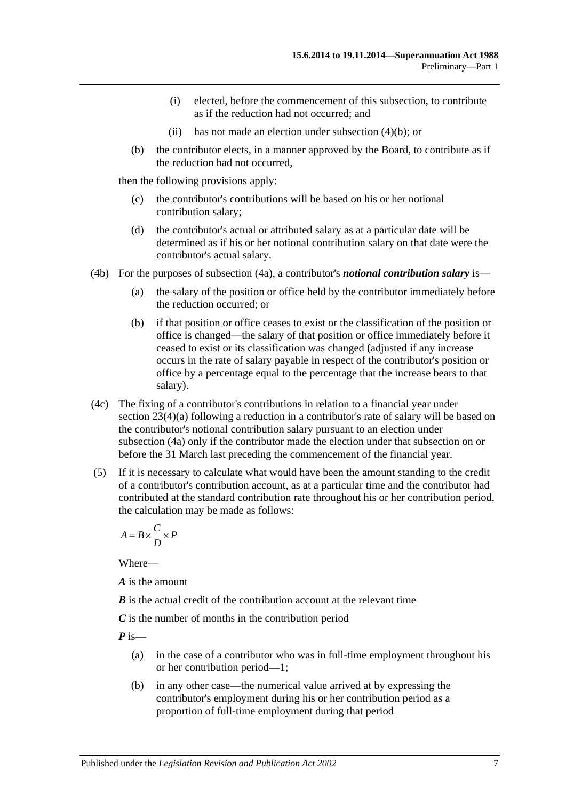- (i) elected, before the commencement of this subsection, to contribute as if the reduction had not occurred; and
- (ii) has not made an election under [subsection](#page-11-4) (4)(b); or
- (b) the contributor elects, in a manner approved by the Board, to contribute as if the reduction had not occurred,

then the following provisions apply:

- (c) the contributor's contributions will be based on his or her notional contribution salary;
- (d) the contributor's actual or attributed salary as at a particular date will be determined as if his or her notional contribution salary on that date were the contributor's actual salary.
- (4b) For the purposes of [subsection](#page-11-3) (4a), a contributor's *notional contribution salary* is—
	- (a) the salary of the position or office held by the contributor immediately before the reduction occurred; or
	- (b) if that position or office ceases to exist or the classification of the position or office is changed—the salary of that position or office immediately before it ceased to exist or its classification was changed (adjusted if any increase occurs in the rate of salary payable in respect of the contributor's position or office by a percentage equal to the percentage that the increase bears to that salary).
- (4c) The fixing of a contributor's contributions in relation to a financial year under section [23\(4\)\(a\)](#page-27-0) following a reduction in a contributor's rate of salary will be based on the contributor's notional contribution salary pursuant to an election under [subsection](#page-11-3) (4a) only if the contributor made the election under that subsection on or before the 31 March last preceding the commencement of the financial year.
- (5) If it is necessary to calculate what would have been the amount standing to the credit of a contributor's contribution account, as at a particular time and the contributor had contributed at the standard contribution rate throughout his or her contribution period, the calculation may be made as follows:

$$
A = B \times \frac{C}{D} \times P
$$

Where—

*A* is the amount

*B* is the actual credit of the contribution account at the relevant time

*C* is the number of months in the contribution period

*P* is—

- (a) in the case of a contributor who was in full-time employment throughout his or her contribution period—1;
- (b) in any other case—the numerical value arrived at by expressing the contributor's employment during his or her contribution period as a proportion of full-time employment during that period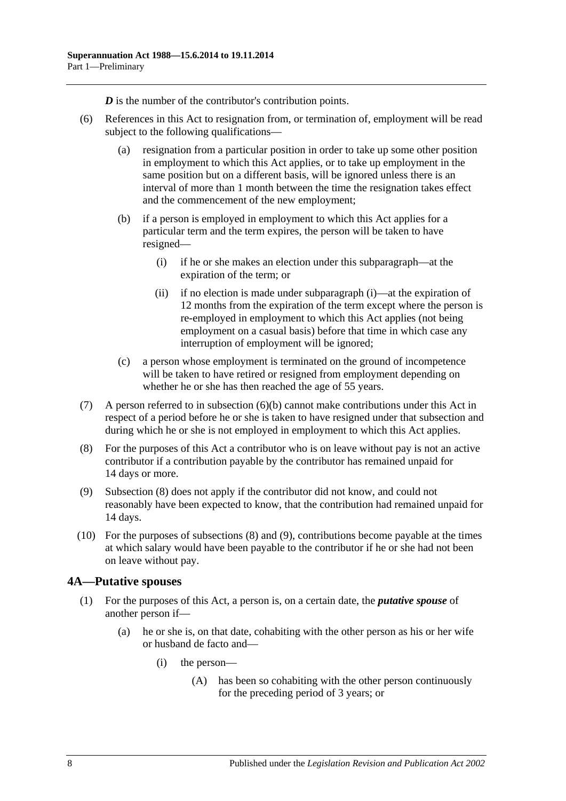*D* is the number of the contributor's contribution points.

- <span id="page-13-2"></span><span id="page-13-1"></span>(6) References in this Act to resignation from, or termination of, employment will be read subject to the following qualifications—
	- (a) resignation from a particular position in order to take up some other position in employment to which this Act applies, or to take up employment in the same position but on a different basis, will be ignored unless there is an interval of more than 1 month between the time the resignation takes effect and the commencement of the new employment;
	- (b) if a person is employed in employment to which this Act applies for a particular term and the term expires, the person will be taken to have resigned—
		- (i) if he or she makes an election under this subparagraph—at the expiration of the term; or
		- (ii) if no election is made under [subparagraph](#page-13-1) (i)—at the expiration of 12 months from the expiration of the term except where the person is re-employed in employment to which this Act applies (not being employment on a casual basis) before that time in which case any interruption of employment will be ignored;
	- (c) a person whose employment is terminated on the ground of incompetence will be taken to have retired or resigned from employment depending on whether he or she has then reached the age of 55 years.
- (7) A person referred to in [subsection](#page-13-2) (6)(b) cannot make contributions under this Act in respect of a period before he or she is taken to have resigned under that subsection and during which he or she is not employed in employment to which this Act applies.
- <span id="page-13-3"></span>(8) For the purposes of this Act a contributor who is on leave without pay is not an active contributor if a contribution payable by the contributor has remained unpaid for 14 days or more.
- <span id="page-13-4"></span>(9) [Subsection](#page-13-3) (8) does not apply if the contributor did not know, and could not reasonably have been expected to know, that the contribution had remained unpaid for 14 days.
- (10) For the purposes of [subsections](#page-13-3) (8) and [\(9\),](#page-13-4) contributions become payable at the times at which salary would have been payable to the contributor if he or she had not been on leave without pay.

## <span id="page-13-5"></span><span id="page-13-0"></span>**4A—Putative spouses**

- (1) For the purposes of this Act, a person is, on a certain date, the *putative spouse* of another person if—
	- (a) he or she is, on that date, cohabiting with the other person as his or her wife or husband de facto and—
		- (i) the person—
			- (A) has been so cohabiting with the other person continuously for the preceding period of 3 years; or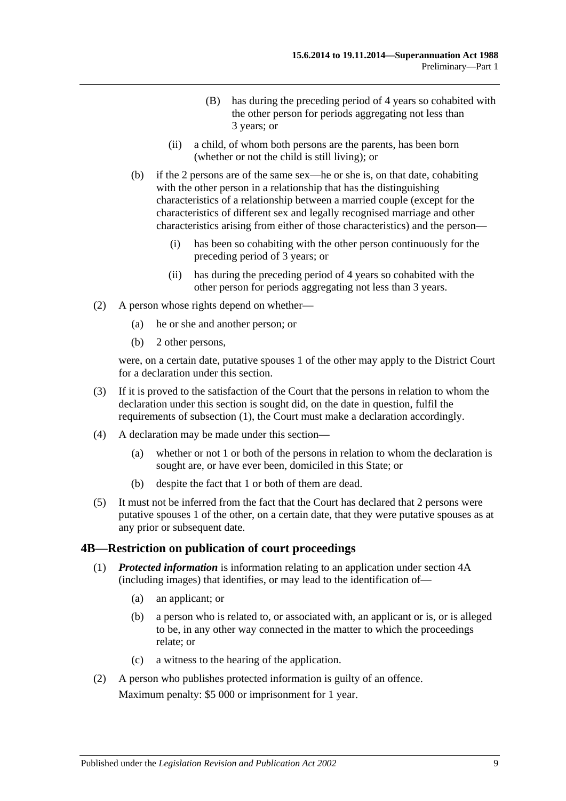- (B) has during the preceding period of 4 years so cohabited with the other person for periods aggregating not less than 3 years; or
- (ii) a child, of whom both persons are the parents, has been born (whether or not the child is still living); or
- (b) if the 2 persons are of the same sex—he or she is, on that date, cohabiting with the other person in a relationship that has the distinguishing characteristics of a relationship between a married couple (except for the characteristics of different sex and legally recognised marriage and other characteristics arising from either of those characteristics) and the person—
	- (i) has been so cohabiting with the other person continuously for the preceding period of 3 years; or
	- (ii) has during the preceding period of 4 years so cohabited with the other person for periods aggregating not less than 3 years.
- (2) A person whose rights depend on whether—
	- (a) he or she and another person; or
	- (b) 2 other persons,

were, on a certain date, putative spouses 1 of the other may apply to the District Court for a declaration under this section.

- (3) If it is proved to the satisfaction of the Court that the persons in relation to whom the declaration under this section is sought did, on the date in question, fulfil the requirements of [subsection](#page-13-5) (1), the Court must make a declaration accordingly.
- (4) A declaration may be made under this section—
	- (a) whether or not 1 or both of the persons in relation to whom the declaration is sought are, or have ever been, domiciled in this State; or
	- (b) despite the fact that 1 or both of them are dead.
- (5) It must not be inferred from the fact that the Court has declared that 2 persons were putative spouses 1 of the other, on a certain date, that they were putative spouses as at any prior or subsequent date.

#### <span id="page-14-0"></span>**4B—Restriction on publication of court proceedings**

- (1) *Protected information* is information relating to an application under [section](#page-13-0) 4A (including images) that identifies, or may lead to the identification of—
	- (a) an applicant; or
	- (b) a person who is related to, or associated with, an applicant or is, or is alleged to be, in any other way connected in the matter to which the proceedings relate; or
	- (c) a witness to the hearing of the application.
- (2) A person who publishes protected information is guilty of an offence.

Maximum penalty: \$5 000 or imprisonment for 1 year.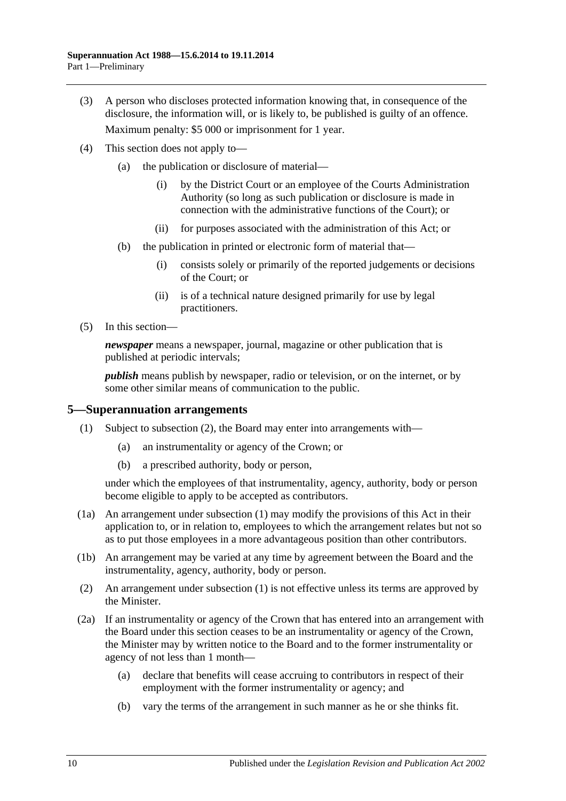- (3) A person who discloses protected information knowing that, in consequence of the disclosure, the information will, or is likely to, be published is guilty of an offence. Maximum penalty: \$5 000 or imprisonment for 1 year.
- (4) This section does not apply to—
	- (a) the publication or disclosure of material—
		- (i) by the District Court or an employee of the Courts Administration Authority (so long as such publication or disclosure is made in connection with the administrative functions of the Court); or
		- (ii) for purposes associated with the administration of this Act; or
	- (b) the publication in printed or electronic form of material that—
		- (i) consists solely or primarily of the reported judgements or decisions of the Court; or
		- (ii) is of a technical nature designed primarily for use by legal practitioners.
- (5) In this section—

*newspaper* means a newspaper, journal, magazine or other publication that is published at periodic intervals;

*publish* means publish by newspaper, radio or television, or on the internet, or by some other similar means of communication to the public.

#### <span id="page-15-2"></span><span id="page-15-0"></span>**5—Superannuation arrangements**

- (1) Subject to [subsection](#page-15-1) (2), the Board may enter into arrangements with—
	- (a) an instrumentality or agency of the Crown; or
	- (b) a prescribed authority, body or person,

under which the employees of that instrumentality, agency, authority, body or person become eligible to apply to be accepted as contributors.

- (1a) An arrangement under [subsection](#page-15-2) (1) may modify the provisions of this Act in their application to, or in relation to, employees to which the arrangement relates but not so as to put those employees in a more advantageous position than other contributors.
- (1b) An arrangement may be varied at any time by agreement between the Board and the instrumentality, agency, authority, body or person.
- <span id="page-15-1"></span>(2) An arrangement under [subsection](#page-15-2) (1) is not effective unless its terms are approved by the Minister.
- <span id="page-15-3"></span>(2a) If an instrumentality or agency of the Crown that has entered into an arrangement with the Board under this section ceases to be an instrumentality or agency of the Crown, the Minister may by written notice to the Board and to the former instrumentality or agency of not less than 1 month—
	- (a) declare that benefits will cease accruing to contributors in respect of their employment with the former instrumentality or agency; and
	- (b) vary the terms of the arrangement in such manner as he or she thinks fit.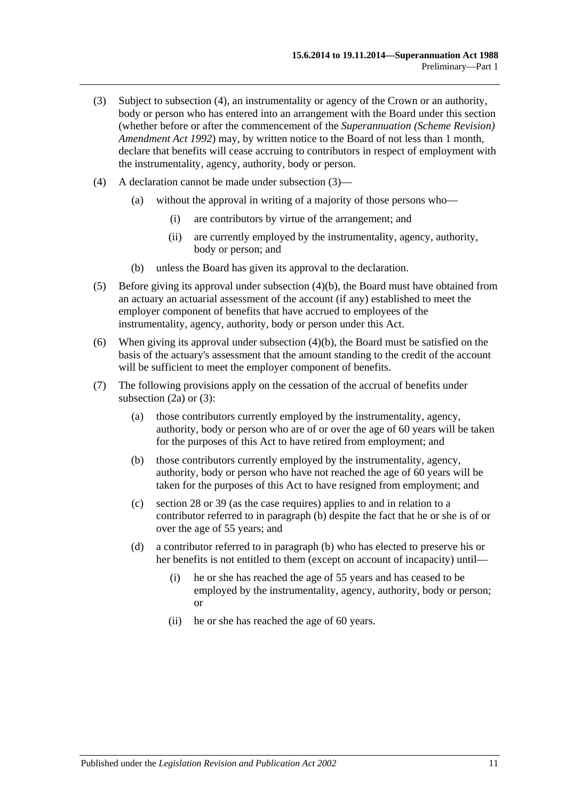- <span id="page-16-1"></span>(3) Subject to [subsection](#page-16-0) (4), an instrumentality or agency of the Crown or an authority, body or person who has entered into an arrangement with the Board under this section (whether before or after the commencement of the *[Superannuation \(Scheme Revision\)](http://www.legislation.sa.gov.au/index.aspx?action=legref&type=act&legtitle=Superannuation%20(Scheme%20Revision)%20Amendment%20Act%201992)  [Amendment](http://www.legislation.sa.gov.au/index.aspx?action=legref&type=act&legtitle=Superannuation%20(Scheme%20Revision)%20Amendment%20Act%201992) Act 1992*) may, by written notice to the Board of not less than 1 month, declare that benefits will cease accruing to contributors in respect of employment with the instrumentality, agency, authority, body or person.
- <span id="page-16-0"></span>(4) A declaration cannot be made under [subsection](#page-16-1) (3)—
	- (a) without the approval in writing of a majority of those persons who—
		- (i) are contributors by virtue of the arrangement; and
		- (ii) are currently employed by the instrumentality, agency, authority, body or person; and
	- (b) unless the Board has given its approval to the declaration.
- <span id="page-16-2"></span>(5) Before giving its approval under [subsection](#page-16-2) (4)(b), the Board must have obtained from an actuary an actuarial assessment of the account (if any) established to meet the employer component of benefits that have accrued to employees of the instrumentality, agency, authority, body or person under this Act.
- (6) When giving its approval under [subsection](#page-16-2) (4)(b), the Board must be satisfied on the basis of the actuary's assessment that the amount standing to the credit of the account will be sufficient to meet the employer component of benefits.
- <span id="page-16-3"></span>(7) The following provisions apply on the cessation of the accrual of benefits under [subsection](#page-15-3)  $(2a)$  or  $(3)$ :
	- (a) those contributors currently employed by the instrumentality, agency, authority, body or person who are of or over the age of 60 years will be taken for the purposes of this Act to have retired from employment; and
	- (b) those contributors currently employed by the instrumentality, agency, authority, body or person who have not reached the age of 60 years will be taken for the purposes of this Act to have resigned from employment; and
	- (c) [section](#page-34-0) 28 or [39](#page-71-0) (as the case requires) applies to and in relation to a contributor referred to in [paragraph](#page-16-3) (b) despite the fact that he or she is of or over the age of 55 years; and
	- (d) a contributor referred to in [paragraph](#page-16-3) (b) who has elected to preserve his or her benefits is not entitled to them (except on account of incapacity) until—
		- (i) he or she has reached the age of 55 years and has ceased to be employed by the instrumentality, agency, authority, body or person; or
		- (ii) he or she has reached the age of 60 years.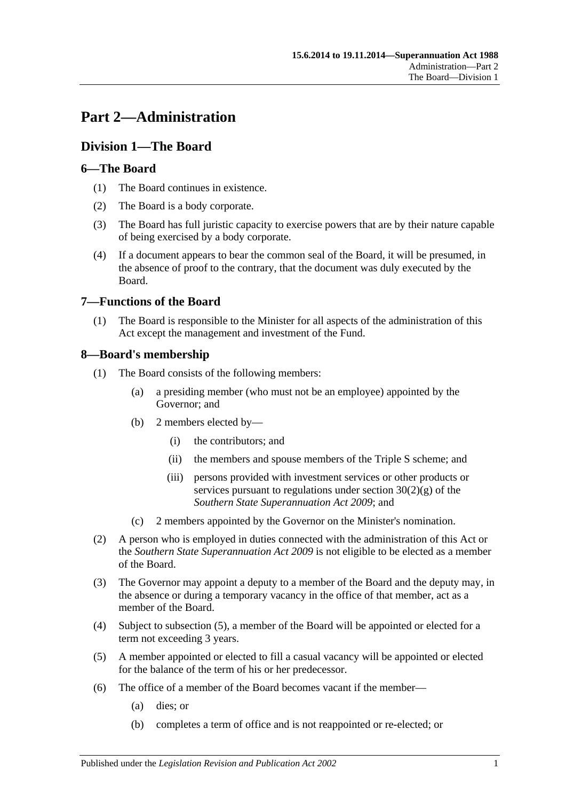# <span id="page-18-0"></span>**Part 2—Administration**

## <span id="page-18-1"></span>**Division 1—The Board**

## <span id="page-18-2"></span>**6—The Board**

- (1) The Board continues in existence.
- (2) The Board is a body corporate.
- (3) The Board has full juristic capacity to exercise powers that are by their nature capable of being exercised by a body corporate.
- (4) If a document appears to bear the common seal of the Board, it will be presumed, in the absence of proof to the contrary, that the document was duly executed by the Board.

## <span id="page-18-3"></span>**7—Functions of the Board**

(1) The Board is responsible to the Minister for all aspects of the administration of this Act except the management and investment of the Fund.

## <span id="page-18-4"></span>**8—Board's membership**

- (1) The Board consists of the following members:
	- (a) a presiding member (who must not be an employee) appointed by the Governor; and
	- (b) 2 members elected by—
		- (i) the contributors; and
		- (ii) the members and spouse members of the Triple S scheme; and
		- (iii) persons provided with investment services or other products or services pursuant to regulations under section  $30(2)(g)$  of the *[Southern State Superannuation Act](http://www.legislation.sa.gov.au/index.aspx?action=legref&type=act&legtitle=Southern%20State%20Superannuation%20Act%202009) 2009*; and
	- (c) 2 members appointed by the Governor on the Minister's nomination.
- (2) A person who is employed in duties connected with the administration of this Act or the *[Southern State Superannuation Act](http://www.legislation.sa.gov.au/index.aspx?action=legref&type=act&legtitle=Southern%20State%20Superannuation%20Act%202009) 2009* is not eligible to be elected as a member of the Board.
- (3) The Governor may appoint a deputy to a member of the Board and the deputy may, in the absence or during a temporary vacancy in the office of that member, act as a member of the Board.
- (4) Subject to [subsection](#page-18-5) (5), a member of the Board will be appointed or elected for a term not exceeding 3 years.
- <span id="page-18-5"></span>(5) A member appointed or elected to fill a casual vacancy will be appointed or elected for the balance of the term of his or her predecessor.
- (6) The office of a member of the Board becomes vacant if the member—
	- (a) dies; or
	- (b) completes a term of office and is not reappointed or re-elected; or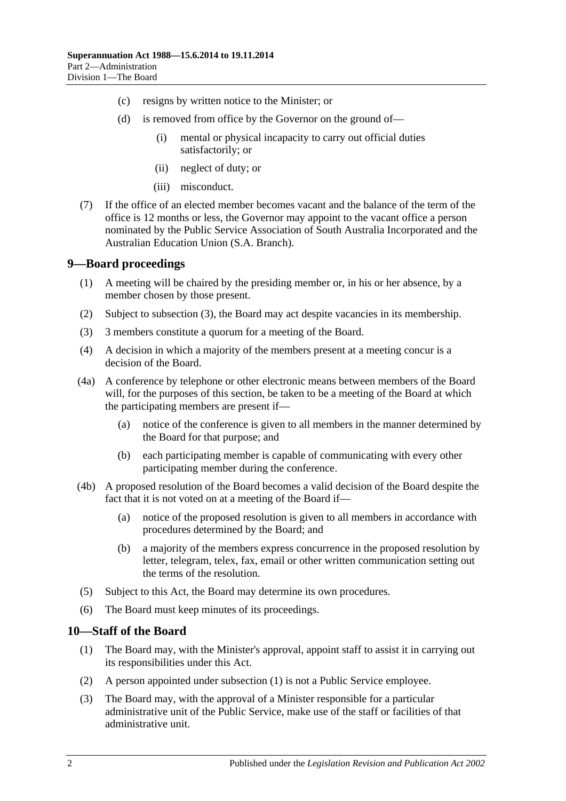- (c) resigns by written notice to the Minister; or
- (d) is removed from office by the Governor on the ground of—
	- (i) mental or physical incapacity to carry out official duties satisfactorily; or
	- (ii) neglect of duty; or
	- (iii) misconduct.
- (7) If the office of an elected member becomes vacant and the balance of the term of the office is 12 months or less, the Governor may appoint to the vacant office a person nominated by the Public Service Association of South Australia Incorporated and the Australian Education Union (S.A. Branch).

### <span id="page-19-0"></span>**9—Board proceedings**

- (1) A meeting will be chaired by the presiding member or, in his or her absence, by a member chosen by those present.
- (2) Subject to [subsection](#page-19-2) (3), the Board may act despite vacancies in its membership.
- <span id="page-19-2"></span>(3) 3 members constitute a quorum for a meeting of the Board.
- (4) A decision in which a majority of the members present at a meeting concur is a decision of the Board.
- (4a) A conference by telephone or other electronic means between members of the Board will, for the purposes of this section, be taken to be a meeting of the Board at which the participating members are present if—
	- (a) notice of the conference is given to all members in the manner determined by the Board for that purpose; and
	- (b) each participating member is capable of communicating with every other participating member during the conference.
- (4b) A proposed resolution of the Board becomes a valid decision of the Board despite the fact that it is not voted on at a meeting of the Board if—
	- (a) notice of the proposed resolution is given to all members in accordance with procedures determined by the Board; and
	- (b) a majority of the members express concurrence in the proposed resolution by letter, telegram, telex, fax, email or other written communication setting out the terms of the resolution.
- (5) Subject to this Act, the Board may determine its own procedures.
- (6) The Board must keep minutes of its proceedings.

## <span id="page-19-3"></span><span id="page-19-1"></span>**10—Staff of the Board**

- (1) The Board may, with the Minister's approval, appoint staff to assist it in carrying out its responsibilities under this Act.
- (2) A person appointed under [subsection](#page-19-3) (1) is not a Public Service employee.
- (3) The Board may, with the approval of a Minister responsible for a particular administrative unit of the Public Service, make use of the staff or facilities of that administrative unit.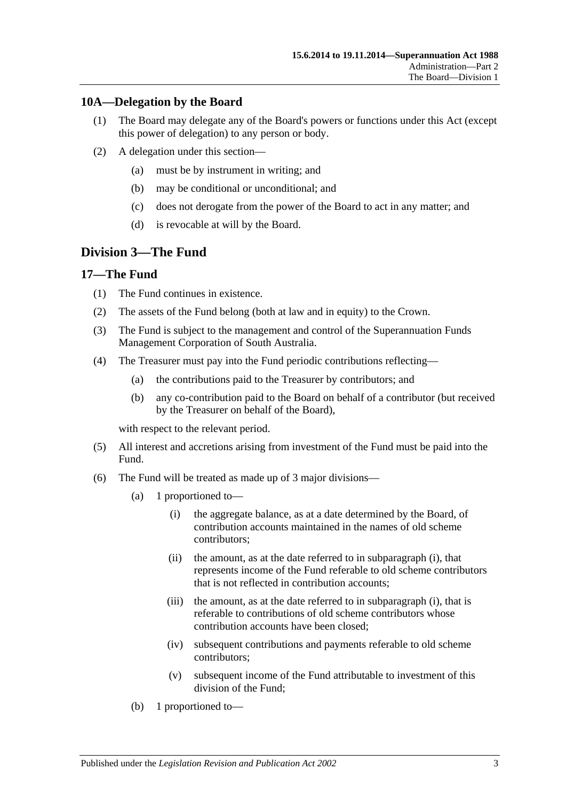## <span id="page-20-0"></span>**10A—Delegation by the Board**

- (1) The Board may delegate any of the Board's powers or functions under this Act (except this power of delegation) to any person or body.
- (2) A delegation under this section—
	- (a) must be by instrument in writing; and
	- (b) may be conditional or unconditional; and
	- (c) does not derogate from the power of the Board to act in any matter; and
	- (d) is revocable at will by the Board.

## <span id="page-20-1"></span>**Division 3—The Fund**

## <span id="page-20-2"></span>**17—The Fund**

- (1) The Fund continues in existence.
- (2) The assets of the Fund belong (both at law and in equity) to the Crown.
- (3) The Fund is subject to the management and control of the Superannuation Funds Management Corporation of South Australia.
- (4) The Treasurer must pay into the Fund periodic contributions reflecting—
	- (a) the contributions paid to the Treasurer by contributors; and
	- (b) any co-contribution paid to the Board on behalf of a contributor (but received by the Treasurer on behalf of the Board),

with respect to the relevant period.

- (5) All interest and accretions arising from investment of the Fund must be paid into the Fund.
- <span id="page-20-3"></span>(6) The Fund will be treated as made up of 3 major divisions—
	- (a) 1 proportioned to—
		- (i) the aggregate balance, as at a date determined by the Board, of contribution accounts maintained in the names of old scheme contributors;
		- (ii) the amount, as at the date referred to in [subparagraph](#page-20-3) (i), that represents income of the Fund referable to old scheme contributors that is not reflected in contribution accounts;
		- (iii) the amount, as at the date referred to in [subparagraph](#page-20-3) (i), that is referable to contributions of old scheme contributors whose contribution accounts have been closed;
		- (iv) subsequent contributions and payments referable to old scheme contributors;
		- (v) subsequent income of the Fund attributable to investment of this division of the Fund;
	- (b) 1 proportioned to—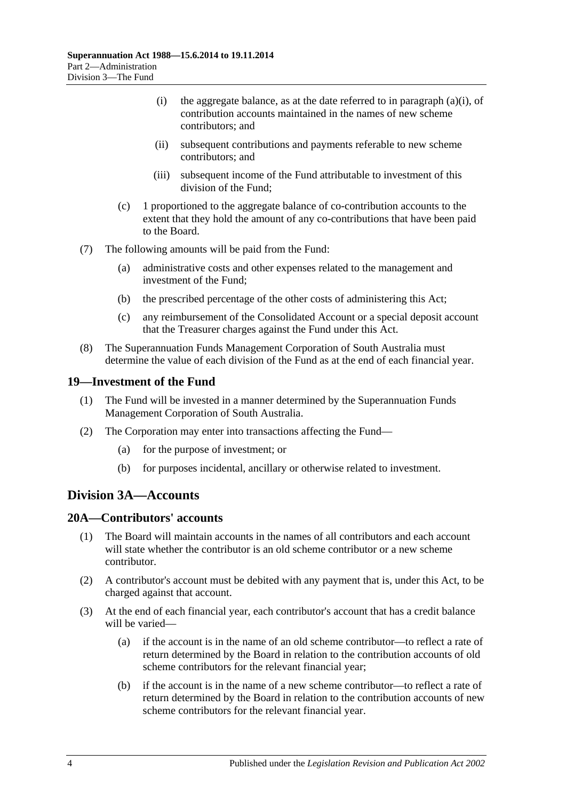- (i) the aggregate balance, as at the date referred to in [paragraph](#page-20-3) (a)(i), of contribution accounts maintained in the names of new scheme contributors; and
- (ii) subsequent contributions and payments referable to new scheme contributors; and
- (iii) subsequent income of the Fund attributable to investment of this division of the Fund;
- (c) 1 proportioned to the aggregate balance of co-contribution accounts to the extent that they hold the amount of any co-contributions that have been paid to the Board.
- (7) The following amounts will be paid from the Fund:
	- (a) administrative costs and other expenses related to the management and investment of the Fund;
	- (b) the prescribed percentage of the other costs of administering this Act;
	- (c) any reimbursement of the Consolidated Account or a special deposit account that the Treasurer charges against the Fund under this Act.
- (8) The Superannuation Funds Management Corporation of South Australia must determine the value of each division of the Fund as at the end of each financial year.

#### <span id="page-21-0"></span>**19—Investment of the Fund**

- (1) The Fund will be invested in a manner determined by the Superannuation Funds Management Corporation of South Australia.
- (2) The Corporation may enter into transactions affecting the Fund—
	- (a) for the purpose of investment; or
	- (b) for purposes incidental, ancillary or otherwise related to investment.

## <span id="page-21-1"></span>**Division 3A—Accounts**

## <span id="page-21-2"></span>**20A—Contributors' accounts**

- (1) The Board will maintain accounts in the names of all contributors and each account will state whether the contributor is an old scheme contributor or a new scheme contributor.
- (2) A contributor's account must be debited with any payment that is, under this Act, to be charged against that account.
- <span id="page-21-3"></span>(3) At the end of each financial year, each contributor's account that has a credit balance will be varied—
	- (a) if the account is in the name of an old scheme contributor—to reflect a rate of return determined by the Board in relation to the contribution accounts of old scheme contributors for the relevant financial year;
	- (b) if the account is in the name of a new scheme contributor—to reflect a rate of return determined by the Board in relation to the contribution accounts of new scheme contributors for the relevant financial year.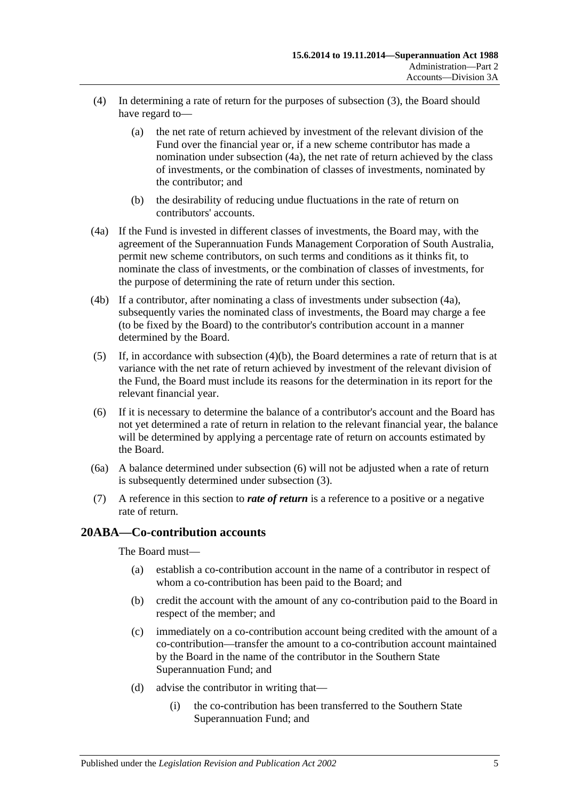- (4) In determining a rate of return for the purposes of [subsection](#page-21-3) (3), the Board should have regard to—
	- (a) the net rate of return achieved by investment of the relevant division of the Fund over the financial year or, if a new scheme contributor has made a nomination under [subsection](#page-22-1) (4a), the net rate of return achieved by the class of investments, or the combination of classes of investments, nominated by the contributor; and
	- (b) the desirability of reducing undue fluctuations in the rate of return on contributors' accounts.
- <span id="page-22-2"></span><span id="page-22-1"></span>(4a) If the Fund is invested in different classes of investments, the Board may, with the agreement of the Superannuation Funds Management Corporation of South Australia, permit new scheme contributors, on such terms and conditions as it thinks fit, to nominate the class of investments, or the combination of classes of investments, for the purpose of determining the rate of return under this section.
- (4b) If a contributor, after nominating a class of investments under [subsection](#page-22-1) (4a), subsequently varies the nominated class of investments, the Board may charge a fee (to be fixed by the Board) to the contributor's contribution account in a manner determined by the Board.
- (5) If, in accordance with [subsection](#page-22-2)  $(4)(b)$ , the Board determines a rate of return that is at variance with the net rate of return achieved by investment of the relevant division of the Fund, the Board must include its reasons for the determination in its report for the relevant financial year.
- <span id="page-22-3"></span>(6) If it is necessary to determine the balance of a contributor's account and the Board has not yet determined a rate of return in relation to the relevant financial year, the balance will be determined by applying a percentage rate of return on accounts estimated by the Board.
- (6a) A balance determined under [subsection](#page-22-3) (6) will not be adjusted when a rate of return is subsequently determined under [subsection](#page-21-3) (3).
- (7) A reference in this section to *rate of return* is a reference to a positive or a negative rate of return.

#### <span id="page-22-0"></span>**20ABA—Co-contribution accounts**

The Board must—

- (a) establish a co-contribution account in the name of a contributor in respect of whom a co-contribution has been paid to the Board; and
- (b) credit the account with the amount of any co-contribution paid to the Board in respect of the member; and
- (c) immediately on a co-contribution account being credited with the amount of a co-contribution—transfer the amount to a co-contribution account maintained by the Board in the name of the contributor in the Southern State Superannuation Fund; and
- (d) advise the contributor in writing that—
	- (i) the co-contribution has been transferred to the Southern State Superannuation Fund; and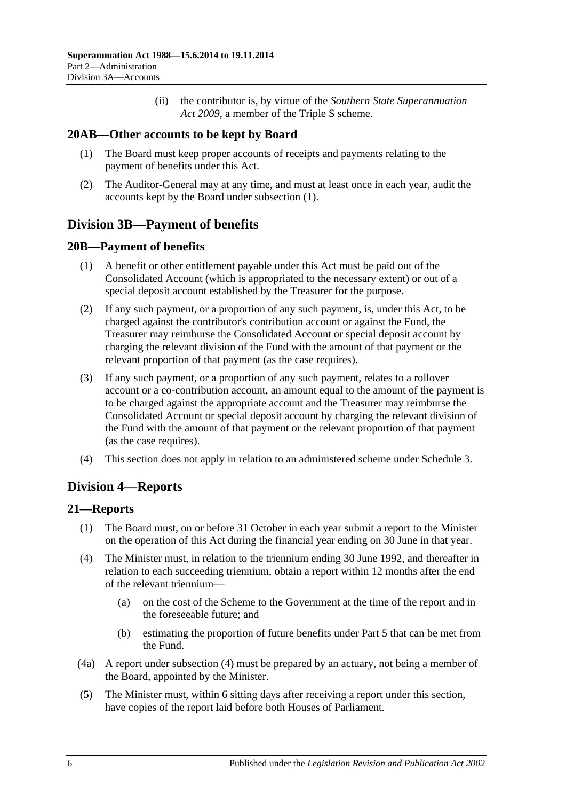(ii) the contributor is, by virtue of the *[Southern State Superannuation](http://www.legislation.sa.gov.au/index.aspx?action=legref&type=act&legtitle=Southern%20State%20Superannuation%20Act%202009)  Act [2009](http://www.legislation.sa.gov.au/index.aspx?action=legref&type=act&legtitle=Southern%20State%20Superannuation%20Act%202009)*, a member of the Triple S scheme.

## <span id="page-23-5"></span><span id="page-23-0"></span>**20AB—Other accounts to be kept by Board**

- (1) The Board must keep proper accounts of receipts and payments relating to the payment of benefits under this Act.
- (2) The Auditor-General may at any time, and must at least once in each year, audit the accounts kept by the Board under [subsection](#page-23-5) (1).

## <span id="page-23-1"></span>**Division 3B—Payment of benefits**

## <span id="page-23-2"></span>**20B—Payment of benefits**

- (1) A benefit or other entitlement payable under this Act must be paid out of the Consolidated Account (which is appropriated to the necessary extent) or out of a special deposit account established by the Treasurer for the purpose.
- (2) If any such payment, or a proportion of any such payment, is, under this Act, to be charged against the contributor's contribution account or against the Fund, the Treasurer may reimburse the Consolidated Account or special deposit account by charging the relevant division of the Fund with the amount of that payment or the relevant proportion of that payment (as the case requires).
- (3) If any such payment, or a proportion of any such payment, relates to a rollover account or a co-contribution account, an amount equal to the amount of the payment is to be charged against the appropriate account and the Treasurer may reimburse the Consolidated Account or special deposit account by charging the relevant division of the Fund with the amount of that payment or the relevant proportion of that payment (as the case requires).
- (4) This section does not apply in relation to an administered scheme under [Schedule 3.](#page-130-0)

## <span id="page-23-3"></span>**Division 4—Reports**

## <span id="page-23-4"></span>**21—Reports**

- (1) The Board must, on or before 31 October in each year submit a report to the Minister on the operation of this Act during the financial year ending on 30 June in that year.
- <span id="page-23-6"></span>(4) The Minister must, in relation to the triennium ending 30 June 1992, and thereafter in relation to each succeeding triennium, obtain a report within 12 months after the end of the relevant triennium—
	- (a) on the cost of the Scheme to the Government at the time of the report and in the foreseeable future; and
	- (b) estimating the proportion of future benefits under [Part 5](#page-56-0) that can be met from the Fund.
- (4a) A report under [subsection](#page-23-6) (4) must be prepared by an actuary, not being a member of the Board, appointed by the Minister.
- (5) The Minister must, within 6 sitting days after receiving a report under this section, have copies of the report laid before both Houses of Parliament.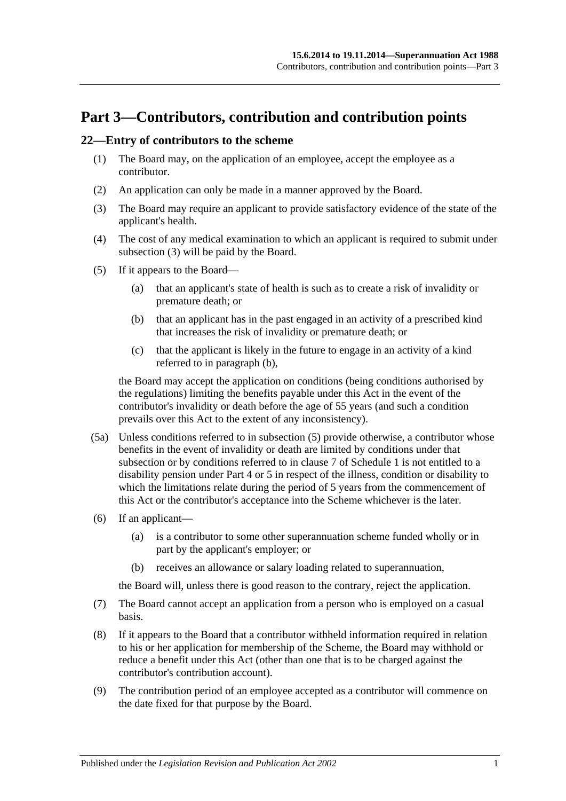## <span id="page-24-0"></span>**Part 3—Contributors, contribution and contribution points**

### <span id="page-24-5"></span><span id="page-24-1"></span>**22—Entry of contributors to the scheme**

- (1) The Board may, on the application of an employee, accept the employee as a contributor.
- (2) An application can only be made in a manner approved by the Board.
- <span id="page-24-2"></span>(3) The Board may require an applicant to provide satisfactory evidence of the state of the applicant's health.
- (4) The cost of any medical examination to which an applicant is required to submit under [subsection](#page-24-2) (3) will be paid by the Board.
- <span id="page-24-4"></span><span id="page-24-3"></span>(5) If it appears to the Board—
	- (a) that an applicant's state of health is such as to create a risk of invalidity or premature death; or
	- (b) that an applicant has in the past engaged in an activity of a prescribed kind that increases the risk of invalidity or premature death; or
	- (c) that the applicant is likely in the future to engage in an activity of a kind referred to in [paragraph](#page-24-3) (b),

the Board may accept the application on conditions (being conditions authorised by the regulations) limiting the benefits payable under this Act in the event of the contributor's invalidity or death before the age of 55 years (and such a condition prevails over this Act to the extent of any inconsistency).

- (5a) Unless conditions referred to in [subsection](#page-24-4) (5) provide otherwise, a contributor whose benefits in the event of invalidity or death are limited by conditions under that subsection or by conditions referred to in [clause](#page-110-0) 7 of [Schedule 1](#page-106-0) is not entitled to a disability pension under [Part 4](#page-30-0) or [5](#page-56-0) in respect of the illness, condition or disability to which the limitations relate during the period of 5 years from the commencement of this Act or the contributor's acceptance into the Scheme whichever is the later.
- (6) If an applicant—
	- (a) is a contributor to some other superannuation scheme funded wholly or in part by the applicant's employer; or
	- (b) receives an allowance or salary loading related to superannuation,

the Board will, unless there is good reason to the contrary, reject the application.

- (7) The Board cannot accept an application from a person who is employed on a casual basis.
- (8) If it appears to the Board that a contributor withheld information required in relation to his or her application for membership of the Scheme, the Board may withhold or reduce a benefit under this Act (other than one that is to be charged against the contributor's contribution account).
- (9) The contribution period of an employee accepted as a contributor will commence on the date fixed for that purpose by the Board.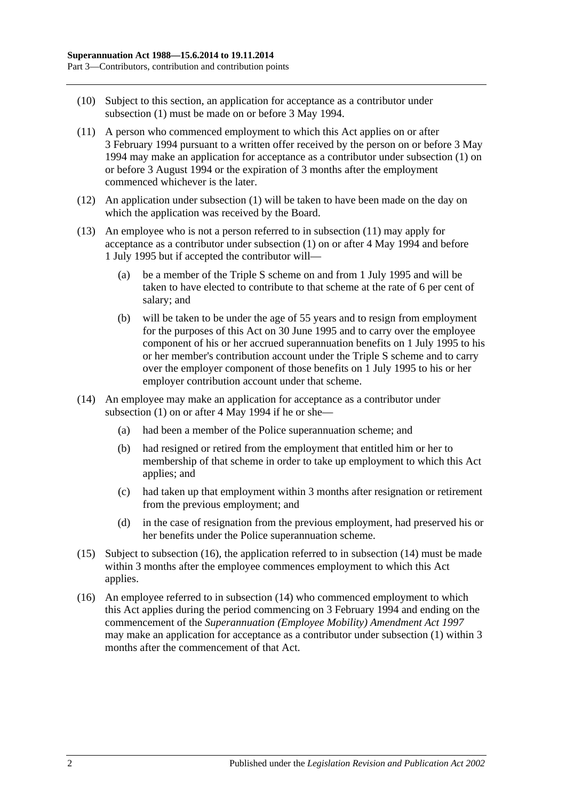- (10) Subject to this section, an application for acceptance as a contributor under [subsection](#page-24-5) (1) must be made on or before 3 May 1994.
- <span id="page-25-0"></span>(11) A person who commenced employment to which this Act applies on or after 3 February 1994 pursuant to a written offer received by the person on or before 3 May 1994 may make an application for acceptance as a contributor under [subsection](#page-24-5) (1) on or before 3 August 1994 or the expiration of 3 months after the employment commenced whichever is the later.
- (12) An application under [subsection](#page-24-5) (1) will be taken to have been made on the day on which the application was received by the Board.
- (13) An employee who is not a person referred to in [subsection](#page-25-0) (11) may apply for acceptance as a contributor under [subsection](#page-24-5) (1) on or after 4 May 1994 and before 1 July 1995 but if accepted the contributor will—
	- (a) be a member of the Triple S scheme on and from 1 July 1995 and will be taken to have elected to contribute to that scheme at the rate of 6 per cent of salary; and
	- (b) will be taken to be under the age of 55 years and to resign from employment for the purposes of this Act on 30 June 1995 and to carry over the employee component of his or her accrued superannuation benefits on 1 July 1995 to his or her member's contribution account under the Triple S scheme and to carry over the employer component of those benefits on 1 July 1995 to his or her employer contribution account under that scheme.
- <span id="page-25-2"></span>(14) An employee may make an application for acceptance as a contributor under [subsection](#page-24-5) (1) on or after 4 May 1994 if he or she—
	- (a) had been a member of the Police superannuation scheme; and
	- (b) had resigned or retired from the employment that entitled him or her to membership of that scheme in order to take up employment to which this Act applies; and
	- (c) had taken up that employment within 3 months after resignation or retirement from the previous employment; and
	- (d) in the case of resignation from the previous employment, had preserved his or her benefits under the Police superannuation scheme.
- (15) Subject to [subsection](#page-25-1) (16), the application referred to in [subsection](#page-25-2) (14) must be made within 3 months after the employee commences employment to which this Act applies.
- <span id="page-25-1"></span>(16) An employee referred to in [subsection](#page-25-2) (14) who commenced employment to which this Act applies during the period commencing on 3 February 1994 and ending on the commencement of the *[Superannuation \(Employee Mobility\) Amendment Act](http://www.legislation.sa.gov.au/index.aspx?action=legref&type=act&legtitle=Superannuation%20(Employee%20Mobility)%20Amendment%20Act%201997) 1997* may make an application for acceptance as a contributor under [subsection](#page-24-5) (1) within 3 months after the commencement of that Act.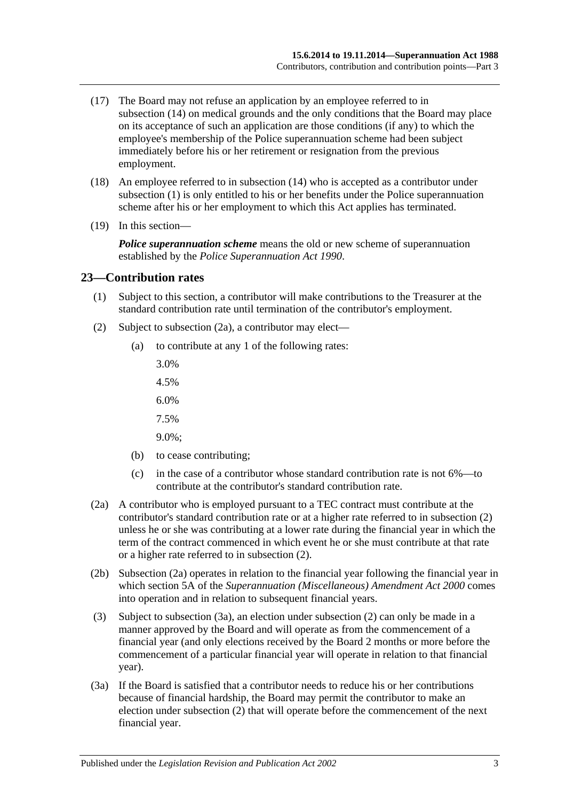- (17) The Board may not refuse an application by an employee referred to in [subsection](#page-25-2) (14) on medical grounds and the only conditions that the Board may place on its acceptance of such an application are those conditions (if any) to which the employee's membership of the Police superannuation scheme had been subject immediately before his or her retirement or resignation from the previous employment.
- (18) An employee referred to in [subsection](#page-25-2) (14) who is accepted as a contributor under [subsection](#page-24-5) (1) is only entitled to his or her benefits under the Police superannuation scheme after his or her employment to which this Act applies has terminated.
- (19) In this section—

*Police superannuation scheme* means the old or new scheme of superannuation established by the *[Police Superannuation Act](http://www.legislation.sa.gov.au/index.aspx?action=legref&type=act&legtitle=Police%20Superannuation%20Act%201990) 1990*.

#### <span id="page-26-0"></span>**23—Contribution rates**

- (1) Subject to this section, a contributor will make contributions to the Treasurer at the standard contribution rate until termination of the contributor's employment.
- <span id="page-26-2"></span>(2) Subject to [subsection](#page-26-1) (2a), a contributor may elect—
	- (a) to contribute at any 1 of the following rates:
		- 3.0%
		- 4.5%
		- 6.0%
		- 7.5%
		- 9.0%;
	- (b) to cease contributing;
	- (c) in the case of a contributor whose standard contribution rate is not 6%—to contribute at the contributor's standard contribution rate.
- <span id="page-26-1"></span>(2a) A contributor who is employed pursuant to a TEC contract must contribute at the contributor's standard contribution rate or at a higher rate referred to in [subsection](#page-26-2) (2) unless he or she was contributing at a lower rate during the financial year in which the term of the contract commenced in which event he or she must contribute at that rate or a higher rate referred to in [subsection](#page-26-2) (2).
- (2b) [Subsection](#page-26-1) (2a) operates in relation to the financial year following the financial year in which section 5A of the *[Superannuation \(Miscellaneous\) Amendment Act](http://www.legislation.sa.gov.au/index.aspx?action=legref&type=act&legtitle=Superannuation%20(Miscellaneous)%20Amendment%20Act%202000) 2000* comes into operation and in relation to subsequent financial years.
- (3) Subject to [subsection](#page-26-3) (3a), an election under [subsection](#page-26-2) (2) can only be made in a manner approved by the Board and will operate as from the commencement of a financial year (and only elections received by the Board 2 months or more before the commencement of a particular financial year will operate in relation to that financial year).
- <span id="page-26-3"></span>(3a) If the Board is satisfied that a contributor needs to reduce his or her contributions because of financial hardship, the Board may permit the contributor to make an election under [subsection](#page-26-2) (2) that will operate before the commencement of the next financial year.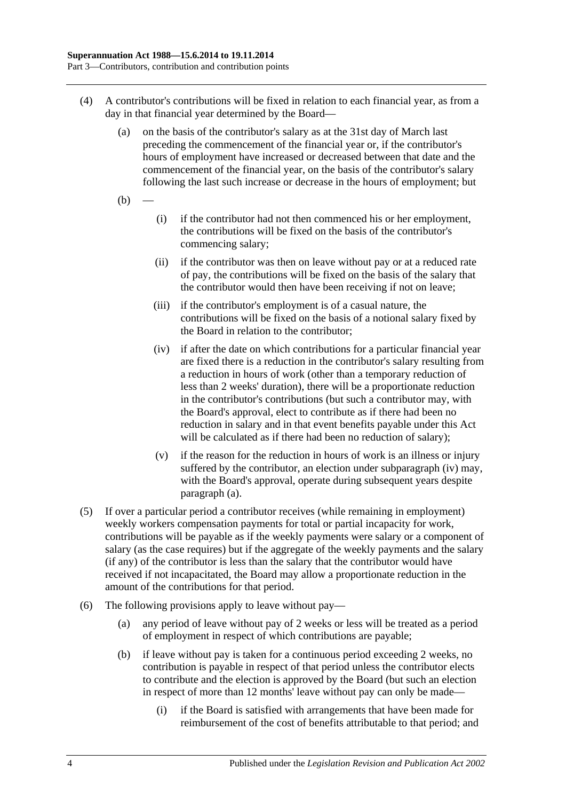- <span id="page-27-0"></span>(4) A contributor's contributions will be fixed in relation to each financial year, as from a day in that financial year determined by the Board—
	- (a) on the basis of the contributor's salary as at the 31st day of March last preceding the commencement of the financial year or, if the contributor's hours of employment have increased or decreased between that date and the commencement of the financial year, on the basis of the contributor's salary following the last such increase or decrease in the hours of employment; but
	- $(b)$
- (i) if the contributor had not then commenced his or her employment, the contributions will be fixed on the basis of the contributor's commencing salary;
- (ii) if the contributor was then on leave without pay or at a reduced rate of pay, the contributions will be fixed on the basis of the salary that the contributor would then have been receiving if not on leave;
- (iii) if the contributor's employment is of a casual nature, the contributions will be fixed on the basis of a notional salary fixed by the Board in relation to the contributor;
- <span id="page-27-1"></span>(iv) if after the date on which contributions for a particular financial year are fixed there is a reduction in the contributor's salary resulting from a reduction in hours of work (other than a temporary reduction of less than 2 weeks' duration), there will be a proportionate reduction in the contributor's contributions (but such a contributor may, with the Board's approval, elect to contribute as if there had been no reduction in salary and in that event benefits payable under this Act will be calculated as if there had been no reduction of salary);
- (v) if the reason for the reduction in hours of work is an illness or injury suffered by the contributor, an election under [subparagraph](#page-27-1) (iv) may, with the Board's approval, operate during subsequent years despite [paragraph](#page-27-0) (a).
- (5) If over a particular period a contributor receives (while remaining in employment) weekly workers compensation payments for total or partial incapacity for work, contributions will be payable as if the weekly payments were salary or a component of salary (as the case requires) but if the aggregate of the weekly payments and the salary (if any) of the contributor is less than the salary that the contributor would have received if not incapacitated, the Board may allow a proportionate reduction in the amount of the contributions for that period.
- <span id="page-27-2"></span>(6) The following provisions apply to leave without pay—
	- (a) any period of leave without pay of 2 weeks or less will be treated as a period of employment in respect of which contributions are payable;
	- (b) if leave without pay is taken for a continuous period exceeding 2 weeks, no contribution is payable in respect of that period unless the contributor elects to contribute and the election is approved by the Board (but such an election in respect of more than 12 months' leave without pay can only be made—
		- (i) if the Board is satisfied with arrangements that have been made for reimbursement of the cost of benefits attributable to that period; and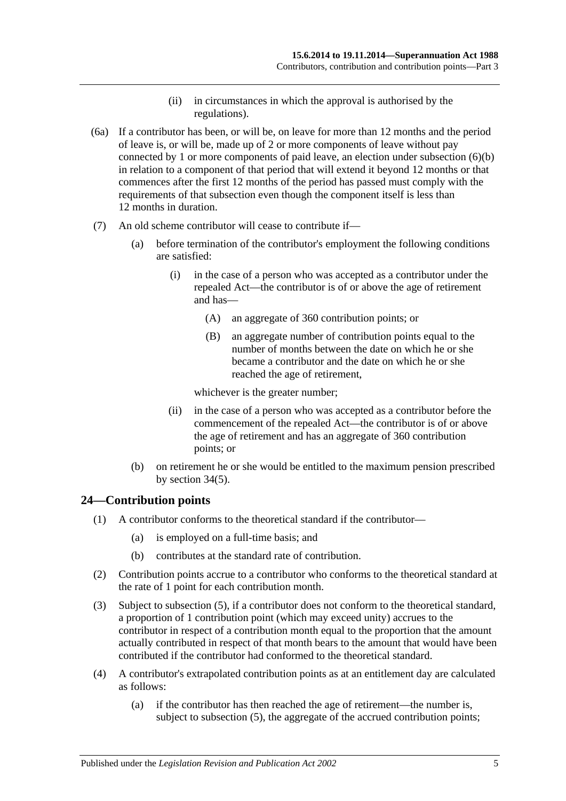- (ii) in circumstances in which the approval is authorised by the regulations).
- (6a) If a contributor has been, or will be, on leave for more than 12 months and the period of leave is, or will be, made up of 2 or more components of leave without pay connected by 1 or more components of paid leave, an election under [subsection](#page-27-2) (6)(b) in relation to a component of that period that will extend it beyond 12 months or that commences after the first 12 months of the period has passed must comply with the requirements of that subsection even though the component itself is less than 12 months in duration.
- (7) An old scheme contributor will cease to contribute if—
	- (a) before termination of the contributor's employment the following conditions are satisfied:
		- (i) in the case of a person who was accepted as a contributor under the repealed Act—the contributor is of or above the age of retirement and has—
			- (A) an aggregate of 360 contribution points; or
			- (B) an aggregate number of contribution points equal to the number of months between the date on which he or she became a contributor and the date on which he or she reached the age of retirement,

whichever is the greater number;

- (ii) in the case of a person who was accepted as a contributor before the commencement of the repealed Act—the contributor is of or above the age of retirement and has an aggregate of 360 contribution points; or
- (b) on retirement he or she would be entitled to the maximum pension prescribed by [section](#page-60-0) 34(5).

## <span id="page-28-0"></span>**24—Contribution points**

- (1) A contributor conforms to the theoretical standard if the contributor—
	- (a) is employed on a full-time basis; and
	- (b) contributes at the standard rate of contribution.
- (2) Contribution points accrue to a contributor who conforms to the theoretical standard at the rate of 1 point for each contribution month.
- (3) Subject to [subsection](#page-29-1) (5), if a contributor does not conform to the theoretical standard, a proportion of 1 contribution point (which may exceed unity) accrues to the contributor in respect of a contribution month equal to the proportion that the amount actually contributed in respect of that month bears to the amount that would have been contributed if the contributor had conformed to the theoretical standard.
- <span id="page-28-1"></span>(4) A contributor's extrapolated contribution points as at an entitlement day are calculated as follows:
	- (a) if the contributor has then reached the age of retirement—the number is, subject to [subsection](#page-29-1) (5), the aggregate of the accrued contribution points;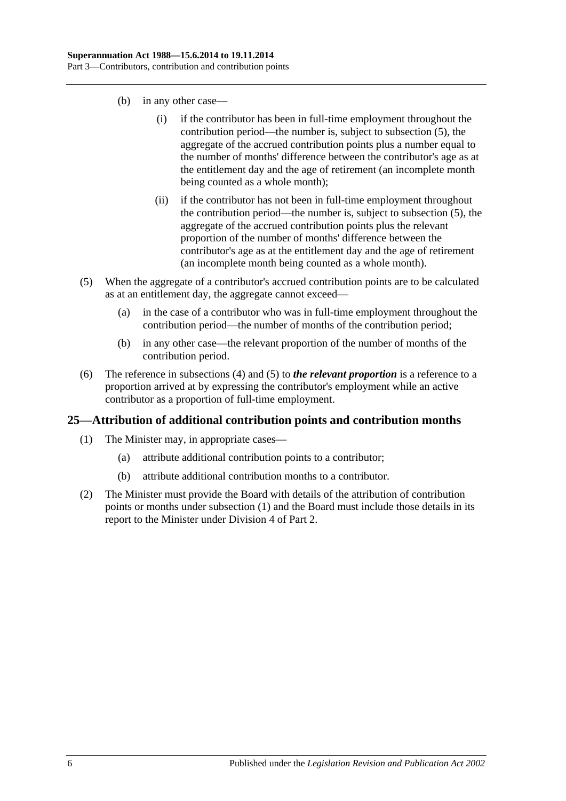- (b) in any other case—
	- (i) if the contributor has been in full-time employment throughout the contribution period—the number is, subject to [subsection](#page-29-1) (5), the aggregate of the accrued contribution points plus a number equal to the number of months' difference between the contributor's age as at the entitlement day and the age of retirement (an incomplete month being counted as a whole month);
	- (ii) if the contributor has not been in full-time employment throughout the contribution period—the number is, subject to [subsection](#page-29-1) (5), the aggregate of the accrued contribution points plus the relevant proportion of the number of months' difference between the contributor's age as at the entitlement day and the age of retirement (an incomplete month being counted as a whole month).
- <span id="page-29-1"></span>(5) When the aggregate of a contributor's accrued contribution points are to be calculated as at an entitlement day, the aggregate cannot exceed—
	- (a) in the case of a contributor who was in full-time employment throughout the contribution period—the number of months of the contribution period;
	- (b) in any other case—the relevant proportion of the number of months of the contribution period.
- (6) The reference in [subsections](#page-28-1) (4) and [\(5\)](#page-29-1) to *the relevant proportion* is a reference to a proportion arrived at by expressing the contributor's employment while an active contributor as a proportion of full-time employment.

## <span id="page-29-2"></span><span id="page-29-0"></span>**25—Attribution of additional contribution points and contribution months**

- (1) The Minister may, in appropriate cases—
	- (a) attribute additional contribution points to a contributor;
	- (b) attribute additional contribution months to a contributor.
- (2) The Minister must provide the Board with details of the attribution of contribution points or months under [subsection](#page-29-2) (1) and the Board must include those details in its report to the Minister under [Division 4](#page-23-3) of [Part 2.](#page-18-0)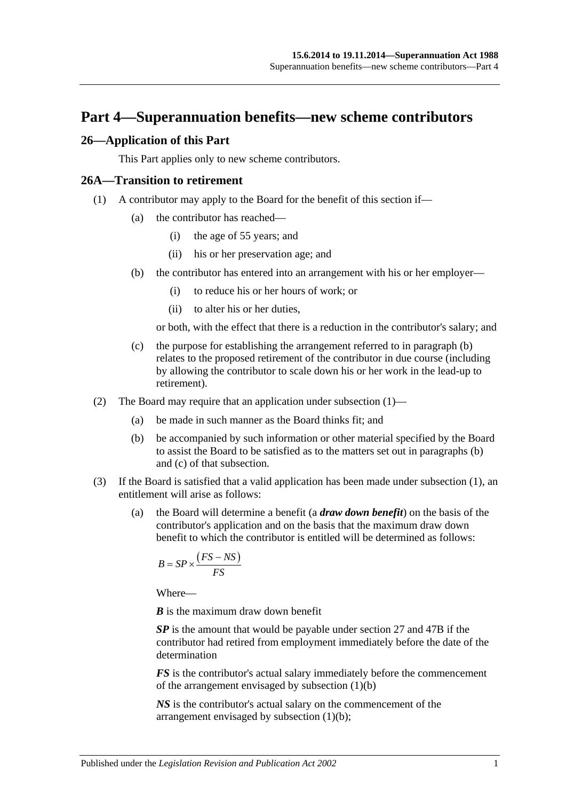## <span id="page-30-0"></span>**Part 4—Superannuation benefits—new scheme contributors**

### <span id="page-30-1"></span>**26—Application of this Part**

This Part applies only to new scheme contributors.

#### <span id="page-30-4"></span><span id="page-30-2"></span>**26A—Transition to retirement**

- <span id="page-30-3"></span>(1) A contributor may apply to the Board for the benefit of this section if—
	- (a) the contributor has reached—
		- (i) the age of 55 years; and
		- (ii) his or her preservation age; and
	- (b) the contributor has entered into an arrangement with his or her employer—
		- (i) to reduce his or her hours of work; or
		- (ii) to alter his or her duties,

or both, with the effect that there is a reduction in the contributor's salary; and

- <span id="page-30-5"></span>(c) the purpose for establishing the arrangement referred to in [paragraph](#page-30-3) (b) relates to the proposed retirement of the contributor in due course (including by allowing the contributor to scale down his or her work in the lead-up to retirement).
- (2) The Board may require that an application under [subsection](#page-30-4) (1)—
	- (a) be made in such manner as the Board thinks fit; and
	- (b) be accompanied by such information or other material specified by the Board to assist the Board to be satisfied as to the matters set out in [paragraphs](#page-30-3) (b) and [\(c\)](#page-30-5) of that subsection.
- <span id="page-30-7"></span><span id="page-30-6"></span>(3) If the Board is satisfied that a valid application has been made under [subsection](#page-30-4) (1), an entitlement will arise as follows:
	- (a) the Board will determine a benefit (a *draw down benefit*) on the basis of the contributor's application and on the basis that the maximum draw down benefit to which the contributor is entitled will be determined as follows:

$$
B = SP \times \frac{(FS - NS)}{FS}
$$

Where—

*B* is the maximum draw down benefit

*SP* is the amount that would be payable under [section](#page-33-0) 27 and [47B](#page-98-1) if the contributor had retired from employment immediately before the date of the determination

*FS* is the contributor's actual salary immediately before the commencement of the arrangement envisaged by [subsection](#page-30-3) (1)(b)

*NS* is the contributor's actual salary on the commencement of the arrangement envisaged by [subsection](#page-30-3) (1)(b);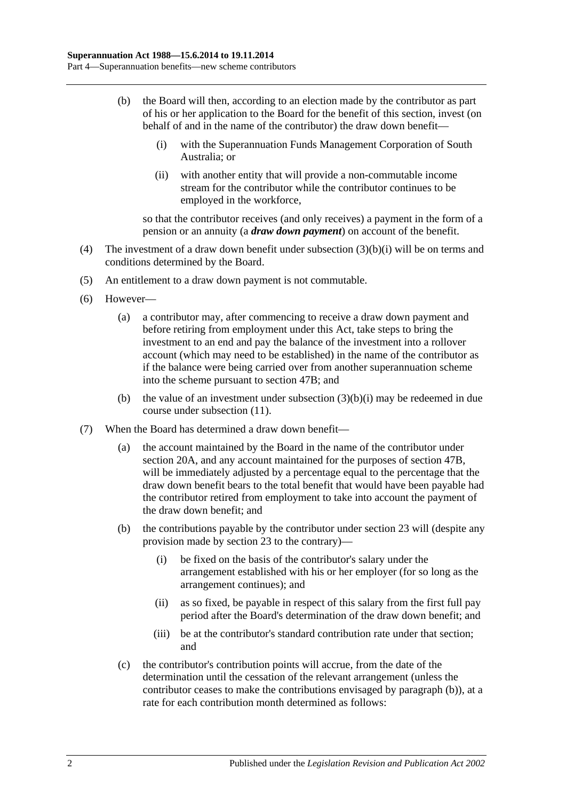- <span id="page-31-2"></span><span id="page-31-0"></span>(b) the Board will then, according to an election made by the contributor as part of his or her application to the Board for the benefit of this section, invest (on behalf of and in the name of the contributor) the draw down benefit—
	- (i) with the Superannuation Funds Management Corporation of South Australia; or
	- (ii) with another entity that will provide a non-commutable income stream for the contributor while the contributor continues to be employed in the workforce,

so that the contributor receives (and only receives) a payment in the form of a pension or an annuity (a *draw down payment*) on account of the benefit.

- (4) The investment of a draw down benefit under [subsection](#page-31-0) (3)(b)(i) will be on terms and conditions determined by the Board.
- (5) An entitlement to a draw down payment is not commutable.
- (6) However—
	- (a) a contributor may, after commencing to receive a draw down payment and before retiring from employment under this Act, take steps to bring the investment to an end and pay the balance of the investment into a rollover account (which may need to be established) in the name of the contributor as if the balance were being carried over from another superannuation scheme into the scheme pursuant to [section](#page-98-1) 47B; and
	- (b) the value of an investment under [subsection](#page-31-0)  $(3)(b)(i)$  may be redeemed in due course under [subsection](#page-32-0) (11).
- <span id="page-31-1"></span>(7) When the Board has determined a draw down benefit—
	- (a) the account maintained by the Board in the name of the contributor under [section](#page-21-2) 20A, and any account maintained for the purposes of [section](#page-98-1) 47B, will be immediately adjusted by a percentage equal to the percentage that the draw down benefit bears to the total benefit that would have been payable had the contributor retired from employment to take into account the payment of the draw down benefit; and
	- (b) the contributions payable by the contributor under [section](#page-26-0) 23 will (despite any provision made by [section](#page-26-0) 23 to the contrary)—
		- (i) be fixed on the basis of the contributor's salary under the arrangement established with his or her employer (for so long as the arrangement continues); and
		- (ii) as so fixed, be payable in respect of this salary from the first full pay period after the Board's determination of the draw down benefit; and
		- (iii) be at the contributor's standard contribution rate under that section; and
	- (c) the contributor's contribution points will accrue, from the date of the determination until the cessation of the relevant arrangement (unless the contributor ceases to make the contributions envisaged by [paragraph](#page-31-1) (b)), at a rate for each contribution month determined as follows: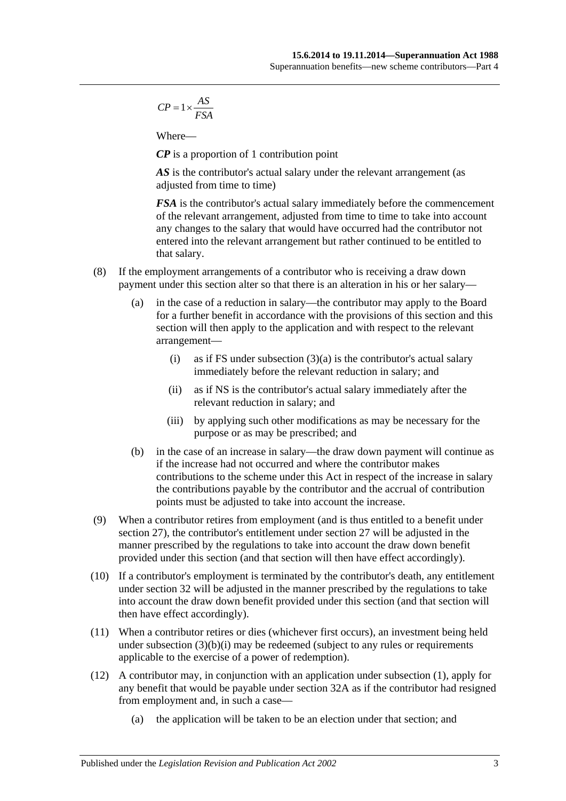$$
CP = 1 \times \frac{AS}{FSA}
$$

Where—

*CP* is a proportion of 1 contribution point

AS is the contributor's actual salary under the relevant arrangement (as adjusted from time to time)

*FSA* is the contributor's actual salary immediately before the commencement of the relevant arrangement, adjusted from time to time to take into account any changes to the salary that would have occurred had the contributor not entered into the relevant arrangement but rather continued to be entitled to that salary.

- (8) If the employment arrangements of a contributor who is receiving a draw down payment under this section alter so that there is an alteration in his or her salary—
	- (a) in the case of a reduction in salary—the contributor may apply to the Board for a further benefit in accordance with the provisions of this section and this section will then apply to the application and with respect to the relevant arrangement
		- (i) as if FS under [subsection](#page-30-6)  $(3)(a)$  is the contributor's actual salary immediately before the relevant reduction in salary; and
		- (ii) as if NS is the contributor's actual salary immediately after the relevant reduction in salary; and
		- (iii) by applying such other modifications as may be necessary for the purpose or as may be prescribed; and
	- (b) in the case of an increase in salary—the draw down payment will continue as if the increase had not occurred and where the contributor makes contributions to the scheme under this Act in respect of the increase in salary the contributions payable by the contributor and the accrual of contribution points must be adjusted to take into account the increase.
- (9) When a contributor retires from employment (and is thus entitled to a benefit under [section](#page-33-0) 27), the contributor's entitlement under [section](#page-33-0) 27 will be adjusted in the manner prescribed by the regulations to take into account the draw down benefit provided under this section (and that section will then have effect accordingly).
- (10) If a contributor's employment is terminated by the contributor's death, any entitlement under [section](#page-45-0) 32 will be adjusted in the manner prescribed by the regulations to take into account the draw down benefit provided under this section (and that section will then have effect accordingly).
- <span id="page-32-0"></span>(11) When a contributor retires or dies (whichever first occurs), an investment being held under [subsection](#page-31-0)  $(3)(b)(i)$  may be redeemed (subject to any rules or requirements applicable to the exercise of a power of redemption).
- (12) A contributor may, in conjunction with an application under [subsection](#page-30-4) (1), apply for any benefit that would be payable under [section](#page-50-0) 32A as if the contributor had resigned from employment and, in such a case—
	- (a) the application will be taken to be an election under that section; and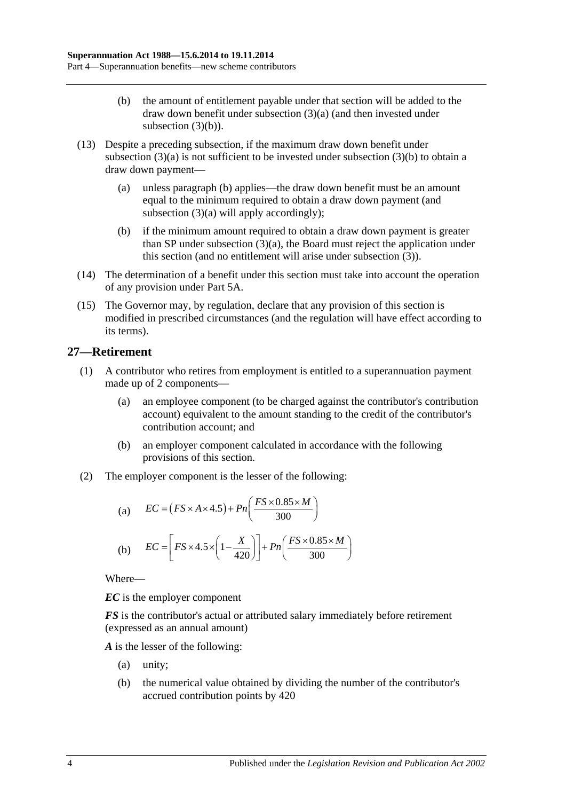- (b) the amount of entitlement payable under that section will be added to the draw down benefit under [subsection](#page-30-6) (3)(a) (and then invested under [subsection](#page-31-2)  $(3)(b)$ ).
- (13) Despite a preceding subsection, if the maximum draw down benefit under [subsection](#page-30-6)  $(3)(a)$  is not sufficient to be invested under [subsection](#page-31-2)  $(3)(b)$  to obtain a draw down payment—
	- (a) unless [paragraph](#page-33-1) (b) applies—the draw down benefit must be an amount equal to the minimum required to obtain a draw down payment (and [subsection](#page-30-6) (3)(a) will apply accordingly);
	- (b) if the minimum amount required to obtain a draw down payment is greater than SP under [subsection](#page-30-6) (3)(a), the Board must reject the application under this section (and no entitlement will arise under [subsection](#page-30-7) (3)).
- <span id="page-33-1"></span>(14) The determination of a benefit under this section must take into account the operation of any provision under [Part 5A.](#page-86-0)
- (15) The Governor may, by regulation, declare that any provision of this section is modified in prescribed circumstances (and the regulation will have effect according to its terms).

## <span id="page-33-0"></span>**27—Retirement**

- (1) A contributor who retires from employment is entitled to a superannuation payment made up of 2 components—
	- (a) an employee component (to be charged against the contributor's contribution account) equivalent to the amount standing to the credit of the contributor's contribution account; and
	- (b) an employer component calculated in accordance with the following provisions of this section.
- (2) The employer component is the lesser of the following:

(a) 
$$
EC = (FS \times A \times 4.5) + Pn\left(\frac{FS \times 0.85 \times M}{300}\right)
$$
  
(b) 
$$
EC = \left[FS \times 4.5 \times \left(1 - \frac{X}{420}\right)\right] + Pn\left(\frac{FS \times 0.85 \times M}{300}\right)
$$

Where—

*EC* is the employer component

*FS* is the contributor's actual or attributed salary immediately before retirement (expressed as an annual amount)

*A* is the lesser of the following:

- (a) unity;
- (b) the numerical value obtained by dividing the number of the contributor's accrued contribution points by 420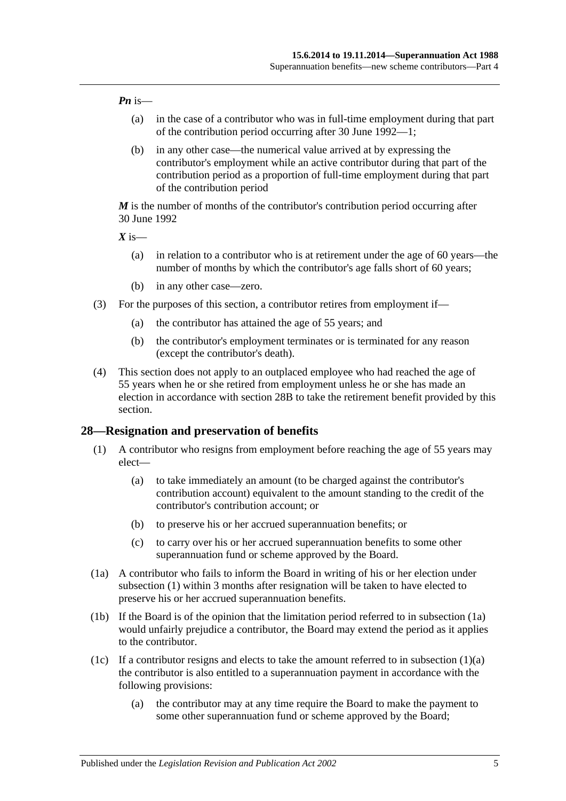#### *Pn* is—

- (a) in the case of a contributor who was in full-time employment during that part of the contribution period occurring after 30 June 1992—1;
- (b) in any other case—the numerical value arrived at by expressing the contributor's employment while an active contributor during that part of the contribution period as a proportion of full-time employment during that part of the contribution period

*M* is the number of months of the contributor's contribution period occurring after 30 June 1992

 $X$  is—

- (a) in relation to a contributor who is at retirement under the age of 60 years—the number of months by which the contributor's age falls short of 60 years;
- (b) in any other case—zero.
- (3) For the purposes of this section, a contributor retires from employment if—
	- (a) the contributor has attained the age of 55 years; and
	- (b) the contributor's employment terminates or is terminated for any reason (except the contributor's death).
- (4) This section does not apply to an outplaced employee who had reached the age of 55 years when he or she retired from employment unless he or she has made an election in accordance with [section](#page-39-0) 28B to take the retirement benefit provided by this section.

#### <span id="page-34-1"></span><span id="page-34-0"></span>**28—Resignation and preservation of benefits**

- <span id="page-34-3"></span>(1) A contributor who resigns from employment before reaching the age of 55 years may elect—
	- (a) to take immediately an amount (to be charged against the contributor's contribution account) equivalent to the amount standing to the credit of the contributor's contribution account; or
	- (b) to preserve his or her accrued superannuation benefits; or
	- (c) to carry over his or her accrued superannuation benefits to some other superannuation fund or scheme approved by the Board.
- <span id="page-34-2"></span>(1a) A contributor who fails to inform the Board in writing of his or her election under [subsection](#page-34-1) (1) within 3 months after resignation will be taken to have elected to preserve his or her accrued superannuation benefits.
- (1b) If the Board is of the opinion that the limitation period referred to in [subsection](#page-34-2) (1a) would unfairly prejudice a contributor, the Board may extend the period as it applies to the contributor.
- <span id="page-34-4"></span>(1c) If a contributor resigns and elects to take the amount referred to in [subsection](#page-34-3)  $(1)(a)$ the contributor is also entitled to a superannuation payment in accordance with the following provisions:
	- (a) the contributor may at any time require the Board to make the payment to some other superannuation fund or scheme approved by the Board;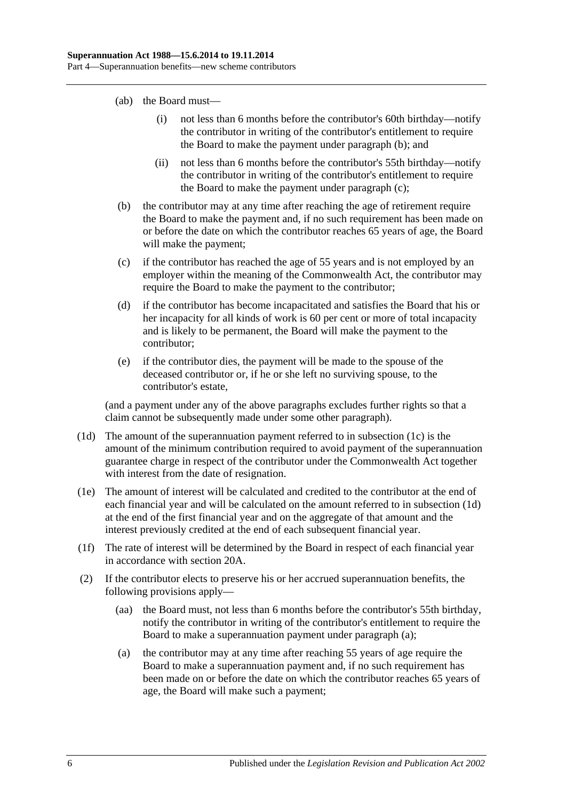- (ab) the Board must—
	- (i) not less than 6 months before the contributor's 60th birthday—notify the contributor in writing of the contributor's entitlement to require the Board to make the payment under [paragraph](#page-35-0) (b); and
	- (ii) not less than 6 months before the contributor's 55th birthday—notify the contributor in writing of the contributor's entitlement to require the Board to make the payment under [paragraph](#page-35-1) (c);
- <span id="page-35-0"></span>(b) the contributor may at any time after reaching the age of retirement require the Board to make the payment and, if no such requirement has been made on or before the date on which the contributor reaches 65 years of age, the Board will make the payment;
- <span id="page-35-1"></span>(c) if the contributor has reached the age of 55 years and is not employed by an employer within the meaning of the Commonwealth Act, the contributor may require the Board to make the payment to the contributor;
- (d) if the contributor has become incapacitated and satisfies the Board that his or her incapacity for all kinds of work is 60 per cent or more of total incapacity and is likely to be permanent, the Board will make the payment to the contributor;
- (e) if the contributor dies, the payment will be made to the spouse of the deceased contributor or, if he or she left no surviving spouse, to the contributor's estate,

(and a payment under any of the above paragraphs excludes further rights so that a claim cannot be subsequently made under some other paragraph).

- <span id="page-35-2"></span>(1d) The amount of the superannuation payment referred to in [subsection](#page-34-4) (1c) is the amount of the minimum contribution required to avoid payment of the superannuation guarantee charge in respect of the contributor under the Commonwealth Act together with interest from the date of resignation.
- (1e) The amount of interest will be calculated and credited to the contributor at the end of each financial year and will be calculated on the amount referred to in [subsection](#page-35-2) (1d) at the end of the first financial year and on the aggregate of that amount and the interest previously credited at the end of each subsequent financial year.
- (1f) The rate of interest will be determined by the Board in respect of each financial year in accordance with [section](#page-21-2) 20A.
- <span id="page-35-3"></span>(2) If the contributor elects to preserve his or her accrued superannuation benefits, the following provisions apply—
	- (aa) the Board must, not less than 6 months before the contributor's 55th birthday, notify the contributor in writing of the contributor's entitlement to require the Board to make a superannuation payment under [paragraph](#page-35-3) (a);
	- (a) the contributor may at any time after reaching 55 years of age require the Board to make a superannuation payment and, if no such requirement has been made on or before the date on which the contributor reaches 65 years of age, the Board will make such a payment;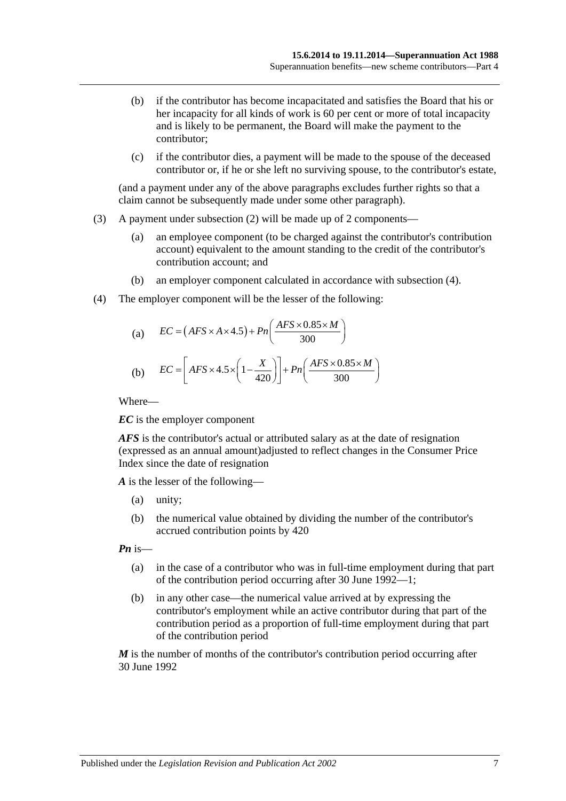- (b) if the contributor has become incapacitated and satisfies the Board that his or her incapacity for all kinds of work is 60 per cent or more of total incapacity and is likely to be permanent, the Board will make the payment to the contributor;
- (c) if the contributor dies, a payment will be made to the spouse of the deceased contributor or, if he or she left no surviving spouse, to the contributor's estate,

(and a payment under any of the above paragraphs excludes further rights so that a claim cannot be subsequently made under some other paragraph).

- (3) A payment under [subsection](#page-35-0) (2) will be made up of 2 components—
	- (a) an employee component (to be charged against the contributor's contribution account) equivalent to the amount standing to the credit of the contributor's contribution account; and
	- (b) an employer component calculated in accordance with [subsection](#page-36-0) (4).
- <span id="page-36-0"></span>(4) The employer component will be the lesser of the following:

(a) 
$$
EC = (AFS \times A \times 4.5) + Pn\left(\frac{AFS \times 0.85 \times M}{300}\right)
$$
  
(b) 
$$
EC = \left[ AFS \times 4.5 \times \left(1 - \frac{X}{420}\right)\right] + Pn\left(\frac{AFS \times 0.85 \times M}{300}\right)
$$

Where—

*EC* is the employer component

*AFS* is the contributor's actual or attributed salary as at the date of resignation (expressed as an annual amount)adjusted to reflect changes in the Consumer Price Index since the date of resignation

*A* is the lesser of the following—

- (a) unity;
- (b) the numerical value obtained by dividing the number of the contributor's accrued contribution points by 420

*Pn* is—

- (a) in the case of a contributor who was in full-time employment during that part of the contribution period occurring after 30 June 1992—1;
- (b) in any other case—the numerical value arrived at by expressing the contributor's employment while an active contributor during that part of the contribution period as a proportion of full-time employment during that part of the contribution period

*M* is the number of months of the contributor's contribution period occurring after 30 June 1992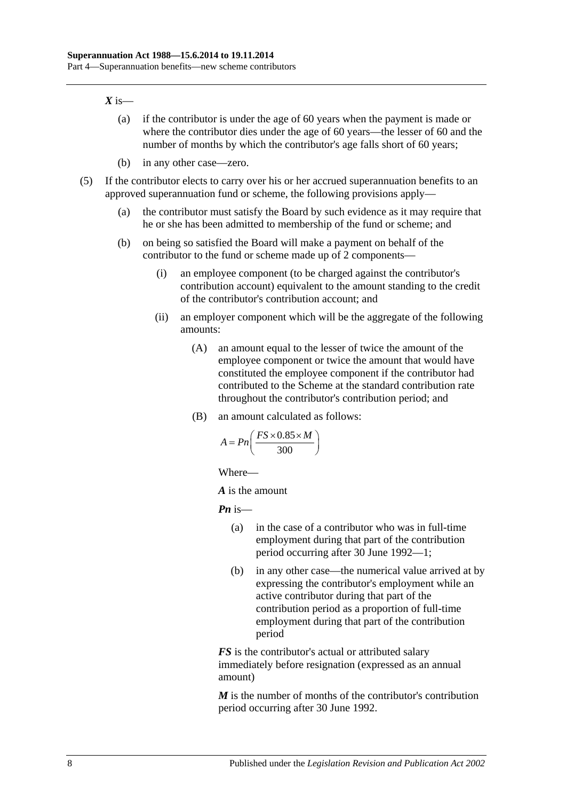#### $X$  is—

- (a) if the contributor is under the age of 60 years when the payment is made or where the contributor dies under the age of 60 years—the lesser of 60 and the number of months by which the contributor's age falls short of 60 years;
- (b) in any other case—zero.
- (5) If the contributor elects to carry over his or her accrued superannuation benefits to an approved superannuation fund or scheme, the following provisions apply—
	- (a) the contributor must satisfy the Board by such evidence as it may require that he or she has been admitted to membership of the fund or scheme; and
	- (b) on being so satisfied the Board will make a payment on behalf of the contributor to the fund or scheme made up of 2 components—
		- (i) an employee component (to be charged against the contributor's contribution account) equivalent to the amount standing to the credit of the contributor's contribution account; and
		- (ii) an employer component which will be the aggregate of the following amounts:
			- (A) an amount equal to the lesser of twice the amount of the employee component or twice the amount that would have constituted the employee component if the contributor had contributed to the Scheme at the standard contribution rate throughout the contributor's contribution period; and
			- (B) an amount calculated as follows:

$$
A = P_n\left(\frac{FS \times 0.85 \times M}{300}\right)
$$

Where—

*A* is the amount

*Pn* is—

- (a) in the case of a contributor who was in full-time employment during that part of the contribution period occurring after 30 June 1992—1;
- (b) in any other case—the numerical value arrived at by expressing the contributor's employment while an active contributor during that part of the contribution period as a proportion of full-time employment during that part of the contribution period

*FS* is the contributor's actual or attributed salary immediately before resignation (expressed as an annual amount)

*M* is the number of months of the contributor's contribution period occurring after 30 June 1992.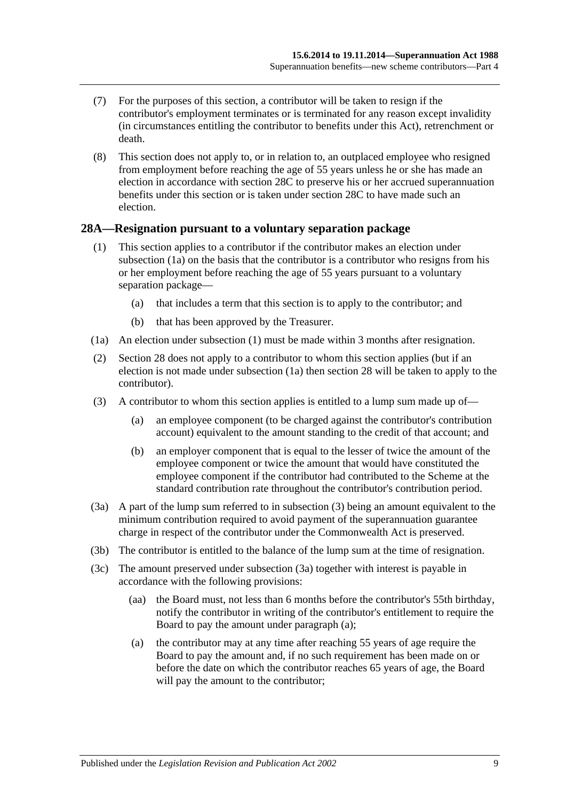- (7) For the purposes of this section, a contributor will be taken to resign if the contributor's employment terminates or is terminated for any reason except invalidity (in circumstances entitling the contributor to benefits under this Act), retrenchment or death.
- (8) This section does not apply to, or in relation to, an outplaced employee who resigned from employment before reaching the age of 55 years unless he or she has made an election in accordance with [section](#page-39-0) 28C to preserve his or her accrued superannuation benefits under this section or is taken under [section](#page-39-0) 28C to have made such an election.

#### <span id="page-38-5"></span><span id="page-38-1"></span>**28A—Resignation pursuant to a voluntary separation package**

- (1) This section applies to a contributor if the contributor makes an election under [subsection](#page-38-0) (1a) on the basis that the contributor is a contributor who resigns from his or her employment before reaching the age of 55 years pursuant to a voluntary separation package—
	- (a) that includes a term that this section is to apply to the contributor; and
	- (b) that has been approved by the Treasurer.
- <span id="page-38-0"></span>(1a) An election under [subsection](#page-38-1) (1) must be made within 3 months after resignation.
- (2) [Section](#page-34-0) 28 does not apply to a contributor to whom this section applies (but if an election is not made under subsection (1a) then section 28 will be taken to apply to the contributor).
- <span id="page-38-2"></span>(3) A contributor to whom this section applies is entitled to a lump sum made up of—
	- (a) an employee component (to be charged against the contributor's contribution account) equivalent to the amount standing to the credit of that account; and
	- (b) an employer component that is equal to the lesser of twice the amount of the employee component or twice the amount that would have constituted the employee component if the contributor had contributed to the Scheme at the standard contribution rate throughout the contributor's contribution period.
- <span id="page-38-3"></span>(3a) A part of the lump sum referred to in [subsection](#page-38-2) (3) being an amount equivalent to the minimum contribution required to avoid payment of the superannuation guarantee charge in respect of the contributor under the Commonwealth Act is preserved.
- (3b) The contributor is entitled to the balance of the lump sum at the time of resignation.
- <span id="page-38-4"></span>(3c) The amount preserved under [subsection](#page-38-3) (3a) together with interest is payable in accordance with the following provisions:
	- (aa) the Board must, not less than 6 months before the contributor's 55th birthday, notify the contributor in writing of the contributor's entitlement to require the Board to pay the amount under [paragraph](#page-38-4) (a);
	- (a) the contributor may at any time after reaching 55 years of age require the Board to pay the amount and, if no such requirement has been made on or before the date on which the contributor reaches 65 years of age, the Board will pay the amount to the contributor;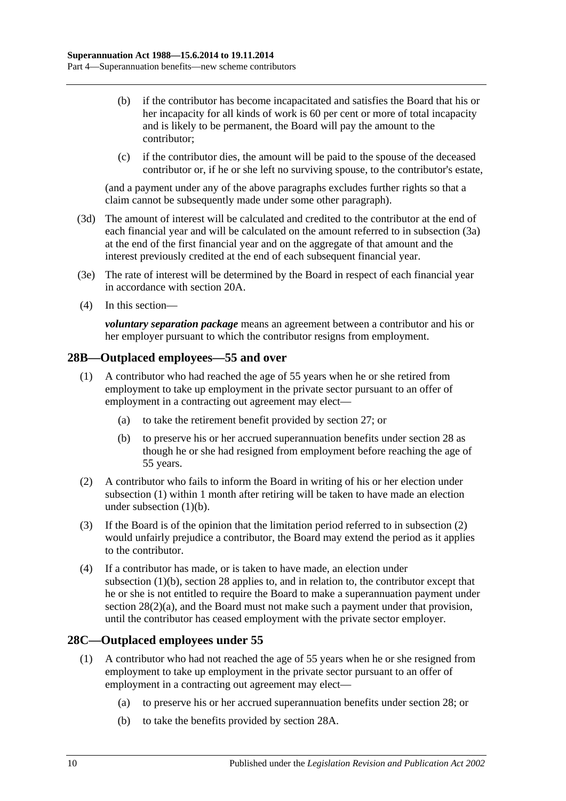- (b) if the contributor has become incapacitated and satisfies the Board that his or her incapacity for all kinds of work is 60 per cent or more of total incapacity and is likely to be permanent, the Board will pay the amount to the contributor;
- (c) if the contributor dies, the amount will be paid to the spouse of the deceased contributor or, if he or she left no surviving spouse, to the contributor's estate,

(and a payment under any of the above paragraphs excludes further rights so that a claim cannot be subsequently made under some other paragraph).

- (3d) The amount of interest will be calculated and credited to the contributor at the end of each financial year and will be calculated on the amount referred to in [subsection](#page-38-3) (3a) at the end of the first financial year and on the aggregate of that amount and the interest previously credited at the end of each subsequent financial year.
- (3e) The rate of interest will be determined by the Board in respect of each financial year in accordance with [section](#page-21-0) 20A.
- (4) In this section—

*voluntary separation package* means an agreement between a contributor and his or her employer pursuant to which the contributor resigns from employment.

## <span id="page-39-1"></span>**28B—Outplaced employees—55 and over**

- (1) A contributor who had reached the age of 55 years when he or she retired from employment to take up employment in the private sector pursuant to an offer of employment in a contracting out agreement may elect—
	- (a) to take the retirement benefit provided by [section](#page-33-0) 27; or
	- (b) to preserve his or her accrued superannuation benefits under [section](#page-34-0) 28 as though he or she had resigned from employment before reaching the age of 55 years.
- <span id="page-39-3"></span><span id="page-39-2"></span>(2) A contributor who fails to inform the Board in writing of his or her election under [subsection](#page-39-1) (1) within 1 month after retiring will be taken to have made an election under [subsection](#page-39-2) (1)(b).
- (3) If the Board is of the opinion that the limitation period referred to in [subsection](#page-39-3) (2) would unfairly prejudice a contributor, the Board may extend the period as it applies to the contributor.
- (4) If a contributor has made, or is taken to have made, an election under [subsection](#page-39-2) (1)(b), [section](#page-34-0) 28 applies to, and in relation to, the contributor except that he or she is not entitled to require the Board to make a superannuation payment under section [28\(2\)\(a\),](#page-35-1) and the Board must not make such a payment under that provision, until the contributor has ceased employment with the private sector employer.

## <span id="page-39-4"></span><span id="page-39-0"></span>**28C—Outplaced employees under 55**

- <span id="page-39-6"></span><span id="page-39-5"></span>(1) A contributor who had not reached the age of 55 years when he or she resigned from employment to take up employment in the private sector pursuant to an offer of employment in a contracting out agreement may elect—
	- (a) to preserve his or her accrued superannuation benefits under [section](#page-34-0) 28; or
	- (b) to take the benefits provided by [section](#page-38-5) 28A.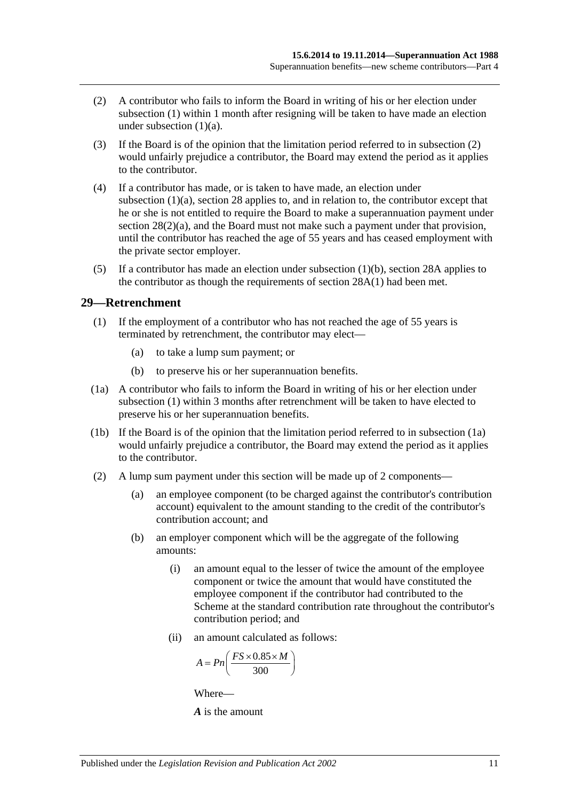- <span id="page-40-0"></span>(2) A contributor who fails to inform the Board in writing of his or her election under [subsection](#page-39-4) (1) within 1 month after resigning will be taken to have made an election under [subsection](#page-39-5)  $(1)(a)$ .
- (3) If the Board is of the opinion that the limitation period referred to in [subsection](#page-40-0) (2) would unfairly prejudice a contributor, the Board may extend the period as it applies to the contributor.
- (4) If a contributor has made, or is taken to have made, an election under [subsection](#page-39-5) (1)(a), [section](#page-34-0) 28 applies to, and in relation to, the contributor except that he or she is not entitled to require the Board to make a superannuation payment under section [28\(2\)\(a\),](#page-35-1) and the Board must not make such a payment under that provision, until the contributor has reached the age of 55 years and has ceased employment with the private sector employer.
- (5) If a contributor has made an election under [subsection](#page-39-6)  $(1)(b)$ , [section](#page-38-5) 28A applies to the contributor as though the requirements of [section](#page-38-1) 28A(1) had been met.

#### <span id="page-40-1"></span>**29—Retrenchment**

- (1) If the employment of a contributor who has not reached the age of 55 years is terminated by retrenchment, the contributor may elect—
	- (a) to take a lump sum payment; or
	- (b) to preserve his or her superannuation benefits.
- <span id="page-40-2"></span>(1a) A contributor who fails to inform the Board in writing of his or her election under [subsection](#page-40-1) (1) within 3 months after retrenchment will be taken to have elected to preserve his or her superannuation benefits.
- (1b) If the Board is of the opinion that the limitation period referred to in [subsection](#page-40-2) (1a) would unfairly prejudice a contributor, the Board may extend the period as it applies to the contributor.
- (2) A lump sum payment under this section will be made up of 2 components—
	- (a) an employee component (to be charged against the contributor's contribution account) equivalent to the amount standing to the credit of the contributor's contribution account; and
	- (b) an employer component which will be the aggregate of the following amounts:
		- (i) an amount equal to the lesser of twice the amount of the employee component or twice the amount that would have constituted the employee component if the contributor had contributed to the Scheme at the standard contribution rate throughout the contributor's contribution period; and
		- (ii) an amount calculated as follows:

$$
A = P n \left( \frac{FS \times 0.85 \times M}{300} \right)
$$

Where—

*A* is the amount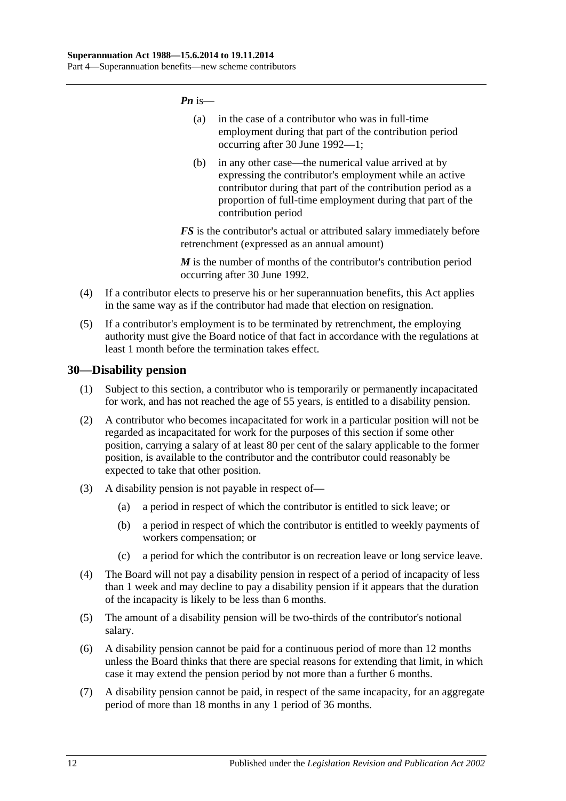*Pn* is—

- (a) in the case of a contributor who was in full-time employment during that part of the contribution period occurring after 30 June 1992—1;
- (b) in any other case—the numerical value arrived at by expressing the contributor's employment while an active contributor during that part of the contribution period as a proportion of full-time employment during that part of the contribution period

*FS* is the contributor's actual or attributed salary immediately before retrenchment (expressed as an annual amount)

*M* is the number of months of the contributor's contribution period occurring after 30 June 1992.

- (4) If a contributor elects to preserve his or her superannuation benefits, this Act applies in the same way as if the contributor had made that election on resignation.
- (5) If a contributor's employment is to be terminated by retrenchment, the employing authority must give the Board notice of that fact in accordance with the regulations at least 1 month before the termination takes effect.

## **30—Disability pension**

- (1) Subject to this section, a contributor who is temporarily or permanently incapacitated for work, and has not reached the age of 55 years, is entitled to a disability pension.
- (2) A contributor who becomes incapacitated for work in a particular position will not be regarded as incapacitated for work for the purposes of this section if some other position, carrying a salary of at least 80 per cent of the salary applicable to the former position, is available to the contributor and the contributor could reasonably be expected to take that other position.
- (3) A disability pension is not payable in respect of—
	- (a) a period in respect of which the contributor is entitled to sick leave; or
	- (b) a period in respect of which the contributor is entitled to weekly payments of workers compensation; or
	- (c) a period for which the contributor is on recreation leave or long service leave.
- (4) The Board will not pay a disability pension in respect of a period of incapacity of less than 1 week and may decline to pay a disability pension if it appears that the duration of the incapacity is likely to be less than 6 months.
- (5) The amount of a disability pension will be two-thirds of the contributor's notional salary.
- (6) A disability pension cannot be paid for a continuous period of more than 12 months unless the Board thinks that there are special reasons for extending that limit, in which case it may extend the pension period by not more than a further 6 months.
- (7) A disability pension cannot be paid, in respect of the same incapacity, for an aggregate period of more than 18 months in any 1 period of 36 months.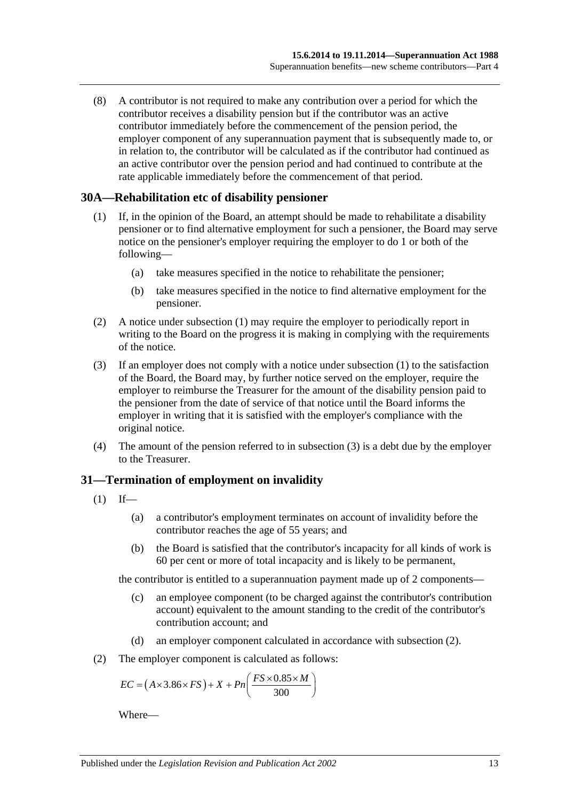(8) A contributor is not required to make any contribution over a period for which the contributor receives a disability pension but if the contributor was an active contributor immediately before the commencement of the pension period, the employer component of any superannuation payment that is subsequently made to, or in relation to, the contributor will be calculated as if the contributor had continued as an active contributor over the pension period and had continued to contribute at the rate applicable immediately before the commencement of that period.

#### <span id="page-42-0"></span>**30A—Rehabilitation etc of disability pensioner**

- (1) If, in the opinion of the Board, an attempt should be made to rehabilitate a disability pensioner or to find alternative employment for such a pensioner, the Board may serve notice on the pensioner's employer requiring the employer to do 1 or both of the following—
	- (a) take measures specified in the notice to rehabilitate the pensioner;
	- (b) take measures specified in the notice to find alternative employment for the pensioner.
- (2) A notice under [subsection](#page-42-0) (1) may require the employer to periodically report in writing to the Board on the progress it is making in complying with the requirements of the notice.
- <span id="page-42-1"></span>(3) If an employer does not comply with a notice under [subsection](#page-42-0) (1) to the satisfaction of the Board, the Board may, by further notice served on the employer, require the employer to reimburse the Treasurer for the amount of the disability pension paid to the pensioner from the date of service of that notice until the Board informs the employer in writing that it is satisfied with the employer's compliance with the original notice.
- (4) The amount of the pension referred to in [subsection](#page-42-1) (3) is a debt due by the employer to the Treasurer.

## **31—Termination of employment on invalidity**

- <span id="page-42-3"></span> $(1)$  If—
	- (a) a contributor's employment terminates on account of invalidity before the contributor reaches the age of 55 years; and
	- (b) the Board is satisfied that the contributor's incapacity for all kinds of work is 60 per cent or more of total incapacity and is likely to be permanent,

the contributor is entitled to a superannuation payment made up of 2 components—

- (c) an employee component (to be charged against the contributor's contribution account) equivalent to the amount standing to the credit of the contributor's contribution account; and
- (d) an employer component calculated in accordance with [subsection](#page-42-2) (2).
- <span id="page-42-2"></span>(2) The employer component is calculated as follows:

$$
EC = (A \times 3.86 \times FS) + X + Pn\left(\frac{FS \times 0.85 \times M}{300}\right)
$$

Where—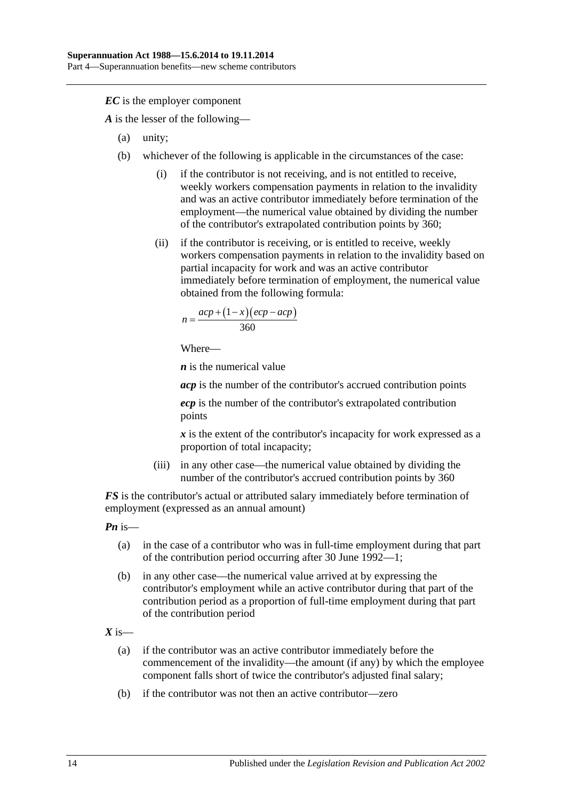*EC* is the employer component

*A* is the lesser of the following—

- (a) unity;
- (b) whichever of the following is applicable in the circumstances of the case:
	- (i) if the contributor is not receiving, and is not entitled to receive, weekly workers compensation payments in relation to the invalidity and was an active contributor immediately before termination of the employment—the numerical value obtained by dividing the number of the contributor's extrapolated contribution points by 360;
	- (ii) if the contributor is receiving, or is entitled to receive, weekly workers compensation payments in relation to the invalidity based on partial incapacity for work and was an active contributor immediately before termination of employment, the numerical value obtained from the following formula:

$$
n = \frac{acp + (1 - x)(ecp - acp)}{360}
$$

Where—

*n* is the numerical value

*acp* is the number of the contributor's accrued contribution points

*ecp* is the number of the contributor's extrapolated contribution points

*x* is the extent of the contributor's incapacity for work expressed as a proportion of total incapacity;

(iii) in any other case—the numerical value obtained by dividing the number of the contributor's accrued contribution points by 360

*FS* is the contributor's actual or attributed salary immediately before termination of employment (expressed as an annual amount)

*Pn* is—

- (a) in the case of a contributor who was in full-time employment during that part of the contribution period occurring after 30 June 1992—1;
- (b) in any other case—the numerical value arrived at by expressing the contributor's employment while an active contributor during that part of the contribution period as a proportion of full-time employment during that part of the contribution period

 $X$  is—

- (a) if the contributor was an active contributor immediately before the commencement of the invalidity—the amount (if any) by which the employee component falls short of twice the contributor's adjusted final salary;
- (b) if the contributor was not then an active contributor—zero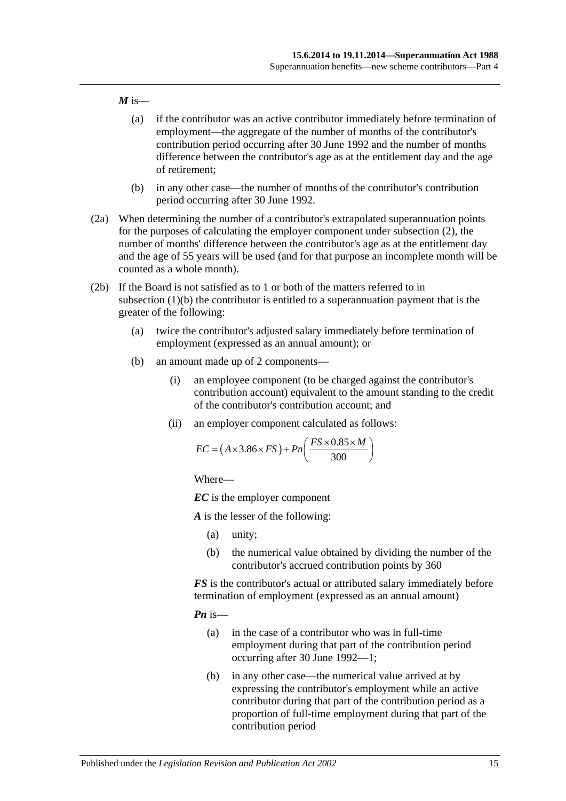#### $M$  is—

- (a) if the contributor was an active contributor immediately before termination of employment—the aggregate of the number of months of the contributor's contribution period occurring after 30 June 1992 and the number of months difference between the contributor's age as at the entitlement day and the age of retirement;
- (b) in any other case—the number of months of the contributor's contribution period occurring after 30 June 1992.
- (2a) When determining the number of a contributor's extrapolated superannuation points for the purposes of calculating the employer component under [subsection](#page-42-2) (2), the number of months' difference between the contributor's age as at the entitlement day and the age of 55 years will be used (and for that purpose an incomplete month will be counted as a whole month).
- <span id="page-44-0"></span>(2b) If the Board is not satisfied as to 1 or both of the matters referred to in [subsection](#page-42-3) (1)(b) the contributor is entitled to a superannuation payment that is the greater of the following:
	- (a) twice the contributor's adjusted salary immediately before termination of employment (expressed as an annual amount); or
	- (b) an amount made up of 2 components—
		- (i) an employee component (to be charged against the contributor's contribution account) equivalent to the amount standing to the credit of the contributor's contribution account; and
		- (ii) an employer component calculated as follows:

$$
EC = (A \times 3.86 \times FS) + Pn\left(\frac{FS \times 0.85 \times M}{300}\right)
$$

Where—

*EC* is the employer component

*A* is the lesser of the following:

- (a) unity;
- (b) the numerical value obtained by dividing the number of the contributor's accrued contribution points by 360

*FS* is the contributor's actual or attributed salary immediately before termination of employment (expressed as an annual amount)

*Pn* is—

- (a) in the case of a contributor who was in full-time employment during that part of the contribution period occurring after 30 June 1992—1;
- (b) in any other case—the numerical value arrived at by expressing the contributor's employment while an active contributor during that part of the contribution period as a proportion of full-time employment during that part of the contribution period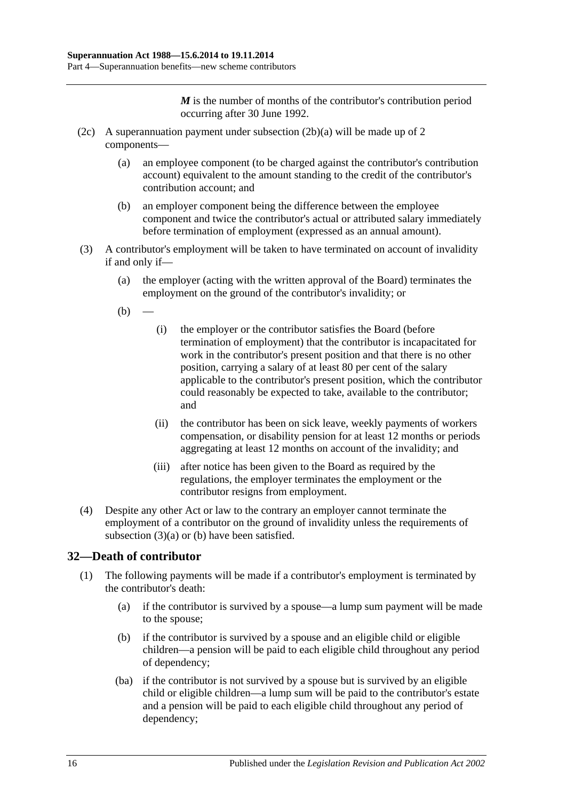*M* is the number of months of the contributor's contribution period occurring after 30 June 1992.

- (2c) A superannuation payment under [subsection](#page-44-0) (2b)(a) will be made up of 2 components—
	- (a) an employee component (to be charged against the contributor's contribution account) equivalent to the amount standing to the credit of the contributor's contribution account; and
	- (b) an employer component being the difference between the employee component and twice the contributor's actual or attributed salary immediately before termination of employment (expressed as an annual amount).
- <span id="page-45-1"></span><span id="page-45-0"></span>(3) A contributor's employment will be taken to have terminated on account of invalidity if and only if—
	- (a) the employer (acting with the written approval of the Board) terminates the employment on the ground of the contributor's invalidity; or
	- $(b)$
- (i) the employer or the contributor satisfies the Board (before termination of employment) that the contributor is incapacitated for work in the contributor's present position and that there is no other position, carrying a salary of at least 80 per cent of the salary applicable to the contributor's present position, which the contributor could reasonably be expected to take, available to the contributor; and
- (ii) the contributor has been on sick leave, weekly payments of workers compensation, or disability pension for at least 12 months or periods aggregating at least 12 months on account of the invalidity; and
- (iii) after notice has been given to the Board as required by the regulations, the employer terminates the employment or the contributor resigns from employment.
- (4) Despite any other Act or law to the contrary an employer cannot terminate the employment of a contributor on the ground of invalidity unless the requirements of [subsection](#page-45-0)  $(3)(a)$  or  $(b)$  have been satisfied.

# **32—Death of contributor**

- (1) The following payments will be made if a contributor's employment is terminated by the contributor's death:
	- (a) if the contributor is survived by a spouse—a lump sum payment will be made to the spouse;
	- (b) if the contributor is survived by a spouse and an eligible child or eligible children—a pension will be paid to each eligible child throughout any period of dependency;
	- (ba) if the contributor is not survived by a spouse but is survived by an eligible child or eligible children—a lump sum will be paid to the contributor's estate and a pension will be paid to each eligible child throughout any period of dependency;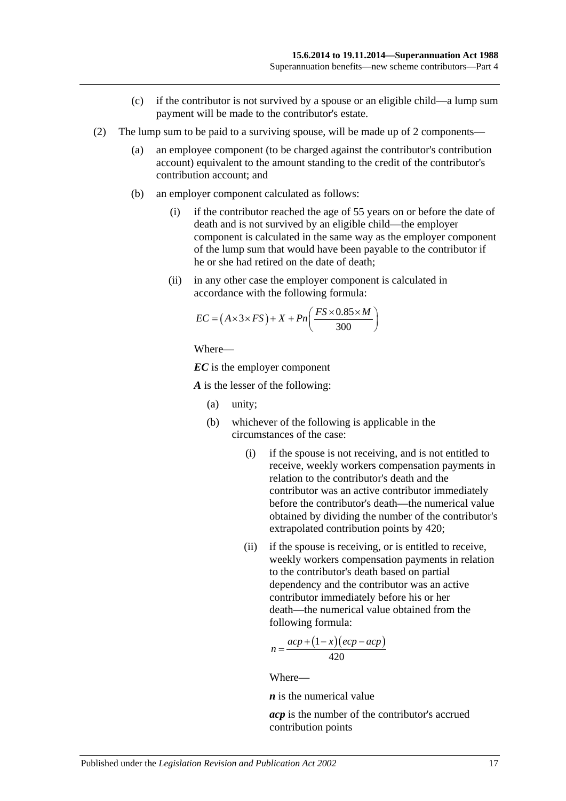- (c) if the contributor is not survived by a spouse or an eligible child—a lump sum payment will be made to the contributor's estate.
- (2) The lump sum to be paid to a surviving spouse, will be made up of 2 components—
	- (a) an employee component (to be charged against the contributor's contribution account) equivalent to the amount standing to the credit of the contributor's contribution account; and
	- (b) an employer component calculated as follows:
		- (i) if the contributor reached the age of 55 years on or before the date of death and is not survived by an eligible child—the employer component is calculated in the same way as the employer component of the lump sum that would have been payable to the contributor if he or she had retired on the date of death;
		- (ii) in any other case the employer component is calculated in accordance with the following formula:

$$
EC = (A \times 3 \times FS) + X + Pn\left(\frac{FS \times 0.85 \times M}{300}\right)
$$

Where—

*EC* is the employer component

*A* is the lesser of the following:

- (a) unity;
- (b) whichever of the following is applicable in the circumstances of the case:
	- (i) if the spouse is not receiving, and is not entitled to receive, weekly workers compensation payments in relation to the contributor's death and the contributor was an active contributor immediately before the contributor's death—the numerical value obtained by dividing the number of the contributor's extrapolated contribution points by 420;
	- (ii) if the spouse is receiving, or is entitled to receive, weekly workers compensation payments in relation to the contributor's death based on partial dependency and the contributor was an active contributor immediately before his or her death—the numerical value obtained from the following formula:

$$
n = \frac{acp + (1 - x)(ecp - acp)}{420}
$$

Where—

*n* is the numerical value

*acp* is the number of the contributor's accrued contribution points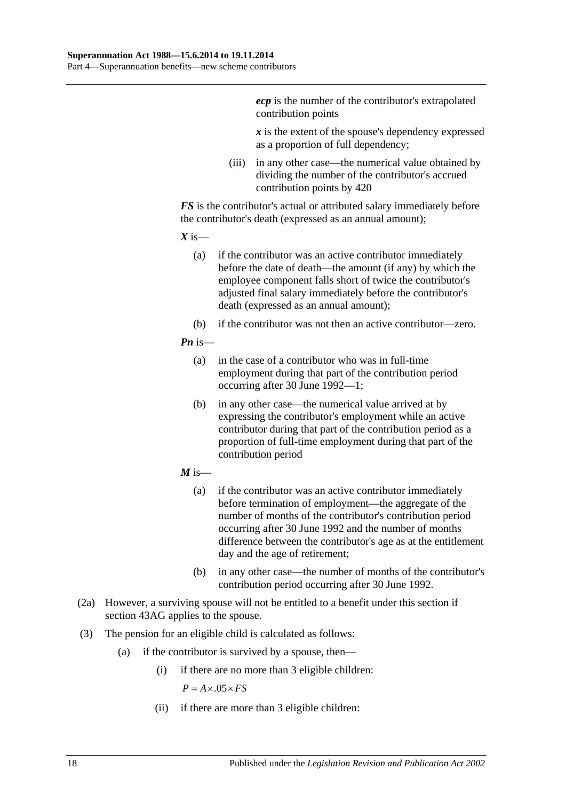*ecp* is the number of the contributor's extrapolated contribution points

*x* is the extent of the spouse's dependency expressed as a proportion of full dependency;

(iii) in any other case—the numerical value obtained by dividing the number of the contributor's accrued contribution points by 420

*FS* is the contributor's actual or attributed salary immediately before the contributor's death (expressed as an annual amount);

 $X$  is—

- (a) if the contributor was an active contributor immediately before the date of death—the amount (if any) by which the employee component falls short of twice the contributor's adjusted final salary immediately before the contributor's death (expressed as an annual amount);
- (b) if the contributor was not then an active contributor—zero.

#### *Pn* is—

- (a) in the case of a contributor who was in full-time employment during that part of the contribution period occurring after 30 June 1992—1;
- (b) in any other case—the numerical value arrived at by expressing the contributor's employment while an active contributor during that part of the contribution period as a proportion of full-time employment during that part of the contribution period
- $M$  is—
	- (a) if the contributor was an active contributor immediately before termination of employment—the aggregate of the number of months of the contributor's contribution period occurring after 30 June 1992 and the number of months difference between the contributor's age as at the entitlement day and the age of retirement;
	- (b) in any other case—the number of months of the contributor's contribution period occurring after 30 June 1992.
- (2a) However, a surviving spouse will not be entitled to a benefit under this section if [section](#page-88-0) 43AG applies to the spouse.
- (3) The pension for an eligible child is calculated as follows:
	- (a) if the contributor is survived by a spouse, then—
		- (i) if there are no more than 3 eligible children:

 $P = A \times .05 \times FS$ 

(ii) if there are more than 3 eligible children: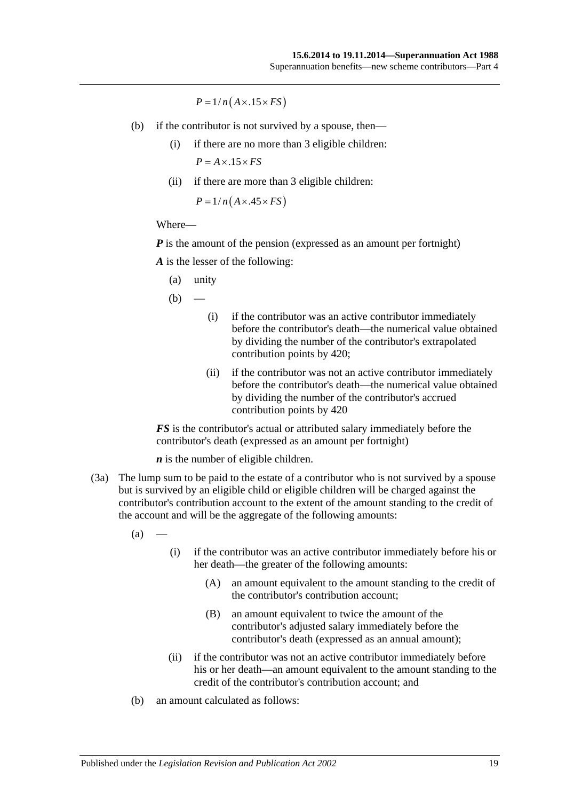$P = 1/n(A \times .15 \times FS)$ 

- (b) if the contributor is not survived by a spouse, then—
	- (i) if there are no more than 3 eligible children:  $P = A \times .15 \times FS$
	- (ii) if there are more than 3 eligible children:

 $P = 1/n(A \times .45 \times FS)$ 

#### Where—

*P* is the amount of the pension (expressed as an amount per fortnight)

*A* is the lesser of the following:

(a) unity

 $(b)$ 

- (i) if the contributor was an active contributor immediately before the contributor's death—the numerical value obtained by dividing the number of the contributor's extrapolated contribution points by 420;
- (ii) if the contributor was not an active contributor immediately before the contributor's death—the numerical value obtained by dividing the number of the contributor's accrued contribution points by 420

*FS* is the contributor's actual or attributed salary immediately before the contributor's death (expressed as an amount per fortnight)

*n* is the number of eligible children.

(3a) The lump sum to be paid to the estate of a contributor who is not survived by a spouse but is survived by an eligible child or eligible children will be charged against the contributor's contribution account to the extent of the amount standing to the credit of the account and will be the aggregate of the following amounts:

 $(a)$ 

- (i) if the contributor was an active contributor immediately before his or her death—the greater of the following amounts:
	- (A) an amount equivalent to the amount standing to the credit of the contributor's contribution account;
	- (B) an amount equivalent to twice the amount of the contributor's adjusted salary immediately before the contributor's death (expressed as an annual amount);
- (ii) if the contributor was not an active contributor immediately before his or her death—an amount equivalent to the amount standing to the credit of the contributor's contribution account; and
- (b) an amount calculated as follows: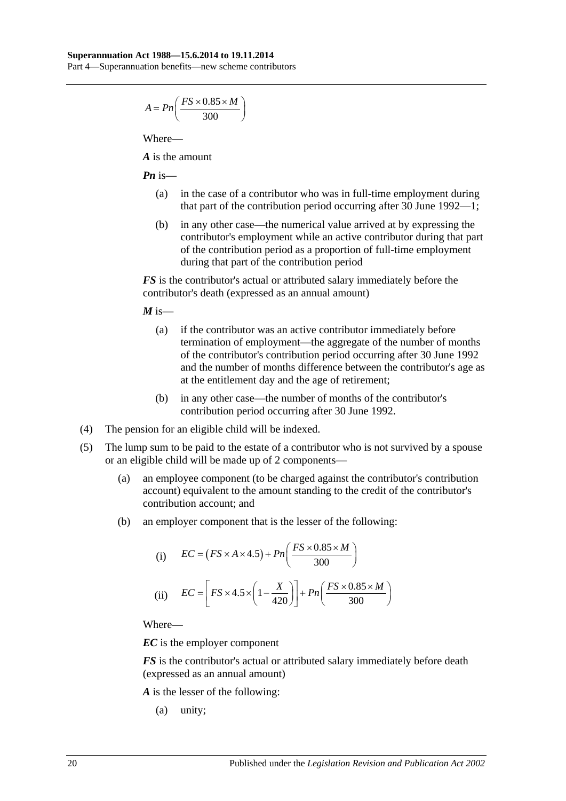Part 4—Superannuation benefits—new scheme contributors

$$
A = P n \left( \frac{FS \times 0.85 \times M}{300} \right)
$$

Where—

*A* is the amount

*Pn* is—

- (a) in the case of a contributor who was in full-time employment during that part of the contribution period occurring after 30 June 1992—1;
- (b) in any other case—the numerical value arrived at by expressing the contributor's employment while an active contributor during that part of the contribution period as a proportion of full-time employment during that part of the contribution period

*FS* is the contributor's actual or attributed salary immediately before the contributor's death (expressed as an annual amount)

 $M$  is—

- (a) if the contributor was an active contributor immediately before termination of employment—the aggregate of the number of months of the contributor's contribution period occurring after 30 June 1992 and the number of months difference between the contributor's age as at the entitlement day and the age of retirement;
- (b) in any other case—the number of months of the contributor's contribution period occurring after 30 June 1992.
- (4) The pension for an eligible child will be indexed.
- (5) The lump sum to be paid to the estate of a contributor who is not survived by a spouse or an eligible child will be made up of 2 components—
	- (a) an employee component (to be charged against the contributor's contribution account) equivalent to the amount standing to the credit of the contributor's contribution account; and
	- (b) an employer component that is the lesser of the following:

(i) 
$$
EC = (FS \times A \times 4.5) + Pn\left(\frac{FS \times 0.85 \times M}{300}\right)
$$
  
(ii) 
$$
EC = \left[FS \times 4.5 \times \left(1 - \frac{X}{420}\right)\right] + Pn\left(\frac{FS \times 0.85 \times M}{300}\right)
$$

Where—

*EC* is the employer component

*FS* is the contributor's actual or attributed salary immediately before death (expressed as an annual amount)

*A* is the lesser of the following:

(a) unity;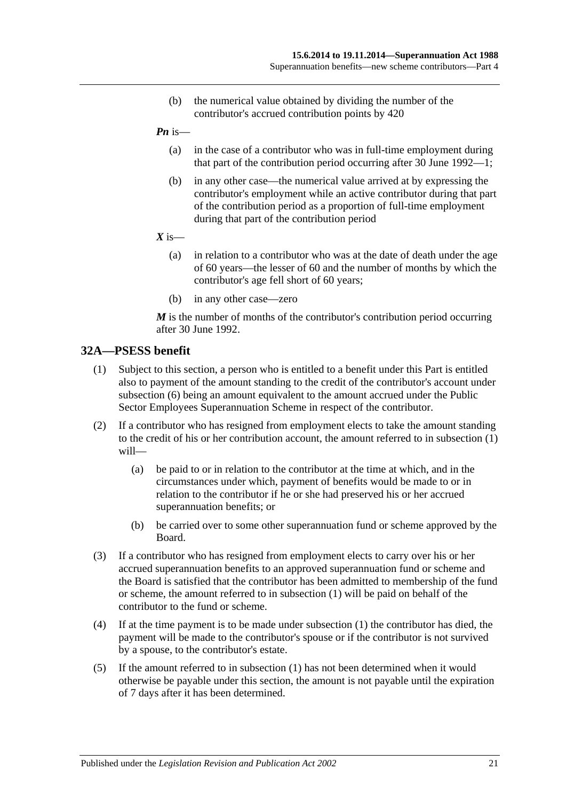- (b) the numerical value obtained by dividing the number of the contributor's accrued contribution points by 420
- *Pn* is—
	- (a) in the case of a contributor who was in full-time employment during that part of the contribution period occurring after 30 June 1992—1;
	- (b) in any other case—the numerical value arrived at by expressing the contributor's employment while an active contributor during that part of the contribution period as a proportion of full-time employment during that part of the contribution period
- $X$  is—
	- (a) in relation to a contributor who was at the date of death under the age of 60 years—the lesser of 60 and the number of months by which the contributor's age fell short of 60 years;
	- (b) in any other case—zero

*M* is the number of months of the contributor's contribution period occurring after 30 June 1992.

## <span id="page-50-0"></span>**32A—PSESS benefit**

- (1) Subject to this section, a person who is entitled to a benefit under this Part is entitled also to payment of the amount standing to the credit of the contributor's account under [subsection](#page-51-0) (6) being an amount equivalent to the amount accrued under the Public Sector Employees Superannuation Scheme in respect of the contributor.
- (2) If a contributor who has resigned from employment elects to take the amount standing to the credit of his or her contribution account, the amount referred to in [subsection](#page-50-0) (1) will—
	- (a) be paid to or in relation to the contributor at the time at which, and in the circumstances under which, payment of benefits would be made to or in relation to the contributor if he or she had preserved his or her accrued superannuation benefits; or
	- (b) be carried over to some other superannuation fund or scheme approved by the Board.
- (3) If a contributor who has resigned from employment elects to carry over his or her accrued superannuation benefits to an approved superannuation fund or scheme and the Board is satisfied that the contributor has been admitted to membership of the fund or scheme, the amount referred to in [subsection](#page-50-0) (1) will be paid on behalf of the contributor to the fund or scheme.
- (4) If at the time payment is to be made under [subsection](#page-50-0) (1) the contributor has died, the payment will be made to the contributor's spouse or if the contributor is not survived by a spouse, to the contributor's estate.
- (5) If the amount referred to in [subsection](#page-50-0) (1) has not been determined when it would otherwise be payable under this section, the amount is not payable until the expiration of 7 days after it has been determined.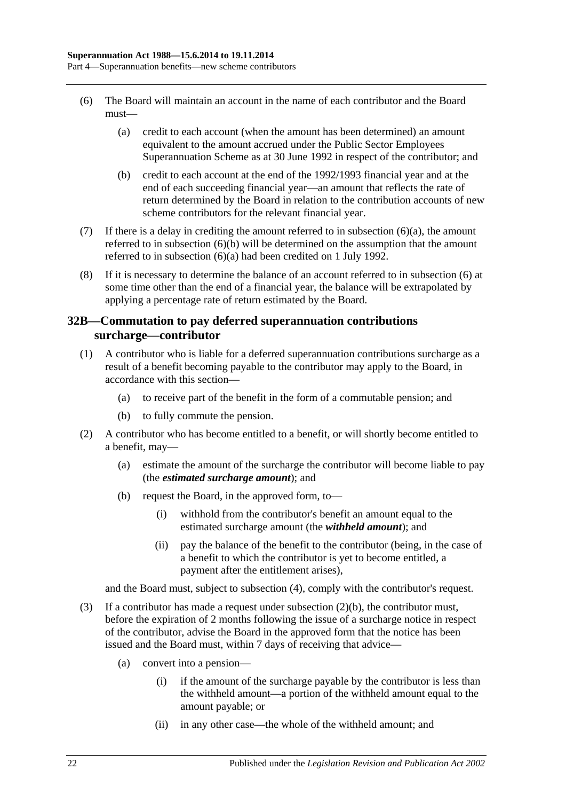- <span id="page-51-1"></span><span id="page-51-0"></span>(6) The Board will maintain an account in the name of each contributor and the Board must—
	- (a) credit to each account (when the amount has been determined) an amount equivalent to the amount accrued under the Public Sector Employees Superannuation Scheme as at 30 June 1992 in respect of the contributor; and
	- (b) credit to each account at the end of the 1992/1993 financial year and at the end of each succeeding financial year—an amount that reflects the rate of return determined by the Board in relation to the contribution accounts of new scheme contributors for the relevant financial year.
- <span id="page-51-2"></span>(7) If there is a delay in crediting the amount referred to in [subsection](#page-51-1)  $(6)(a)$ , the amount referred to in [subsection](#page-51-2) (6)(b) will be determined on the assumption that the amount referred to in [subsection](#page-51-1) (6)(a) had been credited on 1 July 1992.
- (8) If it is necessary to determine the balance of an account referred to in [subsection](#page-51-0) (6) at some time other than the end of a financial year, the balance will be extrapolated by applying a percentage rate of return estimated by the Board.

## <span id="page-51-6"></span>**32B—Commutation to pay deferred superannuation contributions surcharge—contributor**

- <span id="page-51-5"></span>(1) A contributor who is liable for a deferred superannuation contributions surcharge as a result of a benefit becoming payable to the contributor may apply to the Board, in accordance with this section—
	- (a) to receive part of the benefit in the form of a commutable pension; and
	- (b) to fully commute the pension.
- <span id="page-51-3"></span>(2) A contributor who has become entitled to a benefit, or will shortly become entitled to a benefit, may—
	- (a) estimate the amount of the surcharge the contributor will become liable to pay (the *estimated surcharge amount*); and
	- (b) request the Board, in the approved form, to—
		- (i) withhold from the contributor's benefit an amount equal to the estimated surcharge amount (the *withheld amount*); and
		- (ii) pay the balance of the benefit to the contributor (being, in the case of a benefit to which the contributor is yet to become entitled, a payment after the entitlement arises),

and the Board must, subject to [subsection](#page-52-0) (4), comply with the contributor's request.

- <span id="page-51-4"></span>(3) If a contributor has made a request under [subsection](#page-51-3)  $(2)(b)$ , the contributor must, before the expiration of 2 months following the issue of a surcharge notice in respect of the contributor, advise the Board in the approved form that the notice has been issued and the Board must, within 7 days of receiving that advice—
	- (a) convert into a pension—
		- (i) if the amount of the surcharge payable by the contributor is less than the withheld amount—a portion of the withheld amount equal to the amount payable; or
		- (ii) in any other case—the whole of the withheld amount; and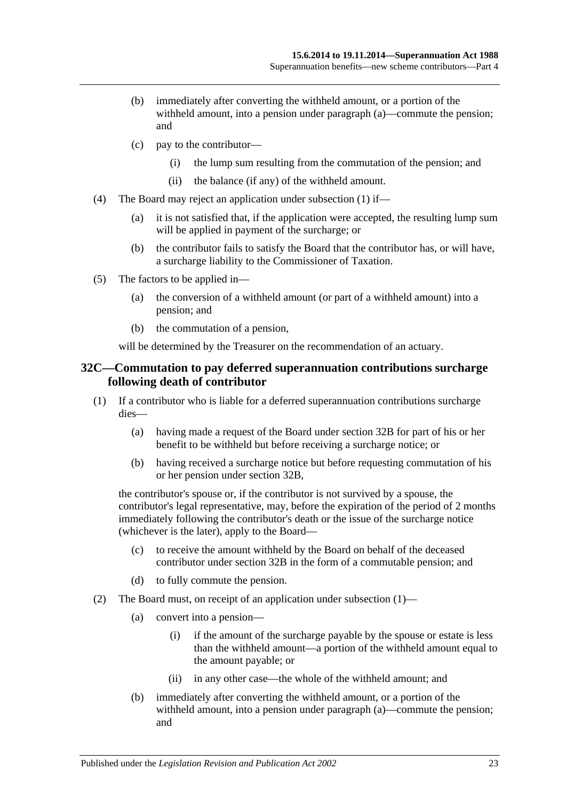- (b) immediately after converting the withheld amount, or a portion of the withheld amount, into a pension under [paragraph](#page-51-4) (a)—commute the pension; and
- (c) pay to the contributor—
	- (i) the lump sum resulting from the commutation of the pension; and
	- (ii) the balance (if any) of the withheld amount.
- <span id="page-52-0"></span>(4) The Board may reject an application under [subsection](#page-51-5) (1) if—
	- (a) it is not satisfied that, if the application were accepted, the resulting lump sum will be applied in payment of the surcharge; or
	- (b) the contributor fails to satisfy the Board that the contributor has, or will have, a surcharge liability to the Commissioner of Taxation.
- (5) The factors to be applied in—
	- (a) the conversion of a withheld amount (or part of a withheld amount) into a pension; and
	- (b) the commutation of a pension,

will be determined by the Treasurer on the recommendation of an actuary.

#### <span id="page-52-3"></span>**32C—Commutation to pay deferred superannuation contributions surcharge following death of contributor**

- <span id="page-52-1"></span>(1) If a contributor who is liable for a deferred superannuation contributions surcharge dies—
	- (a) having made a request of the Board under [section](#page-51-6) 32B for part of his or her benefit to be withheld but before receiving a surcharge notice; or
	- (b) having received a surcharge notice but before requesting commutation of his or her pension under [section](#page-51-6) 32B,

the contributor's spouse or, if the contributor is not survived by a spouse, the contributor's legal representative, may, before the expiration of the period of 2 months immediately following the contributor's death or the issue of the surcharge notice (whichever is the later), apply to the Board—

- (c) to receive the amount withheld by the Board on behalf of the deceased contributor under [section](#page-51-6) 32B in the form of a commutable pension; and
- (d) to fully commute the pension.
- <span id="page-52-2"></span>(2) The Board must, on receipt of an application under [subsection](#page-52-1) (1)—
	- (a) convert into a pension—
		- (i) if the amount of the surcharge payable by the spouse or estate is less than the withheld amount—a portion of the withheld amount equal to the amount payable; or
		- (ii) in any other case—the whole of the withheld amount; and
	- (b) immediately after converting the withheld amount, or a portion of the withheld amount, into a pension under [paragraph](#page-52-2) (a)—commute the pension; and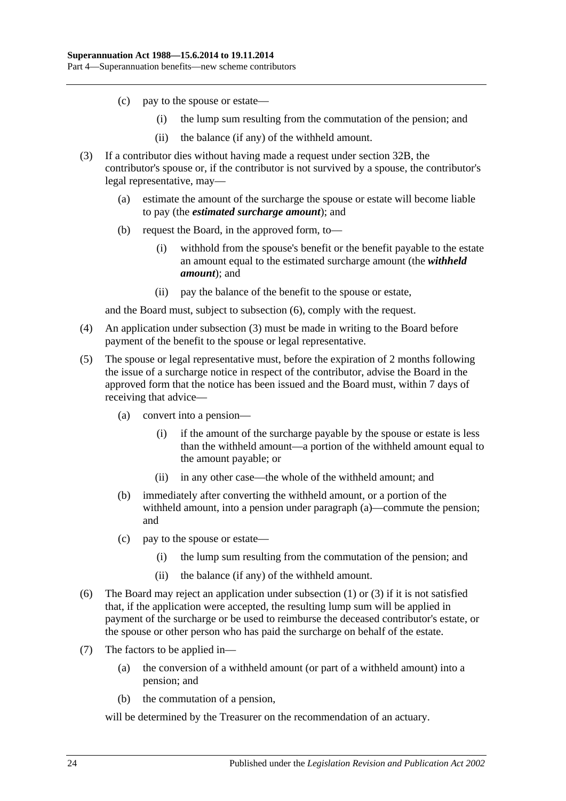- (c) pay to the spouse or estate—
	- (i) the lump sum resulting from the commutation of the pension; and
	- (ii) the balance (if any) of the withheld amount.
- <span id="page-53-1"></span>(3) If a contributor dies without having made a request under [section](#page-51-6) 32B, the contributor's spouse or, if the contributor is not survived by a spouse, the contributor's legal representative, may—
	- (a) estimate the amount of the surcharge the spouse or estate will become liable to pay (the *estimated surcharge amount*); and
	- (b) request the Board, in the approved form, to—
		- (i) withhold from the spouse's benefit or the benefit payable to the estate an amount equal to the estimated surcharge amount (the *withheld amount*); and
		- (ii) pay the balance of the benefit to the spouse or estate,

and the Board must, subject to [subsection](#page-53-0) (6), comply with the request.

- (4) An application under [subsection](#page-53-1) (3) must be made in writing to the Board before payment of the benefit to the spouse or legal representative.
- <span id="page-53-2"></span>(5) The spouse or legal representative must, before the expiration of 2 months following the issue of a surcharge notice in respect of the contributor, advise the Board in the approved form that the notice has been issued and the Board must, within 7 days of receiving that advice—
	- (a) convert into a pension—
		- (i) if the amount of the surcharge payable by the spouse or estate is less than the withheld amount—a portion of the withheld amount equal to the amount payable; or
		- (ii) in any other case—the whole of the withheld amount; and
	- (b) immediately after converting the withheld amount, or a portion of the withheld amount, into a pension under [paragraph](#page-53-2) (a)—commute the pension; and
	- (c) pay to the spouse or estate—
		- (i) the lump sum resulting from the commutation of the pension; and
		- (ii) the balance (if any) of the withheld amount.
- <span id="page-53-0"></span>(6) The Board may reject an application under [subsection](#page-52-1) (1) or [\(3\)](#page-53-1) if it is not satisfied that, if the application were accepted, the resulting lump sum will be applied in payment of the surcharge or be used to reimburse the deceased contributor's estate, or the spouse or other person who has paid the surcharge on behalf of the estate.
- (7) The factors to be applied in—
	- (a) the conversion of a withheld amount (or part of a withheld amount) into a pension; and
	- (b) the commutation of a pension,

will be determined by the Treasurer on the recommendation of an actuary.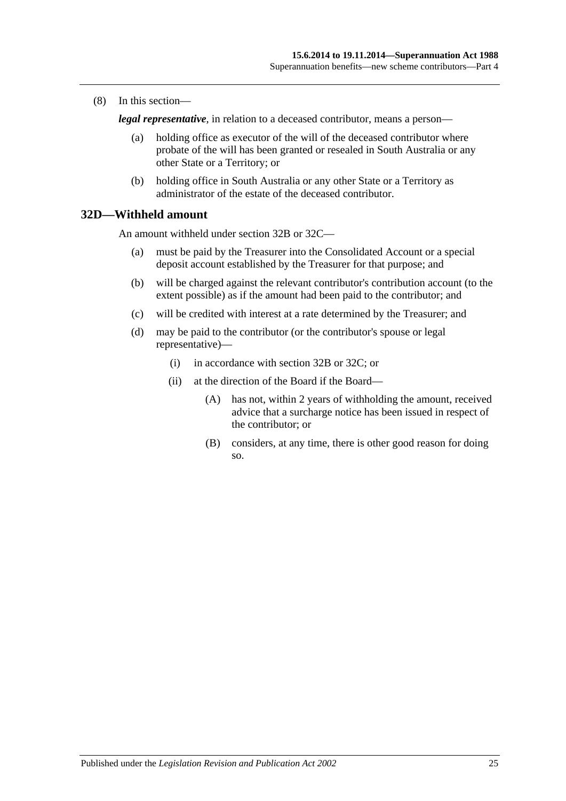(8) In this section—

*legal representative*, in relation to a deceased contributor, means a person—

- (a) holding office as executor of the will of the deceased contributor where probate of the will has been granted or resealed in South Australia or any other State or a Territory; or
- (b) holding office in South Australia or any other State or a Territory as administrator of the estate of the deceased contributor.

## **32D—Withheld amount**

An amount withheld under [section](#page-51-6) 32B or [32C—](#page-52-3)

- (a) must be paid by the Treasurer into the Consolidated Account or a special deposit account established by the Treasurer for that purpose; and
- (b) will be charged against the relevant contributor's contribution account (to the extent possible) as if the amount had been paid to the contributor; and
- (c) will be credited with interest at a rate determined by the Treasurer; and
- (d) may be paid to the contributor (or the contributor's spouse or legal representative)—
	- (i) in accordance with [section](#page-51-6) 32B or [32C;](#page-52-3) or
	- (ii) at the direction of the Board if the Board—
		- (A) has not, within 2 years of withholding the amount, received advice that a surcharge notice has been issued in respect of the contributor; or
		- (B) considers, at any time, there is other good reason for doing so.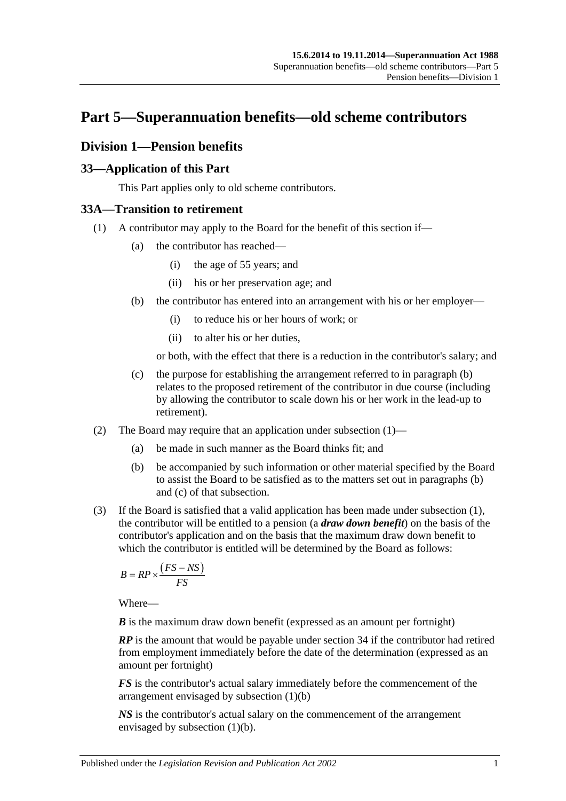# **Part 5—Superannuation benefits—old scheme contributors**

# **Division 1—Pension benefits**

## **33—Application of this Part**

This Part applies only to old scheme contributors.

# <span id="page-56-1"></span>**33A—Transition to retirement**

- <span id="page-56-0"></span>(1) A contributor may apply to the Board for the benefit of this section if—
	- (a) the contributor has reached—
		- (i) the age of 55 years; and
		- (ii) his or her preservation age; and
	- (b) the contributor has entered into an arrangement with his or her employer—
		- (i) to reduce his or her hours of work; or
		- (ii) to alter his or her duties,

or both, with the effect that there is a reduction in the contributor's salary; and

- (c) the purpose for establishing the arrangement referred to in [paragraph](#page-56-0) (b) relates to the proposed retirement of the contributor in due course (including by allowing the contributor to scale down his or her work in the lead-up to retirement).
- (2) The Board may require that an application under [subsection](#page-30-0) (1)—
	- (a) be made in such manner as the Board thinks fit; and
	- (b) be accompanied by such information or other material specified by the Board to assist the Board to be satisfied as to the matters set out in [paragraphs](#page-30-1) (b) and [\(c\)](#page-30-2) of that subsection.
- <span id="page-56-2"></span>(3) If the Board is satisfied that a valid application has been made under [subsection](#page-56-1) (1), the contributor will be entitled to a pension (a *draw down benefit*) on the basis of the contributor's application and on the basis that the maximum draw down benefit to which the contributor is entitled will be determined by the Board as follows:

$$
B = RP \times \frac{(FS - NS)}{FS}
$$

Where—

*B* is the maximum draw down benefit (expressed as an amount per fortnight)

*RP* is the amount that would be payable under section 34 if the contributor had retired from employment immediately before the date of the determination (expressed as an amount per fortnight)

*FS* is the contributor's actual salary immediately before the commencement of the arrangement envisaged by [subsection](#page-56-0) (1)(b)

*NS* is the contributor's actual salary on the commencement of the arrangement envisaged by [subsection](#page-56-0) (1)(b).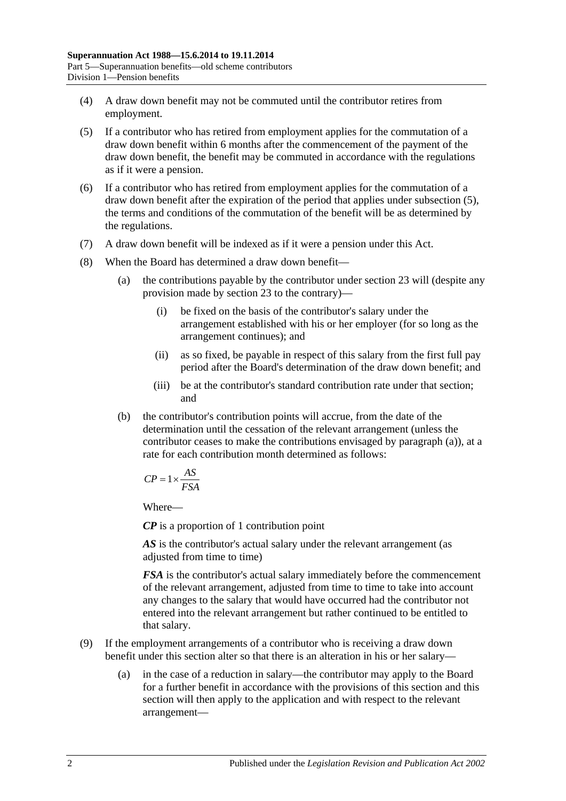- (4) A draw down benefit may not be commuted until the contributor retires from employment.
- <span id="page-57-0"></span>(5) If a contributor who has retired from employment applies for the commutation of a draw down benefit within 6 months after the commencement of the payment of the draw down benefit, the benefit may be commuted in accordance with the regulations as if it were a pension.
- (6) If a contributor who has retired from employment applies for the commutation of a draw down benefit after the expiration of the period that applies under [subsection](#page-57-0) (5), the terms and conditions of the commutation of the benefit will be as determined by the regulations.
- (7) A draw down benefit will be indexed as if it were a pension under this Act.
- <span id="page-57-1"></span>(8) When the Board has determined a draw down benefit—
	- (a) the contributions payable by the contributor under section 23 will (despite any provision made by section 23 to the contrary)—
		- (i) be fixed on the basis of the contributor's salary under the arrangement established with his or her employer (for so long as the arrangement continues); and
		- (ii) as so fixed, be payable in respect of this salary from the first full pay period after the Board's determination of the draw down benefit; and
		- (iii) be at the contributor's standard contribution rate under that section; and
	- (b) the contributor's contribution points will accrue, from the date of the determination until the cessation of the relevant arrangement (unless the contributor ceases to make the contributions envisaged by [paragraph](#page-57-1) (a)), at a rate for each contribution month determined as follows:

$$
CP = 1 \times \frac{AS}{FSA}
$$

Where—

*CP* is a proportion of 1 contribution point

AS is the contributor's actual salary under the relevant arrangement (as adjusted from time to time)

*FSA* is the contributor's actual salary immediately before the commencement of the relevant arrangement, adjusted from time to time to take into account any changes to the salary that would have occurred had the contributor not entered into the relevant arrangement but rather continued to be entitled to that salary.

- (9) If the employment arrangements of a contributor who is receiving a draw down benefit under this section alter so that there is an alteration in his or her salary—
	- (a) in the case of a reduction in salary—the contributor may apply to the Board for a further benefit in accordance with the provisions of this section and this section will then apply to the application and with respect to the relevant arrangement—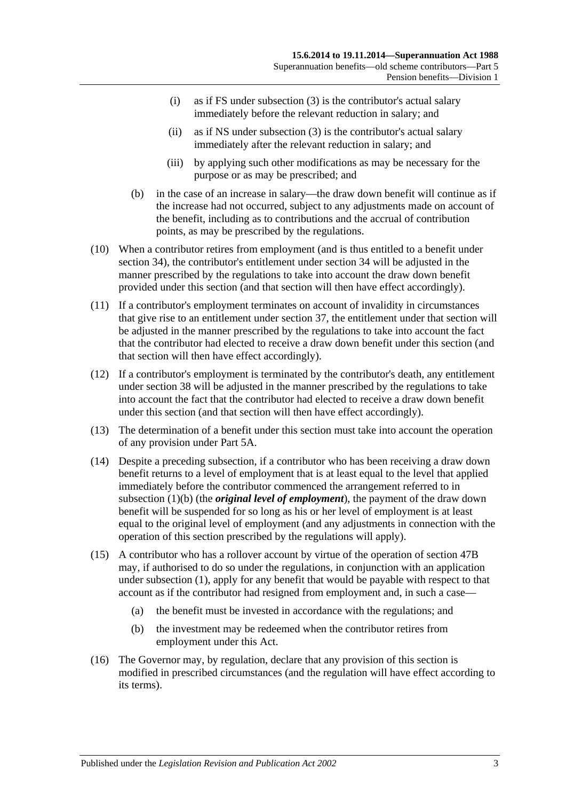- (i) as if FS under [subsection](#page-56-2) (3) is the contributor's actual salary immediately before the relevant reduction in salary; and
- (ii) as if NS under [subsection](#page-56-2) (3) is the contributor's actual salary immediately after the relevant reduction in salary; and
- (iii) by applying such other modifications as may be necessary for the purpose or as may be prescribed; and
- (b) in the case of an increase in salary—the draw down benefit will continue as if the increase had not occurred, subject to any adjustments made on account of the benefit, including as to contributions and the accrual of contribution points, as may be prescribed by the regulations.
- (10) When a contributor retires from employment (and is thus entitled to a benefit under section 34), the contributor's entitlement under section 34 will be adjusted in the manner prescribed by the regulations to take into account the draw down benefit provided under this section (and that section will then have effect accordingly).
- (11) If a contributor's employment terminates on account of invalidity in circumstances that give rise to an entitlement under section 37, the entitlement under that section will be adjusted in the manner prescribed by the regulations to take into account the fact that the contributor had elected to receive a draw down benefit under this section (and that section will then have effect accordingly).
- (12) If a contributor's employment is terminated by the contributor's death, any entitlement under section 38 will be adjusted in the manner prescribed by the regulations to take into account the fact that the contributor had elected to receive a draw down benefit under this section (and that section will then have effect accordingly).
- (13) The determination of a benefit under this section must take into account the operation of any provision under Part 5A.
- (14) Despite a preceding subsection, if a contributor who has been receiving a draw down benefit returns to a level of employment that is at least equal to the level that applied immediately before the contributor commenced the arrangement referred to in [subsection](#page-56-0) (1)(b) (the *original level of employment*), the payment of the draw down benefit will be suspended for so long as his or her level of employment is at least equal to the original level of employment (and any adjustments in connection with the operation of this section prescribed by the regulations will apply).
- (15) A contributor who has a rollover account by virtue of the operation of section 47B may, if authorised to do so under the regulations, in conjunction with an application under [subsection](#page-56-1) (1), apply for any benefit that would be payable with respect to that account as if the contributor had resigned from employment and, in such a case—
	- (a) the benefit must be invested in accordance with the regulations; and
	- (b) the investment may be redeemed when the contributor retires from employment under this Act.
- (16) The Governor may, by regulation, declare that any provision of this section is modified in prescribed circumstances (and the regulation will have effect according to its terms).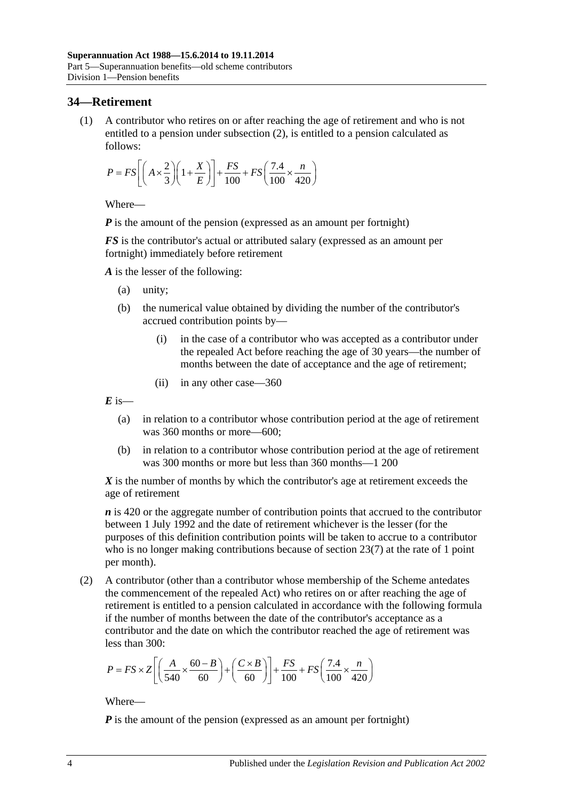## **34—Retirement**

(1) A contributor who retires on or after reaching the age of retirement and who is not entitled to a pension under [subsection](#page-59-0) (2), is entitled to a pension calculated as follows:

$$
P = FS \left[ \left( A \times \frac{2}{3} \right) \left( 1 + \frac{X}{E} \right) \right] + \frac{FS}{100} + FS \left( \frac{7.4}{100} \times \frac{n}{420} \right)
$$

Where—

*P* is the amount of the pension (expressed as an amount per fortnight)

*FS* is the contributor's actual or attributed salary (expressed as an amount per fortnight) immediately before retirement

*A* is the lesser of the following:

- (a) unity;
- (b) the numerical value obtained by dividing the number of the contributor's accrued contribution points by—
	- (i) in the case of a contributor who was accepted as a contributor under the repealed Act before reaching the age of 30 years—the number of months between the date of acceptance and the age of retirement;
	- (ii) in any other case—360

 $E$  is—

- (a) in relation to a contributor whose contribution period at the age of retirement was 360 months or more—600;
- (b) in relation to a contributor whose contribution period at the age of retirement was 300 months or more but less than 360 months—1 200

*X* is the number of months by which the contributor's age at retirement exceeds the age of retirement

*n* is 420 or the aggregate number of contribution points that accrued to the contributor between 1 July 1992 and the date of retirement whichever is the lesser (for the purposes of this definition contribution points will be taken to accrue to a contributor who is no longer making contributions because of [section](#page-28-0) 23(7) at the rate of 1 point per month).

<span id="page-59-0"></span>(2) A contributor (other than a contributor whose membership of the Scheme antedates the commencement of the repealed Act) who retires on or after reaching the age of retirement is entitled to a pension calculated in accordance with the following formula if the number of months between the date of the contributor's acceptance as a contributor and the date on which the contributor reached the age of retirement was less than 300:

$$
P = FS \times Z \left[ \left( \frac{A}{540} \times \frac{60 - B}{60} \right) + \left( \frac{C \times B}{60} \right) \right] + \frac{FS}{100} + FS \left( \frac{7.4}{100} \times \frac{n}{420} \right)
$$

Where—

*P* is the amount of the pension (expressed as an amount per fortnight)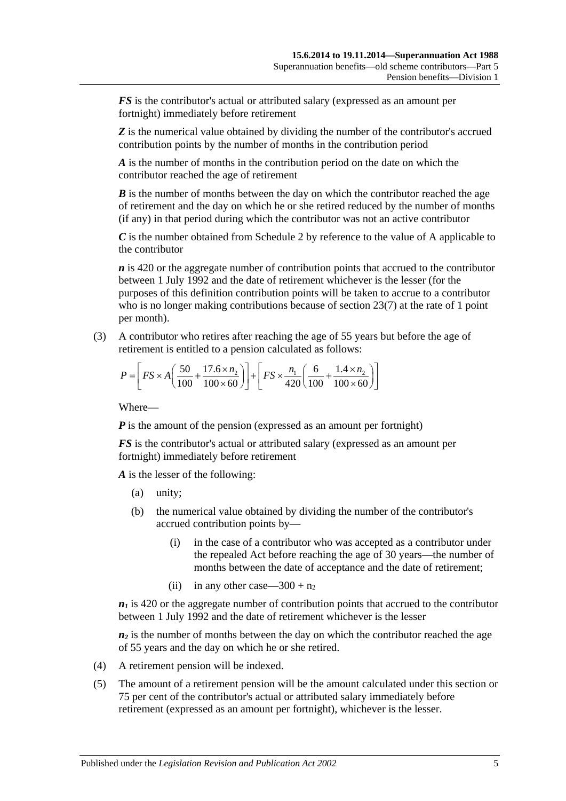*FS* is the contributor's actual or attributed salary (expressed as an amount per fortnight) immediately before retirement

**Z** is the numerical value obtained by dividing the number of the contributor's accrued contribution points by the number of months in the contribution period

*A* is the number of months in the contribution period on the date on which the contributor reached the age of retirement

*B* is the number of months between the day on which the contributor reached the age of retirement and the day on which he or she retired reduced by the number of months (if any) in that period during which the contributor was not an active contributor

*C* is the number obtained from [Schedule 2](#page-126-0) by reference to the value of A applicable to the contributor

*n* is 420 or the aggregate number of contribution points that accrued to the contributor between 1 July 1992 and the date of retirement whichever is the lesser (for the purposes of this definition contribution points will be taken to accrue to a contributor who is no longer making contributions because of [section](#page-28-0) 23(7) at the rate of 1 point per month).

(3) A contributor who retires after reaching the age of 55 years but before the age of retirement is entitled to a pension calculated as follows:

$$
P = \left[ FS \times A \left( \frac{50}{100} + \frac{17.6 \times n_2}{100 \times 60} \right) \right] + \left[ FS \times \frac{n_1}{420} \left( \frac{6}{100} + \frac{1.4 \times n_2}{100 \times 60} \right) \right]
$$

Where—

*P* is the amount of the pension (expressed as an amount per fortnight)

*FS* is the contributor's actual or attributed salary (expressed as an amount per fortnight) immediately before retirement

*A* is the lesser of the following:

- (a) unity;
- (b) the numerical value obtained by dividing the number of the contributor's accrued contribution points by—
	- (i) in the case of a contributor who was accepted as a contributor under the repealed Act before reaching the age of 30 years—the number of months between the date of acceptance and the date of retirement;
	- (ii) in any other case—300 +  $n_2$

 $n_1$  is 420 or the aggregate number of contribution points that accrued to the contributor between 1 July 1992 and the date of retirement whichever is the lesser

 $n_2$  is the number of months between the day on which the contributor reached the age of 55 years and the day on which he or she retired.

- (4) A retirement pension will be indexed.
- (5) The amount of a retirement pension will be the amount calculated under this section or 75 per cent of the contributor's actual or attributed salary immediately before retirement (expressed as an amount per fortnight), whichever is the lesser.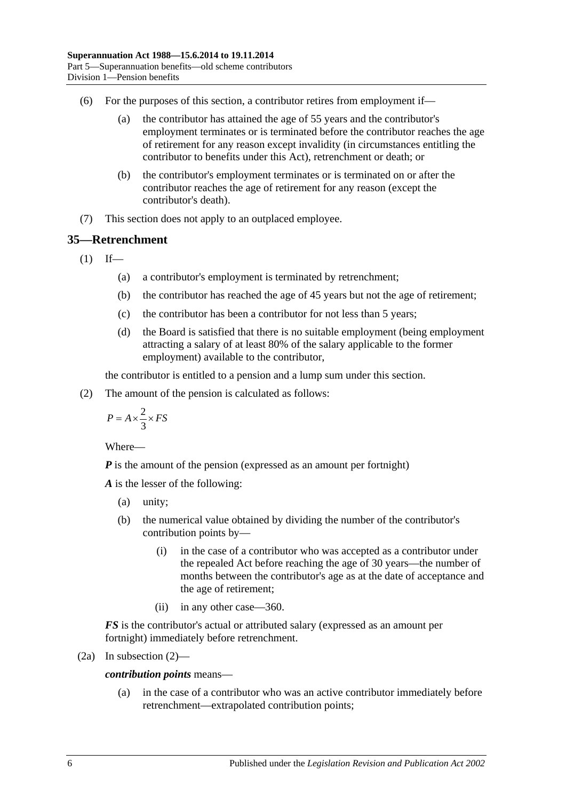- (6) For the purposes of this section, a contributor retires from employment if—
	- (a) the contributor has attained the age of 55 years and the contributor's employment terminates or is terminated before the contributor reaches the age of retirement for any reason except invalidity (in circumstances entitling the contributor to benefits under this Act), retrenchment or death; or
	- (b) the contributor's employment terminates or is terminated on or after the contributor reaches the age of retirement for any reason (except the contributor's death).
- (7) This section does not apply to an outplaced employee.

# <span id="page-61-1"></span>**35—Retrenchment**

 $(1)$  If—

- (a) a contributor's employment is terminated by retrenchment;
- (b) the contributor has reached the age of 45 years but not the age of retirement;
- (c) the contributor has been a contributor for not less than 5 years;
- (d) the Board is satisfied that there is no suitable employment (being employment attracting a salary of at least 80% of the salary applicable to the former employment) available to the contributor,

the contributor is entitled to a pension and a lump sum under this section.

<span id="page-61-0"></span>(2) The amount of the pension is calculated as follows:

$$
P = A \times \frac{2}{3} \times FS
$$

Where—

*P* is the amount of the pension (expressed as an amount per fortnight)

*A* is the lesser of the following:

- (a) unity;
- (b) the numerical value obtained by dividing the number of the contributor's contribution points by—
	- (i) in the case of a contributor who was accepted as a contributor under the repealed Act before reaching the age of 30 years—the number of months between the contributor's age as at the date of acceptance and the age of retirement;
	- (ii) in any other case—360.

*FS* is the contributor's actual or attributed salary (expressed as an amount per fortnight) immediately before retrenchment.

$$
(2a) In subsection (2)—
$$

*contribution points* means—

(a) in the case of a contributor who was an active contributor immediately before retrenchment—extrapolated contribution points;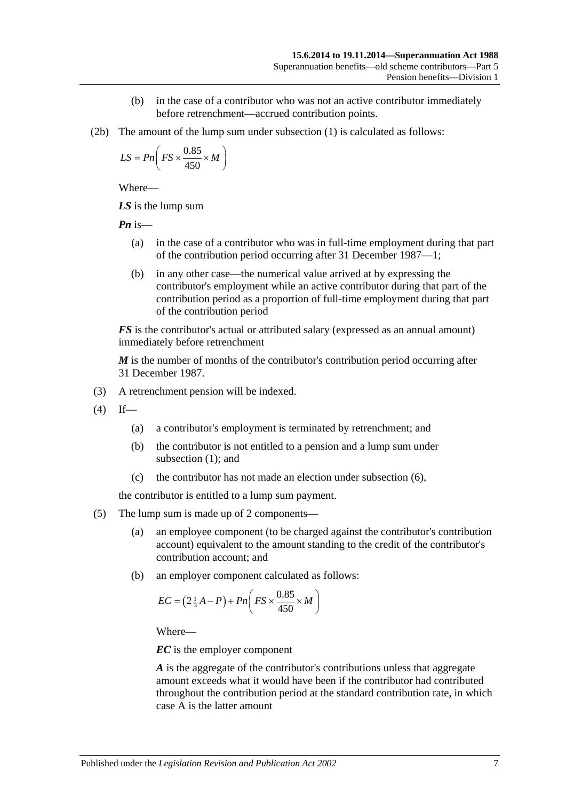- (b) in the case of a contributor who was not an active contributor immediately before retrenchment—accrued contribution points.
- (2b) The amount of the lump sum under [subsection](#page-61-1) (1) is calculated as follows:

$$
LS = Pn\left(FS \times \frac{0.85}{450} \times M\right)
$$

Where—

*LS* is the lump sum

*Pn* is—

- (a) in the case of a contributor who was in full-time employment during that part of the contribution period occurring after 31 December 1987—1;
- (b) in any other case—the numerical value arrived at by expressing the contributor's employment while an active contributor during that part of the contribution period as a proportion of full-time employment during that part of the contribution period

*FS* is the contributor's actual or attributed salary (expressed as an annual amount) immediately before retrenchment

*M* is the number of months of the contributor's contribution period occurring after 31 December 1987.

- (3) A retrenchment pension will be indexed.
- $(4)$  If—
	- (a) a contributor's employment is terminated by retrenchment; and
	- (b) the contributor is not entitled to a pension and a lump sum under [subsection](#page-61-1) (1); and
	- (c) the contributor has not made an election under [subsection](#page-63-0) (6),

the contributor is entitled to a lump sum payment.

- (5) The lump sum is made up of 2 components—
	- (a) an employee component (to be charged against the contributor's contribution account) equivalent to the amount standing to the credit of the contributor's contribution account; and
	- (b) an employer component calculated as follows:

$$
EC = \left(2\frac{1}{3}A - P\right) + Pn\left(FS \times \frac{0.85}{450} \times M\right)
$$

Where—

*EC* is the employer component

*A* is the aggregate of the contributor's contributions unless that aggregate amount exceeds what it would have been if the contributor had contributed throughout the contribution period at the standard contribution rate, in which case A is the latter amount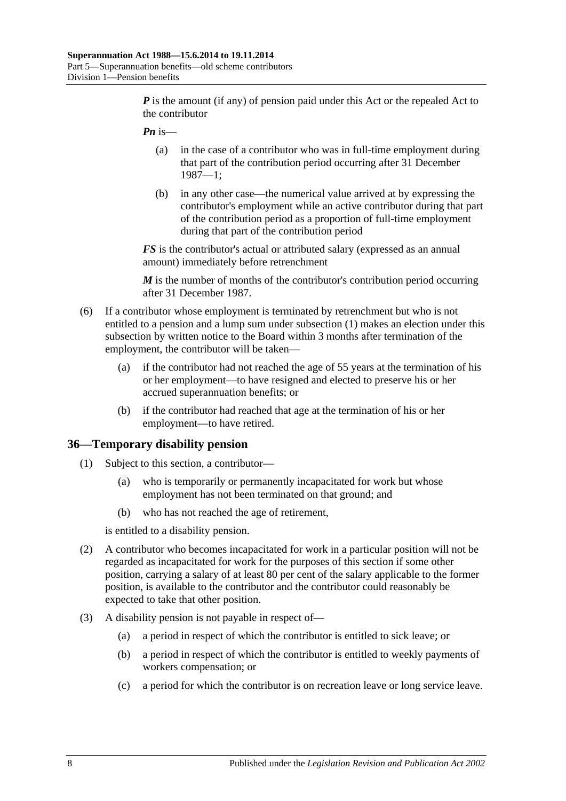*P* is the amount (if any) of pension paid under this Act or the repealed Act to the contributor

- *Pn* is—
	- (a) in the case of a contributor who was in full-time employment during that part of the contribution period occurring after 31 December 1987—1;
	- (b) in any other case—the numerical value arrived at by expressing the contributor's employment while an active contributor during that part of the contribution period as a proportion of full-time employment during that part of the contribution period

*FS* is the contributor's actual or attributed salary (expressed as an annual amount) immediately before retrenchment

*M* is the number of months of the contributor's contribution period occurring after 31 December 1987.

- <span id="page-63-0"></span>(6) If a contributor whose employment is terminated by retrenchment but who is not entitled to a pension and a lump sum under [subsection](#page-61-1) (1) makes an election under this subsection by written notice to the Board within 3 months after termination of the employment, the contributor will be taken—
	- (a) if the contributor had not reached the age of 55 years at the termination of his or her employment—to have resigned and elected to preserve his or her accrued superannuation benefits; or
	- (b) if the contributor had reached that age at the termination of his or her employment—to have retired.

#### **36—Temporary disability pension**

- (1) Subject to this section, a contributor—
	- (a) who is temporarily or permanently incapacitated for work but whose employment has not been terminated on that ground; and
	- (b) who has not reached the age of retirement,

is entitled to a disability pension.

- (2) A contributor who becomes incapacitated for work in a particular position will not be regarded as incapacitated for work for the purposes of this section if some other position, carrying a salary of at least 80 per cent of the salary applicable to the former position, is available to the contributor and the contributor could reasonably be expected to take that other position.
- (3) A disability pension is not payable in respect of—
	- (a) a period in respect of which the contributor is entitled to sick leave; or
	- (b) a period in respect of which the contributor is entitled to weekly payments of workers compensation; or
	- (c) a period for which the contributor is on recreation leave or long service leave.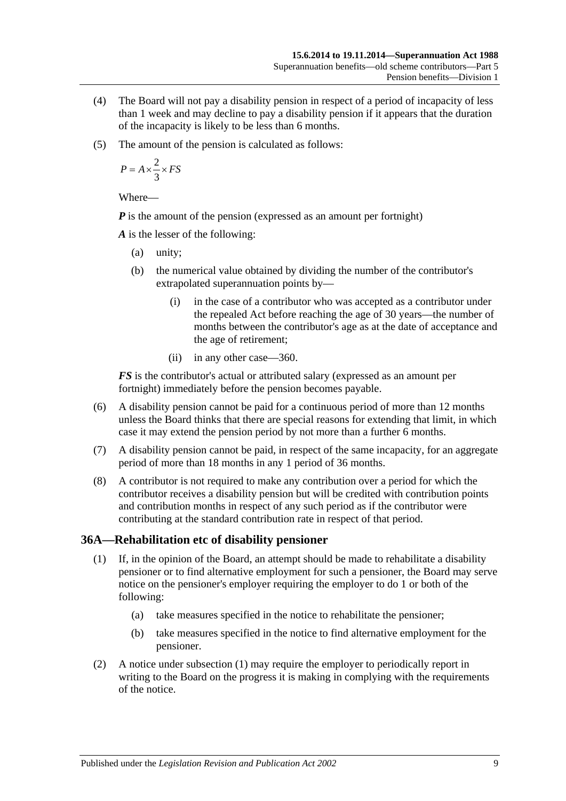- (4) The Board will not pay a disability pension in respect of a period of incapacity of less than 1 week and may decline to pay a disability pension if it appears that the duration of the incapacity is likely to be less than 6 months.
- (5) The amount of the pension is calculated as follows:

$$
P = A \times \frac{2}{3} \times FS
$$

Where—

*P* is the amount of the pension (expressed as an amount per fortnight)

*A* is the lesser of the following:

- (a) unity;
- (b) the numerical value obtained by dividing the number of the contributor's extrapolated superannuation points by—
	- (i) in the case of a contributor who was accepted as a contributor under the repealed Act before reaching the age of 30 years—the number of months between the contributor's age as at the date of acceptance and the age of retirement;
	- (ii) in any other case—360.

*FS* is the contributor's actual or attributed salary (expressed as an amount per fortnight) immediately before the pension becomes payable.

- (6) A disability pension cannot be paid for a continuous period of more than 12 months unless the Board thinks that there are special reasons for extending that limit, in which case it may extend the pension period by not more than a further 6 months.
- (7) A disability pension cannot be paid, in respect of the same incapacity, for an aggregate period of more than 18 months in any 1 period of 36 months.
- (8) A contributor is not required to make any contribution over a period for which the contributor receives a disability pension but will be credited with contribution points and contribution months in respect of any such period as if the contributor were contributing at the standard contribution rate in respect of that period.

## <span id="page-64-0"></span>**36A—Rehabilitation etc of disability pensioner**

- (1) If, in the opinion of the Board, an attempt should be made to rehabilitate a disability pensioner or to find alternative employment for such a pensioner, the Board may serve notice on the pensioner's employer requiring the employer to do 1 or both of the following:
	- (a) take measures specified in the notice to rehabilitate the pensioner;
	- (b) take measures specified in the notice to find alternative employment for the pensioner.
- (2) A notice under [subsection](#page-64-0) (1) may require the employer to periodically report in writing to the Board on the progress it is making in complying with the requirements of the notice.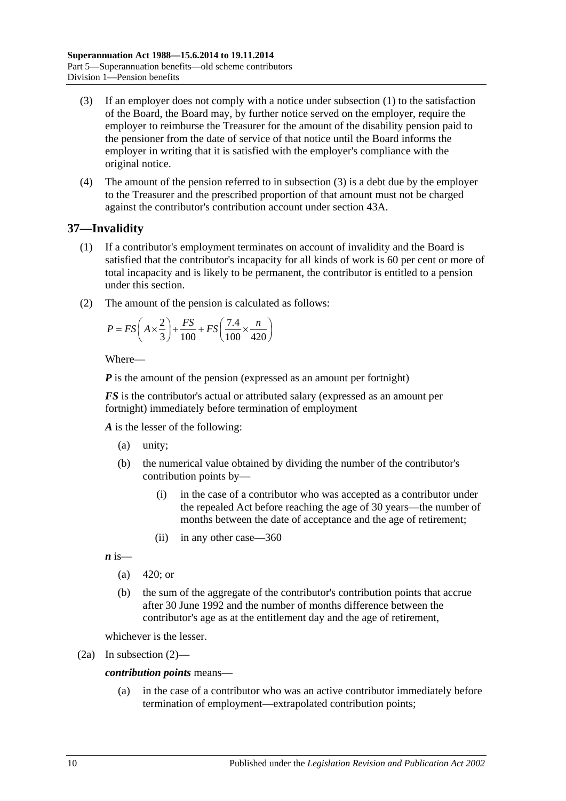- <span id="page-65-0"></span>(3) If an employer does not comply with a notice under [subsection](#page-64-0) (1) to the satisfaction of the Board, the Board may, by further notice served on the employer, require the employer to reimburse the Treasurer for the amount of the disability pension paid to the pensioner from the date of service of that notice until the Board informs the employer in writing that it is satisfied with the employer's compliance with the original notice.
- (4) The amount of the pension referred to in [subsection](#page-65-0) (3) is a debt due by the employer to the Treasurer and the prescribed proportion of that amount must not be charged against the contributor's contribution account under section 43A.

# <span id="page-65-2"></span>**37—Invalidity**

- (1) If a contributor's employment terminates on account of invalidity and the Board is satisfied that the contributor's incapacity for all kinds of work is 60 per cent or more of total incapacity and is likely to be permanent, the contributor is entitled to a pension under this section.
- <span id="page-65-1"></span>(2) The amount of the pension is calculated as follows:

$$
P = FS\left(A \times \frac{2}{3}\right) + \frac{FS}{100} + FS\left(\frac{7.4}{100} \times \frac{n}{420}\right)
$$

Where—

*P* is the amount of the pension (expressed as an amount per fortnight)

*FS* is the contributor's actual or attributed salary (expressed as an amount per fortnight) immediately before termination of employment

*A* is the lesser of the following:

- (a) unity;
- (b) the numerical value obtained by dividing the number of the contributor's contribution points by—
	- (i) in the case of a contributor who was accepted as a contributor under the repealed Act before reaching the age of 30 years—the number of months between the date of acceptance and the age of retirement;
	- (ii) in any other case—360

 $\boldsymbol{n}$  is—

- (a)  $420$ ; or
- (b) the sum of the aggregate of the contributor's contribution points that accrue after 30 June 1992 and the number of months difference between the contributor's age as at the entitlement day and the age of retirement,

whichever is the lesser.

(2a) In [subsection](#page-65-1) (2)—

#### *contribution points* means—

(a) in the case of a contributor who was an active contributor immediately before termination of employment—extrapolated contribution points;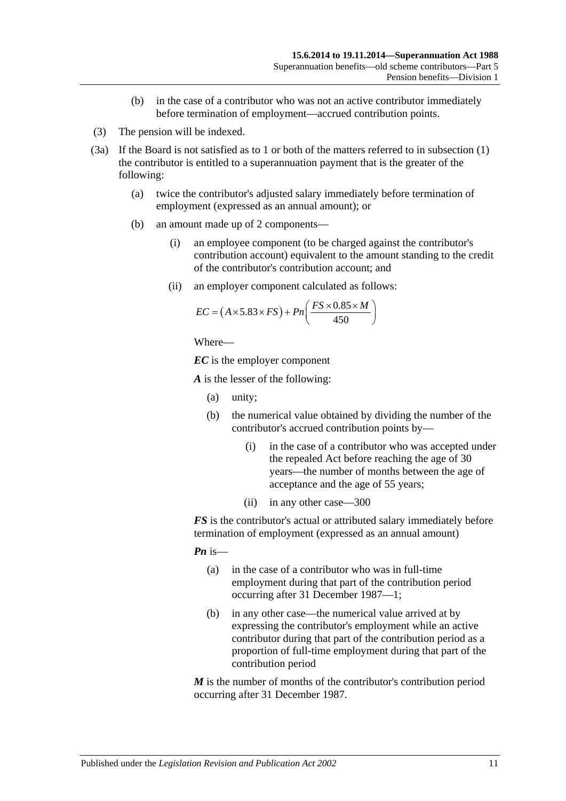- (b) in the case of a contributor who was not an active contributor immediately before termination of employment—accrued contribution points.
- (3) The pension will be indexed.
- <span id="page-66-0"></span>(3a) If the Board is not satisfied as to 1 or both of the matters referred to in [subsection](#page-65-2) (1) the contributor is entitled to a superannuation payment that is the greater of the following:
	- (a) twice the contributor's adjusted salary immediately before termination of employment (expressed as an annual amount); or
	- (b) an amount made up of 2 components—
		- (i) an employee component (to be charged against the contributor's contribution account) equivalent to the amount standing to the credit of the contributor's contribution account; and
		- (ii) an employer component calculated as follows:

$$
EC = (A \times 5.83 \times FS) + Pn\left(\frac{FS \times 0.85 \times M}{450}\right)
$$

```
Where—
```
*EC* is the employer component

*A* is the lesser of the following:

- (a) unity;
- (b) the numerical value obtained by dividing the number of the contributor's accrued contribution points by—
	- (i) in the case of a contributor who was accepted under the repealed Act before reaching the age of 30 years—the number of months between the age of acceptance and the age of 55 years;
	- (ii) in any other case—300

*FS* is the contributor's actual or attributed salary immediately before termination of employment (expressed as an annual amount)

*Pn* is—

- (a) in the case of a contributor who was in full-time employment during that part of the contribution period occurring after 31 December 1987—1;
- (b) in any other case—the numerical value arrived at by expressing the contributor's employment while an active contributor during that part of the contribution period as a proportion of full-time employment during that part of the contribution period

*M* is the number of months of the contributor's contribution period occurring after 31 December 1987.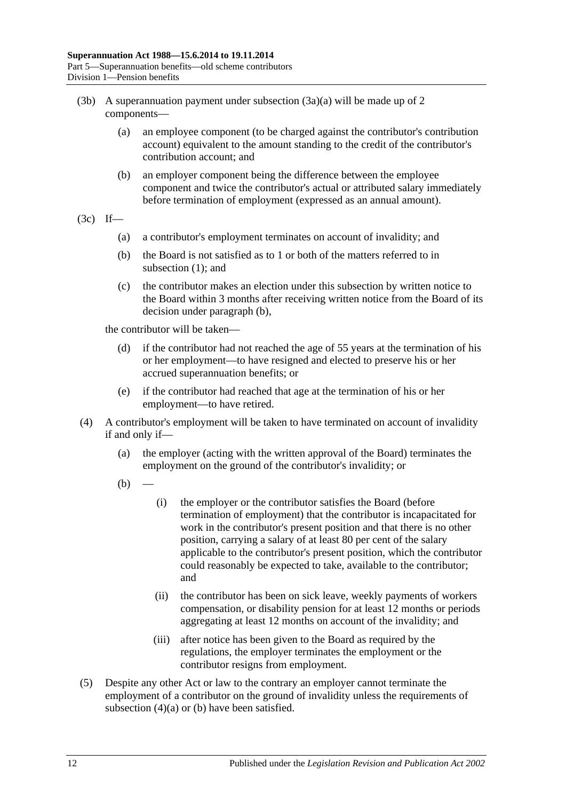- (3b) A superannuation payment under [subsection](#page-66-0)  $(3a)(a)$  will be made up of 2 components—
	- (a) an employee component (to be charged against the contributor's contribution account) equivalent to the amount standing to the credit of the contributor's contribution account; and
	- (b) an employer component being the difference between the employee component and twice the contributor's actual or attributed salary immediately before termination of employment (expressed as an annual amount).
- <span id="page-67-0"></span> $(3c)$  If—
	- (a) a contributor's employment terminates on account of invalidity; and
	- (b) the Board is not satisfied as to 1 or both of the matters referred to in [subsection](#page-65-2) (1); and
	- (c) the contributor makes an election under this subsection by written notice to the Board within 3 months after receiving written notice from the Board of its decision under [paragraph](#page-67-0) (b),

the contributor will be taken—

- (d) if the contributor had not reached the age of 55 years at the termination of his or her employment—to have resigned and elected to preserve his or her accrued superannuation benefits; or
- (e) if the contributor had reached that age at the termination of his or her employment—to have retired.
- <span id="page-67-2"></span><span id="page-67-1"></span>(4) A contributor's employment will be taken to have terminated on account of invalidity if and only if—
	- (a) the employer (acting with the written approval of the Board) terminates the employment on the ground of the contributor's invalidity; or
	- $(b)$
- (i) the employer or the contributor satisfies the Board (before termination of employment) that the contributor is incapacitated for work in the contributor's present position and that there is no other position, carrying a salary of at least 80 per cent of the salary applicable to the contributor's present position, which the contributor could reasonably be expected to take, available to the contributor; and
- (ii) the contributor has been on sick leave, weekly payments of workers compensation, or disability pension for at least 12 months or periods aggregating at least 12 months on account of the invalidity; and
- (iii) after notice has been given to the Board as required by the regulations, the employer terminates the employment or the contributor resigns from employment.
- (5) Despite any other Act or law to the contrary an employer cannot terminate the employment of a contributor on the ground of invalidity unless the requirements of [subsection](#page-67-1) (4)(a) or [\(b\)](#page-67-2) have been satisfied.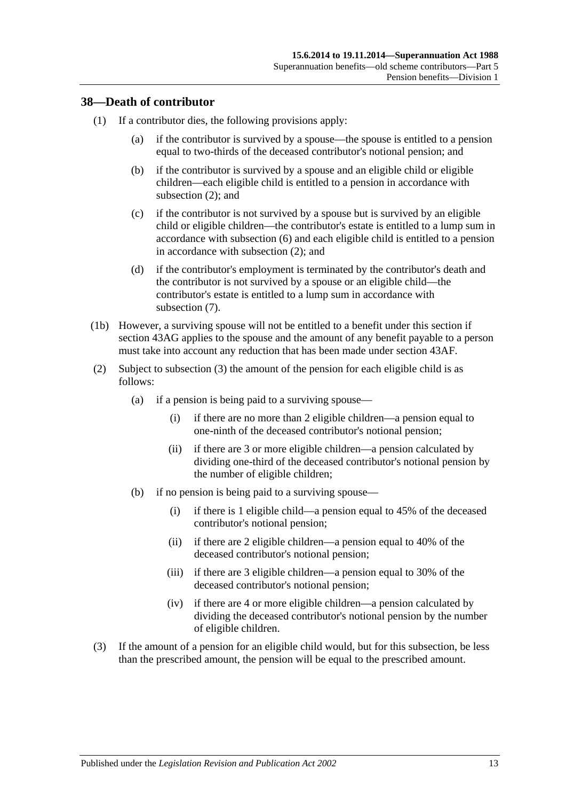## **38—Death of contributor**

- (1) If a contributor dies, the following provisions apply:
	- (a) if the contributor is survived by a spouse—the spouse is entitled to a pension equal to two-thirds of the deceased contributor's notional pension; and
	- (b) if the contributor is survived by a spouse and an eligible child or eligible children—each eligible child is entitled to a pension in accordance with [subsection](#page-68-0) (2); and
	- (c) if the contributor is not survived by a spouse but is survived by an eligible child or eligible children—the contributor's estate is entitled to a lump sum in accordance with [subsection](#page-70-0) (6) and each eligible child is entitled to a pension in accordance with [subsection](#page-68-0) (2); and
	- (d) if the contributor's employment is terminated by the contributor's death and the contributor is not survived by a spouse or an eligible child—the contributor's estate is entitled to a lump sum in accordance with [subsection](#page-70-1) (7).
- (1b) However, a surviving spouse will not be entitled to a benefit under this section if [section](#page-88-0) 43AG applies to the spouse and the amount of any benefit payable to a person must take into account any reduction that has been made under [section](#page-87-0) 43AF.
- <span id="page-68-0"></span>(2) Subject to [subsection](#page-68-1) (3) the amount of the pension for each eligible child is as follows:
	- (a) if a pension is being paid to a surviving spouse—
		- (i) if there are no more than 2 eligible children—a pension equal to one-ninth of the deceased contributor's notional pension;
		- (ii) if there are 3 or more eligible children—a pension calculated by dividing one-third of the deceased contributor's notional pension by the number of eligible children;
	- (b) if no pension is being paid to a surviving spouse—
		- (i) if there is 1 eligible child—a pension equal to 45% of the deceased contributor's notional pension;
		- (ii) if there are 2 eligible children—a pension equal to 40% of the deceased contributor's notional pension;
		- (iii) if there are 3 eligible children—a pension equal to 30% of the deceased contributor's notional pension;
		- (iv) if there are 4 or more eligible children—a pension calculated by dividing the deceased contributor's notional pension by the number of eligible children.
- <span id="page-68-1"></span>(3) If the amount of a pension for an eligible child would, but for this subsection, be less than the prescribed amount, the pension will be equal to the prescribed amount.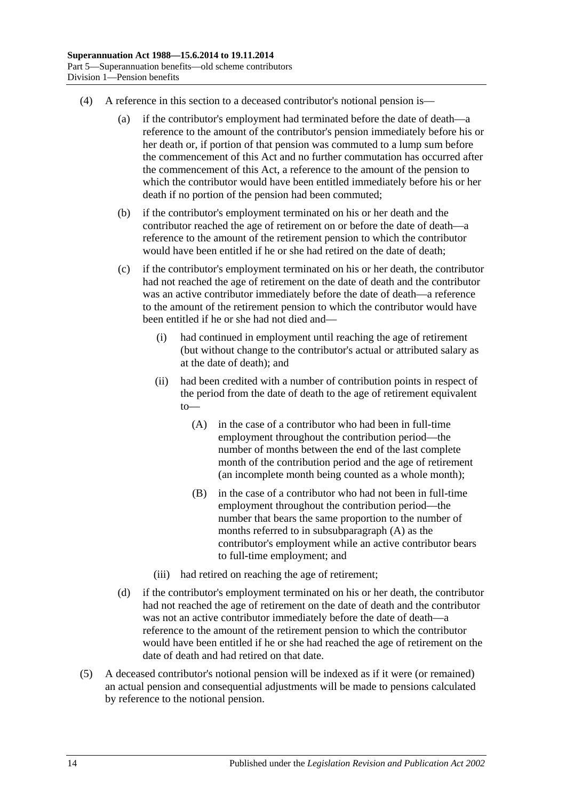- (4) A reference in this section to a deceased contributor's notional pension is—
	- (a) if the contributor's employment had terminated before the date of death—a reference to the amount of the contributor's pension immediately before his or her death or, if portion of that pension was commuted to a lump sum before the commencement of this Act and no further commutation has occurred after the commencement of this Act, a reference to the amount of the pension to which the contributor would have been entitled immediately before his or her death if no portion of the pension had been commuted;
	- (b) if the contributor's employment terminated on his or her death and the contributor reached the age of retirement on or before the date of death—a reference to the amount of the retirement pension to which the contributor would have been entitled if he or she had retired on the date of death;
	- (c) if the contributor's employment terminated on his or her death, the contributor had not reached the age of retirement on the date of death and the contributor was an active contributor immediately before the date of death—a reference to the amount of the retirement pension to which the contributor would have been entitled if he or she had not died and—
		- (i) had continued in employment until reaching the age of retirement (but without change to the contributor's actual or attributed salary as at the date of death); and
		- (ii) had been credited with a number of contribution points in respect of the period from the date of death to the age of retirement equivalent to—
			- (A) in the case of a contributor who had been in full-time employment throughout the contribution period—the number of months between the end of the last complete month of the contribution period and the age of retirement (an incomplete month being counted as a whole month);
			- (B) in the case of a contributor who had not been in full-time employment throughout the contribution period—the number that bears the same proportion to the number of months referred to in [subsubparagraph](#page-69-0) (A) as the contributor's employment while an active contributor bears to full-time employment; and
		- (iii) had retired on reaching the age of retirement;
	- (d) if the contributor's employment terminated on his or her death, the contributor had not reached the age of retirement on the date of death and the contributor was not an active contributor immediately before the date of death—a reference to the amount of the retirement pension to which the contributor would have been entitled if he or she had reached the age of retirement on the date of death and had retired on that date.
- <span id="page-69-0"></span>(5) A deceased contributor's notional pension will be indexed as if it were (or remained) an actual pension and consequential adjustments will be made to pensions calculated by reference to the notional pension.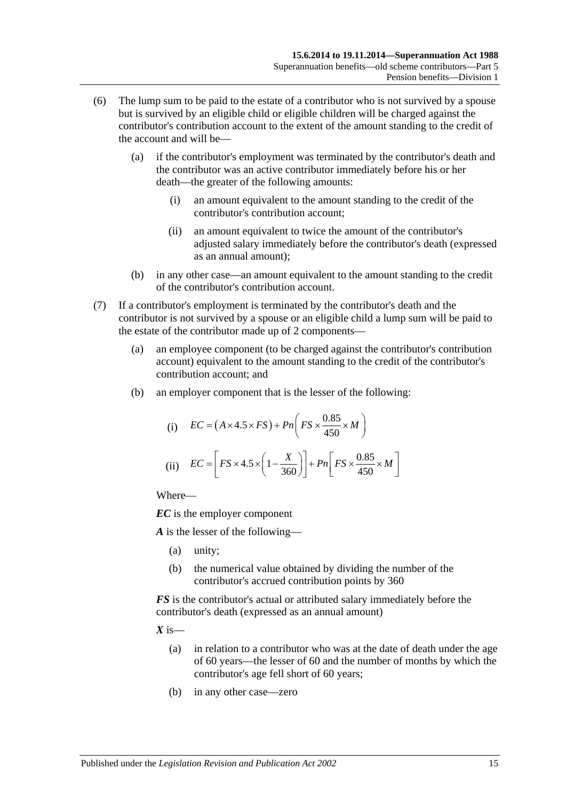- <span id="page-70-0"></span>(6) The lump sum to be paid to the estate of a contributor who is not survived by a spouse but is survived by an eligible child or eligible children will be charged against the contributor's contribution account to the extent of the amount standing to the credit of the account and will be—
	- (a) if the contributor's employment was terminated by the contributor's death and the contributor was an active contributor immediately before his or her death—the greater of the following amounts:
		- (i) an amount equivalent to the amount standing to the credit of the contributor's contribution account;
		- (ii) an amount equivalent to twice the amount of the contributor's adjusted salary immediately before the contributor's death (expressed as an annual amount);
	- (b) in any other case—an amount equivalent to the amount standing to the credit of the contributor's contribution account.
- <span id="page-70-1"></span>(7) If a contributor's employment is terminated by the contributor's death and the contributor is not survived by a spouse or an eligible child a lump sum will be paid to the estate of the contributor made up of 2 components—
	- (a) an employee component (to be charged against the contributor's contribution account) equivalent to the amount standing to the credit of the contributor's contribution account; and
	- (b) an employer component that is the lesser of the following:

(i) 
$$
EC = (A \times 4.5 \times FS) + Pn\left(FS \times \frac{0.85}{450} \times M\right)
$$
  
(ii) 
$$
EC = \left[FS \times 4.5 \times \left(1 - \frac{X}{360}\right)\right] + Pn\left[FS \times \frac{0.85}{450} \times M\right]
$$

Where—

*EC* is the employer component

*A* is the lesser of the following—

- (a) unity;
- (b) the numerical value obtained by dividing the number of the contributor's accrued contribution points by 360

*FS* is the contributor's actual or attributed salary immediately before the contributor's death (expressed as an annual amount)

 $X$  is—

- (a) in relation to a contributor who was at the date of death under the age of 60 years—the lesser of 60 and the number of months by which the contributor's age fell short of 60 years;
- (b) in any other case—zero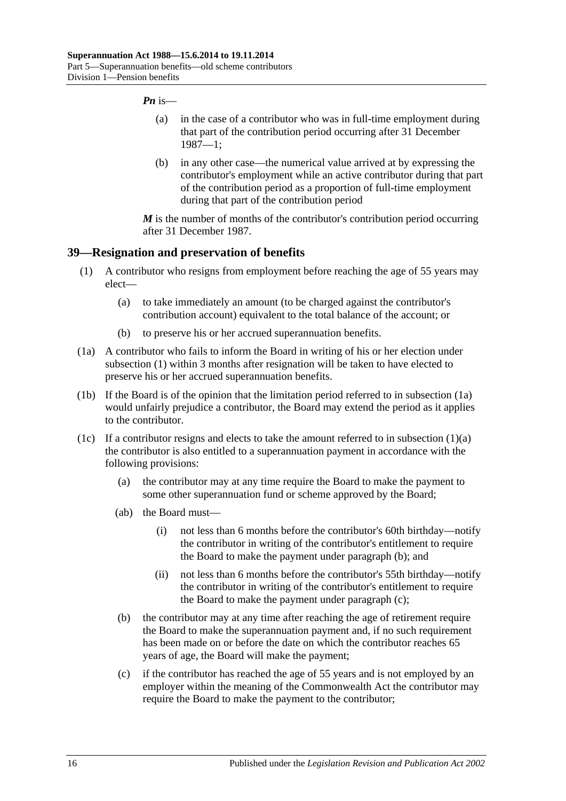#### *Pn* is—

- (a) in the case of a contributor who was in full-time employment during that part of the contribution period occurring after 31 December 1987—1;
- (b) in any other case—the numerical value arrived at by expressing the contributor's employment while an active contributor during that part of the contribution period as a proportion of full-time employment during that part of the contribution period

*M* is the number of months of the contributor's contribution period occurring after 31 December 1987.

#### <span id="page-71-0"></span>**39—Resignation and preservation of benefits**

- <span id="page-71-2"></span>(1) A contributor who resigns from employment before reaching the age of 55 years may elect—
	- (a) to take immediately an amount (to be charged against the contributor's contribution account) equivalent to the total balance of the account; or
	- (b) to preserve his or her accrued superannuation benefits.
- <span id="page-71-1"></span>(1a) A contributor who fails to inform the Board in writing of his or her election under [subsection](#page-71-0) (1) within 3 months after resignation will be taken to have elected to preserve his or her accrued superannuation benefits.
- (1b) If the Board is of the opinion that the limitation period referred to in [subsection](#page-71-1) (1a) would unfairly prejudice a contributor, the Board may extend the period as it applies to the contributor.
- <span id="page-71-4"></span><span id="page-71-3"></span>(1c) If a contributor resigns and elects to take the amount referred to in [subsection](#page-71-2)  $(1)(a)$ the contributor is also entitled to a superannuation payment in accordance with the following provisions:
	- (a) the contributor may at any time require the Board to make the payment to some other superannuation fund or scheme approved by the Board;
	- (ab) the Board must—
		- (i) not less than 6 months before the contributor's 60th birthday—notify the contributor in writing of the contributor's entitlement to require the Board to make the payment under [paragraph](#page-71-3) (b); and
		- (ii) not less than 6 months before the contributor's 55th birthday—notify the contributor in writing of the contributor's entitlement to require the Board to make the payment under [paragraph](#page-71-4) (c);
	- (b) the contributor may at any time after reaching the age of retirement require the Board to make the superannuation payment and, if no such requirement has been made on or before the date on which the contributor reaches 65 years of age, the Board will make the payment;
	- (c) if the contributor has reached the age of 55 years and is not employed by an employer within the meaning of the Commonwealth Act the contributor may require the Board to make the payment to the contributor;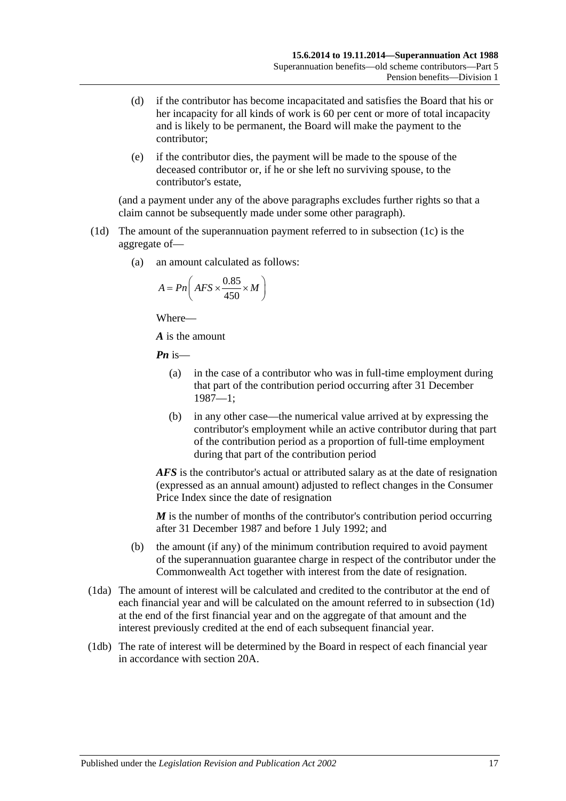- (d) if the contributor has become incapacitated and satisfies the Board that his or her incapacity for all kinds of work is 60 per cent or more of total incapacity and is likely to be permanent, the Board will make the payment to the contributor;
- (e) if the contributor dies, the payment will be made to the spouse of the deceased contributor or, if he or she left no surviving spouse, to the contributor's estate,

(and a payment under any of the above paragraphs excludes further rights so that a claim cannot be subsequently made under some other paragraph).

- <span id="page-72-0"></span>(1d) The amount of the superannuation payment referred to in [subsection](#page-71-0) (1c) is the aggregate of—
	- (a) an amount calculated as follows:

$$
A = P n \left( AFS \times \frac{0.85}{450} \times M \right)
$$

Where—

*A* is the amount

*Pn* is—

- (a) in the case of a contributor who was in full-time employment during that part of the contribution period occurring after 31 December 1987—1;
- (b) in any other case—the numerical value arrived at by expressing the contributor's employment while an active contributor during that part of the contribution period as a proportion of full-time employment during that part of the contribution period

*AFS* is the contributor's actual or attributed salary as at the date of resignation (expressed as an annual amount) adjusted to reflect changes in the Consumer Price Index since the date of resignation

*M* is the number of months of the contributor's contribution period occurring after 31 December 1987 and before 1 July 1992; and

- (b) the amount (if any) of the minimum contribution required to avoid payment of the superannuation guarantee charge in respect of the contributor under the Commonwealth Act together with interest from the date of resignation.
- (1da) The amount of interest will be calculated and credited to the contributor at the end of each financial year and will be calculated on the amount referred to in [subsection](#page-72-0) (1d) at the end of the first financial year and on the aggregate of that amount and the interest previously credited at the end of each subsequent financial year.
- (1db) The rate of interest will be determined by the Board in respect of each financial year in accordance with [section](#page-21-0) 20A.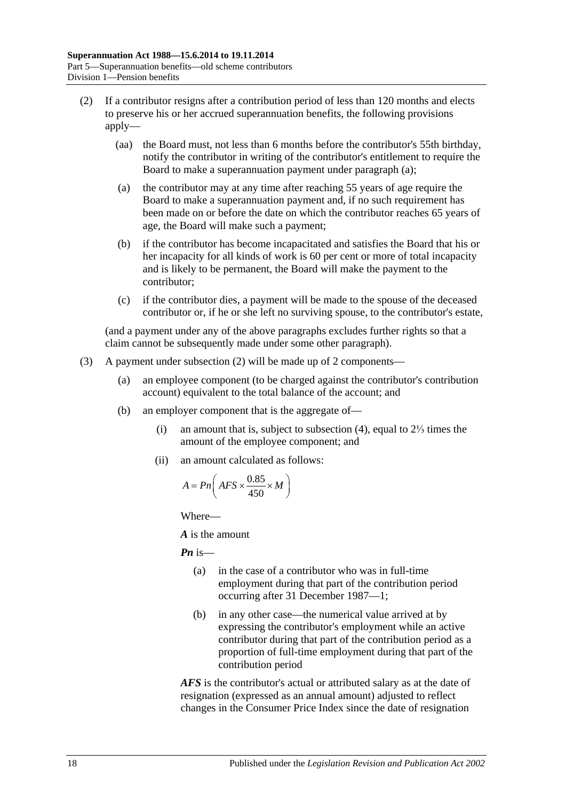- <span id="page-73-1"></span><span id="page-73-0"></span>(2) If a contributor resigns after a contribution period of less than 120 months and elects to preserve his or her accrued superannuation benefits, the following provisions apply—
	- (aa) the Board must, not less than 6 months before the contributor's 55th birthday, notify the contributor in writing of the contributor's entitlement to require the Board to make a superannuation payment under [paragraph](#page-73-0) (a);
	- (a) the contributor may at any time after reaching 55 years of age require the Board to make a superannuation payment and, if no such requirement has been made on or before the date on which the contributor reaches 65 years of age, the Board will make such a payment;
	- (b) if the contributor has become incapacitated and satisfies the Board that his or her incapacity for all kinds of work is 60 per cent or more of total incapacity and is likely to be permanent, the Board will make the payment to the contributor;
	- (c) if the contributor dies, a payment will be made to the spouse of the deceased contributor or, if he or she left no surviving spouse, to the contributor's estate,

(and a payment under any of the above paragraphs excludes further rights so that a claim cannot be subsequently made under some other paragraph).

- <span id="page-73-2"></span>(3) A payment under [subsection](#page-73-1) (2) will be made up of 2 components—
	- (a) an employee component (to be charged against the contributor's contribution account) equivalent to the total balance of the account; and
	- (b) an employer component that is the aggregate of—
		- (i) an amount that is, subject to [subsection](#page-74-0) (4), equal to 2⅓ times the amount of the employee component; and
		- (ii) an amount calculated as follows:

$$
A = P n \left( AFS \times \frac{0.85}{450} \times M \right)
$$

Where—

*A* is the amount

*Pn* is—

- (a) in the case of a contributor who was in full-time employment during that part of the contribution period occurring after 31 December 1987—1;
- (b) in any other case—the numerical value arrived at by expressing the contributor's employment while an active contributor during that part of the contribution period as a proportion of full-time employment during that part of the contribution period

*AFS* is the contributor's actual or attributed salary as at the date of resignation (expressed as an annual amount) adjusted to reflect changes in the Consumer Price Index since the date of resignation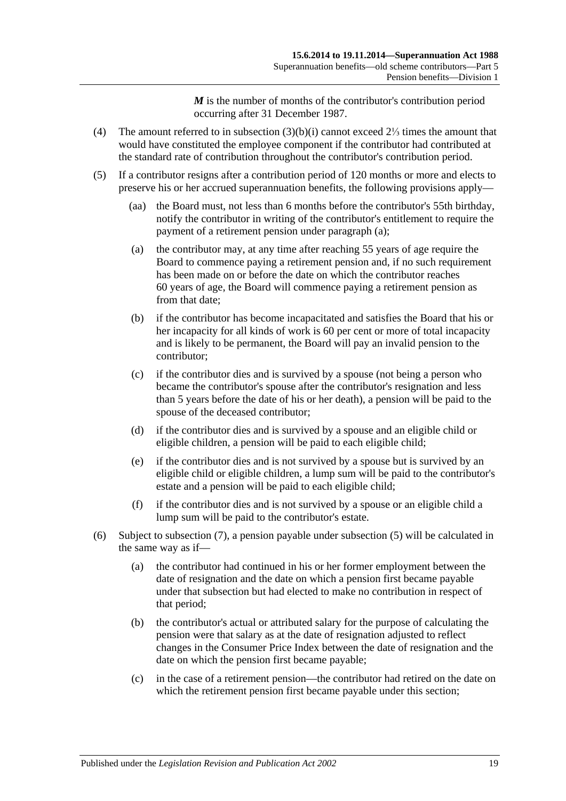*M* is the number of months of the contributor's contribution period occurring after 31 December 1987.

- <span id="page-74-0"></span>(4) The amount referred to in [subsection](#page-73-2) (3)(b)(i) cannot exceed 2⅓ times the amount that would have constituted the employee component if the contributor had contributed at the standard rate of contribution throughout the contributor's contribution period.
- <span id="page-74-3"></span><span id="page-74-2"></span><span id="page-74-1"></span>(5) If a contributor resigns after a contribution period of 120 months or more and elects to preserve his or her accrued superannuation benefits, the following provisions apply—
	- (aa) the Board must, not less than 6 months before the contributor's 55th birthday, notify the contributor in writing of the contributor's entitlement to require the payment of a retirement pension under [paragraph](#page-74-1) (a);
	- (a) the contributor may, at any time after reaching 55 years of age require the Board to commence paying a retirement pension and, if no such requirement has been made on or before the date on which the contributor reaches 60 years of age, the Board will commence paying a retirement pension as from that date:
	- (b) if the contributor has become incapacitated and satisfies the Board that his or her incapacity for all kinds of work is 60 per cent or more of total incapacity and is likely to be permanent, the Board will pay an invalid pension to the contributor;
	- (c) if the contributor dies and is survived by a spouse (not being a person who became the contributor's spouse after the contributor's resignation and less than 5 years before the date of his or her death), a pension will be paid to the spouse of the deceased contributor;
	- (d) if the contributor dies and is survived by a spouse and an eligible child or eligible children, a pension will be paid to each eligible child;
	- (e) if the contributor dies and is not survived by a spouse but is survived by an eligible child or eligible children, a lump sum will be paid to the contributor's estate and a pension will be paid to each eligible child;
	- (f) if the contributor dies and is not survived by a spouse or an eligible child a lump sum will be paid to the contributor's estate.
- <span id="page-74-4"></span>(6) Subject to [subsection](#page-75-0) (7), a pension payable under [subsection](#page-74-2) (5) will be calculated in the same way as if—
	- (a) the contributor had continued in his or her former employment between the date of resignation and the date on which a pension first became payable under that subsection but had elected to make no contribution in respect of that period;
	- (b) the contributor's actual or attributed salary for the purpose of calculating the pension were that salary as at the date of resignation adjusted to reflect changes in the Consumer Price Index between the date of resignation and the date on which the pension first became payable;
	- (c) in the case of a retirement pension—the contributor had retired on the date on which the retirement pension first became payable under this section;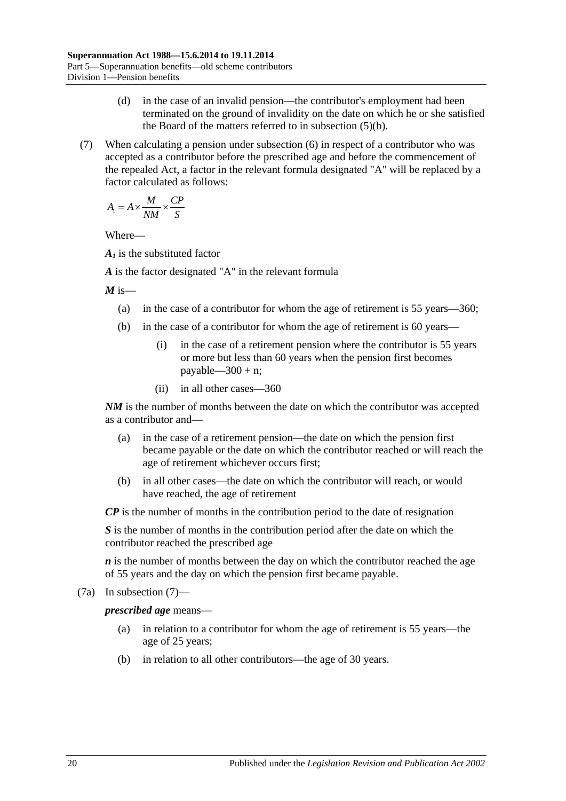- (d) in the case of an invalid pension—the contributor's employment had been terminated on the ground of invalidity on the date on which he or she satisfied the Board of the matters referred to in [subsection](#page-74-3) (5)(b).
- <span id="page-75-0"></span>(7) When calculating a pension under [subsection](#page-74-4) (6) in respect of a contributor who was accepted as a contributor before the prescribed age and before the commencement of the repealed Act, a factor in the relevant formula designated "A" will be replaced by a factor calculated as follows:

$$
A_1 = A \times \frac{M}{NM} \times \frac{CP}{S}
$$

Where—

*A1* is the substituted factor

*A* is the factor designated "A" in the relevant formula

 $M$  is—

- (a) in the case of a contributor for whom the age of retirement is 55 years—360;
- (b) in the case of a contributor for whom the age of retirement is 60 years—
	- (i) in the case of a retirement pension where the contributor is 55 years or more but less than 60 years when the pension first becomes payable— $300 + n$ ;
	- (ii) in all other cases—360

*NM* is the number of months between the date on which the contributor was accepted as a contributor and—

- (a) in the case of a retirement pension—the date on which the pension first became payable or the date on which the contributor reached or will reach the age of retirement whichever occurs first;
- (b) in all other cases—the date on which the contributor will reach, or would have reached, the age of retirement

*CP* is the number of months in the contribution period to the date of resignation

*S* is the number of months in the contribution period after the date on which the contributor reached the prescribed age

*n* is the number of months between the day on which the contributor reached the age of 55 years and the day on which the pension first became payable.

(7a) In [subsection](#page-75-0) (7)—

*prescribed age* means—

- (a) in relation to a contributor for whom the age of retirement is 55 years—the age of 25 years;
- (b) in relation to all other contributors—the age of 30 years.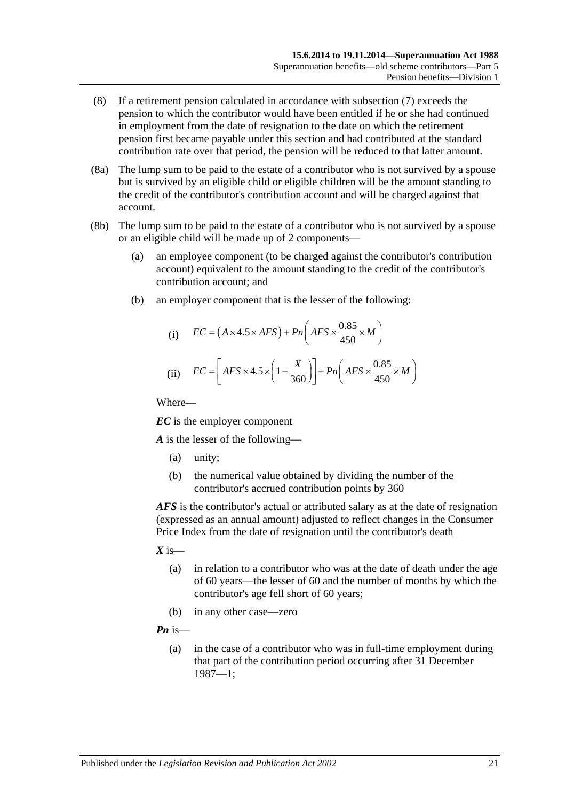- (8) If a retirement pension calculated in accordance with [subsection](#page-75-0) (7) exceeds the pension to which the contributor would have been entitled if he or she had continued in employment from the date of resignation to the date on which the retirement pension first became payable under this section and had contributed at the standard contribution rate over that period, the pension will be reduced to that latter amount.
- (8a) The lump sum to be paid to the estate of a contributor who is not survived by a spouse but is survived by an eligible child or eligible children will be the amount standing to the credit of the contributor's contribution account and will be charged against that account.
- (8b) The lump sum to be paid to the estate of a contributor who is not survived by a spouse or an eligible child will be made up of 2 components—
	- (a) an employee component (to be charged against the contributor's contribution account) equivalent to the amount standing to the credit of the contributor's contribution account; and
	- (b) an employer component that is the lesser of the following:

(i) 
$$
EC = (A \times 4.5 \times AFS) + Pn\left(AFS \times \frac{0.85}{450} \times M\right)
$$
  
(ii) 
$$
EC = \left[AFS \times 4.5 \times \left(1 - \frac{X}{360}\right)\right] + Pn\left(AFS \times \frac{0.85}{450} \times M\right)
$$

Where—

*EC* is the employer component

*A* is the lesser of the following—

- (a) unity;
- (b) the numerical value obtained by dividing the number of the contributor's accrued contribution points by 360

*AFS* is the contributor's actual or attributed salary as at the date of resignation (expressed as an annual amount) adjusted to reflect changes in the Consumer Price Index from the date of resignation until the contributor's death

- $X$  is—
	- (a) in relation to a contributor who was at the date of death under the age of 60 years—the lesser of 60 and the number of months by which the contributor's age fell short of 60 years;
	- (b) in any other case—zero

*Pn* is—

(a) in the case of a contributor who was in full-time employment during that part of the contribution period occurring after 31 December 1987—1;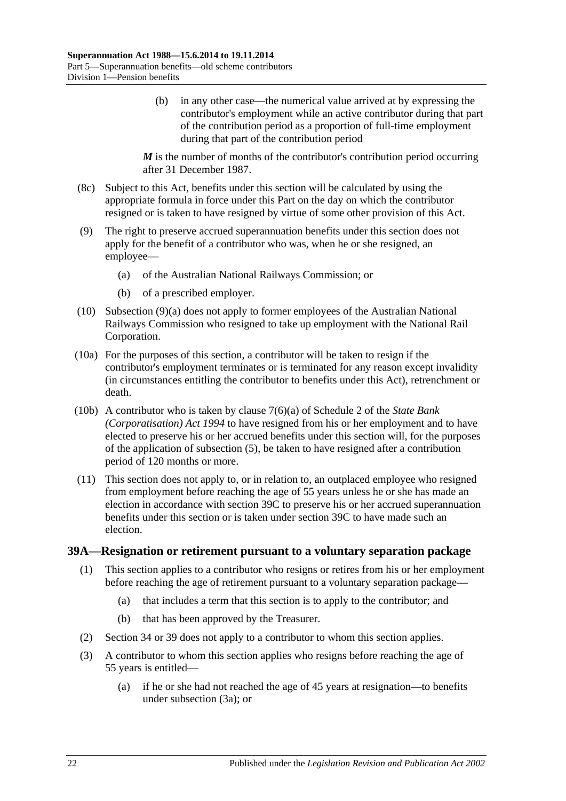(b) in any other case—the numerical value arrived at by expressing the contributor's employment while an active contributor during that part of the contribution period as a proportion of full-time employment during that part of the contribution period

*M* is the number of months of the contributor's contribution period occurring after 31 December 1987.

- (8c) Subject to this Act, benefits under this section will be calculated by using the appropriate formula in force under this Part on the day on which the contributor resigned or is taken to have resigned by virtue of some other provision of this Act.
- <span id="page-77-0"></span>(9) The right to preserve accrued superannuation benefits under this section does not apply for the benefit of a contributor who was, when he or she resigned, an employee—
	- (a) of the Australian National Railways Commission; or
	- (b) of a prescribed employer.
- (10) [Subsection](#page-77-0) (9)(a) does not apply to former employees of the Australian National Railways Commission who resigned to take up employment with the National Rail Corporation.
- (10a) For the purposes of this section, a contributor will be taken to resign if the contributor's employment terminates or is terminated for any reason except invalidity (in circumstances entitling the contributor to benefits under this Act), retrenchment or death.
- (10b) A contributor who is taken by clause 7(6)(a) of Schedule 2 of the *[State Bank](http://www.legislation.sa.gov.au/index.aspx?action=legref&type=act&legtitle=State%20Bank%20(Corporatisation)%20Act%201994)  [\(Corporatisation\) Act](http://www.legislation.sa.gov.au/index.aspx?action=legref&type=act&legtitle=State%20Bank%20(Corporatisation)%20Act%201994) 1994* to have resigned from his or her employment and to have elected to preserve his or her accrued benefits under this section will, for the purposes of the application of [subsection](#page-74-2) (5), be taken to have resigned after a contribution period of 120 months or more.
- (11) This section does not apply to, or in relation to, an outplaced employee who resigned from employment before reaching the age of 55 years unless he or she has made an election in accordance with [section](#page-80-0) 39C to preserve his or her accrued superannuation benefits under this section or is taken under [section](#page-80-0) 39C to have made such an election.

#### <span id="page-77-2"></span><span id="page-77-1"></span>**39A—Resignation or retirement pursuant to a voluntary separation package**

- (1) This section applies to a contributor who resigns or retires from his or her employment before reaching the age of retirement pursuant to a voluntary separation package—
	- (a) that includes a term that this section is to apply to the contributor; and
	- (b) that has been approved by the Treasurer.
- (2) [Section](#page-59-0) 34 or [39](#page-71-1) does not apply to a contributor to whom this section applies.
- (3) A contributor to whom this section applies who resigns before reaching the age of 55 years is entitled—
	- (a) if he or she had not reached the age of 45 years at resignation—to benefits under [subsection](#page-78-0) (3a); or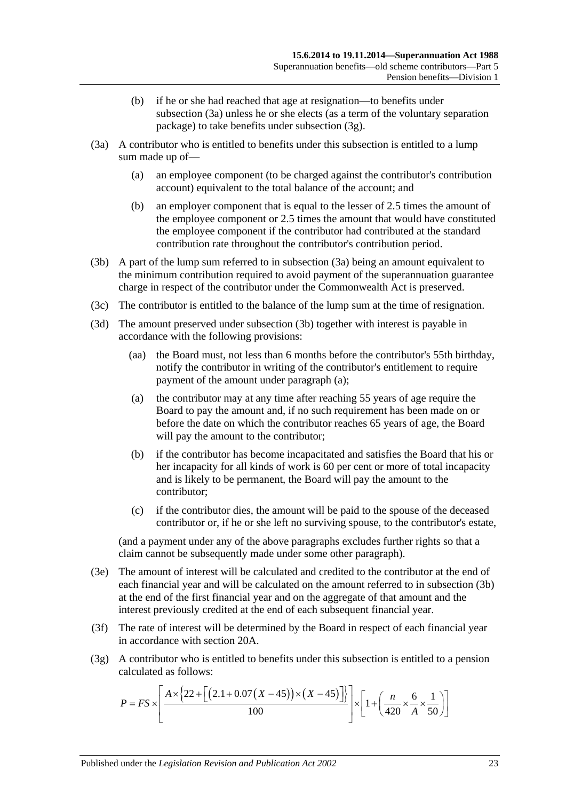- (b) if he or she had reached that age at resignation—to benefits under [subsection](#page-78-0) (3a) unless he or she elects (as a term of the voluntary separation package) to take benefits under [subsection](#page-78-1) (3g).
- <span id="page-78-4"></span><span id="page-78-0"></span>(3a) A contributor who is entitled to benefits under this subsection is entitled to a lump sum made up of—
	- (a) an employee component (to be charged against the contributor's contribution account) equivalent to the total balance of the account; and
	- (b) an employer component that is equal to the lesser of 2.5 times the amount of the employee component or 2.5 times the amount that would have constituted the employee component if the contributor had contributed at the standard contribution rate throughout the contributor's contribution period.
- <span id="page-78-2"></span>(3b) A part of the lump sum referred to in [subsection](#page-78-0) (3a) being an amount equivalent to the minimum contribution required to avoid payment of the superannuation guarantee charge in respect of the contributor under the Commonwealth Act is preserved.
- (3c) The contributor is entitled to the balance of the lump sum at the time of resignation.
- <span id="page-78-3"></span>(3d) The amount preserved under [subsection](#page-78-2) (3b) together with interest is payable in accordance with the following provisions:
	- (aa) the Board must, not less than 6 months before the contributor's 55th birthday, notify the contributor in writing of the contributor's entitlement to require payment of the amount under [paragraph](#page-78-3) (a);
	- (a) the contributor may at any time after reaching 55 years of age require the Board to pay the amount and, if no such requirement has been made on or before the date on which the contributor reaches 65 years of age, the Board will pay the amount to the contributor;
	- (b) if the contributor has become incapacitated and satisfies the Board that his or her incapacity for all kinds of work is 60 per cent or more of total incapacity and is likely to be permanent, the Board will pay the amount to the contributor;
	- (c) if the contributor dies, the amount will be paid to the spouse of the deceased contributor or, if he or she left no surviving spouse, to the contributor's estate,

(and a payment under any of the above paragraphs excludes further rights so that a claim cannot be subsequently made under some other paragraph).

- (3e) The amount of interest will be calculated and credited to the contributor at the end of each financial year and will be calculated on the amount referred to in [subsection](#page-78-2) (3b) at the end of the first financial year and on the aggregate of that amount and the interest previously credited at the end of each subsequent financial year.
- (3f) The rate of interest will be determined by the Board in respect of each financial year in accordance with [section](#page-21-0) 20A.
- <span id="page-78-1"></span>(3g) A contributor who is entitled to benefits under this subsection is entitled to a pension calculated as follows:

$$
P = FS \times \left[ \frac{A \times \left\{ 22 + \left[ \left( 2.1 + 0.07 \left( X - 45 \right) \right) \times \left( X - 45 \right) \right] \right\}}{100} \right] \times \left[ 1 + \left( \frac{n}{420} \times \frac{6}{A} \times \frac{1}{50} \right) \right]
$$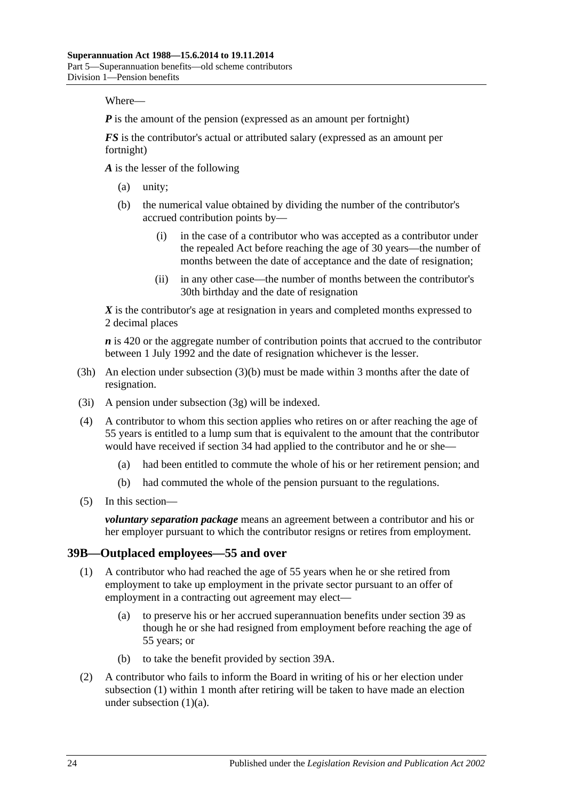Where—

*P* is the amount of the pension (expressed as an amount per fortnight)

*FS* is the contributor's actual or attributed salary (expressed as an amount per fortnight)

*A* is the lesser of the following

- (a) unity;
- (b) the numerical value obtained by dividing the number of the contributor's accrued contribution points by—
	- (i) in the case of a contributor who was accepted as a contributor under the repealed Act before reaching the age of 30 years—the number of months between the date of acceptance and the date of resignation;
	- (ii) in any other case—the number of months between the contributor's 30th birthday and the date of resignation

*X* is the contributor's age at resignation in years and completed months expressed to 2 decimal places

*n* is 420 or the aggregate number of contribution points that accrued to the contributor between 1 July 1992 and the date of resignation whichever is the lesser.

- (3h) An election under [subsection](#page-78-4) (3)(b) must be made within 3 months after the date of resignation.
- (3i) A pension under [subsection](#page-78-1) (3g) will be indexed.
- (4) A contributor to whom this section applies who retires on or after reaching the age of 55 years is entitled to a lump sum that is equivalent to the amount that the contributor would have received if [section](#page-59-0) 34 had applied to the contributor and he or she—
	- (a) had been entitled to commute the whole of his or her retirement pension; and
	- (b) had commuted the whole of the pension pursuant to the regulations.
- (5) In this section—

*voluntary separation package* means an agreement between a contributor and his or her employer pursuant to which the contributor resigns or retires from employment.

#### <span id="page-79-0"></span>**39B—Outplaced employees—55 and over**

- <span id="page-79-1"></span>(1) A contributor who had reached the age of 55 years when he or she retired from employment to take up employment in the private sector pursuant to an offer of employment in a contracting out agreement may elect—
	- (a) to preserve his or her accrued superannuation benefits under [section](#page-71-1) 39 as though he or she had resigned from employment before reaching the age of 55 years; or
	- (b) to take the benefit provided by [section](#page-77-1) 39A.
- <span id="page-79-3"></span><span id="page-79-2"></span>(2) A contributor who fails to inform the Board in writing of his or her election under [subsection](#page-79-0) (1) within 1 month after retiring will be taken to have made an election under [subsection](#page-79-1)  $(1)(a)$ .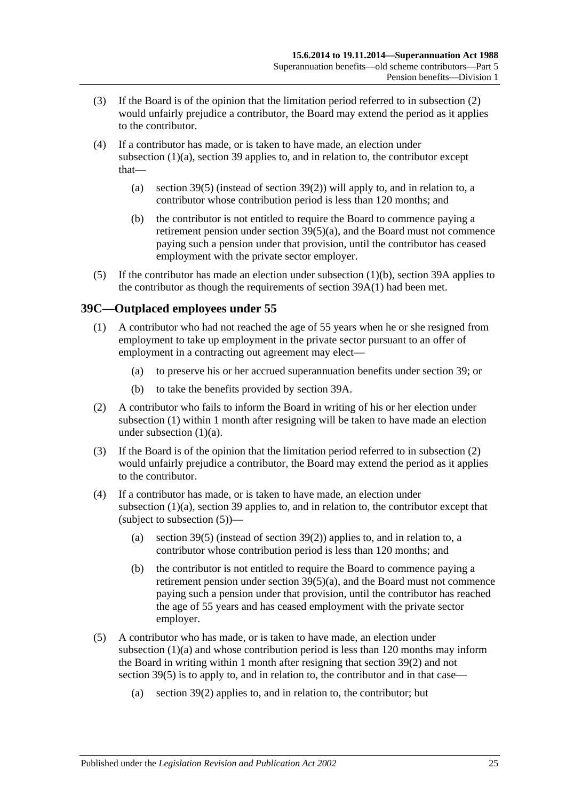- (3) If the Board is of the opinion that the limitation period referred to in [subsection](#page-79-2) (2) would unfairly prejudice a contributor, the Board may extend the period as it applies to the contributor.
- (4) If a contributor has made, or is taken to have made, an election under [subsection](#page-79-1) (1)(a), [section](#page-71-1) 39 applies to, and in relation to, the contributor except that
	- (a) [section](#page-74-2) 39(5) (instead of [section](#page-73-1) 39(2)) will apply to, and in relation to, a contributor whose contribution period is less than 120 months; and
	- (b) the contributor is not entitled to require the Board to commence paying a retirement pension under section [39\(5\)\(a\),](#page-74-1) and the Board must not commence paying such a pension under that provision, until the contributor has ceased employment with the private sector employer.
- (5) If the contributor has made an election under [subsection](#page-79-3) (1)(b), [section](#page-77-1) 39A applies to the contributor as though the requirements of [section](#page-77-2) 39A(1) had been met.

## <span id="page-80-1"></span><span id="page-80-0"></span>**39C—Outplaced employees under 55**

- <span id="page-80-2"></span>(1) A contributor who had not reached the age of 55 years when he or she resigned from employment to take up employment in the private sector pursuant to an offer of employment in a contracting out agreement may elect—
	- (a) to preserve his or her accrued superannuation benefits under [section](#page-71-1) 39; or
	- (b) to take the benefits provided by [section](#page-77-1) 39A.
- <span id="page-80-5"></span><span id="page-80-3"></span>(2) A contributor who fails to inform the Board in writing of his or her election under [subsection](#page-80-1) (1) within 1 month after resigning will be taken to have made an election under [subsection](#page-80-2) (1)(a).
- (3) If the Board is of the opinion that the limitation period referred to in [subsection](#page-80-3) (2) would unfairly prejudice a contributor, the Board may extend the period as it applies to the contributor.
- (4) If a contributor has made, or is taken to have made, an election under [subsection](#page-80-2) (1)(a), [section](#page-71-1) 39 applies to, and in relation to, the contributor except that (subject to [subsection](#page-80-4)  $(5)$ )—
	- (a) [section](#page-74-2) 39(5) (instead of [section](#page-73-1) 39(2)) applies to, and in relation to, a contributor whose contribution period is less than 120 months; and
	- (b) the contributor is not entitled to require the Board to commence paying a retirement pension under section  $39(5)(a)$ , and the Board must not commence paying such a pension under that provision, until the contributor has reached the age of 55 years and has ceased employment with the private sector employer.
- <span id="page-80-4"></span>(5) A contributor who has made, or is taken to have made, an election under [subsection](#page-80-2) (1)(a) and whose contribution period is less than 120 months may inform the Board in writing within 1 month after resigning that [section](#page-73-1) 39(2) and not [section](#page-74-2) 39(5) is to apply to, and in relation to, the contributor and in that case—
	- (a) [section](#page-73-1) 39(2) applies to, and in relation to, the contributor; but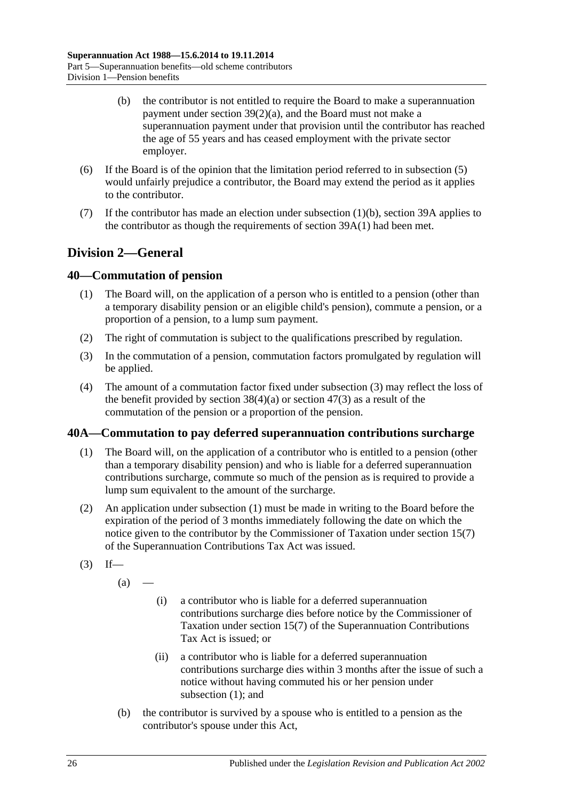- (b) the contributor is not entitled to require the Board to make a superannuation payment under section [39\(2\)\(a\),](#page-73-0) and the Board must not make a superannuation payment under that provision until the contributor has reached the age of 55 years and has ceased employment with the private sector employer.
- (6) If the Board is of the opinion that the limitation period referred to in [subsection](#page-80-4) (5) would unfairly prejudice a contributor, the Board may extend the period as it applies to the contributor.
- (7) If the contributor has made an election under [subsection](#page-80-5)  $(1)(b)$ , [section](#page-77-1) 39A applies to the contributor as though the requirements of [section](#page-77-2) 39A(1) had been met.

## **Division 2—General**

## <span id="page-81-3"></span>**40—Commutation of pension**

- (1) The Board will, on the application of a person who is entitled to a pension (other than a temporary disability pension or an eligible child's pension), commute a pension, or a proportion of a pension, to a lump sum payment.
- (2) The right of commutation is subject to the qualifications prescribed by regulation.
- <span id="page-81-0"></span>(3) In the commutation of a pension, commutation factors promulgated by regulation will be applied.
- (4) The amount of a commutation factor fixed under [subsection](#page-81-0) (3) may reflect the loss of the benefit provided by [section](#page-97-0)  $38(4)(a)$  or section  $47(3)$  as a result of the commutation of the pension or a proportion of the pension.

## <span id="page-81-1"></span>**40A—Commutation to pay deferred superannuation contributions surcharge**

- (1) The Board will, on the application of a contributor who is entitled to a pension (other than a temporary disability pension) and who is liable for a deferred superannuation contributions surcharge, commute so much of the pension as is required to provide a lump sum equivalent to the amount of the surcharge.
- (2) An application under [subsection](#page-81-1) (1) must be made in writing to the Board before the expiration of the period of 3 months immediately following the date on which the notice given to the contributor by the Commissioner of Taxation under section 15(7) of the Superannuation Contributions Tax Act was issued.
- <span id="page-81-2"></span> $(3)$  If—

 $(a)$ 

- (i) a contributor who is liable for a deferred superannuation contributions surcharge dies before notice by the Commissioner of Taxation under section 15(7) of the Superannuation Contributions Tax Act is issued; or
- (ii) a contributor who is liable for a deferred superannuation contributions surcharge dies within 3 months after the issue of such a notice without having commuted his or her pension under [subsection](#page-81-1) (1); and
- (b) the contributor is survived by a spouse who is entitled to a pension as the contributor's spouse under this Act,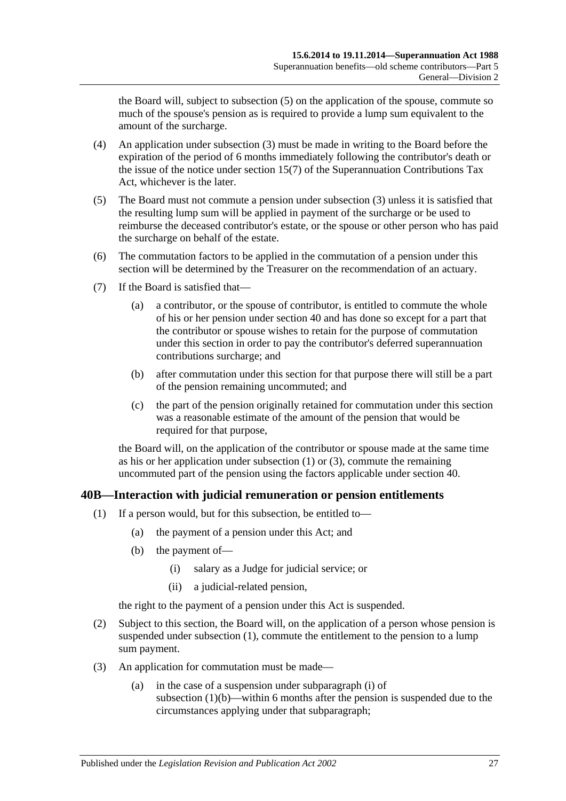the Board will, subject to [subsection](#page-82-0) (5) on the application of the spouse, commute so much of the spouse's pension as is required to provide a lump sum equivalent to the amount of the surcharge.

- (4) An application under [subsection](#page-81-2) (3) must be made in writing to the Board before the expiration of the period of 6 months immediately following the contributor's death or the issue of the notice under section 15(7) of the Superannuation Contributions Tax Act, whichever is the later.
- <span id="page-82-0"></span>(5) The Board must not commute a pension under [subsection](#page-81-2) (3) unless it is satisfied that the resulting lump sum will be applied in payment of the surcharge or be used to reimburse the deceased contributor's estate, or the spouse or other person who has paid the surcharge on behalf of the estate.
- (6) The commutation factors to be applied in the commutation of a pension under this section will be determined by the Treasurer on the recommendation of an actuary.
- (7) If the Board is satisfied that—
	- (a) a contributor, or the spouse of contributor, is entitled to commute the whole of his or her pension under [section](#page-81-3) 40 and has done so except for a part that the contributor or spouse wishes to retain for the purpose of commutation under this section in order to pay the contributor's deferred superannuation contributions surcharge; and
	- (b) after commutation under this section for that purpose there will still be a part of the pension remaining uncommuted; and
	- (c) the part of the pension originally retained for commutation under this section was a reasonable estimate of the amount of the pension that would be required for that purpose,

the Board will, on the application of the contributor or spouse made at the same time as his or her application under [subsection](#page-81-1) (1) or [\(3\),](#page-81-2) commute the remaining uncommuted part of the pension using the factors applicable under [section](#page-81-3) 40.

## <span id="page-82-1"></span>**40B—Interaction with judicial remuneration or pension entitlements**

- <span id="page-82-3"></span><span id="page-82-2"></span>(1) If a person would, but for this subsection, be entitled to—
	- (a) the payment of a pension under this Act; and
	- (b) the payment of—
		- (i) salary as a Judge for judicial service; or
		- (ii) a judicial-related pension,

the right to the payment of a pension under this Act is suspended.

- <span id="page-82-4"></span>(2) Subject to this section, the Board will, on the application of a person whose pension is suspended under [subsection](#page-82-1) (1), commute the entitlement to the pension to a lump sum payment.
- <span id="page-82-5"></span>(3) An application for commutation must be made—
	- (a) in the case of a suspension under [subparagraph](#page-82-2) (i) of [subsection](#page-82-3)  $(1)(b)$ —within 6 months after the pension is suspended due to the circumstances applying under that subparagraph;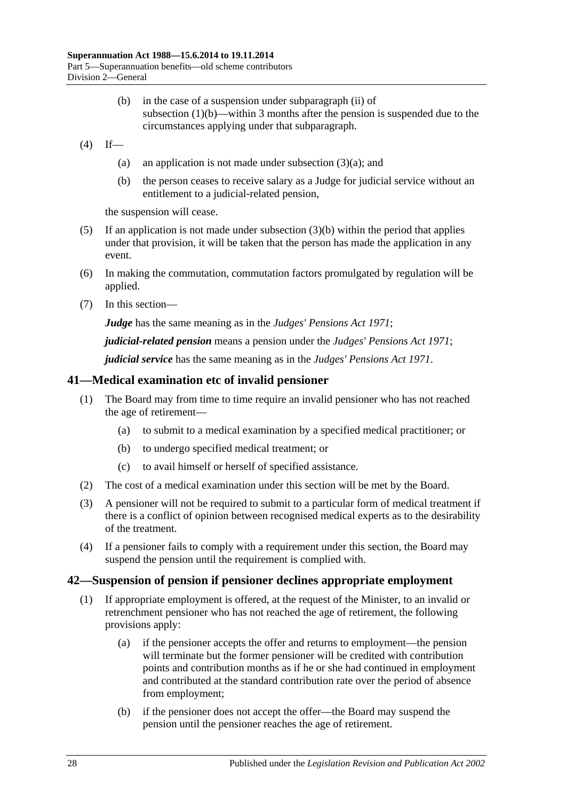- (b) in the case of a suspension under [subparagraph](#page-82-4) (ii) of [subsection](#page-82-3) (1)(b)—within 3 months after the pension is suspended due to the circumstances applying under that subparagraph.
- <span id="page-83-0"></span> $(4)$  If
	- (a) an application is not made under [subsection](#page-82-5)  $(3)(a)$ ; and
	- (b) the person ceases to receive salary as a Judge for judicial service without an entitlement to a judicial-related pension,

the suspension will cease.

- (5) If an application is not made under [subsection](#page-83-0)  $(3)(b)$  within the period that applies under that provision, it will be taken that the person has made the application in any event.
- (6) In making the commutation, commutation factors promulgated by regulation will be applied.
- (7) In this section—

*Judge* has the same meaning as in the *[Judges' Pensions Act](http://www.legislation.sa.gov.au/index.aspx?action=legref&type=act&legtitle=Judges%20Pensions%20Act%201971) 1971*;

*judicial-related pension* means a pension under the *[Judges' Pensions Act](http://www.legislation.sa.gov.au/index.aspx?action=legref&type=act&legtitle=Judges%20Pensions%20Act%201971) 1971*;

*judicial service* has the same meaning as in the *[Judges' Pensions Act](http://www.legislation.sa.gov.au/index.aspx?action=legref&type=act&legtitle=Judges%20Pensions%20Act%201971) 1971*.

## **41—Medical examination etc of invalid pensioner**

- (1) The Board may from time to time require an invalid pensioner who has not reached the age of retirement—
	- (a) to submit to a medical examination by a specified medical practitioner; or
	- (b) to undergo specified medical treatment; or
	- (c) to avail himself or herself of specified assistance.
- (2) The cost of a medical examination under this section will be met by the Board.
- (3) A pensioner will not be required to submit to a particular form of medical treatment if there is a conflict of opinion between recognised medical experts as to the desirability of the treatment.
- (4) If a pensioner fails to comply with a requirement under this section, the Board may suspend the pension until the requirement is complied with.

## <span id="page-83-1"></span>**42—Suspension of pension if pensioner declines appropriate employment**

- (1) If appropriate employment is offered, at the request of the Minister, to an invalid or retrenchment pensioner who has not reached the age of retirement, the following provisions apply:
	- (a) if the pensioner accepts the offer and returns to employment—the pension will terminate but the former pensioner will be credited with contribution points and contribution months as if he or she had continued in employment and contributed at the standard contribution rate over the period of absence from employment;
	- (b) if the pensioner does not accept the offer—the Board may suspend the pension until the pensioner reaches the age of retirement.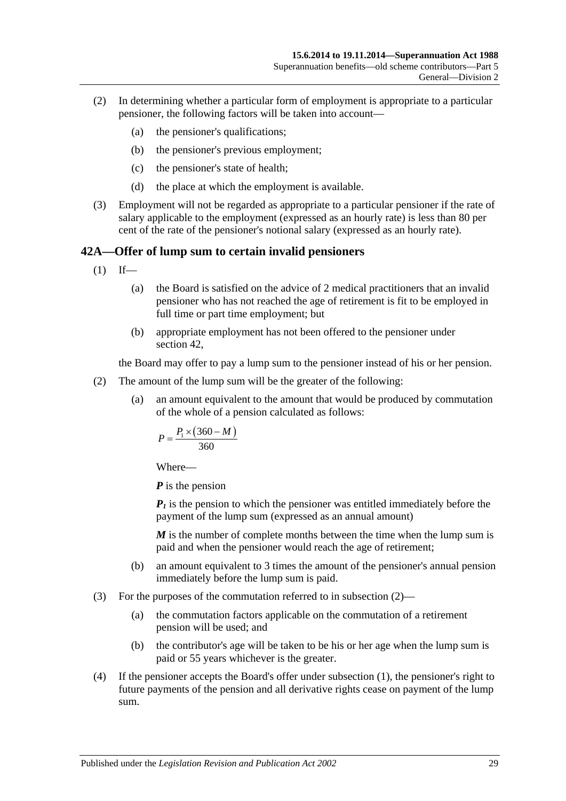- (2) In determining whether a particular form of employment is appropriate to a particular pensioner, the following factors will be taken into account—
	- (a) the pensioner's qualifications;
	- (b) the pensioner's previous employment;
	- (c) the pensioner's state of health;
	- (d) the place at which the employment is available.
- (3) Employment will not be regarded as appropriate to a particular pensioner if the rate of salary applicable to the employment (expressed as an hourly rate) is less than 80 per cent of the rate of the pensioner's notional salary (expressed as an hourly rate).

### <span id="page-84-1"></span>**42A—Offer of lump sum to certain invalid pensioners**

- $(1)$  If—
	- (a) the Board is satisfied on the advice of 2 medical practitioners that an invalid pensioner who has not reached the age of retirement is fit to be employed in full time or part time employment; but
	- (b) appropriate employment has not been offered to the pensioner under [section](#page-83-1) 42,

the Board may offer to pay a lump sum to the pensioner instead of his or her pension.

- <span id="page-84-0"></span>(2) The amount of the lump sum will be the greater of the following:
	- (a) an amount equivalent to the amount that would be produced by commutation of the whole of a pension calculated as follows:

$$
P = \frac{P_1 \times (360 - M)}{360}
$$

Where—

*P* is the pension

 $P_1$  is the pension to which the pensioner was entitled immediately before the payment of the lump sum (expressed as an annual amount)

*M* is the number of complete months between the time when the lump sum is paid and when the pensioner would reach the age of retirement;

- (b) an amount equivalent to 3 times the amount of the pensioner's annual pension immediately before the lump sum is paid.
- (3) For the purposes of the commutation referred to in [subsection](#page-84-0) (2)—
	- (a) the commutation factors applicable on the commutation of a retirement pension will be used; and
	- (b) the contributor's age will be taken to be his or her age when the lump sum is paid or 55 years whichever is the greater.
- (4) If the pensioner accepts the Board's offer under [subsection](#page-84-1) (1), the pensioner's right to future payments of the pension and all derivative rights cease on payment of the lump sum.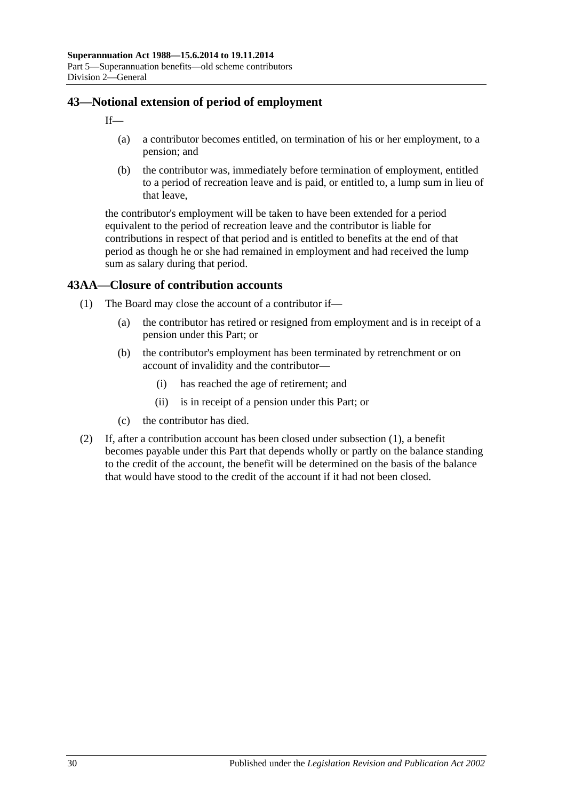## **43—Notional extension of period of employment**

 $If$ 

- (a) a contributor becomes entitled, on termination of his or her employment, to a pension; and
- (b) the contributor was, immediately before termination of employment, entitled to a period of recreation leave and is paid, or entitled to, a lump sum in lieu of that leave,

the contributor's employment will be taken to have been extended for a period equivalent to the period of recreation leave and the contributor is liable for contributions in respect of that period and is entitled to benefits at the end of that period as though he or she had remained in employment and had received the lump sum as salary during that period.

## <span id="page-85-0"></span>**43AA—Closure of contribution accounts**

- (1) The Board may close the account of a contributor if—
	- (a) the contributor has retired or resigned from employment and is in receipt of a pension under this Part; or
	- (b) the contributor's employment has been terminated by retrenchment or on account of invalidity and the contributor—
		- (i) has reached the age of retirement; and
		- (ii) is in receipt of a pension under this Part; or
	- (c) the contributor has died.
- (2) If, after a contribution account has been closed under [subsection](#page-85-0) (1), a benefit becomes payable under this Part that depends wholly or partly on the balance standing to the credit of the account, the benefit will be determined on the basis of the balance that would have stood to the credit of the account if it had not been closed.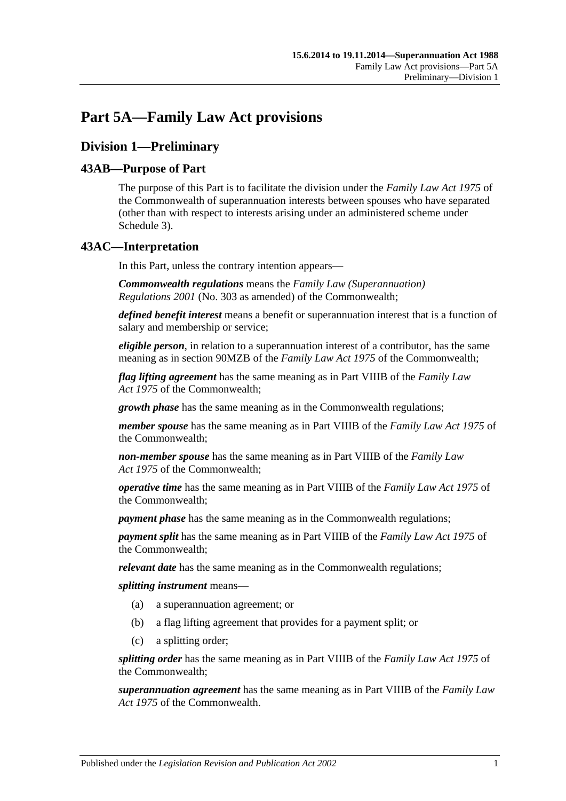# **Part 5A—Family Law Act provisions**

## **Division 1—Preliminary**

## **43AB—Purpose of Part**

The purpose of this Part is to facilitate the division under the *Family Law Act 1975* of the Commonwealth of superannuation interests between spouses who have separated (other than with respect to interests arising under an administered scheme under [Schedule 3\)](#page-130-0).

## **43AC—Interpretation**

In this Part, unless the contrary intention appears—

*Commonwealth regulations* means the *Family Law (Superannuation) Regulations 2001* (No. 303 as amended) of the Commonwealth;

*defined benefit interest* means a benefit or superannuation interest that is a function of salary and membership or service;

*eligible person*, in relation to a superannuation interest of a contributor, has the same meaning as in section 90MZB of the *Family Law Act 1975* of the Commonwealth;

*flag lifting agreement* has the same meaning as in Part VIIIB of the *Family Law Act 1975* of the Commonwealth;

*growth phase* has the same meaning as in the Commonwealth regulations;

*member spouse* has the same meaning as in Part VIIIB of the *Family Law Act 1975* of the Commonwealth;

*non-member spouse* has the same meaning as in Part VIIIB of the *Family Law Act 1975* of the Commonwealth;

*operative time* has the same meaning as in Part VIIIB of the *Family Law Act 1975* of the Commonwealth;

*payment phase* has the same meaning as in the Commonwealth regulations;

*payment split* has the same meaning as in Part VIIIB of the *Family Law Act 1975* of the Commonwealth;

*relevant date* has the same meaning as in the Commonwealth regulations;

*splitting instrument* means—

- (a) a superannuation agreement; or
- (b) a flag lifting agreement that provides for a payment split; or
- (c) a splitting order;

*splitting order* has the same meaning as in Part VIIIB of the *Family Law Act 1975* of the Commonwealth;

*superannuation agreement* has the same meaning as in Part VIIIB of the *Family Law Act 1975* of the Commonwealth.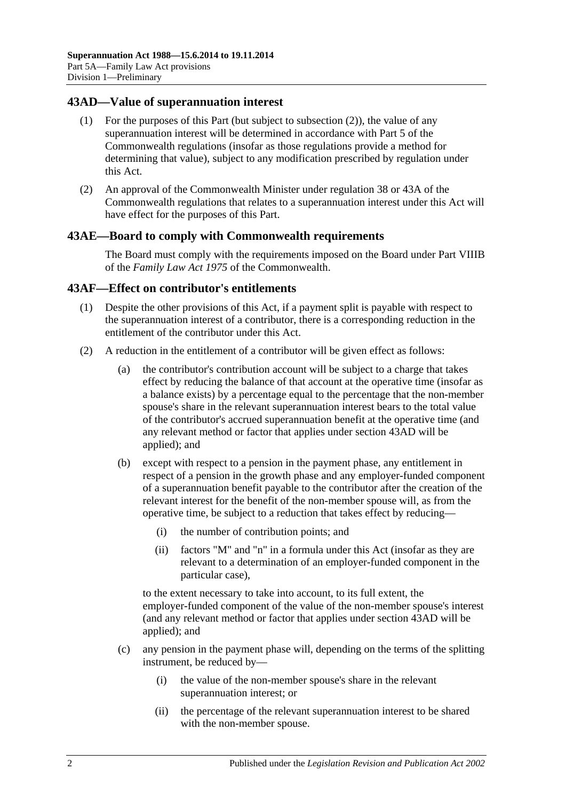### <span id="page-87-1"></span>**43AD—Value of superannuation interest**

- (1) For the purposes of this Part (but subject to [subsection](#page-87-0) (2)), the value of any superannuation interest will be determined in accordance with Part 5 of the Commonwealth regulations (insofar as those regulations provide a method for determining that value), subject to any modification prescribed by regulation under this Act.
- <span id="page-87-0"></span>(2) An approval of the Commonwealth Minister under regulation 38 or 43A of the Commonwealth regulations that relates to a superannuation interest under this Act will have effect for the purposes of this Part.

#### **43AE—Board to comply with Commonwealth requirements**

The Board must comply with the requirements imposed on the Board under Part VIIIB of the *Family Law Act 1975* of the Commonwealth.

#### **43AF—Effect on contributor's entitlements**

- (1) Despite the other provisions of this Act, if a payment split is payable with respect to the superannuation interest of a contributor, there is a corresponding reduction in the entitlement of the contributor under this Act.
- <span id="page-87-2"></span>(2) A reduction in the entitlement of a contributor will be given effect as follows:
	- (a) the contributor's contribution account will be subject to a charge that takes effect by reducing the balance of that account at the operative time (insofar as a balance exists) by a percentage equal to the percentage that the non-member spouse's share in the relevant superannuation interest bears to the total value of the contributor's accrued superannuation benefit at the operative time (and any relevant method or factor that applies under [section](#page-87-1) 43AD will be applied); and
	- (b) except with respect to a pension in the payment phase, any entitlement in respect of a pension in the growth phase and any employer-funded component of a superannuation benefit payable to the contributor after the creation of the relevant interest for the benefit of the non-member spouse will, as from the operative time, be subject to a reduction that takes effect by reducing—
		- (i) the number of contribution points; and
		- (ii) factors "M" and "n" in a formula under this Act (insofar as they are relevant to a determination of an employer-funded component in the particular case),

to the extent necessary to take into account, to its full extent, the employer-funded component of the value of the non-member spouse's interest (and any relevant method or factor that applies under [section](#page-87-1) 43AD will be applied); and

- (c) any pension in the payment phase will, depending on the terms of the splitting instrument, be reduced by—
	- (i) the value of the non-member spouse's share in the relevant superannuation interest; or
	- (ii) the percentage of the relevant superannuation interest to be shared with the non-member spouse.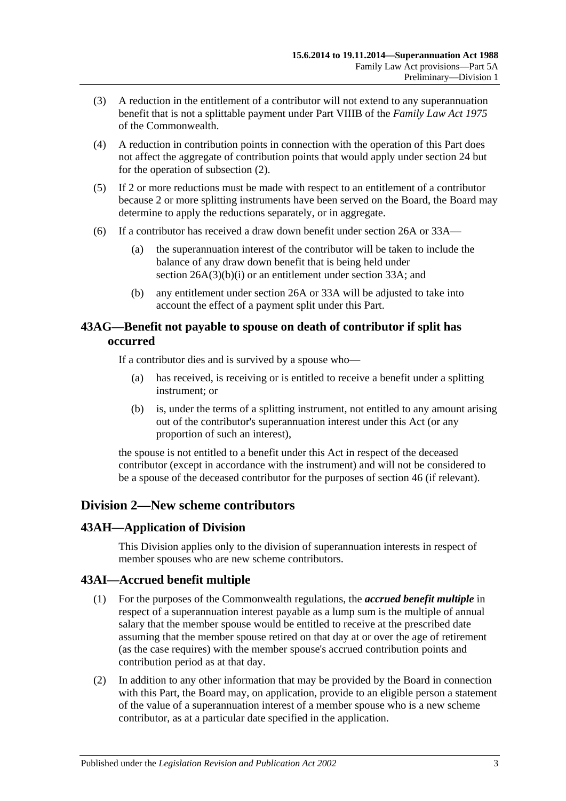- (3) A reduction in the entitlement of a contributor will not extend to any superannuation benefit that is not a splittable payment under Part VIIIB of the *Family Law Act 1975* of the Commonwealth.
- (4) A reduction in contribution points in connection with the operation of this Part does not affect the aggregate of contribution points that would apply under [section](#page-28-0) 24 but for the operation of [subsection](#page-87-2) (2).
- (5) If 2 or more reductions must be made with respect to an entitlement of a contributor because 2 or more splitting instruments have been served on the Board, the Board may determine to apply the reductions separately, or in aggregate.
- (6) If a contributor has received a draw down benefit under [section](#page-30-0) 26A or [33A—](#page-56-0)
	- (a) the superannuation interest of the contributor will be taken to include the balance of any draw down benefit that is being held under section [26A\(3\)\(b\)\(i\)](#page-31-0) or an entitlement under [section](#page-56-0) 33A; and
	- (b) any entitlement under [section](#page-30-0) 26A or [33A](#page-56-0) will be adjusted to take into account the effect of a payment split under this Part.

## **43AG—Benefit not payable to spouse on death of contributor if split has occurred**

If a contributor dies and is survived by a spouse who—

- (a) has received, is receiving or is entitled to receive a benefit under a splitting instrument; or
- (b) is, under the terms of a splitting instrument, not entitled to any amount arising out of the contributor's superannuation interest under this Act (or any proportion of such an interest),

the spouse is not entitled to a benefit under this Act in respect of the deceased contributor (except in accordance with the instrument) and will not be considered to be a spouse of the deceased contributor for the purposes of [section](#page-96-0) 46 (if relevant).

## **Division 2—New scheme contributors**

## **43AH—Application of Division**

This Division applies only to the division of superannuation interests in respect of member spouses who are new scheme contributors.

## **43AI—Accrued benefit multiple**

- (1) For the purposes of the Commonwealth regulations, the *accrued benefit multiple* in respect of a superannuation interest payable as a lump sum is the multiple of annual salary that the member spouse would be entitled to receive at the prescribed date assuming that the member spouse retired on that day at or over the age of retirement (as the case requires) with the member spouse's accrued contribution points and contribution period as at that day.
- (2) In addition to any other information that may be provided by the Board in connection with this Part, the Board may, on application, provide to an eligible person a statement of the value of a superannuation interest of a member spouse who is a new scheme contributor, as at a particular date specified in the application.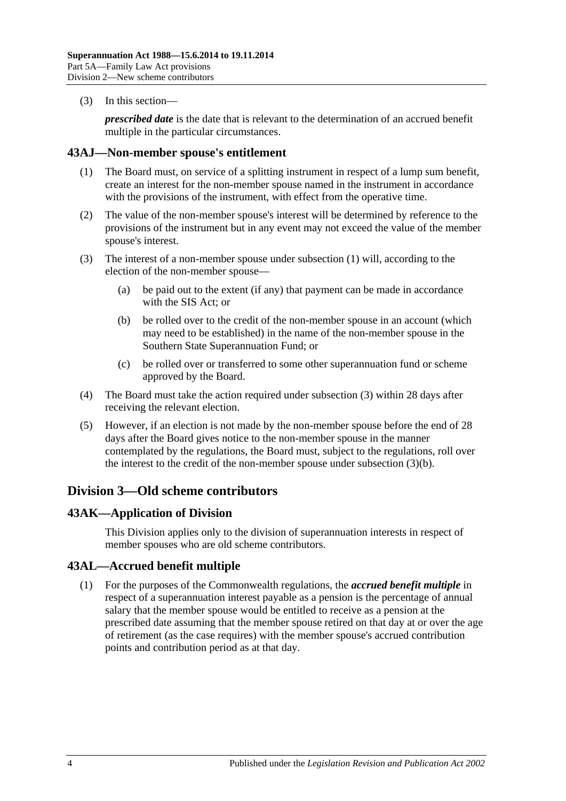(3) In this section—

*prescribed date* is the date that is relevant to the determination of an accrued benefit multiple in the particular circumstances.

#### <span id="page-89-0"></span>**43AJ—Non-member spouse's entitlement**

- (1) The Board must, on service of a splitting instrument in respect of a lump sum benefit, create an interest for the non-member spouse named in the instrument in accordance with the provisions of the instrument, with effect from the operative time.
- (2) The value of the non-member spouse's interest will be determined by reference to the provisions of the instrument but in any event may not exceed the value of the member spouse's interest.
- <span id="page-89-2"></span><span id="page-89-1"></span>(3) The interest of a non-member spouse under [subsection](#page-89-0) (1) will, according to the election of the non-member spouse—
	- (a) be paid out to the extent (if any) that payment can be made in accordance with the SIS Act; or
	- (b) be rolled over to the credit of the non-member spouse in an account (which may need to be established) in the name of the non-member spouse in the Southern State Superannuation Fund; or
	- (c) be rolled over or transferred to some other superannuation fund or scheme approved by the Board.
- (4) The Board must take the action required under [subsection](#page-89-1) (3) within 28 days after receiving the relevant election.
- (5) However, if an election is not made by the non-member spouse before the end of 28 days after the Board gives notice to the non-member spouse in the manner contemplated by the regulations, the Board must, subject to the regulations, roll over the interest to the credit of the non-member spouse under [subsection](#page-89-2) (3)(b).

## **Division 3—Old scheme contributors**

## **43AK—Application of Division**

This Division applies only to the division of superannuation interests in respect of member spouses who are old scheme contributors.

## **43AL—Accrued benefit multiple**

(1) For the purposes of the Commonwealth regulations, the *accrued benefit multiple* in respect of a superannuation interest payable as a pension is the percentage of annual salary that the member spouse would be entitled to receive as a pension at the prescribed date assuming that the member spouse retired on that day at or over the age of retirement (as the case requires) with the member spouse's accrued contribution points and contribution period as at that day.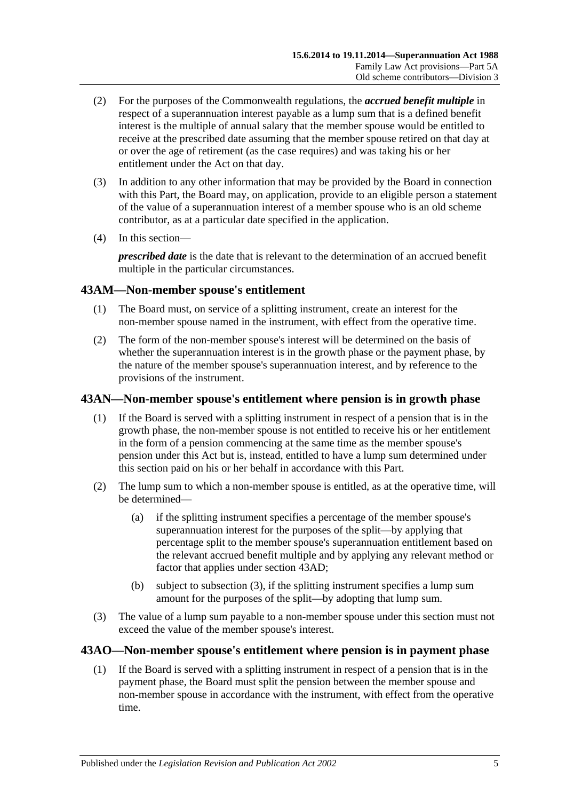- (2) For the purposes of the Commonwealth regulations, the *accrued benefit multiple* in respect of a superannuation interest payable as a lump sum that is a defined benefit interest is the multiple of annual salary that the member spouse would be entitled to receive at the prescribed date assuming that the member spouse retired on that day at or over the age of retirement (as the case requires) and was taking his or her entitlement under the Act on that day.
- (3) In addition to any other information that may be provided by the Board in connection with this Part, the Board may, on application, provide to an eligible person a statement of the value of a superannuation interest of a member spouse who is an old scheme contributor, as at a particular date specified in the application.
- (4) In this section—

*prescribed date* is the date that is relevant to the determination of an accrued benefit multiple in the particular circumstances.

## **43AM—Non-member spouse's entitlement**

- (1) The Board must, on service of a splitting instrument, create an interest for the non-member spouse named in the instrument, with effect from the operative time.
- (2) The form of the non-member spouse's interest will be determined on the basis of whether the superannuation interest is in the growth phase or the payment phase, by the nature of the member spouse's superannuation interest, and by reference to the provisions of the instrument.

## **43AN—Non-member spouse's entitlement where pension is in growth phase**

- (1) If the Board is served with a splitting instrument in respect of a pension that is in the growth phase, the non-member spouse is not entitled to receive his or her entitlement in the form of a pension commencing at the same time as the member spouse's pension under this Act but is, instead, entitled to have a lump sum determined under this section paid on his or her behalf in accordance with this Part.
- (2) The lump sum to which a non-member spouse is entitled, as at the operative time, will be determined—
	- (a) if the splitting instrument specifies a percentage of the member spouse's superannuation interest for the purposes of the split—by applying that percentage split to the member spouse's superannuation entitlement based on the relevant accrued benefit multiple and by applying any relevant method or factor that applies under [section](#page-87-1) 43AD;
	- (b) subject to [subsection](#page-90-0) (3), if the splitting instrument specifies a lump sum amount for the purposes of the split—by adopting that lump sum.
- <span id="page-90-0"></span>(3) The value of a lump sum payable to a non-member spouse under this section must not exceed the value of the member spouse's interest.

## <span id="page-90-1"></span>**43AO—Non-member spouse's entitlement where pension is in payment phase**

(1) If the Board is served with a splitting instrument in respect of a pension that is in the payment phase, the Board must split the pension between the member spouse and non-member spouse in accordance with the instrument, with effect from the operative time.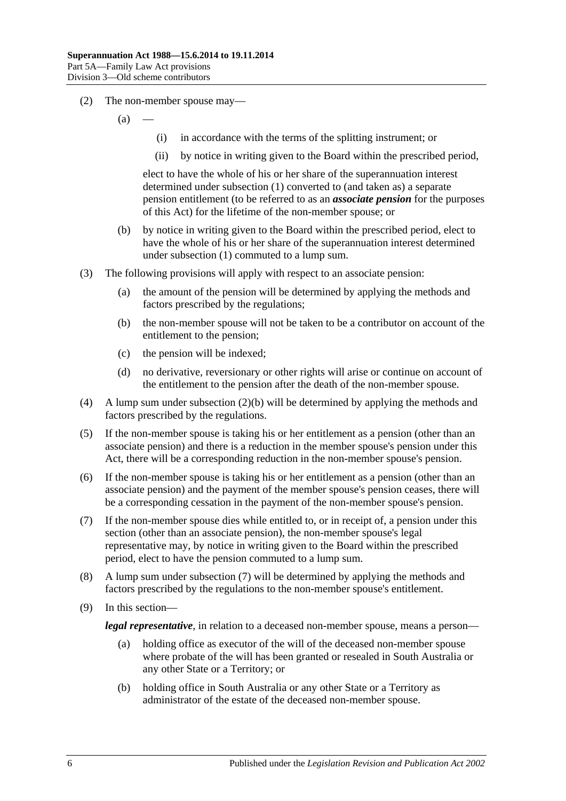- (2) The non-member spouse may—
	- $(a)$
- (i) in accordance with the terms of the splitting instrument; or
- (ii) by notice in writing given to the Board within the prescribed period,

elect to have the whole of his or her share of the superannuation interest determined under [subsection](#page-90-1) (1) converted to (and taken as) a separate pension entitlement (to be referred to as an *associate pension* for the purposes of this Act) for the lifetime of the non-member spouse; or

- <span id="page-91-0"></span>(b) by notice in writing given to the Board within the prescribed period, elect to have the whole of his or her share of the superannuation interest determined under [subsection](#page-90-1) (1) commuted to a lump sum.
- (3) The following provisions will apply with respect to an associate pension:
	- (a) the amount of the pension will be determined by applying the methods and factors prescribed by the regulations;
	- (b) the non-member spouse will not be taken to be a contributor on account of the entitlement to the pension;
	- (c) the pension will be indexed;
	- (d) no derivative, reversionary or other rights will arise or continue on account of the entitlement to the pension after the death of the non-member spouse.
- (4) A lump sum under [subsection](#page-91-0) (2)(b) will be determined by applying the methods and factors prescribed by the regulations.
- (5) If the non-member spouse is taking his or her entitlement as a pension (other than an associate pension) and there is a reduction in the member spouse's pension under this Act, there will be a corresponding reduction in the non-member spouse's pension.
- (6) If the non-member spouse is taking his or her entitlement as a pension (other than an associate pension) and the payment of the member spouse's pension ceases, there will be a corresponding cessation in the payment of the non-member spouse's pension.
- <span id="page-91-1"></span>(7) If the non-member spouse dies while entitled to, or in receipt of, a pension under this section (other than an associate pension), the non-member spouse's legal representative may, by notice in writing given to the Board within the prescribed period, elect to have the pension commuted to a lump sum.
- (8) A lump sum under [subsection](#page-91-1) (7) will be determined by applying the methods and factors prescribed by the regulations to the non-member spouse's entitlement.
- (9) In this section—

*legal representative*, in relation to a deceased non-member spouse, means a person—

- (a) holding office as executor of the will of the deceased non-member spouse where probate of the will has been granted or resealed in South Australia or any other State or a Territory; or
- (b) holding office in South Australia or any other State or a Territory as administrator of the estate of the deceased non-member spouse.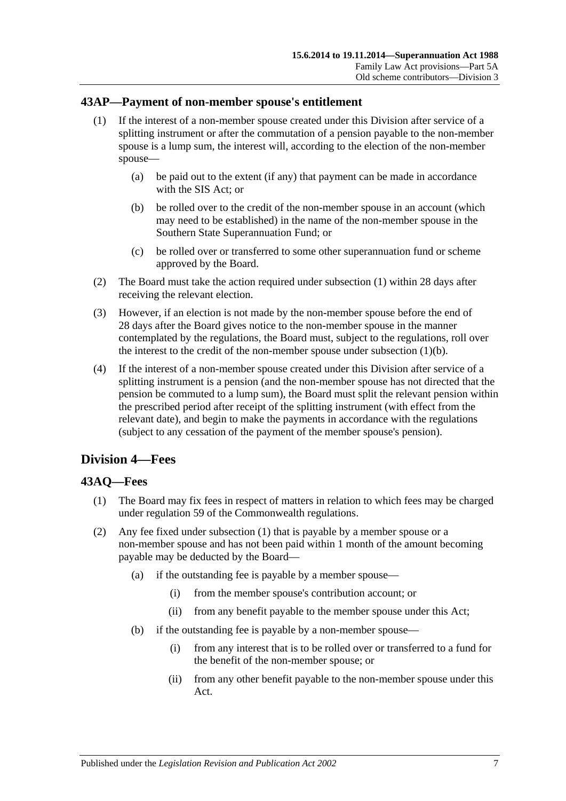## <span id="page-92-0"></span>**43AP—Payment of non-member spouse's entitlement**

- (1) If the interest of a non-member spouse created under this Division after service of a splitting instrument or after the commutation of a pension payable to the non-member spouse is a lump sum, the interest will, according to the election of the non-member spouse—
	- (a) be paid out to the extent (if any) that payment can be made in accordance with the SIS Act; or
	- (b) be rolled over to the credit of the non-member spouse in an account (which may need to be established) in the name of the non-member spouse in the Southern State Superannuation Fund; or
	- (c) be rolled over or transferred to some other superannuation fund or scheme approved by the Board.
- <span id="page-92-1"></span>(2) The Board must take the action required under [subsection](#page-92-0) (1) within 28 days after receiving the relevant election.
- (3) However, if an election is not made by the non-member spouse before the end of 28 days after the Board gives notice to the non-member spouse in the manner contemplated by the regulations, the Board must, subject to the regulations, roll over the interest to the credit of the non-member spouse under [subsection](#page-92-1)  $(1)(b)$ .
- (4) If the interest of a non-member spouse created under this Division after service of a splitting instrument is a pension (and the non-member spouse has not directed that the pension be commuted to a lump sum), the Board must split the relevant pension within the prescribed period after receipt of the splitting instrument (with effect from the relevant date), and begin to make the payments in accordance with the regulations (subject to any cessation of the payment of the member spouse's pension).

## **Division 4—Fees**

## <span id="page-92-2"></span>**43AQ—Fees**

- (1) The Board may fix fees in respect of matters in relation to which fees may be charged under regulation 59 of the Commonwealth regulations.
- (2) Any fee fixed under [subsection](#page-92-2) (1) that is payable by a member spouse or a non-member spouse and has not been paid within 1 month of the amount becoming payable may be deducted by the Board—
	- (a) if the outstanding fee is payable by a member spouse—
		- (i) from the member spouse's contribution account; or
		- (ii) from any benefit payable to the member spouse under this Act;
	- (b) if the outstanding fee is payable by a non-member spouse—
		- (i) from any interest that is to be rolled over or transferred to a fund for the benefit of the non-member spouse; or
		- (ii) from any other benefit payable to the non-member spouse under this Act.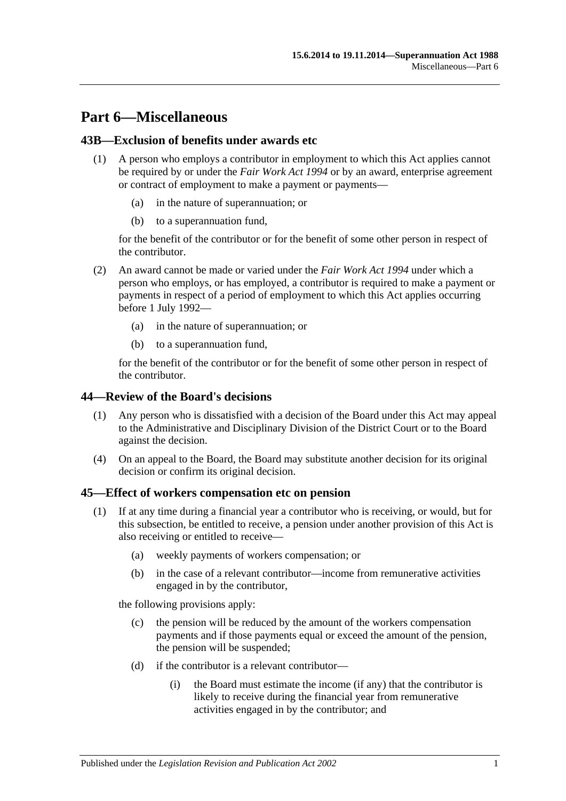# **Part 6—Miscellaneous**

### **43B—Exclusion of benefits under awards etc**

- (1) A person who employs a contributor in employment to which this Act applies cannot be required by or under the *[Fair Work Act](http://www.legislation.sa.gov.au/index.aspx?action=legref&type=act&legtitle=Fair%20Work%20Act%201994) 1994* or by an award, enterprise agreement or contract of employment to make a payment or payments—
	- (a) in the nature of superannuation; or
	- (b) to a superannuation fund,

for the benefit of the contributor or for the benefit of some other person in respect of the contributor.

- (2) An award cannot be made or varied under the *[Fair Work Act](http://www.legislation.sa.gov.au/index.aspx?action=legref&type=act&legtitle=Fair%20Work%20Act%201994) 1994* under which a person who employs, or has employed, a contributor is required to make a payment or payments in respect of a period of employment to which this Act applies occurring before 1 July 1992—
	- (a) in the nature of superannuation; or
	- (b) to a superannuation fund,

for the benefit of the contributor or for the benefit of some other person in respect of the contributor.

#### **44—Review of the Board's decisions**

- (1) Any person who is dissatisfied with a decision of the Board under this Act may appeal to the Administrative and Disciplinary Division of the District Court or to the Board against the decision.
- (4) On an appeal to the Board, the Board may substitute another decision for its original decision or confirm its original decision.

#### <span id="page-94-2"></span><span id="page-94-0"></span>**45—Effect of workers compensation etc on pension**

- <span id="page-94-1"></span>(1) If at any time during a financial year a contributor who is receiving, or would, but for this subsection, be entitled to receive, a pension under another provision of this Act is also receiving or entitled to receive—
	- (a) weekly payments of workers compensation; or
	- (b) in the case of a relevant contributor—income from remunerative activities engaged in by the contributor,

the following provisions apply:

- (c) the pension will be reduced by the amount of the workers compensation payments and if those payments equal or exceed the amount of the pension, the pension will be suspended;
- (d) if the contributor is a relevant contributor—
	- (i) the Board must estimate the income (if any) that the contributor is likely to receive during the financial year from remunerative activities engaged in by the contributor; and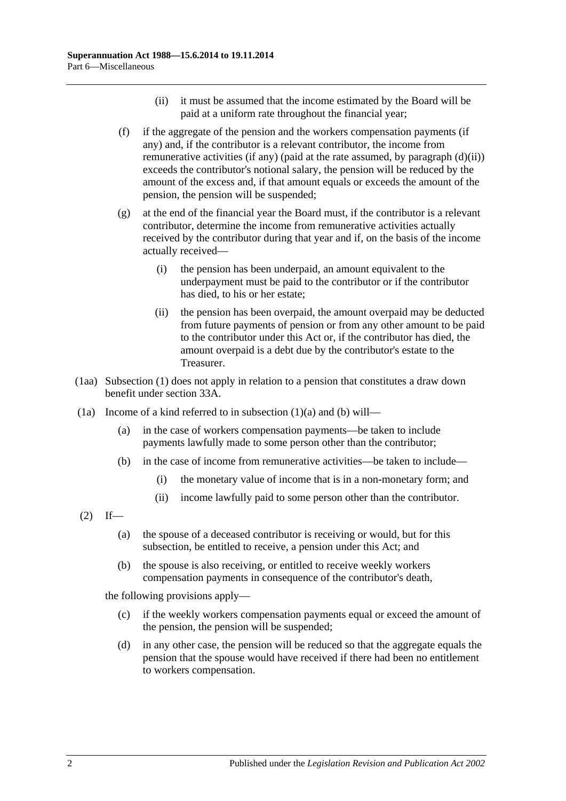- (ii) it must be assumed that the income estimated by the Board will be paid at a uniform rate throughout the financial year;
- <span id="page-95-2"></span><span id="page-95-0"></span>(f) if the aggregate of the pension and the workers compensation payments (if any) and, if the contributor is a relevant contributor, the income from remunerative activities (if any) (paid at the rate assumed, by [paragraph](#page-95-0) (d)(ii)) exceeds the contributor's notional salary, the pension will be reduced by the amount of the excess and, if that amount equals or exceeds the amount of the pension, the pension will be suspended;
- (g) at the end of the financial year the Board must, if the contributor is a relevant contributor, determine the income from remunerative activities actually received by the contributor during that year and if, on the basis of the income actually received—
	- (i) the pension has been underpaid, an amount equivalent to the underpayment must be paid to the contributor or if the contributor has died, to his or her estate;
	- (ii) the pension has been overpaid, the amount overpaid may be deducted from future payments of pension or from any other amount to be paid to the contributor under this Act or, if the contributor has died, the amount overpaid is a debt due by the contributor's estate to the Treasurer.
- (1aa) [Subsection](#page-94-0) (1) does not apply in relation to a pension that constitutes a draw down benefit under [section](#page-56-0) 33A.
- <span id="page-95-1"></span>(1a) Income of a kind referred to in [subsection](#page-94-1)  $(1)(a)$  and  $(b)$  will—
	- (a) in the case of workers compensation payments—be taken to include payments lawfully made to some person other than the contributor;
	- (b) in the case of income from remunerative activities—be taken to include—
		- (i) the monetary value of income that is in a non-monetary form; and
		- (ii) income lawfully paid to some person other than the contributor.
- $(2)$  If—
	- (a) the spouse of a deceased contributor is receiving or would, but for this subsection, be entitled to receive, a pension under this Act; and
	- (b) the spouse is also receiving, or entitled to receive weekly workers compensation payments in consequence of the contributor's death,

the following provisions apply—

- (c) if the weekly workers compensation payments equal or exceed the amount of the pension, the pension will be suspended;
- (d) in any other case, the pension will be reduced so that the aggregate equals the pension that the spouse would have received if there had been no entitlement to workers compensation.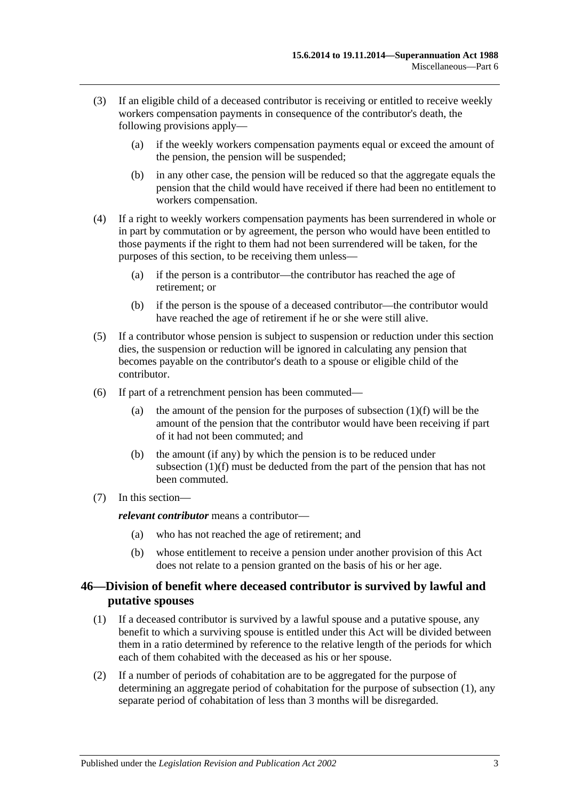- (3) If an eligible child of a deceased contributor is receiving or entitled to receive weekly workers compensation payments in consequence of the contributor's death, the following provisions apply—
	- (a) if the weekly workers compensation payments equal or exceed the amount of the pension, the pension will be suspended;
	- (b) in any other case, the pension will be reduced so that the aggregate equals the pension that the child would have received if there had been no entitlement to workers compensation.
- (4) If a right to weekly workers compensation payments has been surrendered in whole or in part by commutation or by agreement, the person who would have been entitled to those payments if the right to them had not been surrendered will be taken, for the purposes of this section, to be receiving them unless—
	- (a) if the person is a contributor—the contributor has reached the age of retirement; or
	- (b) if the person is the spouse of a deceased contributor—the contributor would have reached the age of retirement if he or she were still alive.
- (5) If a contributor whose pension is subject to suspension or reduction under this section dies, the suspension or reduction will be ignored in calculating any pension that becomes payable on the contributor's death to a spouse or eligible child of the contributor.
- (6) If part of a retrenchment pension has been commuted
	- (a) the amount of the pension for the purposes of [subsection](#page-95-2)  $(1)(f)$  will be the amount of the pension that the contributor would have been receiving if part of it had not been commuted; and
	- (b) the amount (if any) by which the pension is to be reduced under [subsection](#page-95-2) (1)(f) must be deducted from the part of the pension that has not been commuted.
- (7) In this section—

*relevant contributor* means a contributor—

- (a) who has not reached the age of retirement; and
- (b) whose entitlement to receive a pension under another provision of this Act does not relate to a pension granted on the basis of his or her age.

## <span id="page-96-0"></span>**46—Division of benefit where deceased contributor is survived by lawful and putative spouses**

- <span id="page-96-1"></span>(1) If a deceased contributor is survived by a lawful spouse and a putative spouse, any benefit to which a surviving spouse is entitled under this Act will be divided between them in a ratio determined by reference to the relative length of the periods for which each of them cohabited with the deceased as his or her spouse.
- (2) If a number of periods of cohabitation are to be aggregated for the purpose of determining an aggregate period of cohabitation for the purpose of [subsection](#page-96-1) (1), any separate period of cohabitation of less than 3 months will be disregarded.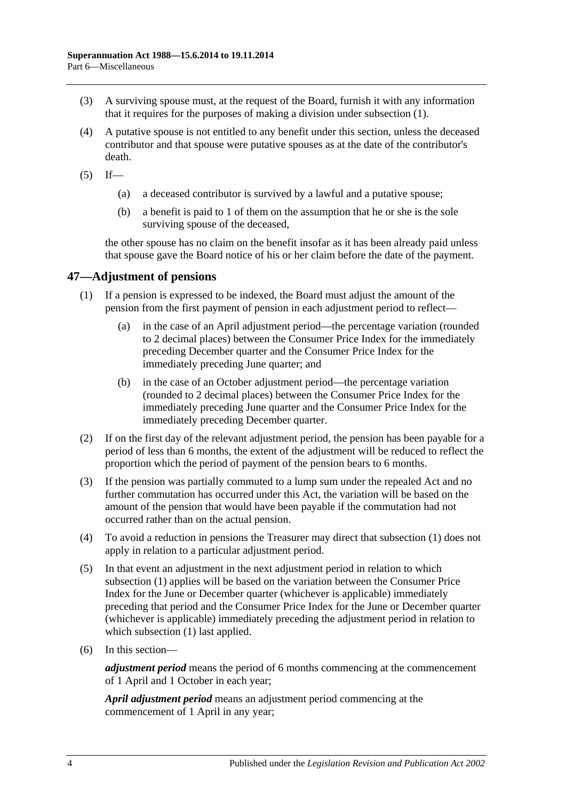- (3) A surviving spouse must, at the request of the Board, furnish it with any information that it requires for the purposes of making a division under [subsection](#page-96-1) (1).
- (4) A putative spouse is not entitled to any benefit under this section, unless the deceased contributor and that spouse were putative spouses as at the date of the contributor's death.
- $(5)$  If—
	- (a) a deceased contributor is survived by a lawful and a putative spouse;
	- (b) a benefit is paid to 1 of them on the assumption that he or she is the sole surviving spouse of the deceased,

the other spouse has no claim on the benefit insofar as it has been already paid unless that spouse gave the Board notice of his or her claim before the date of the payment.

## <span id="page-97-1"></span>**47—Adjustment of pensions**

- (1) If a pension is expressed to be indexed, the Board must adjust the amount of the pension from the first payment of pension in each adjustment period to reflect—
	- (a) in the case of an April adjustment period—the percentage variation (rounded to 2 decimal places) between the Consumer Price Index for the immediately preceding December quarter and the Consumer Price Index for the immediately preceding June quarter; and
	- (b) in the case of an October adjustment period—the percentage variation (rounded to 2 decimal places) between the Consumer Price Index for the immediately preceding June quarter and the Consumer Price Index for the immediately preceding December quarter.
- (2) If on the first day of the relevant adjustment period, the pension has been payable for a period of less than 6 months, the extent of the adjustment will be reduced to reflect the proportion which the period of payment of the pension bears to 6 months.
- <span id="page-97-0"></span>(3) If the pension was partially commuted to a lump sum under the repealed Act and no further commutation has occurred under this Act, the variation will be based on the amount of the pension that would have been payable if the commutation had not occurred rather than on the actual pension.
- (4) To avoid a reduction in pensions the Treasurer may direct that [subsection](#page-97-1) (1) does not apply in relation to a particular adjustment period.
- (5) In that event an adjustment in the next adjustment period in relation to which [subsection](#page-97-1) (1) applies will be based on the variation between the Consumer Price Index for the June or December quarter (whichever is applicable) immediately preceding that period and the Consumer Price Index for the June or December quarter (whichever is applicable) immediately preceding the adjustment period in relation to which [subsection](#page-97-1) (1) last applied.
- (6) In this section—

*adjustment period* means the period of 6 months commencing at the commencement of 1 April and 1 October in each year;

*April adjustment period* means an adjustment period commencing at the commencement of 1 April in any year;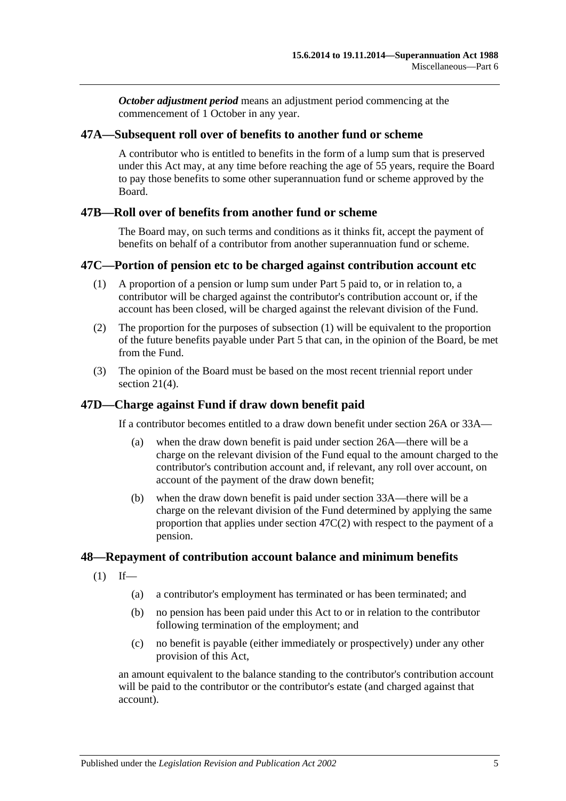*October adjustment period* means an adjustment period commencing at the commencement of 1 October in any year.

### **47A—Subsequent roll over of benefits to another fund or scheme**

A contributor who is entitled to benefits in the form of a lump sum that is preserved under this Act may, at any time before reaching the age of 55 years, require the Board to pay those benefits to some other superannuation fund or scheme approved by the Board.

### **47B—Roll over of benefits from another fund or scheme**

The Board may, on such terms and conditions as it thinks fit, accept the payment of benefits on behalf of a contributor from another superannuation fund or scheme.

#### <span id="page-98-0"></span>**47C—Portion of pension etc to be charged against contribution account etc**

- (1) A proportion of a pension or lump sum under [Part 5](#page-56-1) paid to, or in relation to, a contributor will be charged against the contributor's contribution account or, if the account has been closed, will be charged against the relevant division of the Fund.
- <span id="page-98-1"></span>(2) The proportion for the purposes of [subsection](#page-98-0) (1) will be equivalent to the proportion of the future benefits payable under [Part](#page-56-1) 5 that can, in the opinion of the Board, be met from the Fund.
- (3) The opinion of the Board must be based on the most recent triennial report under [section](#page-23-0) 21(4).

## **47D—Charge against Fund if draw down benefit paid**

If a contributor becomes entitled to a draw down benefit under [section](#page-30-0) 26A or [33A—](#page-56-0)

- (a) when the draw down benefit is paid under [section](#page-30-0) 26A—there will be a charge on the relevant division of the Fund equal to the amount charged to the contributor's contribution account and, if relevant, any roll over account, on account of the payment of the draw down benefit;
- (b) when the draw down benefit is paid under [section](#page-56-0) 33A—there will be a charge on the relevant division of the Fund determined by applying the same proportion that applies under [section](#page-98-1) 47C(2) with respect to the payment of a pension.

#### **48—Repayment of contribution account balance and minimum benefits**

- $(1)$  If—
	- (a) a contributor's employment has terminated or has been terminated; and
	- (b) no pension has been paid under this Act to or in relation to the contributor following termination of the employment; and
	- (c) no benefit is payable (either immediately or prospectively) under any other provision of this Act,

an amount equivalent to the balance standing to the contributor's contribution account will be paid to the contributor or the contributor's estate (and charged against that account).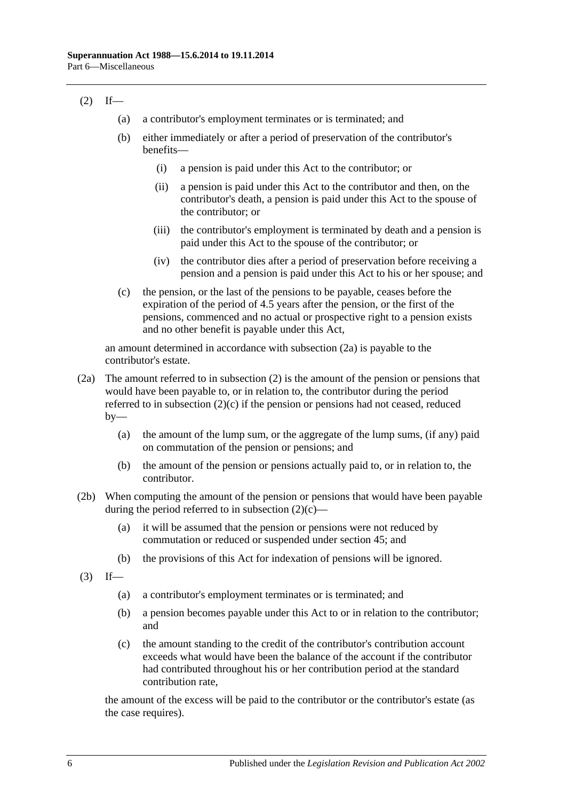## <span id="page-99-1"></span> $(2)$  If—

- (a) a contributor's employment terminates or is terminated; and
- (b) either immediately or after a period of preservation of the contributor's benefits—
	- (i) a pension is paid under this Act to the contributor; or
	- (ii) a pension is paid under this Act to the contributor and then, on the contributor's death, a pension is paid under this Act to the spouse of the contributor; or
	- (iii) the contributor's employment is terminated by death and a pension is paid under this Act to the spouse of the contributor; or
	- (iv) the contributor dies after a period of preservation before receiving a pension and a pension is paid under this Act to his or her spouse; and
- <span id="page-99-2"></span>(c) the pension, or the last of the pensions to be payable, ceases before the expiration of the period of 4.5 years after the pension, or the first of the pensions, commenced and no actual or prospective right to a pension exists and no other benefit is payable under this Act,

an amount determined in accordance with [subsection](#page-99-0) (2a) is payable to the contributor's estate.

- <span id="page-99-0"></span>(2a) The amount referred to in [subsection](#page-99-1) (2) is the amount of the pension or pensions that would have been payable to, or in relation to, the contributor during the period referred to in [subsection](#page-99-2) (2)(c) if the pension or pensions had not ceased, reduced  $by-$ 
	- (a) the amount of the lump sum, or the aggregate of the lump sums, (if any) paid on commutation of the pension or pensions; and
	- (b) the amount of the pension or pensions actually paid to, or in relation to, the contributor.
- (2b) When computing the amount of the pension or pensions that would have been payable during the period referred to in [subsection](#page-99-2)  $(2)(c)$ —
	- (a) it will be assumed that the pension or pensions were not reduced by commutation or reduced or suspended under [section](#page-94-2) 45; and
	- (b) the provisions of this Act for indexation of pensions will be ignored.
- $(3)$  If—
	- (a) a contributor's employment terminates or is terminated; and
	- (b) a pension becomes payable under this Act to or in relation to the contributor; and
	- (c) the amount standing to the credit of the contributor's contribution account exceeds what would have been the balance of the account if the contributor had contributed throughout his or her contribution period at the standard contribution rate,

the amount of the excess will be paid to the contributor or the contributor's estate (as the case requires).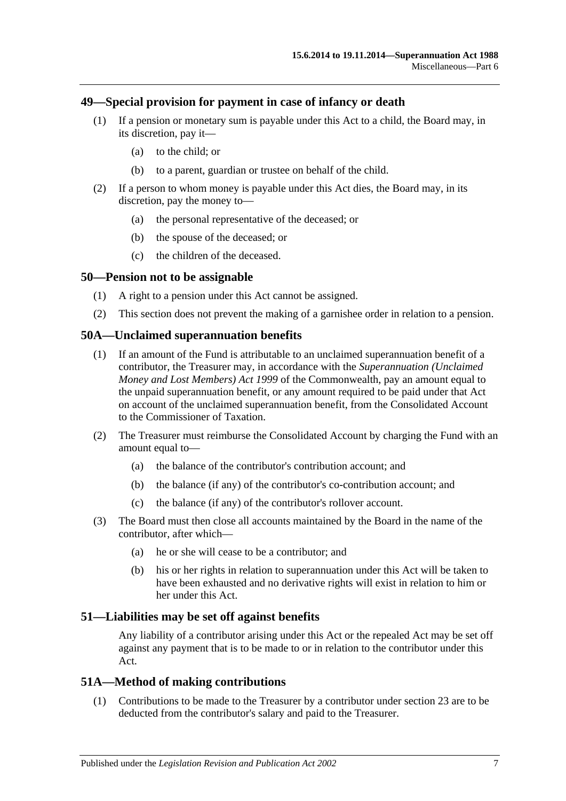### **49—Special provision for payment in case of infancy or death**

- (1) If a pension or monetary sum is payable under this Act to a child, the Board may, in its discretion, pay it—
	- (a) to the child; or
	- (b) to a parent, guardian or trustee on behalf of the child.
- (2) If a person to whom money is payable under this Act dies, the Board may, in its discretion, pay the money to—
	- (a) the personal representative of the deceased; or
	- (b) the spouse of the deceased; or
	- (c) the children of the deceased.

#### **50—Pension not to be assignable**

- (1) A right to a pension under this Act cannot be assigned.
- (2) This section does not prevent the making of a garnishee order in relation to a pension.

#### **50A—Unclaimed superannuation benefits**

- (1) If an amount of the Fund is attributable to an unclaimed superannuation benefit of a contributor, the Treasurer may, in accordance with the *Superannuation (Unclaimed Money and Lost Members) Act 1999* of the Commonwealth, pay an amount equal to the unpaid superannuation benefit, or any amount required to be paid under that Act on account of the unclaimed superannuation benefit, from the Consolidated Account to the Commissioner of Taxation.
- (2) The Treasurer must reimburse the Consolidated Account by charging the Fund with an amount equal to—
	- (a) the balance of the contributor's contribution account; and
	- (b) the balance (if any) of the contributor's co-contribution account; and
	- (c) the balance (if any) of the contributor's rollover account.
- (3) The Board must then close all accounts maintained by the Board in the name of the contributor, after which—
	- (a) he or she will cease to be a contributor; and
	- (b) his or her rights in relation to superannuation under this Act will be taken to have been exhausted and no derivative rights will exist in relation to him or her under this Act.

#### **51—Liabilities may be set off against benefits**

Any liability of a contributor arising under this Act or the repealed Act may be set off against any payment that is to be made to or in relation to the contributor under this Act.

#### **51A—Method of making contributions**

(1) Contributions to be made to the Treasurer by a contributor under [section](#page-26-0) 23 are to be deducted from the contributor's salary and paid to the Treasurer.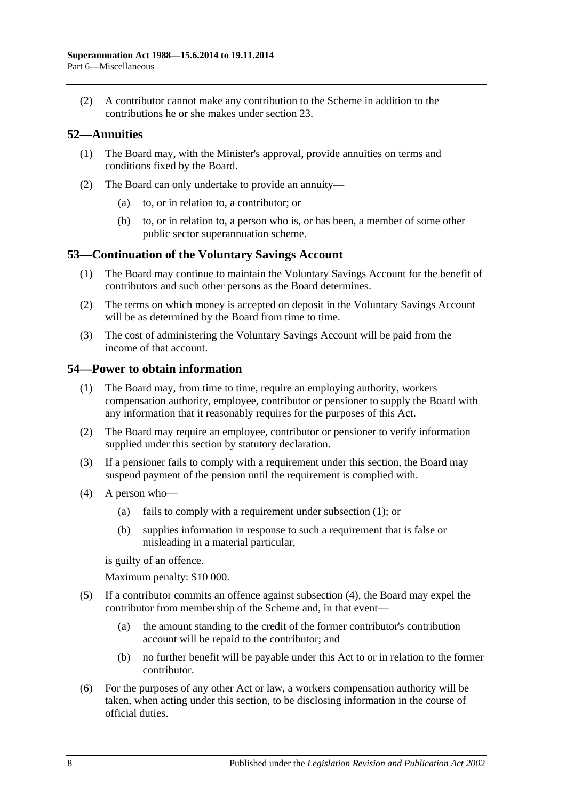(2) A contributor cannot make any contribution to the Scheme in addition to the contributions he or she makes under [section](#page-26-0) 23.

## **52—Annuities**

- (1) The Board may, with the Minister's approval, provide annuities on terms and conditions fixed by the Board.
- (2) The Board can only undertake to provide an annuity—
	- (a) to, or in relation to, a contributor; or
	- (b) to, or in relation to, a person who is, or has been, a member of some other public sector superannuation scheme.

### **53—Continuation of the Voluntary Savings Account**

- (1) The Board may continue to maintain the Voluntary Savings Account for the benefit of contributors and such other persons as the Board determines.
- (2) The terms on which money is accepted on deposit in the Voluntary Savings Account will be as determined by the Board from time to time.
- (3) The cost of administering the Voluntary Savings Account will be paid from the income of that account.

### <span id="page-101-0"></span>**54—Power to obtain information**

- (1) The Board may, from time to time, require an employing authority, workers compensation authority, employee, contributor or pensioner to supply the Board with any information that it reasonably requires for the purposes of this Act.
- (2) The Board may require an employee, contributor or pensioner to verify information supplied under this section by statutory declaration.
- (3) If a pensioner fails to comply with a requirement under this section, the Board may suspend payment of the pension until the requirement is complied with.
- <span id="page-101-1"></span>(4) A person who—
	- (a) fails to comply with a requirement under [subsection](#page-101-0) (1); or
	- (b) supplies information in response to such a requirement that is false or misleading in a material particular,

is guilty of an offence.

Maximum penalty: \$10 000.

- (5) If a contributor commits an offence against [subsection](#page-101-1) (4), the Board may expel the contributor from membership of the Scheme and, in that event—
	- (a) the amount standing to the credit of the former contributor's contribution account will be repaid to the contributor; and
	- (b) no further benefit will be payable under this Act to or in relation to the former contributor.
- (6) For the purposes of any other Act or law, a workers compensation authority will be taken, when acting under this section, to be disclosing information in the course of official duties.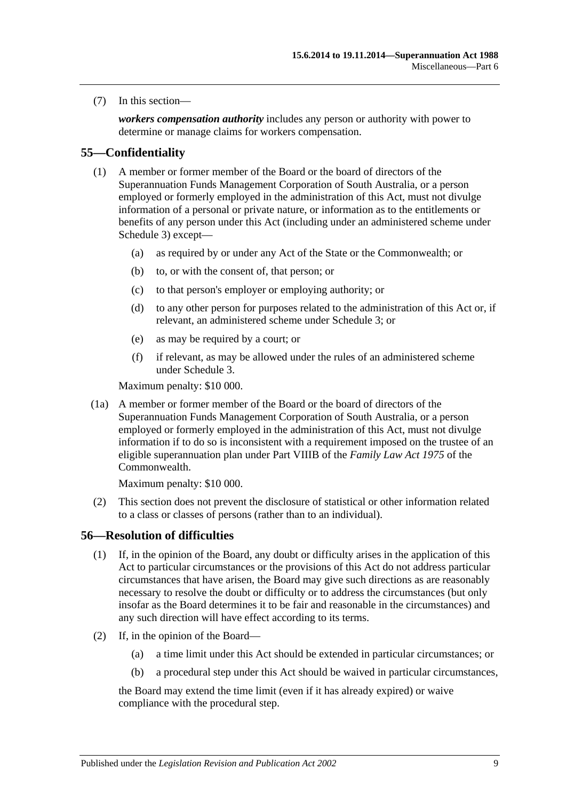(7) In this section—

*workers compensation authority* includes any person or authority with power to determine or manage claims for workers compensation.

### **55—Confidentiality**

- (1) A member or former member of the Board or the board of directors of the Superannuation Funds Management Corporation of South Australia, or a person employed or formerly employed in the administration of this Act, must not divulge information of a personal or private nature, or information as to the entitlements or benefits of any person under this Act (including under an administered scheme under [Schedule 3\)](#page-130-0) except—
	- (a) as required by or under any Act of the State or the Commonwealth; or
	- (b) to, or with the consent of, that person; or
	- (c) to that person's employer or employing authority; or
	- (d) to any other person for purposes related to the administration of this Act or, if relevant, an administered scheme under [Schedule 3;](#page-130-0) or
	- (e) as may be required by a court; or
	- (f) if relevant, as may be allowed under the rules of an administered scheme under [Schedule 3.](#page-130-0)

Maximum penalty: \$10 000.

(1a) A member or former member of the Board or the board of directors of the Superannuation Funds Management Corporation of South Australia, or a person employed or formerly employed in the administration of this Act, must not divulge information if to do so is inconsistent with a requirement imposed on the trustee of an eligible superannuation plan under Part VIIIB of the *Family Law Act 1975* of the Commonwealth.

Maximum penalty: \$10 000.

(2) This section does not prevent the disclosure of statistical or other information related to a class or classes of persons (rather than to an individual).

### **56—Resolution of difficulties**

- (1) If, in the opinion of the Board, any doubt or difficulty arises in the application of this Act to particular circumstances or the provisions of this Act do not address particular circumstances that have arisen, the Board may give such directions as are reasonably necessary to resolve the doubt or difficulty or to address the circumstances (but only insofar as the Board determines it to be fair and reasonable in the circumstances) and any such direction will have effect according to its terms.
- <span id="page-102-2"></span><span id="page-102-1"></span><span id="page-102-0"></span>(2) If, in the opinion of the Board—
	- (a) a time limit under this Act should be extended in particular circumstances; or
	- (b) a procedural step under this Act should be waived in particular circumstances,

the Board may extend the time limit (even if it has already expired) or waive compliance with the procedural step.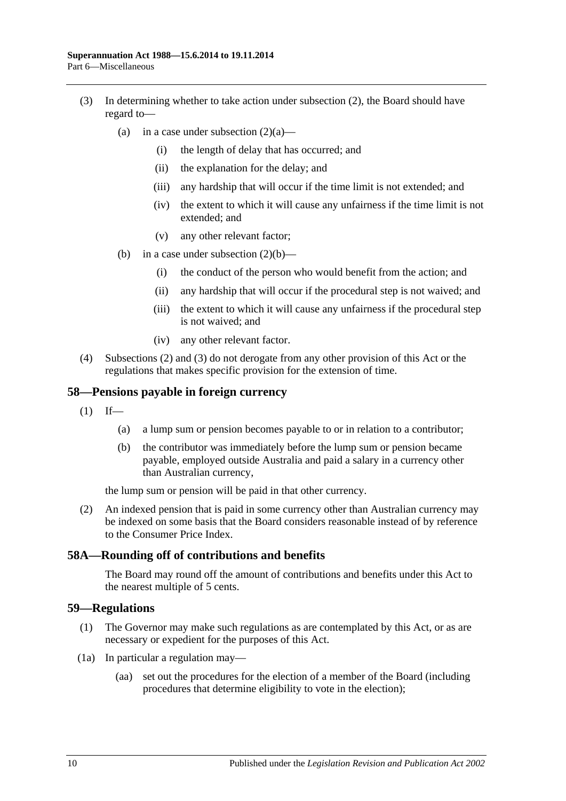- <span id="page-103-0"></span>(3) In determining whether to take action under [subsection](#page-102-0) (2), the Board should have regard to
	- (a) in a case under [subsection](#page-102-1)  $(2)(a)$ 
		- (i) the length of delay that has occurred; and
		- (ii) the explanation for the delay; and
		- (iii) any hardship that will occur if the time limit is not extended; and
		- (iv) the extent to which it will cause any unfairness if the time limit is not extended; and
		- (v) any other relevant factor;
	- (b) in a case under [subsection](#page-102-2)  $(2)(b)$ 
		- (i) the conduct of the person who would benefit from the action; and
		- (ii) any hardship that will occur if the procedural step is not waived; and
		- (iii) the extent to which it will cause any unfairness if the procedural step is not waived; and
		- (iv) any other relevant factor.
- (4) [Subsections](#page-102-0) (2) and [\(3\)](#page-103-0) do not derogate from any other provision of this Act or the regulations that makes specific provision for the extension of time.

#### **58—Pensions payable in foreign currency**

- $(1)$  If—
	- (a) a lump sum or pension becomes payable to or in relation to a contributor;
	- (b) the contributor was immediately before the lump sum or pension became payable, employed outside Australia and paid a salary in a currency other than Australian currency,

the lump sum or pension will be paid in that other currency.

(2) An indexed pension that is paid in some currency other than Australian currency may be indexed on some basis that the Board considers reasonable instead of by reference to the Consumer Price Index.

#### **58A—Rounding off of contributions and benefits**

The Board may round off the amount of contributions and benefits under this Act to the nearest multiple of 5 cents.

#### **59—Regulations**

- (1) The Governor may make such regulations as are contemplated by this Act, or as are necessary or expedient for the purposes of this Act.
- (1a) In particular a regulation may—
	- (aa) set out the procedures for the election of a member of the Board (including procedures that determine eligibility to vote in the election);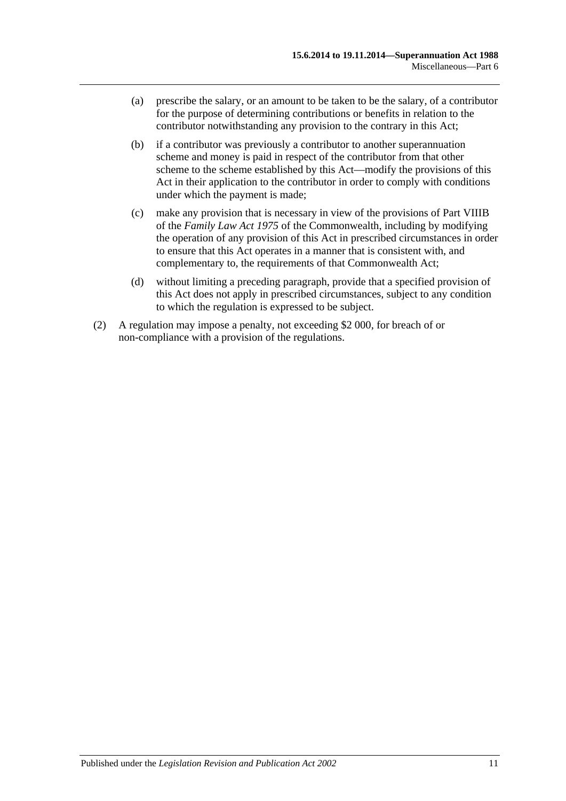- (a) prescribe the salary, or an amount to be taken to be the salary, of a contributor for the purpose of determining contributions or benefits in relation to the contributor notwithstanding any provision to the contrary in this Act;
- (b) if a contributor was previously a contributor to another superannuation scheme and money is paid in respect of the contributor from that other scheme to the scheme established by this Act—modify the provisions of this Act in their application to the contributor in order to comply with conditions under which the payment is made;
- (c) make any provision that is necessary in view of the provisions of Part VIIIB of the *Family Law Act 1975* of the Commonwealth, including by modifying the operation of any provision of this Act in prescribed circumstances in order to ensure that this Act operates in a manner that is consistent with, and complementary to, the requirements of that Commonwealth Act;
- (d) without limiting a preceding paragraph, provide that a specified provision of this Act does not apply in prescribed circumstances, subject to any condition to which the regulation is expressed to be subject.
- (2) A regulation may impose a penalty, not exceeding \$2 000, for breach of or non-compliance with a provision of the regulations.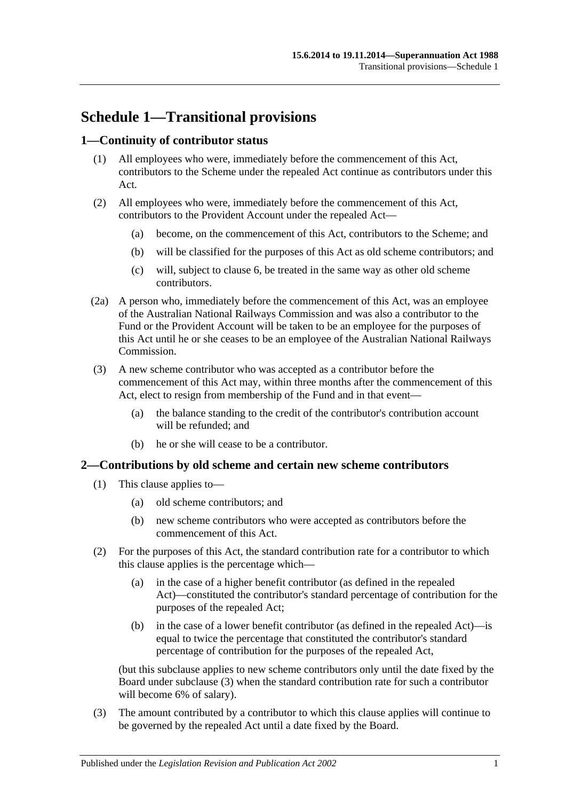# **Schedule 1—Transitional provisions**

## **1—Continuity of contributor status**

- (1) All employees who were, immediately before the commencement of this Act, contributors to the Scheme under the repealed Act continue as contributors under this Act.
- (2) All employees who were, immediately before the commencement of this Act, contributors to the Provident Account under the repealed Act—
	- (a) become, on the commencement of this Act, contributors to the Scheme; and
	- (b) will be classified for the purposes of this Act as old scheme contributors; and
	- (c) will, subject to [clause](#page-109-0) 6, be treated in the same way as other old scheme contributors.
- (2a) A person who, immediately before the commencement of this Act, was an employee of the Australian National Railways Commission and was also a contributor to the Fund or the Provident Account will be taken to be an employee for the purposes of this Act until he or she ceases to be an employee of the Australian National Railways Commission.
- (3) A new scheme contributor who was accepted as a contributor before the commencement of this Act may, within three months after the commencement of this Act, elect to resign from membership of the Fund and in that event—
	- (a) the balance standing to the credit of the contributor's contribution account will be refunded; and
	- (b) he or she will cease to be a contributor.

#### **2—Contributions by old scheme and certain new scheme contributors**

- (1) This clause applies to—
	- (a) old scheme contributors; and
	- (b) new scheme contributors who were accepted as contributors before the commencement of this Act.
- (2) For the purposes of this Act, the standard contribution rate for a contributor to which this clause applies is the percentage which—
	- (a) in the case of a higher benefit contributor (as defined in the repealed Act)—constituted the contributor's standard percentage of contribution for the purposes of the repealed Act;
	- (b) in the case of a lower benefit contributor (as defined in the repealed Act)—is equal to twice the percentage that constituted the contributor's standard percentage of contribution for the purposes of the repealed Act,

(but this subclause applies to new scheme contributors only until the date fixed by the Board under [subclause](#page-106-0) (3) when the standard contribution rate for such a contributor will become 6% of salary).

<span id="page-106-0"></span>(3) The amount contributed by a contributor to which this clause applies will continue to be governed by the repealed Act until a date fixed by the Board.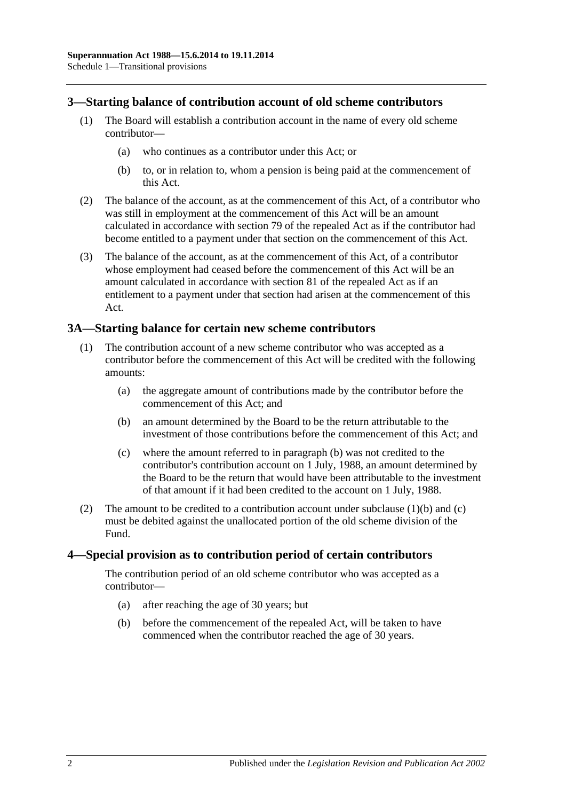### **3—Starting balance of contribution account of old scheme contributors**

- (1) The Board will establish a contribution account in the name of every old scheme contributor—
	- (a) who continues as a contributor under this Act; or
	- (b) to, or in relation to, whom a pension is being paid at the commencement of this Act.
- (2) The balance of the account, as at the commencement of this Act, of a contributor who was still in employment at the commencement of this Act will be an amount calculated in accordance with section 79 of the repealed Act as if the contributor had become entitled to a payment under that section on the commencement of this Act.
- (3) The balance of the account, as at the commencement of this Act, of a contributor whose employment had ceased before the commencement of this Act will be an amount calculated in accordance with section 81 of the repealed Act as if an entitlement to a payment under that section had arisen at the commencement of this Act.

### **3A—Starting balance for certain new scheme contributors**

- <span id="page-107-0"></span>(1) The contribution account of a new scheme contributor who was accepted as a contributor before the commencement of this Act will be credited with the following amounts:
	- (a) the aggregate amount of contributions made by the contributor before the commencement of this Act; and
	- (b) an amount determined by the Board to be the return attributable to the investment of those contributions before the commencement of this Act; and
	- (c) where the amount referred to in [paragraph](#page-107-0) (b) was not credited to the contributor's contribution account on 1 July, 1988, an amount determined by the Board to be the return that would have been attributable to the investment of that amount if it had been credited to the account on 1 July, 1988.
- <span id="page-107-1"></span>(2) The amount to be credited to a contribution account under [subclause](#page-107-0)  $(1)(b)$  and  $(c)$ must be debited against the unallocated portion of the old scheme division of the Fund.

#### **4—Special provision as to contribution period of certain contributors**

The contribution period of an old scheme contributor who was accepted as a contributor—

- (a) after reaching the age of 30 years; but
- (b) before the commencement of the repealed Act, will be taken to have commenced when the contributor reached the age of 30 years.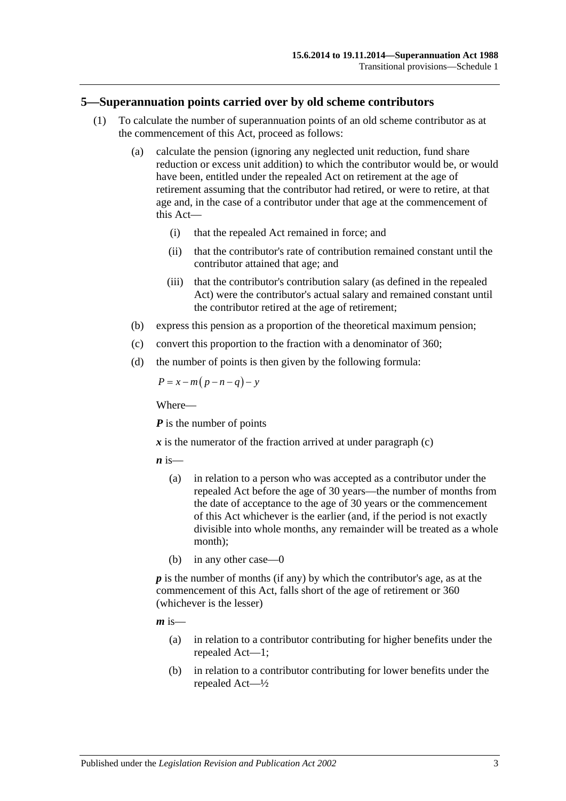#### **5—Superannuation points carried over by old scheme contributors**

- (1) To calculate the number of superannuation points of an old scheme contributor as at the commencement of this Act, proceed as follows:
	- (a) calculate the pension (ignoring any neglected unit reduction, fund share reduction or excess unit addition) to which the contributor would be, or would have been, entitled under the repealed Act on retirement at the age of retirement assuming that the contributor had retired, or were to retire, at that age and, in the case of a contributor under that age at the commencement of this Act—
		- (i) that the repealed Act remained in force; and
		- (ii) that the contributor's rate of contribution remained constant until the contributor attained that age; and
		- (iii) that the contributor's contribution salary (as defined in the repealed Act) were the contributor's actual salary and remained constant until the contributor retired at the age of retirement;
	- (b) express this pension as a proportion of the theoretical maximum pension;
	- (c) convert this proportion to the fraction with a denominator of 360;
	- (d) the number of points is then given by the following formula:

<span id="page-108-0"></span>
$$
P = x - m(p - n - q) - y
$$

Where—

*P* is the number of points

 $\boldsymbol{x}$  is the numerator of the fraction arrived at under [paragraph](#page-108-0) (c)

 $\boldsymbol{n}$  is—

- (a) in relation to a person who was accepted as a contributor under the repealed Act before the age of 30 years—the number of months from the date of acceptance to the age of 30 years or the commencement of this Act whichever is the earlier (and, if the period is not exactly divisible into whole months, any remainder will be treated as a whole month);
- (b) in any other case—0

*p* is the number of months (if any) by which the contributor's age, as at the commencement of this Act, falls short of the age of retirement or 360 (whichever is the lesser)

 $m$  is—

- (a) in relation to a contributor contributing for higher benefits under the repealed Act—1;
- (b) in relation to a contributor contributing for lower benefits under the repealed Act—½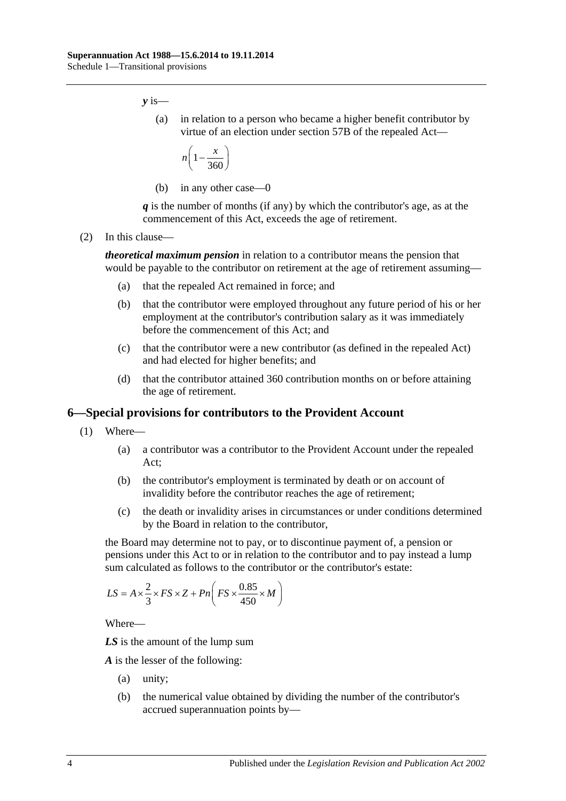*y* is—

(a) in relation to a person who became a higher benefit contributor by virtue of an election under section 57B of the repealed Act—

$$
n\left(1-\frac{x}{360}\right)
$$

(b) in any other case—0

*q* is the number of months (if any) by which the contributor's age, as at the commencement of this Act, exceeds the age of retirement.

(2) In this clause—

*theoretical maximum pension* in relation to a contributor means the pension that would be payable to the contributor on retirement at the age of retirement assuming—

- (a) that the repealed Act remained in force; and
- (b) that the contributor were employed throughout any future period of his or her employment at the contributor's contribution salary as it was immediately before the commencement of this Act; and
- (c) that the contributor were a new contributor (as defined in the repealed Act) and had elected for higher benefits; and
- (d) that the contributor attained 360 contribution months on or before attaining the age of retirement.

#### **6—Special provisions for contributors to the Provident Account**

- (1) Where—
	- (a) a contributor was a contributor to the Provident Account under the repealed Act;
	- (b) the contributor's employment is terminated by death or on account of invalidity before the contributor reaches the age of retirement;
	- (c) the death or invalidity arises in circumstances or under conditions determined by the Board in relation to the contributor,

<span id="page-109-0"></span>the Board may determine not to pay, or to discontinue payment of, a pension or pensions under this Act to or in relation to the contributor and to pay instead a lump sum calculated as follows to the contributor or the contributor's estate:

$$
LS = A \times \frac{2}{3} \times FS \times Z + Pn \left( FS \times \frac{0.85}{450} \times M \right)
$$

Where—

*LS* is the amount of the lump sum

*A* is the lesser of the following:

- (a) unity;
- (b) the numerical value obtained by dividing the number of the contributor's accrued superannuation points by—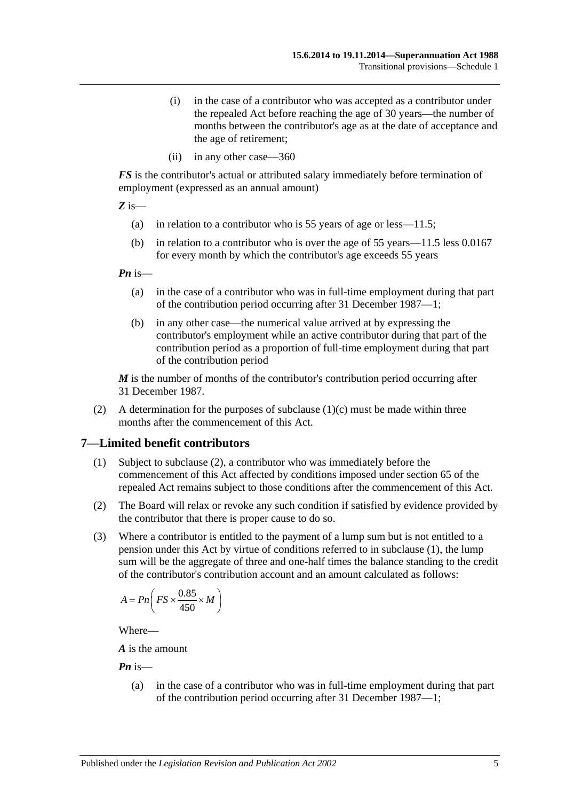- (i) in the case of a contributor who was accepted as a contributor under the repealed Act before reaching the age of 30 years—the number of months between the contributor's age as at the date of acceptance and the age of retirement;
- (ii) in any other case—360

*FS* is the contributor's actual or attributed salary immediately before termination of employment (expressed as an annual amount)

*Z* is—

- (a) in relation to a contributor who is 55 years of age or less—11.5;
- (b) in relation to a contributor who is over the age of 55 years—11.5 less 0.0167 for every month by which the contributor's age exceeds 55 years

*Pn* is—

- (a) in the case of a contributor who was in full-time employment during that part of the contribution period occurring after 31 December 1987—1;
- (b) in any other case—the numerical value arrived at by expressing the contributor's employment while an active contributor during that part of the contribution period as a proportion of full-time employment during that part of the contribution period

*M* is the number of months of the contributor's contribution period occurring after 31 December 1987.

(2) A determination for the purposes of [subclause](#page-109-0)  $(1)(c)$  must be made within three months after the commencement of this Act.

#### <span id="page-110-1"></span>**7—Limited benefit contributors**

- (1) Subject to [subclause](#page-110-0) (2), a contributor who was immediately before the commencement of this Act affected by conditions imposed under section 65 of the repealed Act remains subject to those conditions after the commencement of this Act.
- <span id="page-110-0"></span>(2) The Board will relax or revoke any such condition if satisfied by evidence provided by the contributor that there is proper cause to do so.
- (3) Where a contributor is entitled to the payment of a lump sum but is not entitled to a pension under this Act by virtue of conditions referred to in [subclause](#page-110-1) (1), the lump sum will be the aggregate of three and one-half times the balance standing to the credit of the contributor's contribution account and an amount calculated as follows:

$$
A = Pn\left(FS \times \frac{0.85}{450} \times M\right)
$$

Where—

*A* is the amount

*Pn* is—

(a) in the case of a contributor who was in full-time employment during that part of the contribution period occurring after 31 December 1987—1;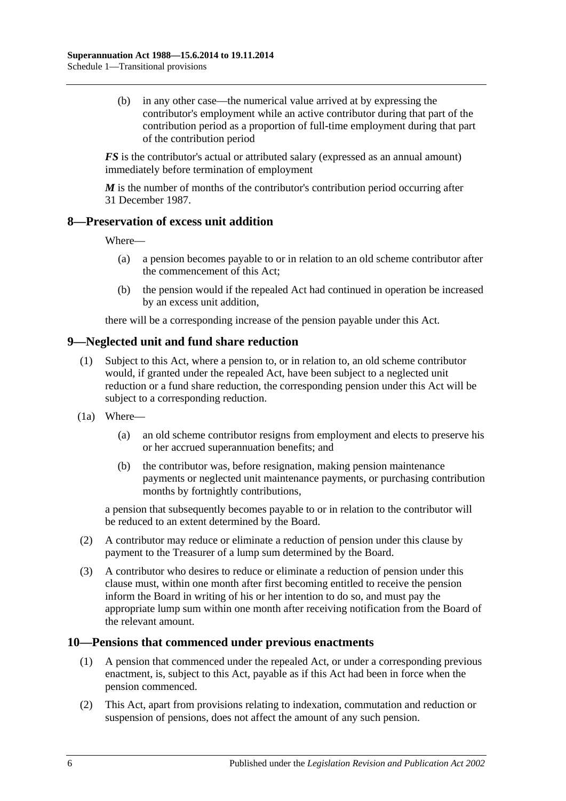(b) in any other case—the numerical value arrived at by expressing the contributor's employment while an active contributor during that part of the contribution period as a proportion of full-time employment during that part of the contribution period

*FS* is the contributor's actual or attributed salary (expressed as an annual amount) immediately before termination of employment

*M* is the number of months of the contributor's contribution period occurring after 31 December 1987.

#### **8—Preservation of excess unit addition**

Where—

- (a) a pension becomes payable to or in relation to an old scheme contributor after the commencement of this Act;
- (b) the pension would if the repealed Act had continued in operation be increased by an excess unit addition,

there will be a corresponding increase of the pension payable under this Act.

### **9—Neglected unit and fund share reduction**

- (1) Subject to this Act, where a pension to, or in relation to, an old scheme contributor would, if granted under the repealed Act, have been subject to a neglected unit reduction or a fund share reduction, the corresponding pension under this Act will be subject to a corresponding reduction.
- (1a) Where—
	- (a) an old scheme contributor resigns from employment and elects to preserve his or her accrued superannuation benefits; and
	- (b) the contributor was, before resignation, making pension maintenance payments or neglected unit maintenance payments, or purchasing contribution months by fortnightly contributions,

a pension that subsequently becomes payable to or in relation to the contributor will be reduced to an extent determined by the Board.

- (2) A contributor may reduce or eliminate a reduction of pension under this clause by payment to the Treasurer of a lump sum determined by the Board.
- (3) A contributor who desires to reduce or eliminate a reduction of pension under this clause must, within one month after first becoming entitled to receive the pension inform the Board in writing of his or her intention to do so, and must pay the appropriate lump sum within one month after receiving notification from the Board of the relevant amount.

#### **10—Pensions that commenced under previous enactments**

- (1) A pension that commenced under the repealed Act, or under a corresponding previous enactment, is, subject to this Act, payable as if this Act had been in force when the pension commenced.
- (2) This Act, apart from provisions relating to indexation, commutation and reduction or suspension of pensions, does not affect the amount of any such pension.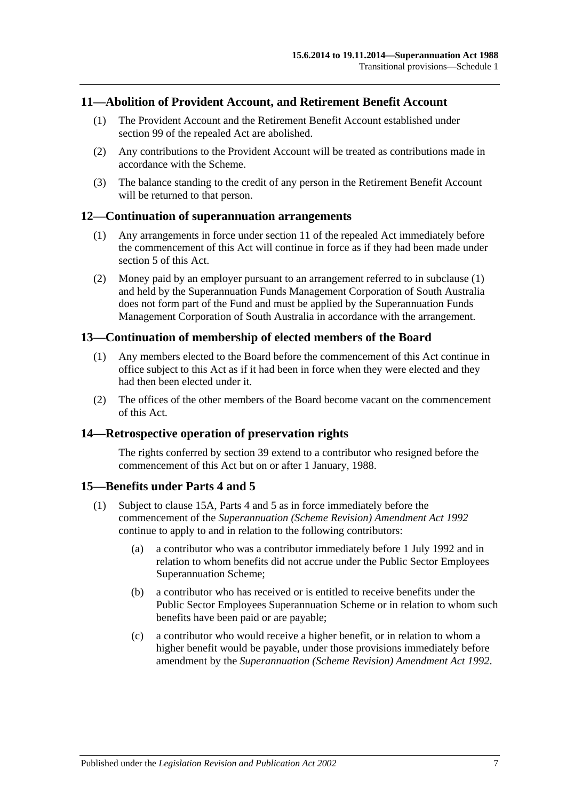#### **11—Abolition of Provident Account, and Retirement Benefit Account**

- (1) The Provident Account and the Retirement Benefit Account established under section 99 of the repealed Act are abolished.
- (2) Any contributions to the Provident Account will be treated as contributions made in accordance with the Scheme.
- (3) The balance standing to the credit of any person in the Retirement Benefit Account will be returned to that person.

#### <span id="page-112-0"></span>**12—Continuation of superannuation arrangements**

- (1) Any arrangements in force under section 11 of the repealed Act immediately before the commencement of this Act will continue in force as if they had been made under [section](#page-15-0) 5 of this Act.
- (2) Money paid by an employer pursuant to an arrangement referred to in [subclause](#page-112-0) (1) and held by the Superannuation Funds Management Corporation of South Australia does not form part of the Fund and must be applied by the Superannuation Funds Management Corporation of South Australia in accordance with the arrangement.

#### **13—Continuation of membership of elected members of the Board**

- (1) Any members elected to the Board before the commencement of this Act continue in office subject to this Act as if it had been in force when they were elected and they had then been elected under it.
- (2) The offices of the other members of the Board become vacant on the commencement of this Act.

#### **14—Retrospective operation of preservation rights**

The rights conferred by [section](#page-71-0) 39 extend to a contributor who resigned before the commencement of this Act but on or after 1 January, 1988.

#### <span id="page-112-2"></span>**15—Benefits under [Parts 4](#page-30-0) and [5](#page-56-0)**

- <span id="page-112-1"></span>(1) Subject to [clause](#page-113-0) 15A, [Parts 4](#page-30-0) and [5](#page-56-0) as in force immediately before the commencement of the *[Superannuation \(Scheme Revision\) Amendment Act](http://www.legislation.sa.gov.au/index.aspx?action=legref&type=act&legtitle=Superannuation%20(Scheme%20Revision)%20Amendment%20Act%201992) 1992* continue to apply to and in relation to the following contributors:
	- (a) a contributor who was a contributor immediately before 1 July 1992 and in relation to whom benefits did not accrue under the Public Sector Employees Superannuation Scheme;
	- (b) a contributor who has received or is entitled to receive benefits under the Public Sector Employees Superannuation Scheme or in relation to whom such benefits have been paid or are payable;
	- (c) a contributor who would receive a higher benefit, or in relation to whom a higher benefit would be payable, under those provisions immediately before amendment by the *[Superannuation \(Scheme Revision\) Amendment Act](http://www.legislation.sa.gov.au/index.aspx?action=legref&type=act&legtitle=Superannuation%20(Scheme%20Revision)%20Amendment%20Act%201992) 1992*.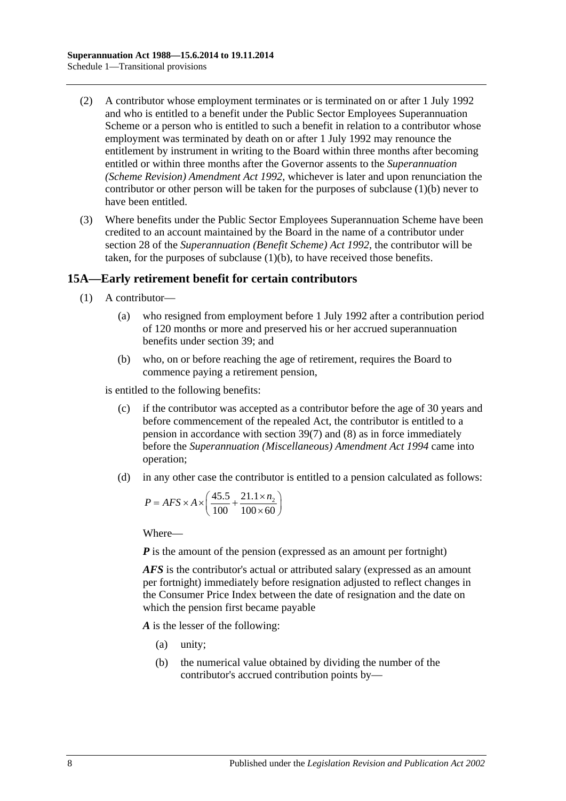- (2) A contributor whose employment terminates or is terminated on or after 1 July 1992 and who is entitled to a benefit under the Public Sector Employees Superannuation Scheme or a person who is entitled to such a benefit in relation to a contributor whose employment was terminated by death on or after 1 July 1992 may renounce the entitlement by instrument in writing to the Board within three months after becoming entitled or within three months after the Governor assents to the *[Superannuation](http://www.legislation.sa.gov.au/index.aspx?action=legref&type=act&legtitle=Superannuation%20(Scheme%20Revision)%20Amendment%20Act%201992)  [\(Scheme Revision\) Amendment Act](http://www.legislation.sa.gov.au/index.aspx?action=legref&type=act&legtitle=Superannuation%20(Scheme%20Revision)%20Amendment%20Act%201992) 1992*, whichever is later and upon renunciation the contributor or other person will be taken for the purposes of [subclause](#page-112-1) (1)(b) never to have been entitled.
- (3) Where benefits under the Public Sector Employees Superannuation Scheme have been credited to an account maintained by the Board in the name of a contributor under section 28 of the *[Superannuation \(Benefit Scheme\) Act](http://www.legislation.sa.gov.au/index.aspx?action=legref&type=act&legtitle=Superannuation%20(Benefit%20Scheme)%20Act%201992) 1992*, the contributor will be taken, for the purposes of [subclause](#page-112-1) (1)(b), to have received those benefits.

### <span id="page-113-0"></span>**15A—Early retirement benefit for certain contributors**

- (1) A contributor—
	- (a) who resigned from employment before 1 July 1992 after a contribution period of 120 months or more and preserved his or her accrued superannuation benefits under [section](#page-71-0) 39; and
	- (b) who, on or before reaching the age of retirement, requires the Board to commence paying a retirement pension,

<span id="page-113-1"></span>is entitled to the following benefits:

- (c) if the contributor was accepted as a contributor before the age of 30 years and before commencement of the repealed Act, the contributor is entitled to a pension in accordance with [section](#page-75-0) 39(7) and [\(8\)](#page-76-0) as in force immediately before the *[Superannuation \(Miscellaneous\) Amendment Act](http://www.legislation.sa.gov.au/index.aspx?action=legref&type=act&legtitle=Superannuation%20(Miscellaneous)%20Amendment%20Act%201994) 1994* came into operation;
- <span id="page-113-2"></span>(d) in any other case the contributor is entitled to a pension calculated as follows:

$$
P = AFS \times A \times \left(\frac{45.5}{100} + \frac{21.1 \times n_2}{100 \times 60}\right)
$$

Where—

*P* is the amount of the pension (expressed as an amount per fortnight)

*AFS* is the contributor's actual or attributed salary (expressed as an amount per fortnight) immediately before resignation adjusted to reflect changes in the Consumer Price Index between the date of resignation and the date on which the pension first became payable

*A* is the lesser of the following:

- (a) unity;
- (b) the numerical value obtained by dividing the number of the contributor's accrued contribution points by—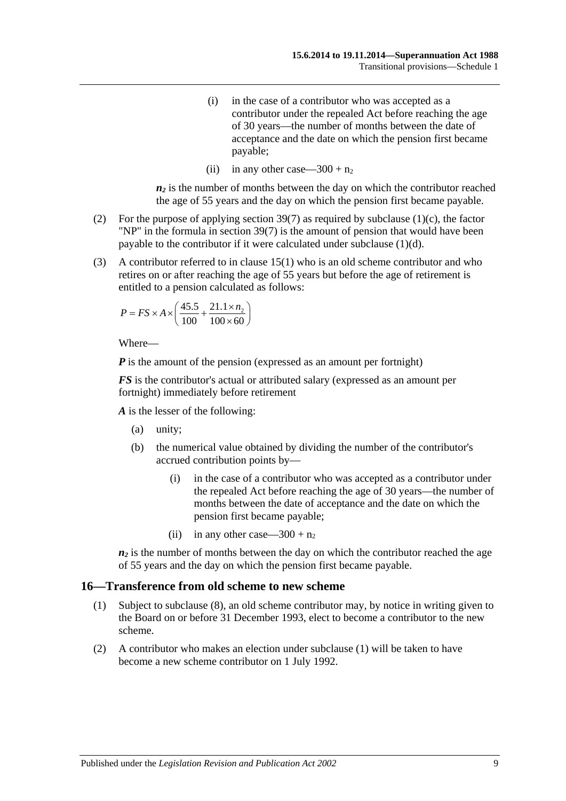- (i) in the case of a contributor who was accepted as a contributor under the repealed Act before reaching the age of 30 years—the number of months between the date of acceptance and the date on which the pension first became payable;
- (ii) in any other case—300 +  $n_2$

 $n_2$  is the number of months between the day on which the contributor reached the age of 55 years and the day on which the pension first became payable.

- (2) For the purpose of applying [section](#page-75-0) 39(7) as required by [subclause](#page-113-1) (1)(c), the factor "NP" in the formula in [section](#page-75-0) 39(7) is the amount of pension that would have been payable to the contributor if it were calculated under [subclause](#page-113-2) (1)(d).
- (3) A contributor referred to in [clause](#page-112-2) 15(1) who is an old scheme contributor and who retires on or after reaching the age of 55 years but before the age of retirement is entitled to a pension calculated as follows:

$$
P = FS \times A \times \left(\frac{45.5}{100} + \frac{21.1 \times n_2}{100 \times 60}\right)
$$

Where—

*P* is the amount of the pension (expressed as an amount per fortnight)

*FS* is the contributor's actual or attributed salary (expressed as an amount per fortnight) immediately before retirement

*A* is the lesser of the following:

- (a) unity;
- (b) the numerical value obtained by dividing the number of the contributor's accrued contribution points by—
	- (i) in the case of a contributor who was accepted as a contributor under the repealed Act before reaching the age of 30 years—the number of months between the date of acceptance and the date on which the pension first became payable;
	- (ii) in any other case—300 +  $n_2$

 $n_2$  is the number of months between the day on which the contributor reached the age of 55 years and the day on which the pension first became payable.

#### <span id="page-114-0"></span>**16—Transference from old scheme to new scheme**

- (1) Subject to [subclause](#page-115-0) (8), an old scheme contributor may, by notice in writing given to the Board on or before 31 December 1993, elect to become a contributor to the new scheme.
- (2) A contributor who makes an election under [subclause](#page-114-0) (1) will be taken to have become a new scheme contributor on 1 July 1992.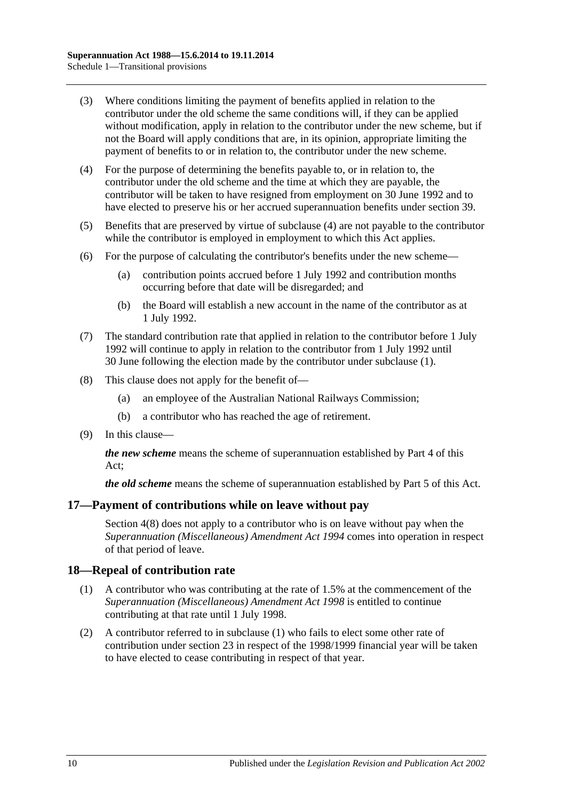- (3) Where conditions limiting the payment of benefits applied in relation to the contributor under the old scheme the same conditions will, if they can be applied without modification, apply in relation to the contributor under the new scheme, but if not the Board will apply conditions that are, in its opinion, appropriate limiting the payment of benefits to or in relation to, the contributor under the new scheme.
- <span id="page-115-1"></span>(4) For the purpose of determining the benefits payable to, or in relation to, the contributor under the old scheme and the time at which they are payable, the contributor will be taken to have resigned from employment on 30 June 1992 and to have elected to preserve his or her accrued superannuation benefits under [section](#page-71-0) 39.
- (5) Benefits that are preserved by virtue of [subclause](#page-115-1) (4) are not payable to the contributor while the contributor is employed in employment to which this Act applies.
- (6) For the purpose of calculating the contributor's benefits under the new scheme—
	- (a) contribution points accrued before 1 July 1992 and contribution months occurring before that date will be disregarded; and
	- (b) the Board will establish a new account in the name of the contributor as at 1 July 1992.
- (7) The standard contribution rate that applied in relation to the contributor before 1 July 1992 will continue to apply in relation to the contributor from 1 July 1992 until 30 June following the election made by the contributor under [subclause](#page-114-0) (1).
- <span id="page-115-0"></span>(8) This clause does not apply for the benefit of—
	- (a) an employee of the Australian National Railways Commission;
	- (b) a contributor who has reached the age of retirement.
- (9) In this clause—

*the new scheme* means the scheme of superannuation established by [Part 4](#page-30-0) of this Act;

*the old scheme* means the scheme of superannuation established by [Part 5](#page-56-0) of this Act.

#### **17—Payment of contributions while on leave without pay**

[Section](#page-13-0) 4(8) does not apply to a contributor who is on leave without pay when the *[Superannuation \(Miscellaneous\) Amendment Act](http://www.legislation.sa.gov.au/index.aspx?action=legref&type=act&legtitle=Superannuation%20(Miscellaneous)%20Amendment%20Act%201994) 1994* comes into operation in respect of that period of leave.

#### <span id="page-115-2"></span>**18—Repeal of contribution rate**

- (1) A contributor who was contributing at the rate of 1.5% at the commencement of the *[Superannuation \(Miscellaneous\) Amendment Act](http://www.legislation.sa.gov.au/index.aspx?action=legref&type=act&legtitle=Superannuation%20(Miscellaneous)%20Amendment%20Act%201998) 1998* is entitled to continue contributing at that rate until 1 July 1998.
- (2) A contributor referred to in [subclause](#page-115-2) (1) who fails to elect some other rate of contribution under [section](#page-26-0) 23 in respect of the 1998/1999 financial year will be taken to have elected to cease contributing in respect of that year.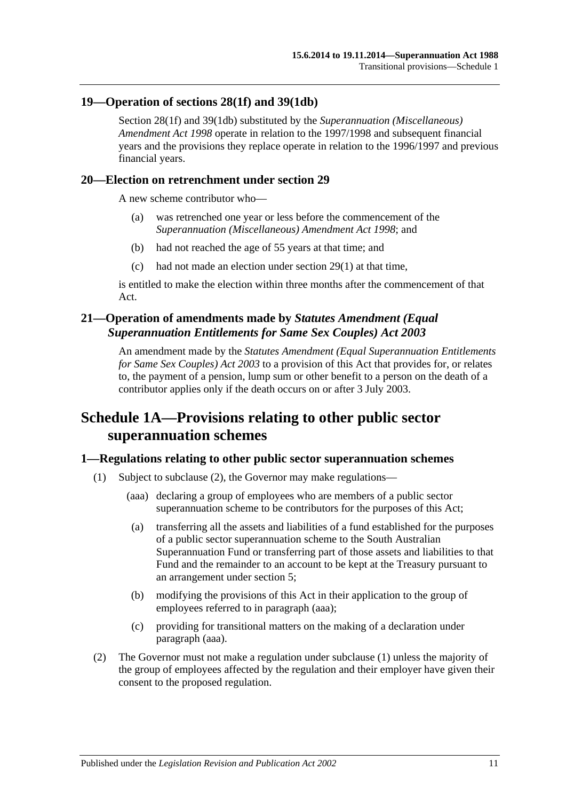#### **19—Operation of [sections](#page-35-0) 28(1f) and [39\(1db\)](#page-72-0)**

[Section](#page-35-0) 28(1f) and [39\(1db\)](#page-72-0) substituted by the *[Superannuation \(Miscellaneous\)](http://www.legislation.sa.gov.au/index.aspx?action=legref&type=act&legtitle=Superannuation%20(Miscellaneous)%20Amendment%20Act%201998)  [Amendment Act](http://www.legislation.sa.gov.au/index.aspx?action=legref&type=act&legtitle=Superannuation%20(Miscellaneous)%20Amendment%20Act%201998) 1998* operate in relation to the 1997/1998 and subsequent financial years and the provisions they replace operate in relation to the 1996/1997 and previous financial years.

#### **20—Election on retrenchment under [section](#page-40-0) 29**

A new scheme contributor who—

- (a) was retrenched one year or less before the commencement of the *[Superannuation \(Miscellaneous\) Amendment Act](http://www.legislation.sa.gov.au/index.aspx?action=legref&type=act&legtitle=Superannuation%20(Miscellaneous)%20Amendment%20Act%201998) 1998*; and
- (b) had not reached the age of 55 years at that time; and
- (c) had not made an election under [section](#page-40-1) 29(1) at that time,

is entitled to make the election within three months after the commencement of that Act.

### **21—Operation of amendments made by** *Statutes Amendment (Equal Superannuation Entitlements for Same Sex Couples) Act 2003*

An amendment made by the *[Statutes Amendment \(Equal Superannuation Entitlements](http://www.legislation.sa.gov.au/index.aspx?action=legref&type=act&legtitle=Statutes%20Amendment%20(Equal%20Superannuation%20Entitlements%20for%20Same%20Sex%20Couples)%20Act%202003)  [for Same Sex Couples\) Act 2003](http://www.legislation.sa.gov.au/index.aspx?action=legref&type=act&legtitle=Statutes%20Amendment%20(Equal%20Superannuation%20Entitlements%20for%20Same%20Sex%20Couples)%20Act%202003)* to a provision of this Act that provides for, or relates to, the payment of a pension, lump sum or other benefit to a person on the death of a contributor applies only if the death occurs on or after 3 July 2003.

# **Schedule 1A—Provisions relating to other public sector superannuation schemes**

### <span id="page-116-2"></span>**1—Regulations relating to other public sector superannuation schemes**

- <span id="page-116-1"></span>(1) Subject to [subclause](#page-116-0) (2), the Governor may make regulations—
	- (aaa) declaring a group of employees who are members of a public sector superannuation scheme to be contributors for the purposes of this Act;
	- (a) transferring all the assets and liabilities of a fund established for the purposes of a public sector superannuation scheme to the South Australian Superannuation Fund or transferring part of those assets and liabilities to that Fund and the remainder to an account to be kept at the Treasury pursuant to an arrangement under [section](#page-15-0) 5;
	- (b) modifying the provisions of this Act in their application to the group of employees referred to in [paragraph](#page-116-1) (aaa);
	- (c) providing for transitional matters on the making of a declaration under [paragraph](#page-116-1) (aaa).
- <span id="page-116-0"></span>(2) The Governor must not make a regulation under [subclause](#page-116-2) (1) unless the majority of the group of employees affected by the regulation and their employer have given their consent to the proposed regulation.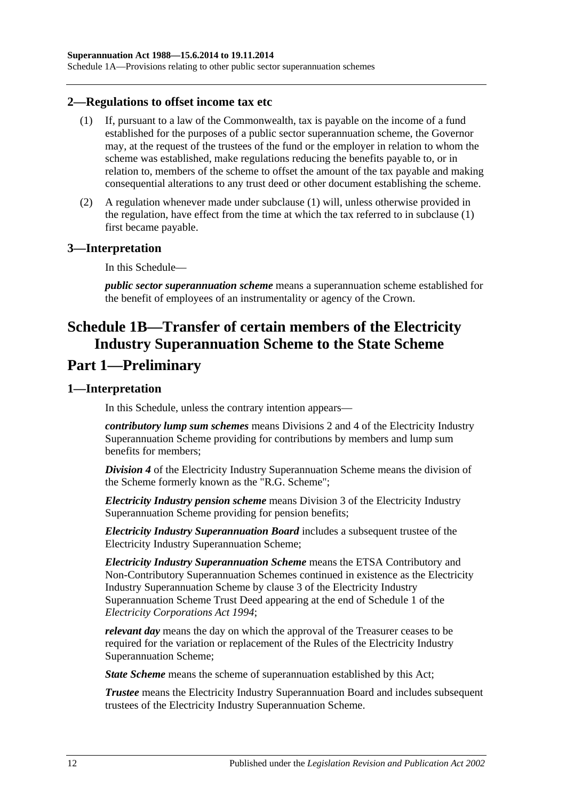Schedule 1A—Provisions relating to other public sector superannuation schemes

#### <span id="page-117-0"></span>**2—Regulations to offset income tax etc**

- (1) If, pursuant to a law of the Commonwealth, tax is payable on the income of a fund established for the purposes of a public sector superannuation scheme, the Governor may, at the request of the trustees of the fund or the employer in relation to whom the scheme was established, make regulations reducing the benefits payable to, or in relation to, members of the scheme to offset the amount of the tax payable and making consequential alterations to any trust deed or other document establishing the scheme.
- (2) A regulation whenever made under [subclause](#page-117-0) (1) will, unless otherwise provided in the regulation, have effect from the time at which the tax referred to in [subclause](#page-117-0) (1) first became payable.

#### **3—Interpretation**

In this Schedule—

*public sector superannuation scheme* means a superannuation scheme established for the benefit of employees of an instrumentality or agency of the Crown.

# **Schedule 1B—Transfer of certain members of the Electricity Industry Superannuation Scheme to the State Scheme Part 1—Preliminary**

#### **1—Interpretation**

In this Schedule, unless the contrary intention appears—

*contributory lump sum schemes* means Divisions 2 and 4 of the Electricity Industry Superannuation Scheme providing for contributions by members and lump sum benefits for members;

*Division 4* of the Electricity Industry Superannuation Scheme means the division of the Scheme formerly known as the "R.G. Scheme";

*Electricity Industry pension scheme* means Division 3 of the Electricity Industry Superannuation Scheme providing for pension benefits;

*Electricity Industry Superannuation Board* includes a subsequent trustee of the Electricity Industry Superannuation Scheme;

*Electricity Industry Superannuation Scheme* means the ETSA Contributory and Non-Contributory Superannuation Schemes continued in existence as the Electricity Industry Superannuation Scheme by clause 3 of the Electricity Industry Superannuation Scheme Trust Deed appearing at the end of Schedule 1 of the *[Electricity Corporations Act](http://www.legislation.sa.gov.au/index.aspx?action=legref&type=act&legtitle=Electricity%20Corporations%20Act%201994) 1994*;

*relevant day* means the day on which the approval of the Treasurer ceases to be required for the variation or replacement of the Rules of the Electricity Industry Superannuation Scheme;

*State Scheme* means the scheme of superannuation established by this Act;

*Trustee* means the Electricity Industry Superannuation Board and includes subsequent trustees of the Electricity Industry Superannuation Scheme.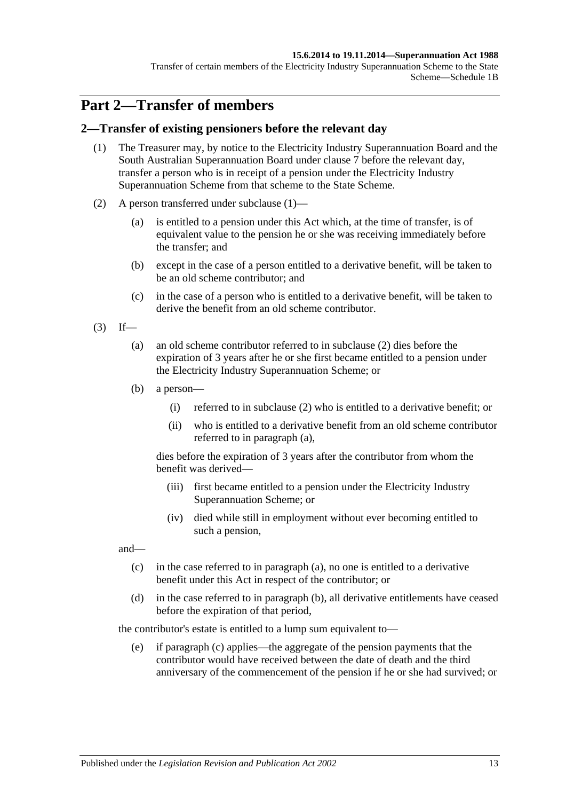#### **15.6.2014 to 19.11.2014—Superannuation Act 1988**

Transfer of certain members of the Electricity Industry Superannuation Scheme to the State Scheme—Schedule 1B

# **Part 2—Transfer of members**

#### <span id="page-118-0"></span>**2—Transfer of existing pensioners before the relevant day**

- (1) The Treasurer may, by notice to the Electricity Industry Superannuation Board and the South Australian Superannuation Board under [clause](#page-125-0) 7 before the relevant day, transfer a person who is in receipt of a pension under the Electricity Industry Superannuation Scheme from that scheme to the State Scheme.
- <span id="page-118-1"></span>(2) A person transferred under [subclause](#page-118-0) (1)—
	- (a) is entitled to a pension under this Act which, at the time of transfer, is of equivalent value to the pension he or she was receiving immediately before the transfer; and
	- (b) except in the case of a person entitled to a derivative benefit, will be taken to be an old scheme contributor; and
	- (c) in the case of a person who is entitled to a derivative benefit, will be taken to derive the benefit from an old scheme contributor.
- <span id="page-118-3"></span><span id="page-118-2"></span> $(3)$  If—
	- (a) an old scheme contributor referred to in [subclause](#page-118-1) (2) dies before the expiration of 3 years after he or she first became entitled to a pension under the Electricity Industry Superannuation Scheme; or
	- (b) a person—
		- (i) referred to in [subclause](#page-118-1) (2) who is entitled to a derivative benefit; or
		- (ii) who is entitled to a derivative benefit from an old scheme contributor referred to in [paragraph](#page-118-2) (a),

dies before the expiration of 3 years after the contributor from whom the benefit was derived—

- (iii) first became entitled to a pension under the Electricity Industry Superannuation Scheme; or
- (iv) died while still in employment without ever becoming entitled to such a pension,

<span id="page-118-4"></span>and—

- (c) in the case referred to in [paragraph](#page-118-2) (a), no one is entitled to a derivative benefit under this Act in respect of the contributor; or
- <span id="page-118-5"></span>(d) in the case referred to in [paragraph](#page-118-3) (b), all derivative entitlements have ceased before the expiration of that period,

the contributor's estate is entitled to a lump sum equivalent to—

(e) if [paragraph](#page-118-4) (c) applies—the aggregate of the pension payments that the contributor would have received between the date of death and the third anniversary of the commencement of the pension if he or she had survived; or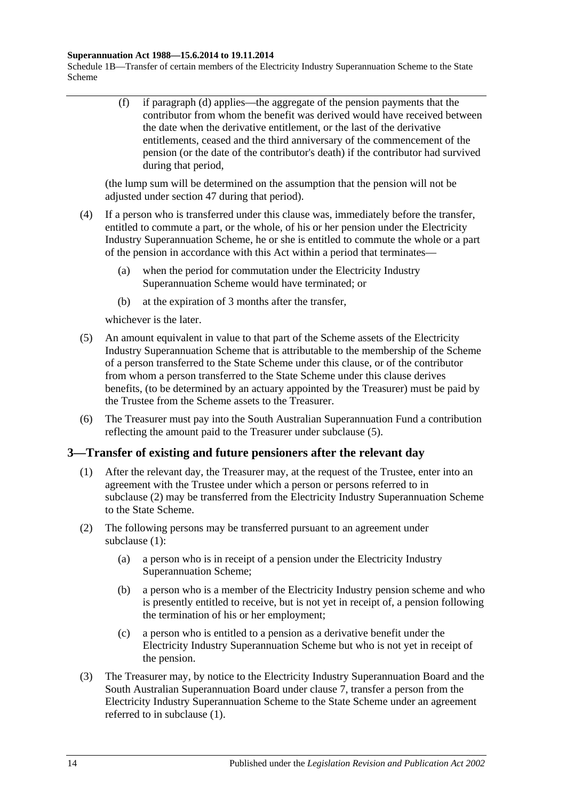#### **Superannuation Act 1988—15.6.2014 to 19.11.2014**

Schedule 1B—Transfer of certain members of the Electricity Industry Superannuation Scheme to the State Scheme

> (f) if [paragraph](#page-118-5) (d) applies—the aggregate of the pension payments that the contributor from whom the benefit was derived would have received between the date when the derivative entitlement, or the last of the derivative entitlements, ceased and the third anniversary of the commencement of the pension (or the date of the contributor's death) if the contributor had survived during that period,

(the lump sum will be determined on the assumption that the pension will not be adjusted under [section](#page-97-0) 47 during that period).

- (4) If a person who is transferred under this clause was, immediately before the transfer, entitled to commute a part, or the whole, of his or her pension under the Electricity Industry Superannuation Scheme, he or she is entitled to commute the whole or a part of the pension in accordance with this Act within a period that terminates—
	- (a) when the period for commutation under the Electricity Industry Superannuation Scheme would have terminated; or
	- (b) at the expiration of 3 months after the transfer,

whichever is the later.

- <span id="page-119-0"></span>(5) An amount equivalent in value to that part of the Scheme assets of the Electricity Industry Superannuation Scheme that is attributable to the membership of the Scheme of a person transferred to the State Scheme under this clause, or of the contributor from whom a person transferred to the State Scheme under this clause derives benefits, (to be determined by an actuary appointed by the Treasurer) must be paid by the Trustee from the Scheme assets to the Treasurer.
- (6) The Treasurer must pay into the South Australian Superannuation Fund a contribution reflecting the amount paid to the Treasurer under [subclause](#page-119-0) (5).

### <span id="page-119-2"></span>**3—Transfer of existing and future pensioners after the relevant day**

- (1) After the relevant day, the Treasurer may, at the request of the Trustee, enter into an agreement with the Trustee under which a person or persons referred to in [subclause](#page-119-1) (2) may be transferred from the Electricity Industry Superannuation Scheme to the State Scheme.
- <span id="page-119-4"></span><span id="page-119-1"></span>(2) The following persons may be transferred pursuant to an agreement under [subclause](#page-119-2) (1):
	- (a) a person who is in receipt of a pension under the Electricity Industry Superannuation Scheme;
	- (b) a person who is a member of the Electricity Industry pension scheme and who is presently entitled to receive, but is not yet in receipt of, a pension following the termination of his or her employment;
	- (c) a person who is entitled to a pension as a derivative benefit under the Electricity Industry Superannuation Scheme but who is not yet in receipt of the pension.
- <span id="page-119-5"></span><span id="page-119-3"></span>(3) The Treasurer may, by notice to the Electricity Industry Superannuation Board and the South Australian Superannuation Board under [clause](#page-125-0) 7, transfer a person from the Electricity Industry Superannuation Scheme to the State Scheme under an agreement referred to in [subclause](#page-119-2) (1).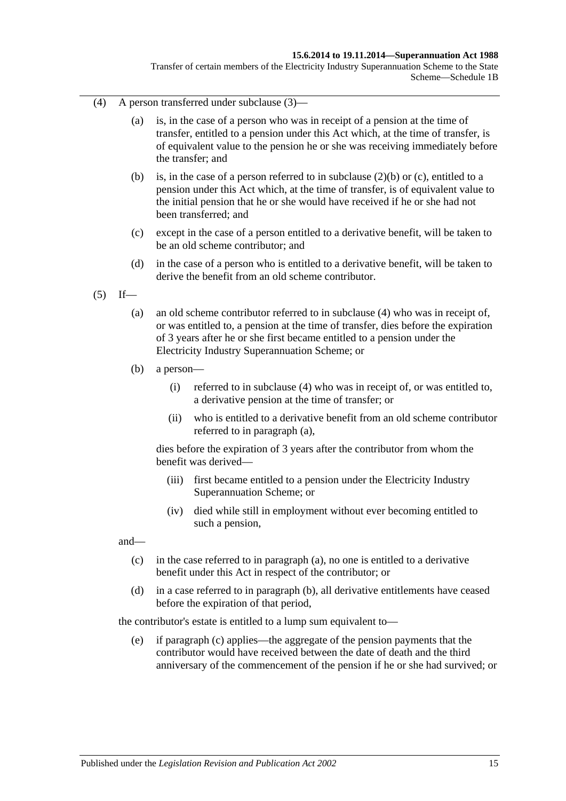#### **15.6.2014 to 19.11.2014—Superannuation Act 1988**

Transfer of certain members of the Electricity Industry Superannuation Scheme to the State Scheme—Schedule 1B

- <span id="page-120-0"></span>(4) A person transferred under [subclause](#page-119-3) (3)—
	- (a) is, in the case of a person who was in receipt of a pension at the time of transfer, entitled to a pension under this Act which, at the time of transfer, is of equivalent value to the pension he or she was receiving immediately before the transfer; and
	- (b) is, in the case of a person referred to in [subclause](#page-119-4) (2)(b) or [\(c\),](#page-119-5) entitled to a pension under this Act which, at the time of transfer, is of equivalent value to the initial pension that he or she would have received if he or she had not been transferred; and
	- (c) except in the case of a person entitled to a derivative benefit, will be taken to be an old scheme contributor; and
	- (d) in the case of a person who is entitled to a derivative benefit, will be taken to derive the benefit from an old scheme contributor.
- <span id="page-120-2"></span><span id="page-120-1"></span> $(5)$  If—
	- (a) an old scheme contributor referred to in [subclause](#page-120-0) (4) who was in receipt of, or was entitled to, a pension at the time of transfer, dies before the expiration of 3 years after he or she first became entitled to a pension under the Electricity Industry Superannuation Scheme; or
	- (b) a person—
		- (i) referred to in [subclause](#page-120-0) (4) who was in receipt of, or was entitled to, a derivative pension at the time of transfer; or
		- (ii) who is entitled to a derivative benefit from an old scheme contributor referred to in [paragraph](#page-120-1) (a),

dies before the expiration of 3 years after the contributor from whom the benefit was derived—

- (iii) first became entitled to a pension under the Electricity Industry Superannuation Scheme; or
- (iv) died while still in employment without ever becoming entitled to such a pension,

<span id="page-120-3"></span>and—

- (c) in the case referred to in [paragraph](#page-120-1) (a), no one is entitled to a derivative benefit under this Act in respect of the contributor; or
- <span id="page-120-4"></span>(d) in a case referred to in [paragraph](#page-120-2) (b), all derivative entitlements have ceased before the expiration of that period,

the contributor's estate is entitled to a lump sum equivalent to—

(e) if [paragraph](#page-120-3) (c) applies—the aggregate of the pension payments that the contributor would have received between the date of death and the third anniversary of the commencement of the pension if he or she had survived; or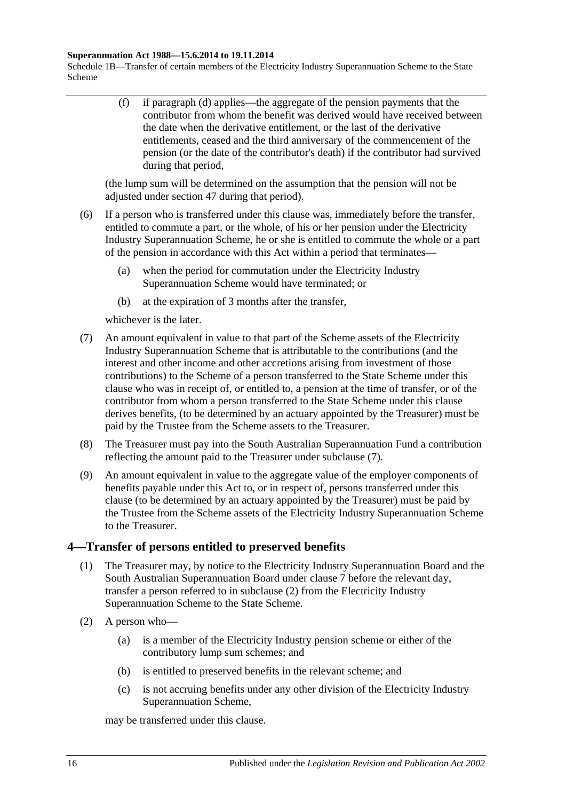#### **Superannuation Act 1988—15.6.2014 to 19.11.2014**

Schedule 1B—Transfer of certain members of the Electricity Industry Superannuation Scheme to the State Scheme

> (f) if [paragraph](#page-120-4) (d) applies—the aggregate of the pension payments that the contributor from whom the benefit was derived would have received between the date when the derivative entitlement, or the last of the derivative entitlements, ceased and the third anniversary of the commencement of the pension (or the date of the contributor's death) if the contributor had survived during that period,

(the lump sum will be determined on the assumption that the pension will not be adjusted under [section](#page-97-0) 47 during that period).

- (6) If a person who is transferred under this clause was, immediately before the transfer, entitled to commute a part, or the whole, of his or her pension under the Electricity Industry Superannuation Scheme, he or she is entitled to commute the whole or a part of the pension in accordance with this Act within a period that terminates—
	- (a) when the period for commutation under the Electricity Industry Superannuation Scheme would have terminated; or
	- (b) at the expiration of 3 months after the transfer,

whichever is the later.

- <span id="page-121-0"></span>(7) An amount equivalent in value to that part of the Scheme assets of the Electricity Industry Superannuation Scheme that is attributable to the contributions (and the interest and other income and other accretions arising from investment of those contributions) to the Scheme of a person transferred to the State Scheme under this clause who was in receipt of, or entitled to, a pension at the time of transfer, or of the contributor from whom a person transferred to the State Scheme under this clause derives benefits, (to be determined by an actuary appointed by the Treasurer) must be paid by the Trustee from the Scheme assets to the Treasurer.
- (8) The Treasurer must pay into the South Australian Superannuation Fund a contribution reflecting the amount paid to the Treasurer under [subclause](#page-121-0) (7).
- (9) An amount equivalent in value to the aggregate value of the employer components of benefits payable under this Act to, or in respect of, persons transferred under this clause (to be determined by an actuary appointed by the Treasurer) must be paid by the Trustee from the Scheme assets of the Electricity Industry Superannuation Scheme to the Treasurer.

### <span id="page-121-2"></span>**4—Transfer of persons entitled to preserved benefits**

- (1) The Treasurer may, by notice to the Electricity Industry Superannuation Board and the South Australian Superannuation Board under [clause](#page-125-0) 7 before the relevant day, transfer a person referred to in [subclause](#page-121-1) (2) from the Electricity Industry Superannuation Scheme to the State Scheme.
- <span id="page-121-1"></span>(2) A person who—
	- (a) is a member of the Electricity Industry pension scheme or either of the contributory lump sum schemes; and
	- (b) is entitled to preserved benefits in the relevant scheme; and
	- (c) is not accruing benefits under any other division of the Electricity Industry Superannuation Scheme,

may be transferred under this clause.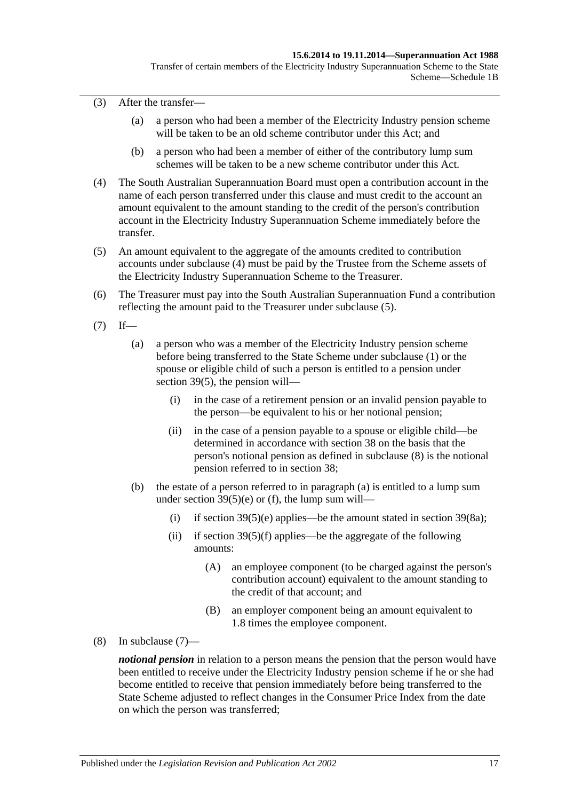(3) After the transfer—

- (a) a person who had been a member of the Electricity Industry pension scheme will be taken to be an old scheme contributor under this Act; and
- (b) a person who had been a member of either of the contributory lump sum schemes will be taken to be a new scheme contributor under this Act.
- <span id="page-122-0"></span>(4) The South Australian Superannuation Board must open a contribution account in the name of each person transferred under this clause and must credit to the account an amount equivalent to the amount standing to the credit of the person's contribution account in the Electricity Industry Superannuation Scheme immediately before the transfer.
- <span id="page-122-1"></span>(5) An amount equivalent to the aggregate of the amounts credited to contribution accounts under [subclause](#page-122-0) (4) must be paid by the Trustee from the Scheme assets of the Electricity Industry Superannuation Scheme to the Treasurer.
- (6) The Treasurer must pay into the South Australian Superannuation Fund a contribution reflecting the amount paid to the Treasurer under [subclause](#page-122-1) (5).
- <span id="page-122-4"></span><span id="page-122-3"></span> $(7)$  If—
	- (a) a person who was a member of the Electricity Industry pension scheme before being transferred to the State Scheme under [subclause](#page-121-2) (1) or the spouse or eligible child of such a person is entitled to a pension under [section](#page-74-0) 39(5), the pension will—
		- (i) in the case of a retirement pension or an invalid pension payable to the person—be equivalent to his or her notional pension;
		- (ii) in the case of a pension payable to a spouse or eligible child—be determined in accordance with [section](#page-68-0) 38 on the basis that the person's notional pension as defined in [subclause](#page-122-2) (8) is the notional pension referred to in [section](#page-68-0) 38;
	- (b) the estate of a person referred to in [paragraph](#page-122-3) (a) is entitled to a lump sum under section  $39(5)(e)$  or [\(f\),](#page-74-2) the lump sum will
		- (i) if [section](#page-76-1)  $39(5)(e)$  applies—be the amount stated in section  $39(8a)$ ;
		- (ii) if section  $39(5)(f)$  applies—be the aggregate of the following amounts:
			- (A) an employee component (to be charged against the person's contribution account) equivalent to the amount standing to the credit of that account; and
			- (B) an employer component being an amount equivalent to 1.8 times the employee component.
- <span id="page-122-2"></span>(8) In [subclause](#page-122-4) (7)—

*notional pension* in relation to a person means the pension that the person would have been entitled to receive under the Electricity Industry pension scheme if he or she had become entitled to receive that pension immediately before being transferred to the State Scheme adjusted to reflect changes in the Consumer Price Index from the date on which the person was transferred;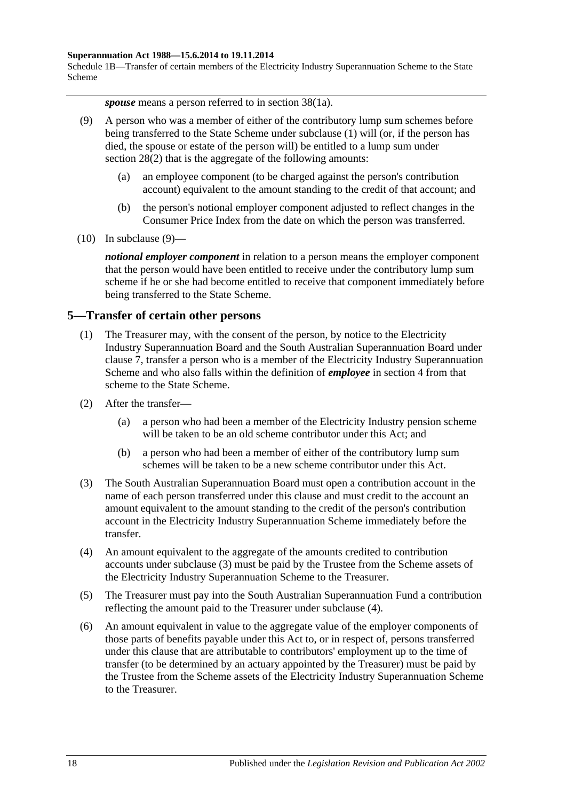#### **Superannuation Act 1988—15.6.2014 to 19.11.2014**

Schedule 1B—Transfer of certain members of the Electricity Industry Superannuation Scheme to the State Scheme

*spouse* means a person referred to in section 38(1a).

- <span id="page-123-0"></span>(9) A person who was a member of either of the contributory lump sum schemes before being transferred to the State Scheme under [subclause](#page-121-2) (1) will (or, if the person has died, the spouse or estate of the person will) be entitled to a lump sum under [section](#page-35-1) 28(2) that is the aggregate of the following amounts:
	- (a) an employee component (to be charged against the person's contribution account) equivalent to the amount standing to the credit of that account; and
	- (b) the person's notional employer component adjusted to reflect changes in the Consumer Price Index from the date on which the person was transferred.
- $(10)$  In [subclause](#page-123-0)  $(9)$ —

*notional employer component* in relation to a person means the employer component that the person would have been entitled to receive under the contributory lump sum scheme if he or she had become entitled to receive that component immediately before being transferred to the State Scheme.

#### <span id="page-123-4"></span>**5—Transfer of certain other persons**

- (1) The Treasurer may, with the consent of the person, by notice to the Electricity Industry Superannuation Board and the South Australian Superannuation Board under [clause](#page-125-0) 7, transfer a person who is a member of the Electricity Industry Superannuation Scheme and who also falls within the definition of *employee* in [section](#page-6-0) 4 from that scheme to the State Scheme.
- (2) After the transfer—
	- (a) a person who had been a member of the Electricity Industry pension scheme will be taken to be an old scheme contributor under this Act; and
	- (b) a person who had been a member of either of the contributory lump sum schemes will be taken to be a new scheme contributor under this Act.
- <span id="page-123-1"></span>(3) The South Australian Superannuation Board must open a contribution account in the name of each person transferred under this clause and must credit to the account an amount equivalent to the amount standing to the credit of the person's contribution account in the Electricity Industry Superannuation Scheme immediately before the transfer.
- <span id="page-123-2"></span>(4) An amount equivalent to the aggregate of the amounts credited to contribution accounts under [subclause](#page-123-1) (3) must be paid by the Trustee from the Scheme assets of the Electricity Industry Superannuation Scheme to the Treasurer.
- (5) The Treasurer must pay into the South Australian Superannuation Fund a contribution reflecting the amount paid to the Treasurer under [subclause](#page-123-2) (4).
- <span id="page-123-3"></span>(6) An amount equivalent in value to the aggregate value of the employer components of those parts of benefits payable under this Act to, or in respect of, persons transferred under this clause that are attributable to contributors' employment up to the time of transfer (to be determined by an actuary appointed by the Treasurer) must be paid by the Trustee from the Scheme assets of the Electricity Industry Superannuation Scheme to the Treasurer.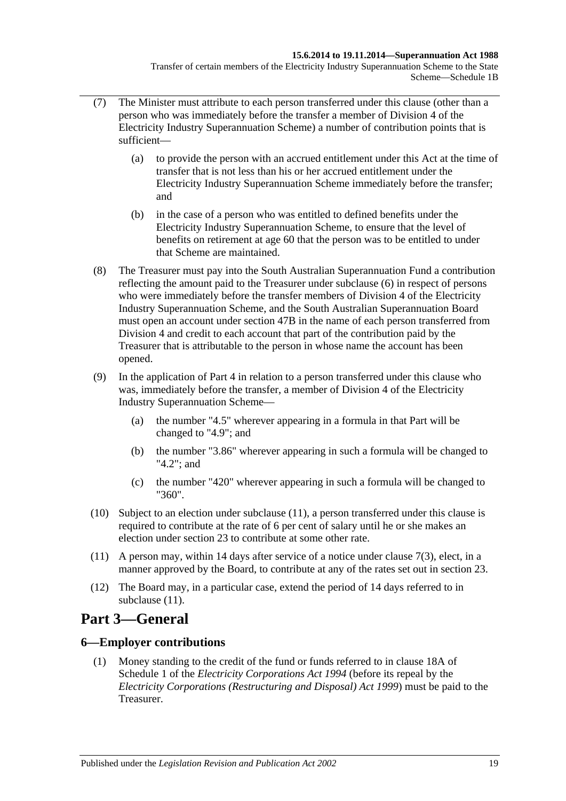- (7) The Minister must attribute to each person transferred under this clause (other than a person who was immediately before the transfer a member of Division 4 of the Electricity Industry Superannuation Scheme) a number of contribution points that is sufficient—
	- (a) to provide the person with an accrued entitlement under this Act at the time of transfer that is not less than his or her accrued entitlement under the Electricity Industry Superannuation Scheme immediately before the transfer; and
	- (b) in the case of a person who was entitled to defined benefits under the Electricity Industry Superannuation Scheme, to ensure that the level of benefits on retirement at age 60 that the person was to be entitled to under that Scheme are maintained.
- (8) The Treasurer must pay into the South Australian Superannuation Fund a contribution reflecting the amount paid to the Treasurer under [subclause](#page-123-3) (6) in respect of persons who were immediately before the transfer members of Division 4 of the Electricity Industry Superannuation Scheme, and the South Australian Superannuation Board must open an account under [section](#page-98-0) 47B in the name of each person transferred from Division 4 and credit to each account that part of the contribution paid by the Treasurer that is attributable to the person in whose name the account has been opened.
- (9) In the application of [Part 4](#page-30-0) in relation to a person transferred under this clause who was, immediately before the transfer, a member of Division 4 of the Electricity Industry Superannuation Scheme—
	- (a) the number "4.5" wherever appearing in a formula in that Part will be changed to "4.9"; and
	- (b) the number "3.86" wherever appearing in such a formula will be changed to "4.2"; and
	- (c) the number "420" wherever appearing in such a formula will be changed to "360".
- (10) Subject to an election under [subclause](#page-124-0) (11), a person transferred under this clause is required to contribute at the rate of 6 per cent of salary until he or she makes an election under [section](#page-26-0) 23 to contribute at some other rate.
- <span id="page-124-0"></span>(11) A person may, within 14 days after service of a notice under [clause](#page-125-1) 7(3), elect, in a manner approved by the Board, to contribute at any of the rates set out in [section](#page-26-0) 23.
- (12) The Board may, in a particular case, extend the period of 14 days referred to in [subclause](#page-124-0) (11).

# **Part 3—General**

### **6—Employer contributions**

(1) Money standing to the credit of the fund or funds referred to in clause 18A of Schedule 1 of the *[Electricity Corporations Act](http://www.legislation.sa.gov.au/index.aspx?action=legref&type=act&legtitle=Electricity%20Corporations%20Act%201994) 1994* (before its repeal by the *[Electricity Corporations \(Restructuring and Disposal\) Act](http://www.legislation.sa.gov.au/index.aspx?action=legref&type=act&legtitle=Electricity%20Corporations%20(Restructuring%20and%20Disposal)%20Act%201999) 1999*) must be paid to the Treasurer.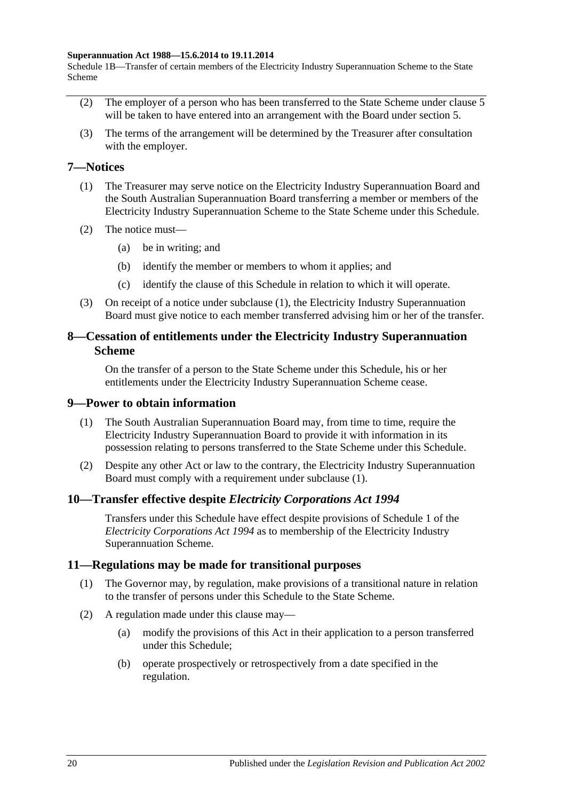#### **Superannuation Act 1988—15.6.2014 to 19.11.2014**

Schedule 1B—Transfer of certain members of the Electricity Industry Superannuation Scheme to the State Scheme

- (2) The employer of a person who has been transferred to the State Scheme under [clause](#page-123-4) 5 will be taken to have entered into an arrangement with the Board under [section](#page-15-0) 5.
- (3) The terms of the arrangement will be determined by the Treasurer after consultation with the employer.

#### <span id="page-125-2"></span><span id="page-125-0"></span>**7—Notices**

- (1) The Treasurer may serve notice on the Electricity Industry Superannuation Board and the South Australian Superannuation Board transferring a member or members of the Electricity Industry Superannuation Scheme to the State Scheme under this Schedule.
- (2) The notice must—
	- (a) be in writing; and
	- (b) identify the member or members to whom it applies; and
	- (c) identify the clause of this Schedule in relation to which it will operate.
- <span id="page-125-1"></span>(3) On receipt of a notice under [subclause](#page-125-2) (1), the Electricity Industry Superannuation Board must give notice to each member transferred advising him or her of the transfer.

#### **8—Cessation of entitlements under the Electricity Industry Superannuation Scheme**

On the transfer of a person to the State Scheme under this Schedule, his or her entitlements under the Electricity Industry Superannuation Scheme cease.

#### <span id="page-125-3"></span>**9—Power to obtain information**

- (1) The South Australian Superannuation Board may, from time to time, require the Electricity Industry Superannuation Board to provide it with information in its possession relating to persons transferred to the State Scheme under this Schedule.
- (2) Despite any other Act or law to the contrary, the Electricity Industry Superannuation Board must comply with a requirement under [subclause](#page-125-3) (1).

#### **10—Transfer effective despite** *Electricity Corporations Act 1994*

Transfers under this Schedule have effect despite provisions of Schedule 1 of the *[Electricity Corporations Act](http://www.legislation.sa.gov.au/index.aspx?action=legref&type=act&legtitle=Electricity%20Corporations%20Act%201994) 1994* as to membership of the Electricity Industry Superannuation Scheme.

#### **11—Regulations may be made for transitional purposes**

- (1) The Governor may, by regulation, make provisions of a transitional nature in relation to the transfer of persons under this Schedule to the State Scheme.
- (2) A regulation made under this clause may—
	- (a) modify the provisions of this Act in their application to a person transferred under this Schedule;
	- (b) operate prospectively or retrospectively from a date specified in the regulation.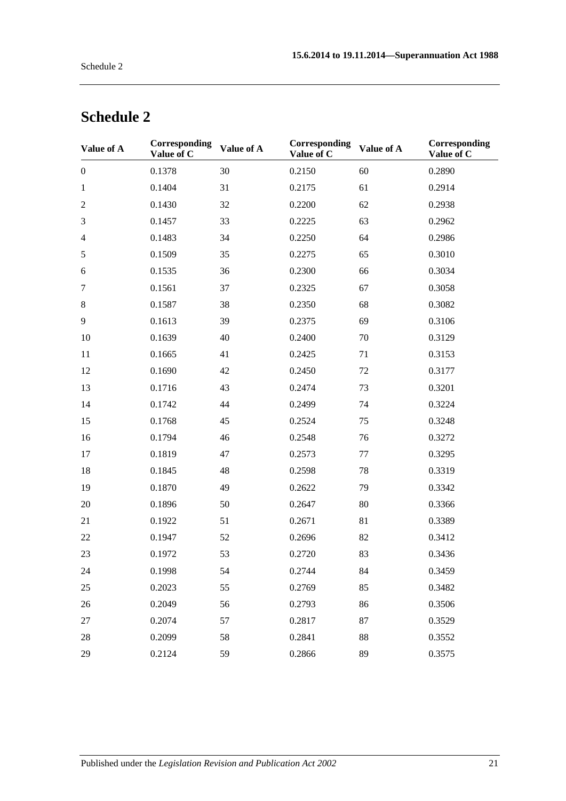| Value of A       | Corresponding<br>Value of C | Value of A | Corresponding<br>Value of C | Value of A | Corresponding<br>Value of C |
|------------------|-----------------------------|------------|-----------------------------|------------|-----------------------------|
| $\boldsymbol{0}$ | 0.1378                      | 30         | 0.2150                      | 60         | 0.2890                      |
| $\mathbf{1}$     | 0.1404                      | 31         | 0.2175                      | 61         | 0.2914                      |
| $\mathfrak{2}$   | 0.1430                      | 32         | 0.2200                      | 62         | 0.2938                      |
| 3                | 0.1457                      | 33         | 0.2225                      | 63         | 0.2962                      |
| $\overline{4}$   | 0.1483                      | 34         | 0.2250                      | 64         | 0.2986                      |
| $\sqrt{5}$       | 0.1509                      | 35         | 0.2275                      | 65         | 0.3010                      |
| 6                | 0.1535                      | 36         | 0.2300                      | 66         | 0.3034                      |
| $\tau$           | 0.1561                      | 37         | 0.2325                      | 67         | 0.3058                      |
| $8\,$            | 0.1587                      | 38         | 0.2350                      | 68         | 0.3082                      |
| 9                | 0.1613                      | 39         | 0.2375                      | 69         | 0.3106                      |
| 10               | 0.1639                      | 40         | 0.2400                      | 70         | 0.3129                      |
| 11               | 0.1665                      | 41         | 0.2425                      | 71         | 0.3153                      |
| 12               | 0.1690                      | 42         | 0.2450                      | 72         | 0.3177                      |
| 13               | 0.1716                      | 43         | 0.2474                      | 73         | 0.3201                      |
| 14               | 0.1742                      | 44         | 0.2499                      | 74         | 0.3224                      |
| 15               | 0.1768                      | 45         | 0.2524                      | 75         | 0.3248                      |
| 16               | 0.1794                      | 46         | 0.2548                      | 76         | 0.3272                      |
| 17               | 0.1819                      | 47         | 0.2573                      | 77         | 0.3295                      |
| 18               | 0.1845                      | 48         | 0.2598                      | 78         | 0.3319                      |
| 19               | 0.1870                      | 49         | 0.2622                      | 79         | 0.3342                      |
| 20               | 0.1896                      | 50         | 0.2647                      | 80         | 0.3366                      |
| 21               | 0.1922                      | 51         | 0.2671                      | 81         | 0.3389                      |
| 22               | 0.1947                      | 52         | 0.2696                      | 82         | 0.3412                      |
| 23               | 0.1972                      | 53         | 0.2720                      | 83         | 0.3436                      |
| 24               | 0.1998                      | 54         | 0.2744                      | 84         | 0.3459                      |
| 25               | 0.2023                      | 55         | 0.2769                      | 85         | 0.3482                      |
| 26               | 0.2049                      | 56         | 0.2793                      | 86         | 0.3506                      |
| 27               | 0.2074                      | 57         | 0.2817                      | 87         | 0.3529                      |
| 28               | 0.2099                      | 58         | 0.2841                      | 88         | 0.3552                      |
| 29               | 0.2124                      | 59         | 0.2866                      | 89         | 0.3575                      |

# **Schedule 2**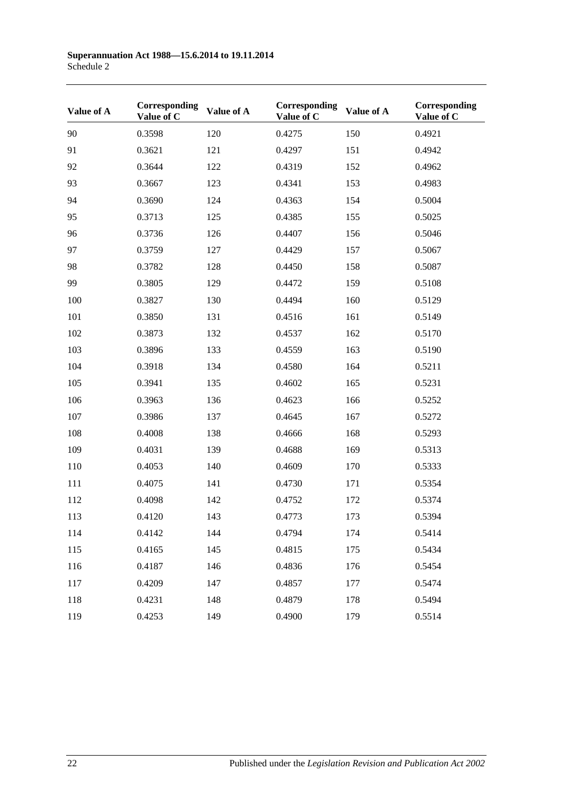| Value of A | Corresponding<br>Value of C | Value of A | Corresponding<br>Value of C | Value of A | Corresponding<br>Value of C |
|------------|-----------------------------|------------|-----------------------------|------------|-----------------------------|
| 90         | 0.3598                      | 120        | 0.4275                      | 150        | 0.4921                      |
| 91         | 0.3621                      | 121        | 0.4297                      | 151        | 0.4942                      |
| 92         | 0.3644                      | 122        | 0.4319                      | 152        | 0.4962                      |
| 93         | 0.3667                      | 123        | 0.4341                      | 153        | 0.4983                      |
| 94         | 0.3690                      | 124        | 0.4363                      | 154        | 0.5004                      |
| 95         | 0.3713                      | 125        | 0.4385                      | 155        | 0.5025                      |
| 96         | 0.3736                      | 126        | 0.4407                      | 156        | 0.5046                      |
| 97         | 0.3759                      | 127        | 0.4429                      | 157        | 0.5067                      |
| 98         | 0.3782                      | 128        | 0.4450                      | 158        | 0.5087                      |
| 99         | 0.3805                      | 129        | 0.4472                      | 159        | 0.5108                      |
| 100        | 0.3827                      | 130        | 0.4494                      | 160        | 0.5129                      |
| 101        | 0.3850                      | 131        | 0.4516                      | 161        | 0.5149                      |
| 102        | 0.3873                      | 132        | 0.4537                      | 162        | 0.5170                      |
| 103        | 0.3896                      | 133        | 0.4559                      | 163        | 0.5190                      |
| 104        | 0.3918                      | 134        | 0.4580                      | 164        | 0.5211                      |
| 105        | 0.3941                      | 135        | 0.4602                      | 165        | 0.5231                      |
| 106        | 0.3963                      | 136        | 0.4623                      | 166        | 0.5252                      |
| 107        | 0.3986                      | 137        | 0.4645                      | 167        | 0.5272                      |
| 108        | 0.4008                      | 138        | 0.4666                      | 168        | 0.5293                      |
| 109        | 0.4031                      | 139        | 0.4688                      | 169        | 0.5313                      |
| 110        | 0.4053                      | 140        | 0.4609                      | 170        | 0.5333                      |
| 111        | 0.4075                      | 141        | 0.4730                      | 171        | 0.5354                      |
| 112        | 0.4098                      | 142        | 0.4752                      | 172        | 0.5374                      |
| 113        | 0.4120                      | 143        | 0.4773                      | 173        | 0.5394                      |
| 114        | 0.4142                      | 144        | 0.4794                      | 174        | 0.5414                      |
| 115        | 0.4165                      | 145        | 0.4815                      | 175        | 0.5434                      |
| 116        | 0.4187                      | 146        | 0.4836                      | 176        | 0.5454                      |
| 117        | 0.4209                      | 147        | 0.4857                      | 177        | 0.5474                      |
| 118        | 0.4231                      | 148        | 0.4879                      | 178        | 0.5494                      |
| 119        | 0.4253                      | 149        | 0.4900                      | 179        | 0.5514                      |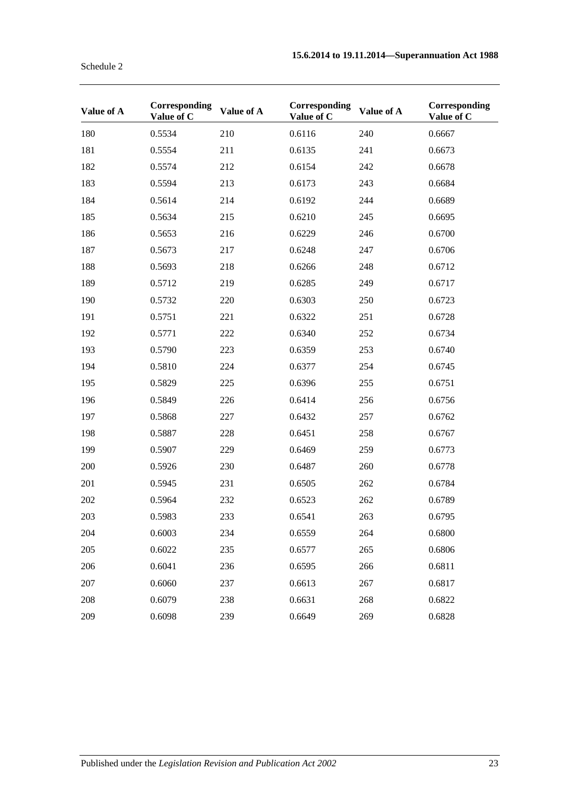| Schedule 2 |  |
|------------|--|
|            |  |

| Value of A | Corresponding<br>Value of C | Value of A | Corresponding<br>Value of C | Value of A | Corresponding<br>Value of C |
|------------|-----------------------------|------------|-----------------------------|------------|-----------------------------|
| 180        | 0.5534                      | 210        | 0.6116                      | 240        | 0.6667                      |
| 181        | 0.5554                      | 211        | 0.6135                      | 241        | 0.6673                      |
| 182        | 0.5574                      | 212        | 0.6154                      | 242        | 0.6678                      |
| 183        | 0.5594                      | 213        | 0.6173                      | 243        | 0.6684                      |
| 184        | 0.5614                      | 214        | 0.6192                      | 244        | 0.6689                      |
| 185        | 0.5634                      | 215        | 0.6210                      | 245        | 0.6695                      |
| 186        | 0.5653                      | 216        | 0.6229                      | 246        | 0.6700                      |
| 187        | 0.5673                      | 217        | 0.6248                      | 247        | 0.6706                      |
| 188        | 0.5693                      | 218        | 0.6266                      | 248        | 0.6712                      |
| 189        | 0.5712                      | 219        | 0.6285                      | 249        | 0.6717                      |
| 190        | 0.5732                      | 220        | 0.6303                      | 250        | 0.6723                      |
| 191        | 0.5751                      | 221        | 0.6322                      | 251        | 0.6728                      |
| 192        | 0.5771                      | 222        | 0.6340                      | 252        | 0.6734                      |
| 193        | 0.5790                      | 223        | 0.6359                      | 253        | 0.6740                      |
| 194        | 0.5810                      | 224        | 0.6377                      | 254        | 0.6745                      |
| 195        | 0.5829                      | 225        | 0.6396                      | 255        | 0.6751                      |
| 196        | 0.5849                      | 226        | 0.6414                      | 256        | 0.6756                      |
| 197        | 0.5868                      | 227        | 0.6432                      | 257        | 0.6762                      |
| 198        | 0.5887                      | 228        | 0.6451                      | 258        | 0.6767                      |
| 199        | 0.5907                      | 229        | 0.6469                      | 259        | 0.6773                      |
| 200        | 0.5926                      | 230        | 0.6487                      | 260        | 0.6778                      |
| 201        | 0.5945                      | 231        | 0.6505                      | 262        | 0.6784                      |
| 202        | 0.5964                      | 232        | 0.6523                      | 262        | 0.6789                      |
| 203        | 0.5983                      | 233        | 0.6541                      | 263        | 0.6795                      |
| 204        | 0.6003                      | 234        | 0.6559                      | 264        | 0.6800                      |
| 205        | 0.6022                      | 235        | 0.6577                      | 265        | 0.6806                      |
| 206        | 0.6041                      | 236        | 0.6595                      | 266        | 0.6811                      |
| 207        | 0.6060                      | 237        | 0.6613                      | 267        | 0.6817                      |
| 208        | 0.6079                      | 238        | 0.6631                      | 268        | 0.6822                      |
| 209        | 0.6098                      | 239        | 0.6649                      | 269        | 0.6828                      |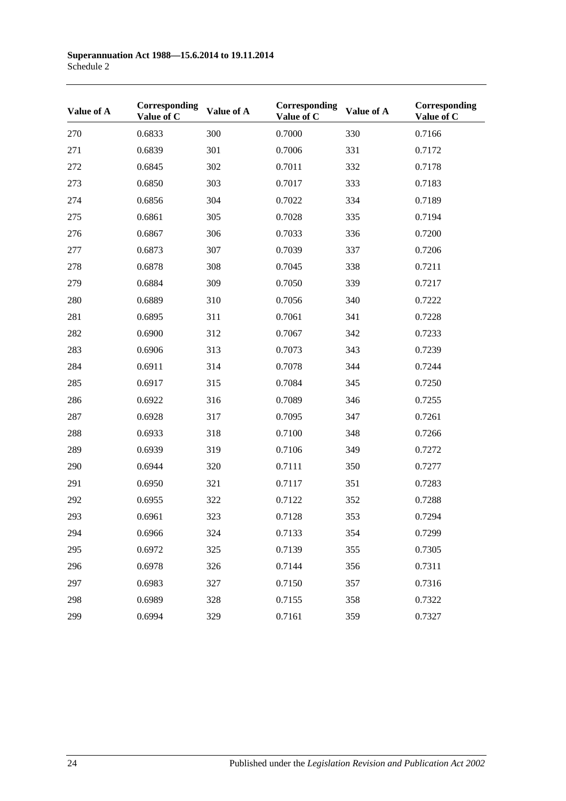| Value of A | Corresponding<br>Value of C | Value of A | Corresponding<br>Value of C | Value of A | Corresponding<br>Value of C |
|------------|-----------------------------|------------|-----------------------------|------------|-----------------------------|
| 270        | 0.6833                      | 300        | 0.7000                      | 330        | 0.7166                      |
| 271        | 0.6839                      | 301        | 0.7006                      | 331        | 0.7172                      |
| 272        | 0.6845                      | 302        | 0.7011                      | 332        | 0.7178                      |
| 273        | 0.6850                      | 303        | 0.7017                      | 333        | 0.7183                      |
| 274        | 0.6856                      | 304        | 0.7022                      | 334        | 0.7189                      |
| 275        | 0.6861                      | 305        | 0.7028                      | 335        | 0.7194                      |
| 276        | 0.6867                      | 306        | 0.7033                      | 336        | 0.7200                      |
| 277        | 0.6873                      | 307        | 0.7039                      | 337        | 0.7206                      |
| 278        | 0.6878                      | 308        | 0.7045                      | 338        | 0.7211                      |
| 279        | 0.6884                      | 309        | 0.7050                      | 339        | 0.7217                      |
| 280        | 0.6889                      | 310        | 0.7056                      | 340        | 0.7222                      |
| 281        | 0.6895                      | 311        | 0.7061                      | 341        | 0.7228                      |
| 282        | 0.6900                      | 312        | 0.7067                      | 342        | 0.7233                      |
| 283        | 0.6906                      | 313        | 0.7073                      | 343        | 0.7239                      |
| 284        | 0.6911                      | 314        | 0.7078                      | 344        | 0.7244                      |
| 285        | 0.6917                      | 315        | 0.7084                      | 345        | 0.7250                      |
| 286        | 0.6922                      | 316        | 0.7089                      | 346        | 0.7255                      |
| 287        | 0.6928                      | 317        | 0.7095                      | 347        | 0.7261                      |
| 288        | 0.6933                      | 318        | 0.7100                      | 348        | 0.7266                      |
| 289        | 0.6939                      | 319        | 0.7106                      | 349        | 0.7272                      |
| 290        | 0.6944                      | 320        | 0.7111                      | 350        | 0.7277                      |
| 291        | 0.6950                      | 321        | 0.7117                      | 351        | 0.7283                      |
| 292        | 0.6955                      | 322        | 0.7122                      | 352        | 0.7288                      |
| 293        | 0.6961                      | 323        | 0.7128                      | 353        | 0.7294                      |
| 294        | 0.6966                      | 324        | 0.7133                      | 354        | 0.7299                      |
| 295        | 0.6972                      | 325        | 0.7139                      | 355        | 0.7305                      |
| 296        | 0.6978                      | 326        | 0.7144                      | 356        | 0.7311                      |
| 297        | 0.6983                      | 327        | 0.7150                      | 357        | 0.7316                      |
| 298        | 0.6989                      | 328        | 0.7155                      | 358        | 0.7322                      |
| 299        | 0.6994                      | 329        | 0.7161                      | 359        | 0.7327                      |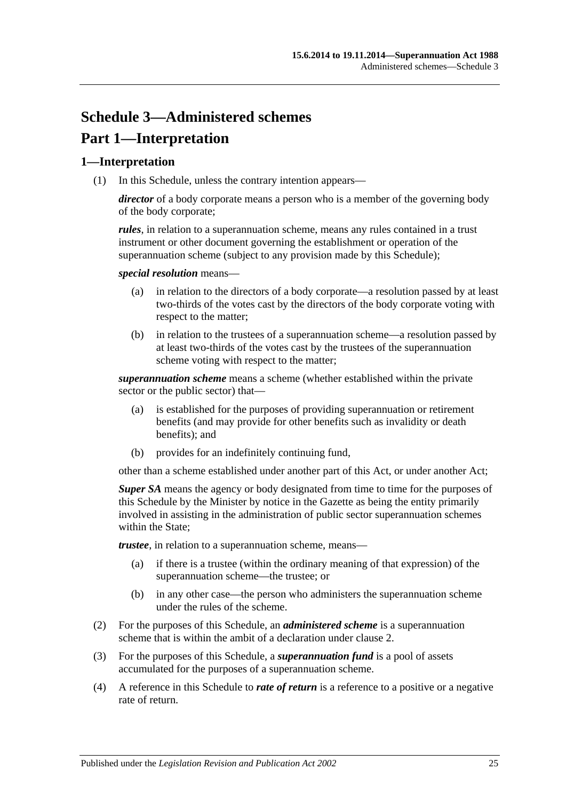# **Schedule 3—Administered schemes Part 1—Interpretation**

### **1—Interpretation**

(1) In this Schedule, unless the contrary intention appears—

*director* of a body corporate means a person who is a member of the governing body of the body corporate;

*rules*, in relation to a superannuation scheme, means any rules contained in a trust instrument or other document governing the establishment or operation of the superannuation scheme (subject to any provision made by this Schedule);

*special resolution* means—

- (a) in relation to the directors of a body corporate—a resolution passed by at least two-thirds of the votes cast by the directors of the body corporate voting with respect to the matter;
- (b) in relation to the trustees of a superannuation scheme—a resolution passed by at least two-thirds of the votes cast by the trustees of the superannuation scheme voting with respect to the matter;

*superannuation scheme* means a scheme (whether established within the private sector or the public sector) that—

- (a) is established for the purposes of providing superannuation or retirement benefits (and may provide for other benefits such as invalidity or death benefits); and
- (b) provides for an indefinitely continuing fund,

other than a scheme established under another part of this Act, or under another Act;

*Super SA* means the agency or body designated from time to time for the purposes of this Schedule by the Minister by notice in the Gazette as being the entity primarily involved in assisting in the administration of public sector superannuation schemes within the State:

*trustee*, in relation to a superannuation scheme, means—

- (a) if there is a trustee (within the ordinary meaning of that expression) of the superannuation scheme—the trustee; or
- (b) in any other case—the person who administers the superannuation scheme under the rules of the scheme.
- (2) For the purposes of this Schedule, an *administered scheme* is a superannuation scheme that is within the ambit of a declaration under [clause](#page-131-0) 2.
- (3) For the purposes of this Schedule, a *superannuation fund* is a pool of assets accumulated for the purposes of a superannuation scheme.
- (4) A reference in this Schedule to *rate of return* is a reference to a positive or a negative rate of return.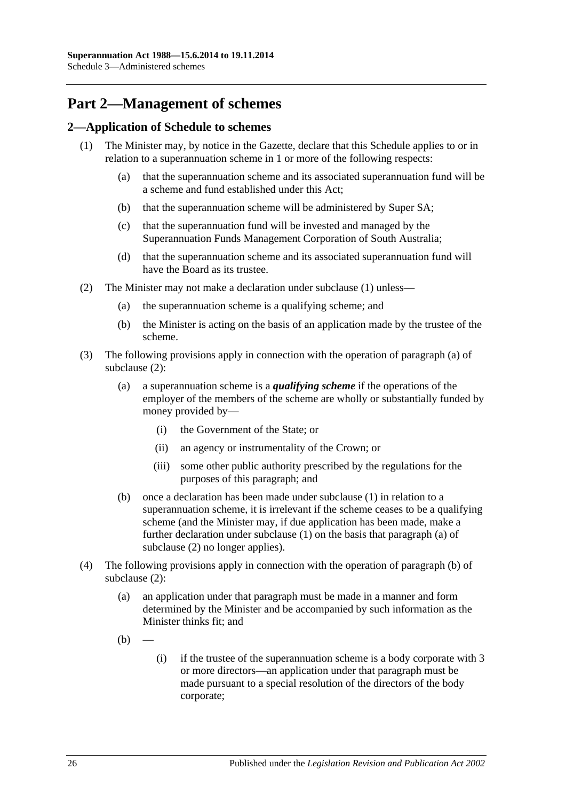# **Part 2—Management of schemes**

### <span id="page-131-1"></span><span id="page-131-0"></span>**2—Application of Schedule to schemes**

- <span id="page-131-6"></span><span id="page-131-5"></span>(1) The Minister may, by notice in the Gazette, declare that this Schedule applies to or in relation to a superannuation scheme in 1 or more of the following respects:
	- (a) that the superannuation scheme and its associated superannuation fund will be a scheme and fund established under this Act;
	- (b) that the superannuation scheme will be administered by Super SA;
	- (c) that the superannuation fund will be invested and managed by the Superannuation Funds Management Corporation of South Australia;
	- (d) that the superannuation scheme and its associated superannuation fund will have the Board as its trustee.
- <span id="page-131-8"></span><span id="page-131-7"></span><span id="page-131-4"></span><span id="page-131-3"></span><span id="page-131-2"></span>(2) The Minister may not make a declaration under [subclause](#page-131-1) (1) unless—
	- (a) the superannuation scheme is a qualifying scheme; and
	- (b) the Minister is acting on the basis of an application made by the trustee of the scheme.
- (3) The following provisions apply in connection with the operation of [paragraph](#page-131-2) (a) of [subclause](#page-131-3) (2):
	- (a) a superannuation scheme is a *qualifying scheme* if the operations of the employer of the members of the scheme are wholly or substantially funded by money provided by—
		- (i) the Government of the State; or
		- (ii) an agency or instrumentality of the Crown; or
		- (iii) some other public authority prescribed by the regulations for the purposes of this paragraph; and
	- (b) once a declaration has been made under [subclause](#page-131-1) (1) in relation to a superannuation scheme, it is irrelevant if the scheme ceases to be a qualifying scheme (and the Minister may, if due application has been made, make a further declaration under [subclause](#page-131-1) (1) on the basis that [paragraph](#page-131-2) (a) of [subclause](#page-131-3) (2) no longer applies).
- (4) The following provisions apply in connection with the operation of [paragraph](#page-131-4) (b) of [subclause](#page-131-3) (2):
	- (a) an application under that paragraph must be made in a manner and form determined by the Minister and be accompanied by such information as the Minister thinks fit; and
	- $(b)$
- (i) if the trustee of the superannuation scheme is a body corporate with 3 or more directors—an application under that paragraph must be made pursuant to a special resolution of the directors of the body corporate;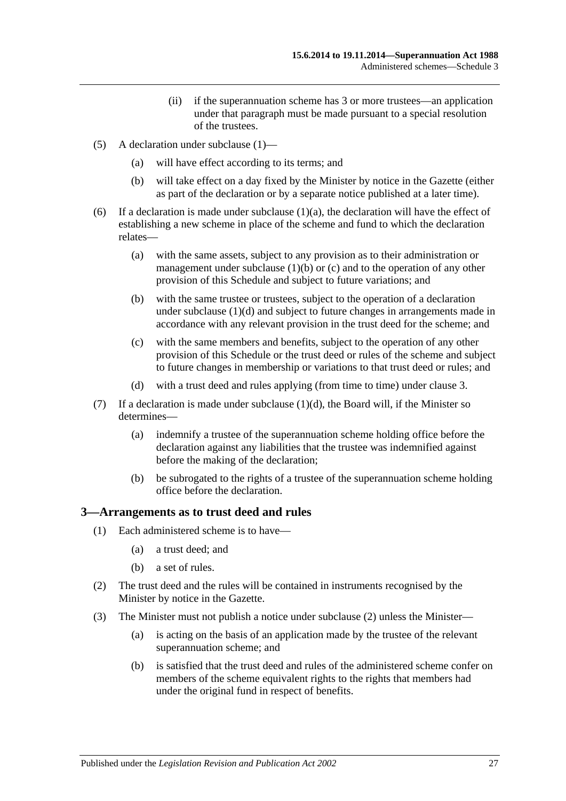- (ii) if the superannuation scheme has 3 or more trustees—an application under that paragraph must be made pursuant to a special resolution of the trustees.
- (5) A declaration under [subclause](#page-131-1) (1)—
	- (a) will have effect according to its terms; and
	- (b) will take effect on a day fixed by the Minister by notice in the Gazette (either as part of the declaration or by a separate notice published at a later time).
- (6) If a declaration is made under [subclause](#page-131-5)  $(1)(a)$ , the declaration will have the effect of establishing a new scheme in place of the scheme and fund to which the declaration relates—
	- (a) with the same assets, subject to any provision as to their administration or management under [subclause](#page-131-6)  $(1)(b)$  or  $(c)$  and to the operation of any other provision of this Schedule and subject to future variations; and
	- (b) with the same trustee or trustees, subject to the operation of a declaration under [subclause](#page-131-8) (1)(d) and subject to future changes in arrangements made in accordance with any relevant provision in the trust deed for the scheme; and
	- (c) with the same members and benefits, subject to the operation of any other provision of this Schedule or the trust deed or rules of the scheme and subject to future changes in membership or variations to that trust deed or rules; and
	- (d) with a trust deed and rules applying (from time to time) under [clause](#page-132-0) 3.
- (7) If a declaration is made under [subclause](#page-131-8)  $(1)(d)$ , the Board will, if the Minister so determines—
	- (a) indemnify a trustee of the superannuation scheme holding office before the declaration against any liabilities that the trustee was indemnified against before the making of the declaration;
	- (b) be subrogated to the rights of a trustee of the superannuation scheme holding office before the declaration.

#### <span id="page-132-0"></span>**3—Arrangements as to trust deed and rules**

- (1) Each administered scheme is to have—
	- (a) a trust deed; and
	- (b) a set of rules.
- <span id="page-132-1"></span>(2) The trust deed and the rules will be contained in instruments recognised by the Minister by notice in the Gazette.
- <span id="page-132-2"></span>(3) The Minister must not publish a notice under [subclause](#page-132-1) (2) unless the Minister—
	- (a) is acting on the basis of an application made by the trustee of the relevant superannuation scheme; and
	- (b) is satisfied that the trust deed and rules of the administered scheme confer on members of the scheme equivalent rights to the rights that members had under the original fund in respect of benefits.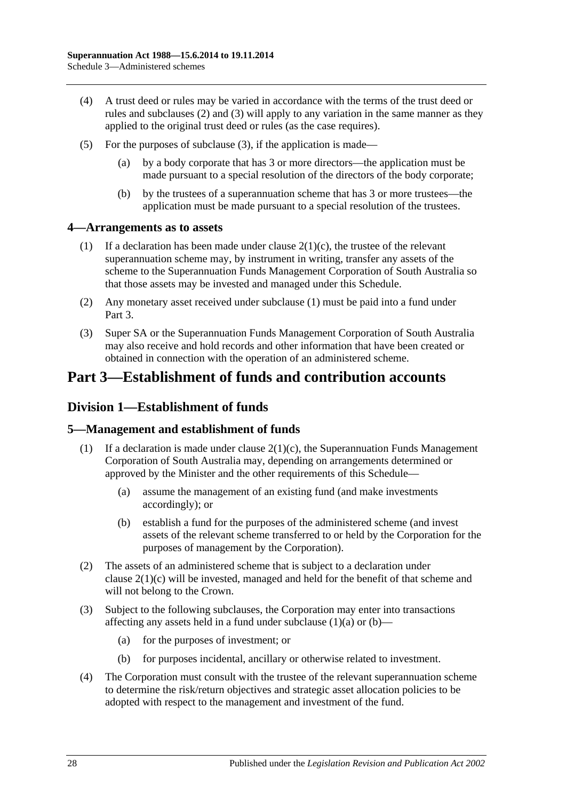- (4) A trust deed or rules may be varied in accordance with the terms of the trust deed or rules and [subclauses](#page-132-1) (2) and [\(3\)](#page-132-2) will apply to any variation in the same manner as they applied to the original trust deed or rules (as the case requires).
- (5) For the purposes of [subclause](#page-132-2) (3), if the application is made—
	- (a) by a body corporate that has 3 or more directors—the application must be made pursuant to a special resolution of the directors of the body corporate;
	- (b) by the trustees of a superannuation scheme that has 3 or more trustees—the application must be made pursuant to a special resolution of the trustees.

### <span id="page-133-0"></span>**4—Arrangements as to assets**

- (1) If a declaration has been made under clause  $2(1)(c)$ , the trustee of the relevant superannuation scheme may, by instrument in writing, transfer any assets of the scheme to the Superannuation Funds Management Corporation of South Australia so that those assets may be invested and managed under this Schedule.
- (2) Any monetary asset received under [subclause](#page-133-0) (1) must be paid into a fund under Part 3.
- (3) Super SA or the Superannuation Funds Management Corporation of South Australia may also receive and hold records and other information that have been created or obtained in connection with the operation of an administered scheme.

# **Part 3—Establishment of funds and contribution accounts**

## **Division 1—Establishment of funds**

### **5—Management and establishment of funds**

- <span id="page-133-1"></span>(1) If a declaration is made under clause  $2(1)(c)$ , the Superannuation Funds Management Corporation of South Australia may, depending on arrangements determined or approved by the Minister and the other requirements of this Schedule—
	- (a) assume the management of an existing fund (and make investments accordingly); or
	- (b) establish a fund for the purposes of the administered scheme (and invest assets of the relevant scheme transferred to or held by the Corporation for the purposes of management by the Corporation).
- <span id="page-133-2"></span>(2) The assets of an administered scheme that is subject to a declaration under clause [2\(1\)\(c\)](#page-131-7) will be invested, managed and held for the benefit of that scheme and will not belong to the Crown.
- (3) Subject to the following subclauses, the Corporation may enter into transactions affecting any assets held in a fund under [subclause](#page-133-1)  $(1)(a)$  or  $(b)$ —
	- (a) for the purposes of investment; or
	- (b) for purposes incidental, ancillary or otherwise related to investment.
- (4) The Corporation must consult with the trustee of the relevant superannuation scheme to determine the risk/return objectives and strategic asset allocation policies to be adopted with respect to the management and investment of the fund.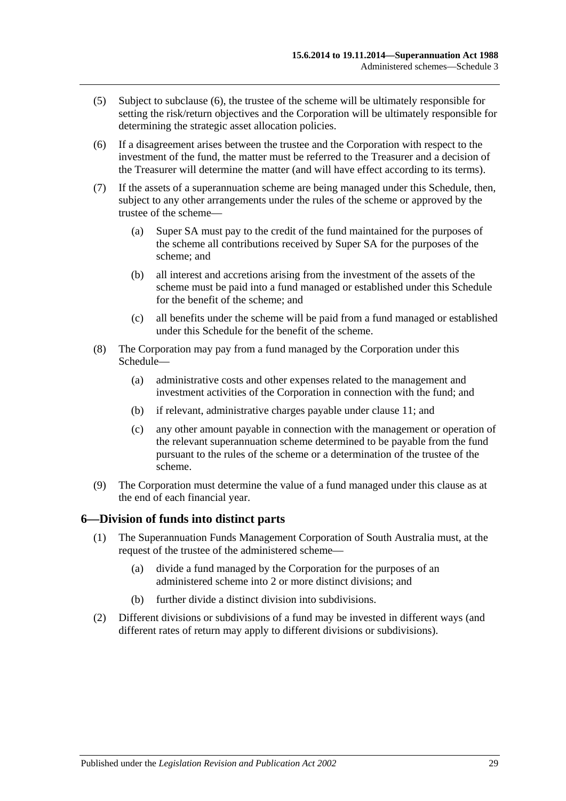- (5) Subject to [subclause](#page-134-0) (6), the trustee of the scheme will be ultimately responsible for setting the risk/return objectives and the Corporation will be ultimately responsible for determining the strategic asset allocation policies.
- <span id="page-134-0"></span>(6) If a disagreement arises between the trustee and the Corporation with respect to the investment of the fund, the matter must be referred to the Treasurer and a decision of the Treasurer will determine the matter (and will have effect according to its terms).
- (7) If the assets of a superannuation scheme are being managed under this Schedule, then, subject to any other arrangements under the rules of the scheme or approved by the trustee of the scheme—
	- (a) Super SA must pay to the credit of the fund maintained for the purposes of the scheme all contributions received by Super SA for the purposes of the scheme; and
	- (b) all interest and accretions arising from the investment of the assets of the scheme must be paid into a fund managed or established under this Schedule for the benefit of the scheme; and
	- (c) all benefits under the scheme will be paid from a fund managed or established under this Schedule for the benefit of the scheme.
- (8) The Corporation may pay from a fund managed by the Corporation under this Schedule—
	- (a) administrative costs and other expenses related to the management and investment activities of the Corporation in connection with the fund; and
	- (b) if relevant, administrative charges payable under [clause](#page-136-0) 11; and
	- (c) any other amount payable in connection with the management or operation of the relevant superannuation scheme determined to be payable from the fund pursuant to the rules of the scheme or a determination of the trustee of the scheme.
- (9) The Corporation must determine the value of a fund managed under this clause as at the end of each financial year.

#### **6—Division of funds into distinct parts**

- (1) The Superannuation Funds Management Corporation of South Australia must, at the request of the trustee of the administered scheme—
	- (a) divide a fund managed by the Corporation for the purposes of an administered scheme into 2 or more distinct divisions; and
	- (b) further divide a distinct division into subdivisions.
- (2) Different divisions or subdivisions of a fund may be invested in different ways (and different rates of return may apply to different divisions or subdivisions).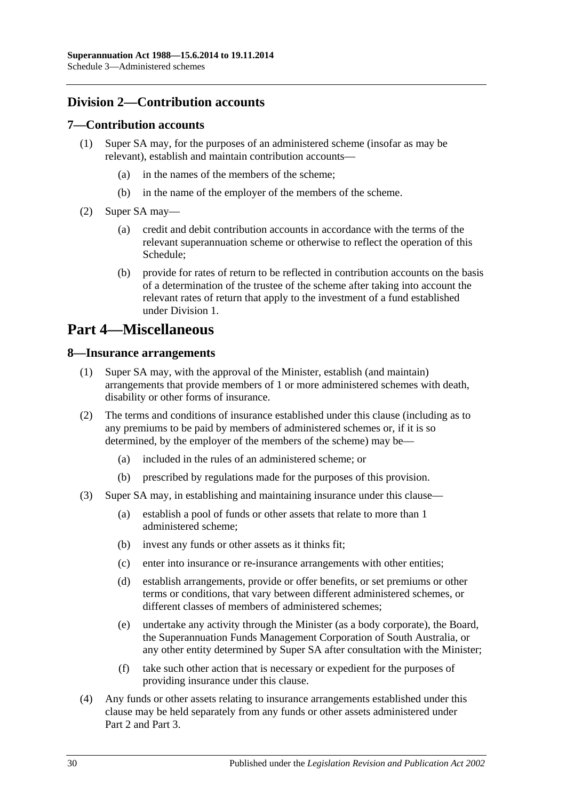## **Division 2—Contribution accounts**

#### **7—Contribution accounts**

- (1) Super SA may, for the purposes of an administered scheme (insofar as may be relevant), establish and maintain contribution accounts—
	- (a) in the names of the members of the scheme;
	- (b) in the name of the employer of the members of the scheme.
- (2) Super SA may—
	- (a) credit and debit contribution accounts in accordance with the terms of the relevant superannuation scheme or otherwise to reflect the operation of this Schedule;
	- (b) provide for rates of return to be reflected in contribution accounts on the basis of a determination of the trustee of the scheme after taking into account the relevant rates of return that apply to the investment of a fund established under Division 1.

## **Part 4—Miscellaneous**

#### **8—Insurance arrangements**

- (1) Super SA may, with the approval of the Minister, establish (and maintain) arrangements that provide members of 1 or more administered schemes with death, disability or other forms of insurance.
- (2) The terms and conditions of insurance established under this clause (including as to any premiums to be paid by members of administered schemes or, if it is so determined, by the employer of the members of the scheme) may be—
	- (a) included in the rules of an administered scheme; or
	- (b) prescribed by regulations made for the purposes of this provision.
- (3) Super SA may, in establishing and maintaining insurance under this clause—
	- (a) establish a pool of funds or other assets that relate to more than 1 administered scheme;
	- (b) invest any funds or other assets as it thinks fit;
	- (c) enter into insurance or re-insurance arrangements with other entities;
	- (d) establish arrangements, provide or offer benefits, or set premiums or other terms or conditions, that vary between different administered schemes, or different classes of members of administered schemes;
	- (e) undertake any activity through the Minister (as a body corporate), the Board, the Superannuation Funds Management Corporation of South Australia, or any other entity determined by Super SA after consultation with the Minister;
	- (f) take such other action that is necessary or expedient for the purposes of providing insurance under this clause.
- (4) Any funds or other assets relating to insurance arrangements established under this clause may be held separately from any funds or other assets administered under Part 2 and Part 3.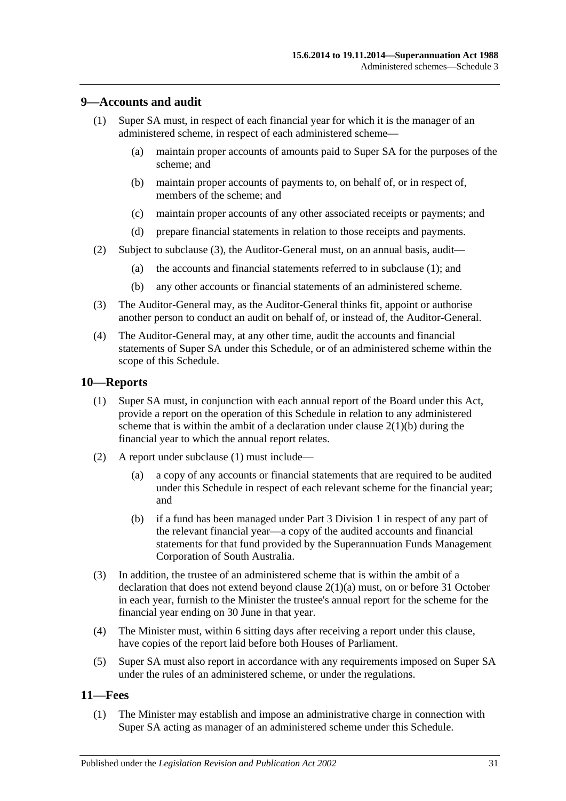### <span id="page-136-2"></span>**9—Accounts and audit**

- (1) Super SA must, in respect of each financial year for which it is the manager of an administered scheme, in respect of each administered scheme—
	- (a) maintain proper accounts of amounts paid to Super SA for the purposes of the scheme; and
	- (b) maintain proper accounts of payments to, on behalf of, or in respect of, members of the scheme; and
	- (c) maintain proper accounts of any other associated receipts or payments; and
	- (d) prepare financial statements in relation to those receipts and payments.
- (2) Subject to [subclause](#page-136-1) (3), the Auditor-General must, on an annual basis, audit—
	- (a) the accounts and financial statements referred to in [subclause](#page-136-2) (1); and
	- (b) any other accounts or financial statements of an administered scheme.
- <span id="page-136-1"></span>(3) The Auditor-General may, as the Auditor-General thinks fit, appoint or authorise another person to conduct an audit on behalf of, or instead of, the Auditor-General.
- (4) The Auditor-General may, at any other time, audit the accounts and financial statements of Super SA under this Schedule, or of an administered scheme within the scope of this Schedule.

#### <span id="page-136-3"></span>**10—Reports**

- (1) Super SA must, in conjunction with each annual report of the Board under this Act, provide a report on the operation of this Schedule in relation to any administered scheme that is within the ambit of a declaration under clause  $2(1)(b)$  during the financial year to which the annual report relates.
- (2) A report under [subclause](#page-136-3) (1) must include—
	- (a) a copy of any accounts or financial statements that are required to be audited under this Schedule in respect of each relevant scheme for the financial year; and
	- (b) if a fund has been managed under Part 3 Division 1 in respect of any part of the relevant financial year—a copy of the audited accounts and financial statements for that fund provided by the Superannuation Funds Management Corporation of South Australia.
- (3) In addition, the trustee of an administered scheme that is within the ambit of a declaration that does not extend beyond clause [2\(1\)\(a\)](#page-131-5) must, on or before 31 October in each year, furnish to the Minister the trustee's annual report for the scheme for the financial year ending on 30 June in that year.
- (4) The Minister must, within 6 sitting days after receiving a report under this clause, have copies of the report laid before both Houses of Parliament.
- (5) Super SA must also report in accordance with any requirements imposed on Super SA under the rules of an administered scheme, or under the regulations.

#### <span id="page-136-4"></span><span id="page-136-0"></span>**11—Fees**

(1) The Minister may establish and impose an administrative charge in connection with Super SA acting as manager of an administered scheme under this Schedule.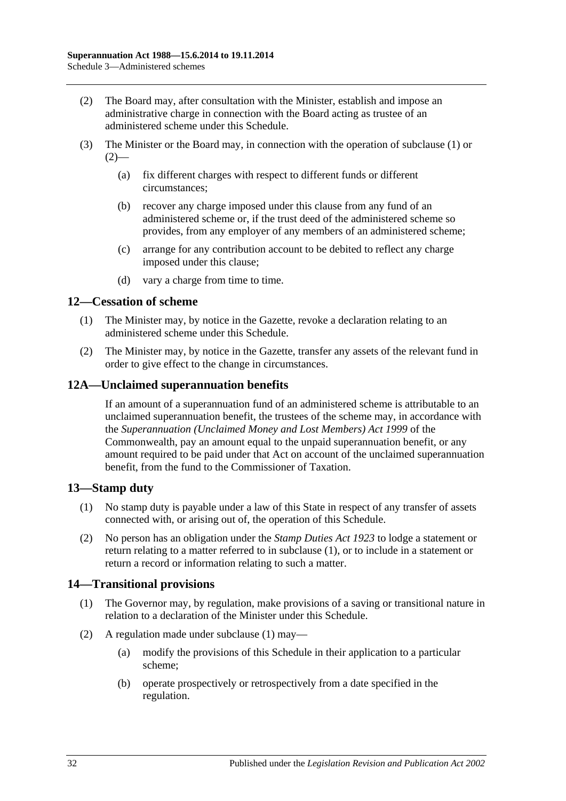- <span id="page-137-0"></span>(2) The Board may, after consultation with the Minister, establish and impose an administrative charge in connection with the Board acting as trustee of an administered scheme under this Schedule.
- (3) The Minister or the Board may, in connection with the operation of [subclause](#page-136-4) (1) or  $(2)$ —
	- (a) fix different charges with respect to different funds or different circumstances;
	- (b) recover any charge imposed under this clause from any fund of an administered scheme or, if the trust deed of the administered scheme so provides, from any employer of any members of an administered scheme;
	- (c) arrange for any contribution account to be debited to reflect any charge imposed under this clause;
	- (d) vary a charge from time to time.

### **12—Cessation of scheme**

- (1) The Minister may, by notice in the Gazette, revoke a declaration relating to an administered scheme under this Schedule.
- (2) The Minister may, by notice in the Gazette, transfer any assets of the relevant fund in order to give effect to the change in circumstances.

### **12A—Unclaimed superannuation benefits**

If an amount of a superannuation fund of an administered scheme is attributable to an unclaimed superannuation benefit, the trustees of the scheme may, in accordance with the *Superannuation (Unclaimed Money and Lost Members) Act 1999* of the Commonwealth, pay an amount equal to the unpaid superannuation benefit, or any amount required to be paid under that Act on account of the unclaimed superannuation benefit, from the fund to the Commissioner of Taxation.

### <span id="page-137-1"></span>**13—Stamp duty**

- (1) No stamp duty is payable under a law of this State in respect of any transfer of assets connected with, or arising out of, the operation of this Schedule.
- (2) No person has an obligation under the *[Stamp Duties Act](http://www.legislation.sa.gov.au/index.aspx?action=legref&type=act&legtitle=Stamp%20Duties%20Act%201923) 1923* to lodge a statement or return relating to a matter referred to in [subclause](#page-137-1) (1), or to include in a statement or return a record or information relating to such a matter.

### <span id="page-137-2"></span>**14—Transitional provisions**

- (1) The Governor may, by regulation, make provisions of a saving or transitional nature in relation to a declaration of the Minister under this Schedule.
- (2) A regulation made under [subclause](#page-137-2) (1) may—
	- (a) modify the provisions of this Schedule in their application to a particular scheme;
	- (b) operate prospectively or retrospectively from a date specified in the regulation.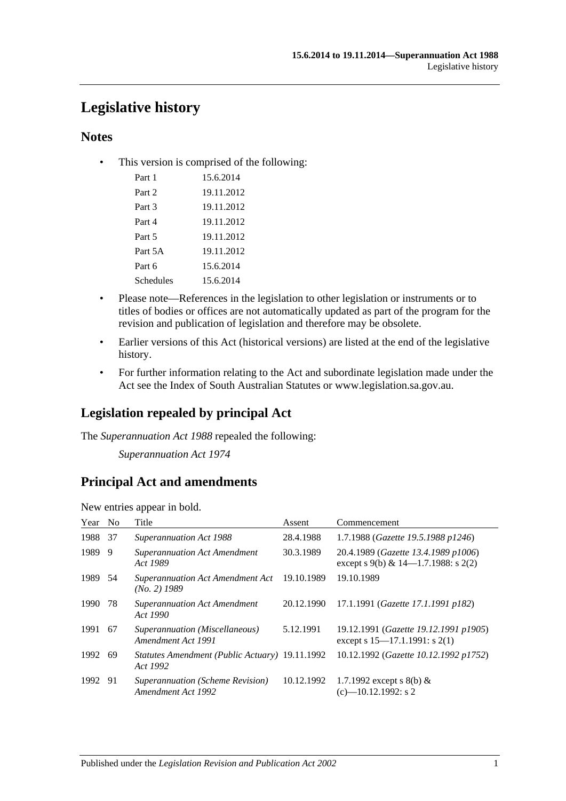# **Legislative history**

### **Notes**

• This version is comprised of the following:

| Part 1    | 15.6.2014  |
|-----------|------------|
| Part 2    | 19.11.2012 |
| Part 3    | 19.11.2012 |
| Part 4    | 19.11.2012 |
| Part 5    | 19.11.2012 |
| Part 5A   | 19.11.2012 |
| Part 6    | 15.6.2014  |
| Schedules | 15.6.2014  |

- Please note—References in the legislation to other legislation or instruments or to titles of bodies or offices are not automatically updated as part of the program for the revision and publication of legislation and therefore may be obsolete.
- Earlier versions of this Act (historical versions) are listed at the end of the legislative history.
- For further information relating to the Act and subordinate legislation made under the Act see the Index of South Australian Statutes or www.legislation.sa.gov.au.

## **Legislation repealed by principal Act**

The *Superannuation Act 1988* repealed the following:

*Superannuation Act 1974*

## **Principal Act and amendments**

| Year No |     | Title                                                      | Assent     | Commencement                                                                |
|---------|-----|------------------------------------------------------------|------------|-----------------------------------------------------------------------------|
| 1988    | 37  | Superannuation Act 1988                                    | 28.4.1988  | 1.7.1988 (Gazette 19.5.1988 p1246)                                          |
| 1989    | 9   | <b>Superannuation Act Amendment</b><br>Act 1989            | 30.3.1989  | 20.4.1989 (Gazette 13.4.1989 p1006)<br>except s 9(b) & 14–1.7.1988: s 2(2)  |
| 1989 54 |     | <b>Superannuation Act Amendment Act</b><br>$(No. 2)$ 1989  | 19.10.1989 | 19.10.1989                                                                  |
| 1990    | 78  | <b>Superannuation Act Amendment</b><br>Act 1990            | 20.12.1990 | 17.1.1991 (Gazette 17.1.1991 p182)                                          |
| 1991    | -67 | Superannuation (Miscellaneous)<br>Amendment Act 1991       | 5.12.1991  | 19.12.1991 (Gazette 19.12.1991 p1905)<br>except s $15-17.1.1991$ : s $2(1)$ |
| 1992 69 |     | Statutes Amendment (Public Actuary) 19.11.1992<br>Act 1992 |            | 10.12.1992 (Gazette 10.12.1992 p1752)                                       |
| 1992 91 |     | Superannuation (Scheme Revision)<br>Amendment Act 1992     | 10.12.1992 | 1.7.1992 except s 8(b) $&$<br>$(c)$ —10.12.1992: s 2                        |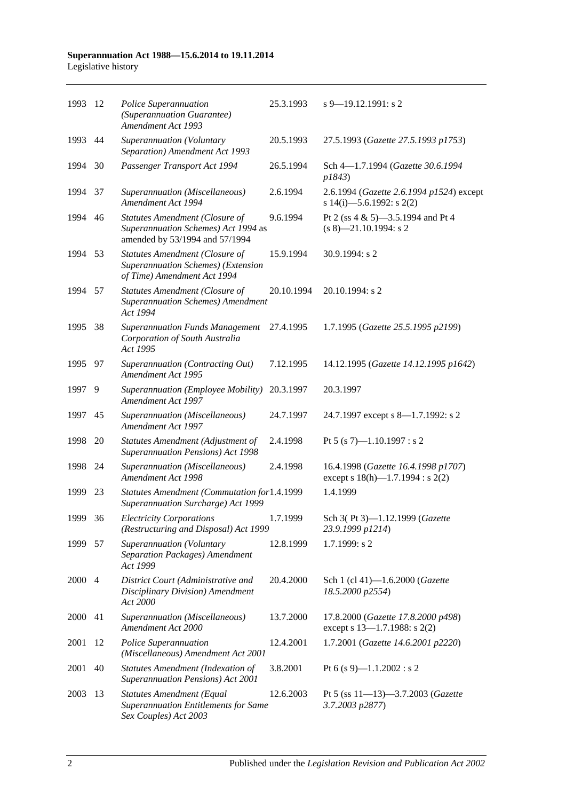#### **Superannuation Act 1988—15.6.2014 to 19.11.2014** Legislative history

| 1993 | -12            | Police Superannuation<br>(Superannuation Guarantee)<br>Amendment Act 1993                                | 25.3.1993  | $s$ 9–19.12.1991: s 2                                                        |
|------|----------------|----------------------------------------------------------------------------------------------------------|------------|------------------------------------------------------------------------------|
| 1993 | 44             | Superannuation (Voluntary<br>Separation) Amendment Act 1993                                              | 20.5.1993  | 27.5.1993 (Gazette 27.5.1993 p1753)                                          |
| 1994 | 30             | Passenger Transport Act 1994                                                                             | 26.5.1994  | Sch 4-1.7.1994 (Gazette 30.6.1994<br>p1843)                                  |
| 1994 | 37             | Superannuation (Miscellaneous)<br>Amendment Act 1994                                                     | 2.6.1994   | 2.6.1994 (Gazette 2.6.1994 p1524) except<br>s 14(i)-5.6.1992: s 2(2)         |
| 1994 | 46             | Statutes Amendment (Closure of<br>Superannuation Schemes) Act 1994 as<br>amended by 53/1994 and 57/1994  | 9.6.1994   | Pt 2 (ss 4 & 5)-3.5.1994 and Pt 4<br>$(s 8)$ —21.10.1994: s 2                |
| 1994 | 53             | Statutes Amendment (Closure of<br>Superannuation Schemes) (Extension<br>of Time) Amendment Act 1994      | 15.9.1994  | 30.9.1994: s 2                                                               |
| 1994 | 57             | <b>Statutes Amendment (Closure of</b><br><b>Superannuation Schemes) Amendment</b><br>Act 1994            | 20.10.1994 | 20.10.1994: s 2                                                              |
| 1995 | 38             | <b>Superannuation Funds Management</b><br>Corporation of South Australia<br>Act 1995                     | 27.4.1995  | 1.7.1995 (Gazette 25.5.1995 p2199)                                           |
| 1995 | 97             | Superannuation (Contracting Out)<br>Amendment Act 1995                                                   | 7.12.1995  | 14.12.1995 (Gazette 14.12.1995 p1642)                                        |
| 1997 | 9              | Superannuation (Employee Mobility)<br>Amendment Act 1997                                                 | 20.3.1997  | 20.3.1997                                                                    |
| 1997 | 45             | Superannuation (Miscellaneous)<br>Amendment Act 1997                                                     | 24.7.1997  | 24.7.1997 except s 8—1.7.1992: s 2                                           |
| 1998 | 20             | Statutes Amendment (Adjustment of<br>Superannuation Pensions) Act 1998                                   | 2.4.1998   | Pt 5 (s 7)-1.10.1997 : s 2                                                   |
| 1998 | 24             | Superannuation (Miscellaneous)<br>Amendment Act 1998                                                     | 2.4.1998   | 16.4.1998 (Gazette 16.4.1998 p1707)<br>except s $18(h)$ —1.7.1994 : s $2(2)$ |
| 1999 | 23             | Statutes Amendment (Commutation for1.4.1999<br>Superannuation Surcharge) Act 1999                        |            | 1.4.1999                                                                     |
| 1999 | 36             | <b>Electricity Corporations</b><br>(Restructuring and Disposal) Act 1999                                 | 1.7.1999   | Sch 3(Pt 3)-1.12.1999 (Gazette<br>23.9.1999 p1214)                           |
| 1999 | 57             | Superannuation (Voluntary<br>Separation Packages) Amendment<br>Act 1999                                  | 12.8.1999  | $1.7.1999$ : s 2                                                             |
| 2000 | $\overline{4}$ | District Court (Administrative and<br>Disciplinary Division) Amendment<br>Act 2000                       | 20.4.2000  | Sch 1 (cl 41)-1.6.2000 (Gazette<br>18.5.2000 p2554)                          |
| 2000 | 41             | Superannuation (Miscellaneous)<br>Amendment Act 2000                                                     | 13.7.2000  | 17.8.2000 (Gazette 17.8.2000 p498)<br>except s 13-1.7.1988: s 2(2)           |
| 2001 | 12             | Police Superannuation<br>(Miscellaneous) Amendment Act 2001                                              | 12.4.2001  | 1.7.2001 (Gazette 14.6.2001 p2220)                                           |
| 2001 | 40             | Statutes Amendment (Indexation of<br>Superannuation Pensions) Act 2001                                   | 3.8.2001   | Pt 6 (s 9)-1.1.2002 : s 2                                                    |
| 2003 | 13             | <b>Statutes Amendment (Equal</b><br><b>Superannuation Entitlements for Same</b><br>Sex Couples) Act 2003 | 12.6.2003  | Pt 5 (ss 11-13)-3.7.2003 (Gazette<br>3.7.2003 p2877)                         |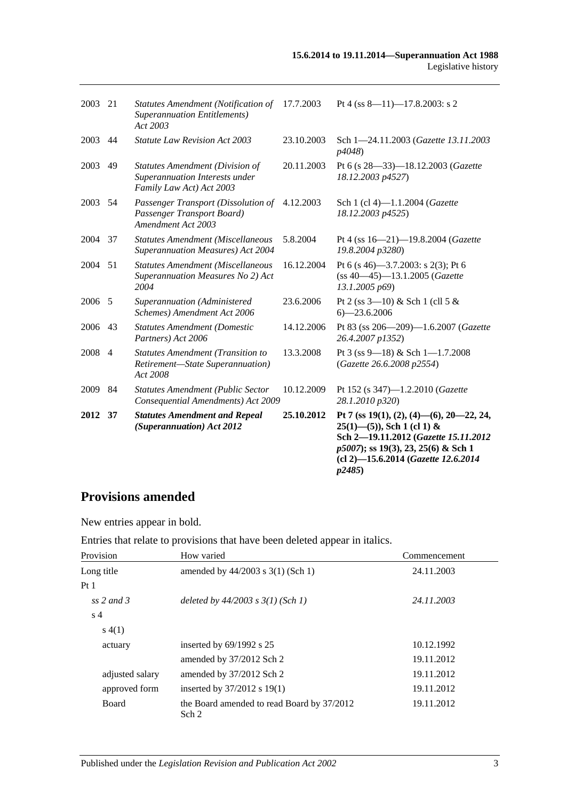| 2003    | 21             | <b>Statutes Amendment (Notification of</b><br><b>Superannuation Entitlements)</b><br>Act 2003        | 17.7.2003  | Pt 4 (ss $8 - 11$ ) -17.8.2003: s 2                                                                                                                                                                               |
|---------|----------------|------------------------------------------------------------------------------------------------------|------------|-------------------------------------------------------------------------------------------------------------------------------------------------------------------------------------------------------------------|
| 2003    | 44             | <b>Statute Law Revision Act 2003</b>                                                                 | 23.10.2003 | Sch 1-24.11.2003 (Gazette 13.11.2003<br>p4048)                                                                                                                                                                    |
| 2003    | 49             | <b>Statutes Amendment (Division of</b><br>Superannuation Interests under<br>Family Law Act) Act 2003 | 20.11.2003 | Pt 6 (s 28-33)-18.12.2003 (Gazette<br>18.12.2003 p4527)                                                                                                                                                           |
| 2003    | 54             | Passenger Transport (Dissolution of<br>Passenger Transport Board)<br>Amendment Act 2003              | 4.12.2003  | Sch 1 (cl 4)-1.1.2004 (Gazette<br>18.12.2003 p4525)                                                                                                                                                               |
| 2004    | 37             | <b>Statutes Amendment (Miscellaneous</b><br>Superannuation Measures) Act 2004                        | 5.8.2004   | Pt 4 (ss 16-21)-19.8.2004 (Gazette<br>19.8.2004 p3280)                                                                                                                                                            |
| 2004 51 |                | <b>Statutes Amendment (Miscellaneous</b><br>Superannuation Measures No 2) Act<br>2004                | 16.12.2004 | Pt 6 (s 46)–3.7.2003: s 2(3); Pt 6<br>$(ss 40 - 45) - 13.1.2005$ (Gazette<br>13.1.2005 p69)                                                                                                                       |
| 2006 5  |                | Superannuation (Administered<br>Schemes) Amendment Act 2006                                          | 23.6.2006  | Pt 2 (ss $3-10$ ) & Sch 1 (cll 5 &<br>$6 - 23.6.2006$                                                                                                                                                             |
| 2006    | 43             | <b>Statutes Amendment (Domestic</b><br>Partners) Act 2006                                            | 14.12.2006 | Pt 83 (ss 206-209)-1.6.2007 (Gazette<br>26.4.2007 p1352)                                                                                                                                                          |
| 2008    | $\overline{4}$ | <b>Statutes Amendment (Transition to</b><br>Retirement-State Superannuation)<br>Act 2008             | 13.3.2008  | Pt 3 (ss 9—18) & Sch 1—1.7.2008<br>(Gazette 26.6.2008 p2554)                                                                                                                                                      |
| 2009    | 84             | <b>Statutes Amendment (Public Sector</b><br>Consequential Amendments) Act 2009                       | 10.12.2009 | Pt 152 (s 347)-1.2.2010 (Gazette<br>28.1.2010 p320)                                                                                                                                                               |
| 2012    | 37             | <b>Statutes Amendment and Repeal</b><br>(Superannuation) Act 2012                                    | 25.10.2012 | Pt 7 (ss 19(1), (2), (4)–(6), 20–22, 24,<br>$25(1)$ —(5)), Sch 1 (cl 1) &<br>Sch 2-19.11.2012 (Gazette 15.11.2012<br>p5007); ss 19(3), 23, 25(6) & Sch 1<br>(cl 2)-15.6.2014 (Gazette 12.6.2014<br><i>p2485</i> ) |

# **Provisions amended**

New entries appear in bold.

Entries that relate to provisions that have been deleted appear in italics.

| Provision       | How varied                                          | Commencement |
|-----------------|-----------------------------------------------------|--------------|
| Long title      | amended by $44/2003$ s 3(1) (Sch 1)                 | 24.11.2003   |
| Pt <sub>1</sub> |                                                     |              |
| ss 2 and 3      | deleted by $44/2003$ s $3(1)$ (Sch 1)               | 24.11.2003   |
| s <sub>4</sub>  |                                                     |              |
| s(4(1))         |                                                     |              |
| actuary         | inserted by $69/1992$ s 25                          | 10.12.1992   |
|                 | amended by 37/2012 Sch 2                            | 19.11.2012   |
| adjusted salary | amended by 37/2012 Sch 2                            | 19.11.2012   |
| approved form   | inserted by 37/2012 s 19(1)                         | 19.11.2012   |
| <b>Board</b>    | the Board amended to read Board by 37/2012<br>Sch 2 | 19.11.2012   |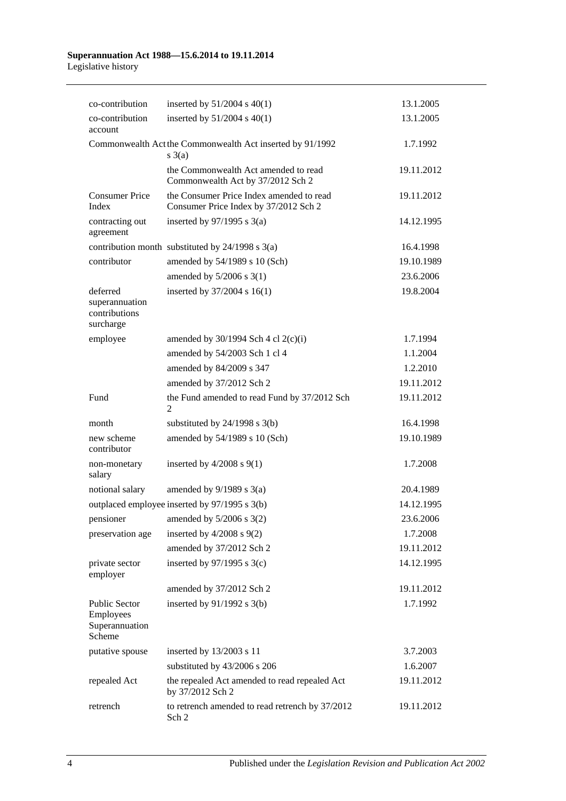#### **Superannuation Act 1988—15.6.2014 to 19.11.2014** Legislative history

| co-contribution                                               | inserted by $51/2004$ s $40(1)$                                                   | 13.1.2005  |
|---------------------------------------------------------------|-----------------------------------------------------------------------------------|------------|
| co-contribution<br>account                                    | inserted by $51/2004$ s $40(1)$                                                   | 13.1.2005  |
|                                                               | Commonwealth Act the Commonwealth Act inserted by 91/1992<br>$s \; 3(a)$          | 1.7.1992   |
|                                                               | the Commonwealth Act amended to read<br>Commonwealth Act by 37/2012 Sch 2         | 19.11.2012 |
| <b>Consumer Price</b><br>Index                                | the Consumer Price Index amended to read<br>Consumer Price Index by 37/2012 Sch 2 | 19.11.2012 |
| contracting out<br>agreement                                  | inserted by $97/1995$ s 3(a)                                                      | 14.12.1995 |
|                                                               | contribution month substituted by $24/1998$ s $3(a)$                              | 16.4.1998  |
| contributor                                                   | amended by 54/1989 s 10 (Sch)                                                     | 19.10.1989 |
|                                                               | amended by 5/2006 s 3(1)                                                          | 23.6.2006  |
| deferred                                                      | inserted by 37/2004 s 16(1)                                                       | 19.8.2004  |
| superannuation<br>contributions<br>surcharge                  |                                                                                   |            |
| employee                                                      | amended by $30/1994$ Sch 4 cl 2(c)(i)                                             | 1.7.1994   |
|                                                               | amended by 54/2003 Sch 1 cl 4                                                     | 1.1.2004   |
|                                                               | amended by 84/2009 s 347                                                          | 1.2.2010   |
|                                                               | amended by 37/2012 Sch 2                                                          | 19.11.2012 |
| Fund                                                          | the Fund amended to read Fund by 37/2012 Sch<br>2                                 | 19.11.2012 |
| month                                                         | substituted by $24/1998$ s $3(b)$                                                 | 16.4.1998  |
| new scheme<br>contributor                                     | amended by 54/1989 s 10 (Sch)                                                     | 19.10.1989 |
| non-monetary<br>salary                                        | inserted by $4/2008$ s $9(1)$                                                     | 1.7.2008   |
| notional salary                                               | amended by $9/1989$ s $3(a)$                                                      | 20.4.1989  |
|                                                               | outplaced employee inserted by 97/1995 s 3(b)                                     | 14.12.1995 |
|                                                               | pensioner amended by 5/2006 s 3(2)                                                | 23.6.2006  |
| preservation age                                              | inserted by $4/2008$ s $9(2)$                                                     | 1.7.2008   |
|                                                               | amended by 37/2012 Sch 2                                                          | 19.11.2012 |
| private sector<br>employer                                    | inserted by $97/1995$ s 3(c)                                                      | 14.12.1995 |
|                                                               | amended by 37/2012 Sch 2                                                          | 19.11.2012 |
| <b>Public Sector</b><br>Employees<br>Superannuation<br>Scheme | inserted by $91/1992$ s $3(b)$                                                    | 1.7.1992   |
| putative spouse                                               | inserted by 13/2003 s 11                                                          | 3.7.2003   |
|                                                               | substituted by 43/2006 s 206                                                      | 1.6.2007   |
| repealed Act                                                  | the repealed Act amended to read repealed Act<br>by 37/2012 Sch 2                 | 19.11.2012 |
| retrench                                                      | to retrench amended to read retrench by 37/2012<br>Sch 2                          | 19.11.2012 |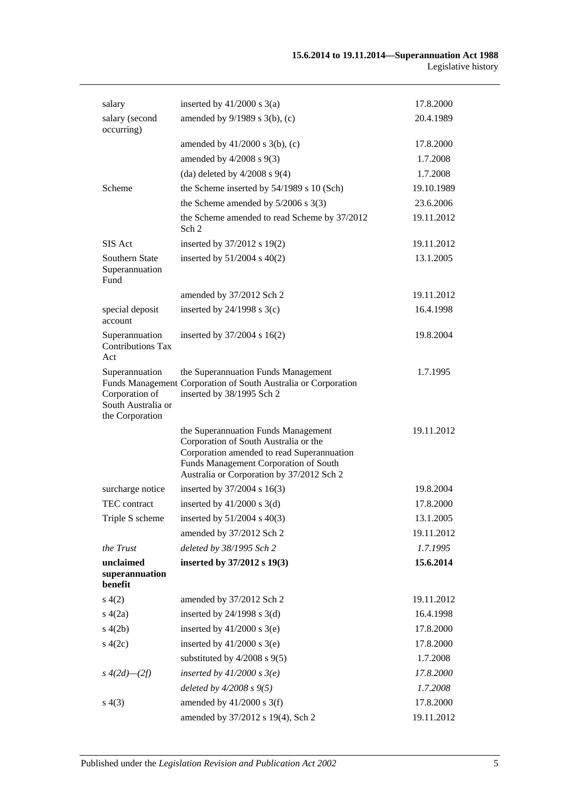| salary                                                                    | inserted by $41/2000$ s $3(a)$                                                                                                                                                                                   | 17.8.2000  |
|---------------------------------------------------------------------------|------------------------------------------------------------------------------------------------------------------------------------------------------------------------------------------------------------------|------------|
| salary (second<br>occurring)                                              | amended by 9/1989 s 3(b), (c)                                                                                                                                                                                    | 20.4.1989  |
|                                                                           | amended by $41/2000$ s $3(b)$ , (c)                                                                                                                                                                              | 17.8.2000  |
|                                                                           | amended by $4/2008$ s $9(3)$                                                                                                                                                                                     | 1.7.2008   |
|                                                                           | (da) deleted by $4/2008$ s $9(4)$                                                                                                                                                                                | 1.7.2008   |
| Scheme                                                                    | the Scheme inserted by 54/1989 s 10 (Sch)                                                                                                                                                                        | 19.10.1989 |
|                                                                           | the Scheme amended by $5/2006$ s 3(3)                                                                                                                                                                            | 23.6.2006  |
|                                                                           | the Scheme amended to read Scheme by 37/2012<br>Sch 2                                                                                                                                                            | 19.11.2012 |
| SIS Act                                                                   | inserted by 37/2012 s 19(2)                                                                                                                                                                                      | 19.11.2012 |
| Southern State<br>Superannuation<br>Fund                                  | inserted by $51/2004$ s $40(2)$                                                                                                                                                                                  | 13.1.2005  |
|                                                                           | amended by 37/2012 Sch 2                                                                                                                                                                                         | 19.11.2012 |
| special deposit<br>account                                                | inserted by $24/1998$ s $3(c)$                                                                                                                                                                                   | 16.4.1998  |
| Superannuation<br><b>Contributions Tax</b><br>Act                         | inserted by 37/2004 s 16(2)                                                                                                                                                                                      | 19.8.2004  |
| Superannuation<br>Corporation of<br>South Australia or<br>the Corporation | the Superannuation Funds Management<br>Funds Management Corporation of South Australia or Corporation<br>inserted by 38/1995 Sch 2                                                                               | 1.7.1995   |
|                                                                           | the Superannuation Funds Management<br>Corporation of South Australia or the<br>Corporation amended to read Superannuation<br>Funds Management Corporation of South<br>Australia or Corporation by 37/2012 Sch 2 | 19.11.2012 |
| surcharge notice                                                          | inserted by 37/2004 s 16(3)                                                                                                                                                                                      | 19.8.2004  |
| TEC contract                                                              | inserted by $41/2000$ s $3(d)$                                                                                                                                                                                   | 17.8.2000  |
| Triple S scheme                                                           | inserted by $51/2004$ s $40(3)$                                                                                                                                                                                  | 13.1.2005  |
|                                                                           | amended by 37/2012 Sch 2                                                                                                                                                                                         | 19.11.2012 |
| the Trust                                                                 | deleted by 38/1995 Sch 2                                                                                                                                                                                         | 1.7.1995   |
| unclaimed<br>superannuation<br>benefit                                    | inserted by 37/2012 s 19(3)                                                                                                                                                                                      | 15.6.2014  |
| s(4(2)                                                                    | amended by 37/2012 Sch 2                                                                                                                                                                                         | 19.11.2012 |
| s(4(2a)                                                                   | inserted by $24/1998$ s $3(d)$                                                                                                                                                                                   | 16.4.1998  |
| s(4(2b)                                                                   | inserted by $41/2000$ s $3(e)$                                                                                                                                                                                   | 17.8.2000  |
| s(4(2c))                                                                  | inserted by $41/2000$ s 3(e)                                                                                                                                                                                     | 17.8.2000  |
|                                                                           | substituted by $4/2008$ s $9(5)$                                                                                                                                                                                 | 1.7.2008   |
| $s\;4(2d)$ — $(2f)$                                                       | inserted by $41/2000$ s $3(e)$                                                                                                                                                                                   | 17.8.2000  |
|                                                                           | deleted by $4/2008 s 9(5)$                                                                                                                                                                                       | 1.7.2008   |
| s(4(3))                                                                   | amended by $41/2000$ s 3(f)                                                                                                                                                                                      | 17.8.2000  |
|                                                                           | amended by 37/2012 s 19(4), Sch 2                                                                                                                                                                                | 19.11.2012 |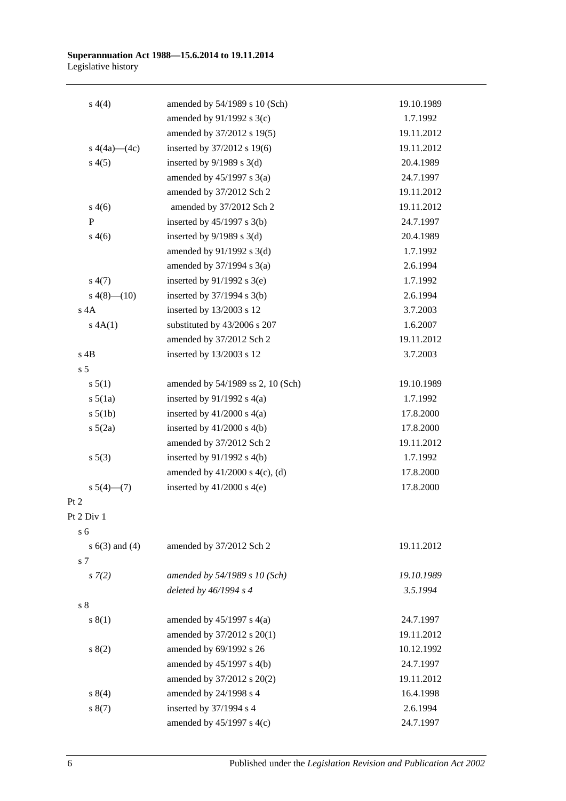#### **Superannuation Act 1988—15.6.2014 to 19.11.2014** Legislative history

| s(4(4)             | amended by 54/1989 s 10 (Sch)       | 19.10.1989 |
|--------------------|-------------------------------------|------------|
|                    | amended by 91/1992 s 3(c)           | 1.7.1992   |
|                    | amended by 37/2012 s 19(5)          | 19.11.2012 |
| s $4(4a)$ (4c)     | inserted by 37/2012 s 19(6)         | 19.11.2012 |
| s(4(5)             | inserted by $9/1989$ s 3(d)         | 20.4.1989  |
|                    | amended by $45/1997$ s $3(a)$       | 24.7.1997  |
|                    | amended by 37/2012 Sch 2            | 19.11.2012 |
| s(4(6)             | amended by 37/2012 Sch 2            | 19.11.2012 |
| $\mathbf P$        | inserted by $45/1997$ s 3(b)        | 24.7.1997  |
| s(4(6)             | inserted by $9/1989$ s 3(d)         | 20.4.1989  |
|                    | amended by $91/1992$ s 3(d)         | 1.7.1992   |
|                    | amended by $37/1994$ s $3(a)$       | 2.6.1994   |
| s(4(7))            | inserted by $91/1992$ s 3(e)        | 1.7.1992   |
| $s\ 4(8)$ - $(10)$ | inserted by $37/1994$ s 3(b)        | 2.6.1994   |
| $s$ 4A             | inserted by 13/2003 s 12            | 3.7.2003   |
| A(A(1))            | substituted by 43/2006 s 207        | 1.6.2007   |
|                    | amended by 37/2012 Sch 2            | 19.11.2012 |
| $s$ 4B             | inserted by 13/2003 s 12            | 3.7.2003   |
| s <sub>5</sub>     |                                     |            |
| s 5(1)             | amended by 54/1989 ss 2, 10 (Sch)   | 19.10.1989 |
| $s\ 5(1a)$         | inserted by $91/1992$ s $4(a)$      | 1.7.1992   |
| $s\ 5(1b)$         | inserted by $41/2000$ s $4(a)$      | 17.8.2000  |
| $s\ 5(2a)$         | inserted by $41/2000$ s $4(b)$      | 17.8.2000  |
|                    | amended by 37/2012 Sch 2            | 19.11.2012 |
| s 5(3)             | inserted by $91/1992$ s 4(b)        | 1.7.1992   |
|                    | amended by $41/2000$ s $4(c)$ , (d) | 17.8.2000  |
| $s\ 5(4)$ (7)      | inserted by $41/2000$ s $4(e)$      | 17.8.2000  |
| Pt 2               |                                     |            |
| Pt 2 Div 1         |                                     |            |
| s <sub>6</sub>     |                                     |            |
| s $6(3)$ and $(4)$ | amended by 37/2012 Sch 2            | 19.11.2012 |
| s 7                |                                     |            |
| $s \, 7(2)$        | amended by 54/1989 s 10 (Sch)       | 19.10.1989 |
|                    | deleted by $46/1994 s 4$            | 3.5.1994   |
| s <sub>8</sub>     |                                     |            |
| s(1)               | amended by $45/1997$ s $4(a)$       | 24.7.1997  |
|                    | amended by 37/2012 s 20(1)          | 19.11.2012 |
| s(2)               | amended by 69/1992 s 26             | 10.12.1992 |
|                    | amended by $45/1997$ s $4(b)$       | 24.7.1997  |
|                    | amended by 37/2012 s 20(2)          | 19.11.2012 |
| s 8(4)             | amended by 24/1998 s 4              | 16.4.1998  |
| s(7)               | inserted by 37/1994 s 4             | 2.6.1994   |
|                    | amended by $45/1997$ s $4(c)$       | 24.7.1997  |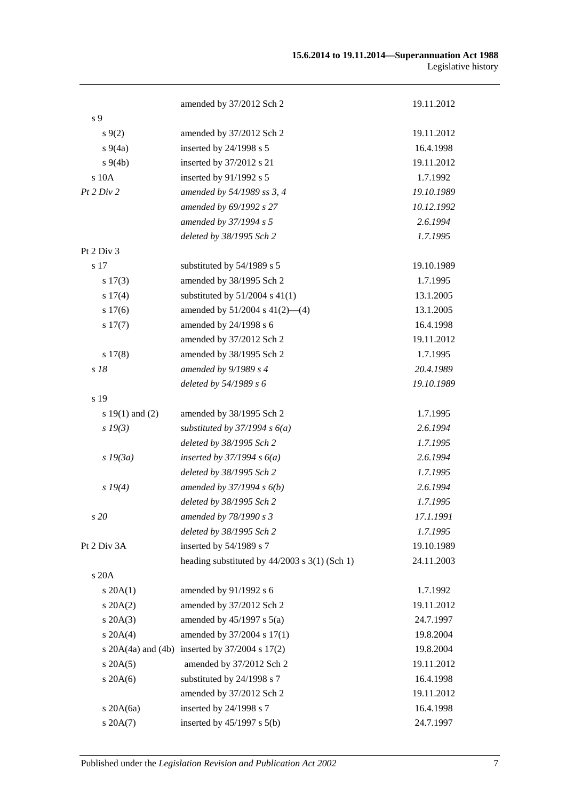| s 9<br>$s\,9(2)$<br>$s\,9(4a)$<br>$s\ 9(4b)$<br>s 10A<br>Pt 2 Div 2<br>Pt 2 Div 3<br>s 17<br>s 17(3)<br>s 17(4)<br>s 17(6)<br>s 17(7)<br>s 17(8)<br>s 18<br>s 19<br>s $19(1)$ and $(2)$<br>$s\,19(3)$<br>$s$ 19 $(3a)$ | amended by 37/2012 Sch 2<br>amended by 37/2012 Sch 2<br>inserted by 24/1998 s 5<br>inserted by 37/2012 s 21<br>inserted by 91/1992 s 5<br>amended by 54/1989 ss 3, 4<br>amended by 69/1992 s 27 | 19.11.2012<br>19.11.2012<br>16.4.1998<br>19.11.2012<br>1.7.1992<br>19.10.1989 |
|------------------------------------------------------------------------------------------------------------------------------------------------------------------------------------------------------------------------|-------------------------------------------------------------------------------------------------------------------------------------------------------------------------------------------------|-------------------------------------------------------------------------------|
|                                                                                                                                                                                                                        |                                                                                                                                                                                                 |                                                                               |
|                                                                                                                                                                                                                        |                                                                                                                                                                                                 |                                                                               |
|                                                                                                                                                                                                                        |                                                                                                                                                                                                 |                                                                               |
|                                                                                                                                                                                                                        |                                                                                                                                                                                                 |                                                                               |
|                                                                                                                                                                                                                        |                                                                                                                                                                                                 |                                                                               |
|                                                                                                                                                                                                                        |                                                                                                                                                                                                 |                                                                               |
|                                                                                                                                                                                                                        |                                                                                                                                                                                                 |                                                                               |
|                                                                                                                                                                                                                        |                                                                                                                                                                                                 | 10.12.1992                                                                    |
|                                                                                                                                                                                                                        | amended by 37/1994 s 5                                                                                                                                                                          | 2.6.1994                                                                      |
|                                                                                                                                                                                                                        | deleted by 38/1995 Sch 2                                                                                                                                                                        | 1.7.1995                                                                      |
|                                                                                                                                                                                                                        |                                                                                                                                                                                                 |                                                                               |
|                                                                                                                                                                                                                        | substituted by 54/1989 s 5                                                                                                                                                                      | 19.10.1989                                                                    |
|                                                                                                                                                                                                                        | amended by 38/1995 Sch 2                                                                                                                                                                        | 1.7.1995                                                                      |
|                                                                                                                                                                                                                        | substituted by $51/2004$ s $41(1)$                                                                                                                                                              | 13.1.2005                                                                     |
|                                                                                                                                                                                                                        | amended by $51/2004$ s $41(2)$ —(4)                                                                                                                                                             | 13.1.2005                                                                     |
|                                                                                                                                                                                                                        | amended by 24/1998 s 6                                                                                                                                                                          | 16.4.1998                                                                     |
|                                                                                                                                                                                                                        | amended by 37/2012 Sch 2                                                                                                                                                                        | 19.11.2012                                                                    |
|                                                                                                                                                                                                                        | amended by 38/1995 Sch 2                                                                                                                                                                        | 1.7.1995                                                                      |
|                                                                                                                                                                                                                        | amended by $9/1989 s 4$                                                                                                                                                                         | 20.4.1989                                                                     |
|                                                                                                                                                                                                                        | deleted by 54/1989 s 6                                                                                                                                                                          | 19.10.1989                                                                    |
|                                                                                                                                                                                                                        |                                                                                                                                                                                                 |                                                                               |
|                                                                                                                                                                                                                        | amended by 38/1995 Sch 2                                                                                                                                                                        | 1.7.1995                                                                      |
|                                                                                                                                                                                                                        | substituted by $37/1994 s 6(a)$                                                                                                                                                                 | 2.6.1994                                                                      |
|                                                                                                                                                                                                                        | deleted by 38/1995 Sch 2                                                                                                                                                                        | 1.7.1995                                                                      |
|                                                                                                                                                                                                                        | inserted by $37/1994 s 6(a)$                                                                                                                                                                    | 2.6.1994                                                                      |
|                                                                                                                                                                                                                        | deleted by 38/1995 Sch 2                                                                                                                                                                        | 1.7.1995                                                                      |
| s 19(4)                                                                                                                                                                                                                | amended by $37/1994 s 6(b)$                                                                                                                                                                     | 2.6.1994                                                                      |
|                                                                                                                                                                                                                        | deleted by 38/1995 Sch 2                                                                                                                                                                        | 1.7.1995                                                                      |
| s 20                                                                                                                                                                                                                   | amended by 78/1990 s 3                                                                                                                                                                          | 17.1.1991                                                                     |
|                                                                                                                                                                                                                        | deleted by 38/1995 Sch 2                                                                                                                                                                        | 1.7.1995                                                                      |
| Pt 2 Div 3A                                                                                                                                                                                                            | inserted by 54/1989 s 7                                                                                                                                                                         | 19.10.1989                                                                    |
|                                                                                                                                                                                                                        | heading substituted by 44/2003 s 3(1) (Sch 1)                                                                                                                                                   | 24.11.2003                                                                    |
| s 20A                                                                                                                                                                                                                  |                                                                                                                                                                                                 |                                                                               |
| $s \, 20A(1)$                                                                                                                                                                                                          | amended by 91/1992 s 6                                                                                                                                                                          | 1.7.1992                                                                      |
| $s$ 20A $(2)$                                                                                                                                                                                                          | amended by 37/2012 Sch 2                                                                                                                                                                        | 19.11.2012                                                                    |
| $s \, 20A(3)$                                                                                                                                                                                                          | amended by $45/1997$ s $5(a)$                                                                                                                                                                   | 24.7.1997                                                                     |
| $s \ 20A(4)$                                                                                                                                                                                                           | amended by 37/2004 s 17(1)                                                                                                                                                                      | 19.8.2004                                                                     |
|                                                                                                                                                                                                                        |                                                                                                                                                                                                 |                                                                               |
|                                                                                                                                                                                                                        |                                                                                                                                                                                                 |                                                                               |
|                                                                                                                                                                                                                        |                                                                                                                                                                                                 |                                                                               |
|                                                                                                                                                                                                                        |                                                                                                                                                                                                 |                                                                               |
|                                                                                                                                                                                                                        |                                                                                                                                                                                                 |                                                                               |
| $s$ 20A $(7)$                                                                                                                                                                                                          | inserted by $45/1997$ s $5(b)$                                                                                                                                                                  | 24.7.1997                                                                     |
| $s$ 20A $(5)$<br>$s$ 20A $(6)$<br>s $20A(6a)$                                                                                                                                                                          | s 20A(4a) and (4b) inserted by $37/2004$ s $17(2)$<br>amended by 37/2012 Sch 2<br>substituted by 24/1998 s 7<br>amended by 37/2012 Sch 2<br>inserted by 24/1998 s 7                             | 19.8.2004<br>19.11.2012<br>16.4.1998<br>19.11.2012<br>16.4.1998               |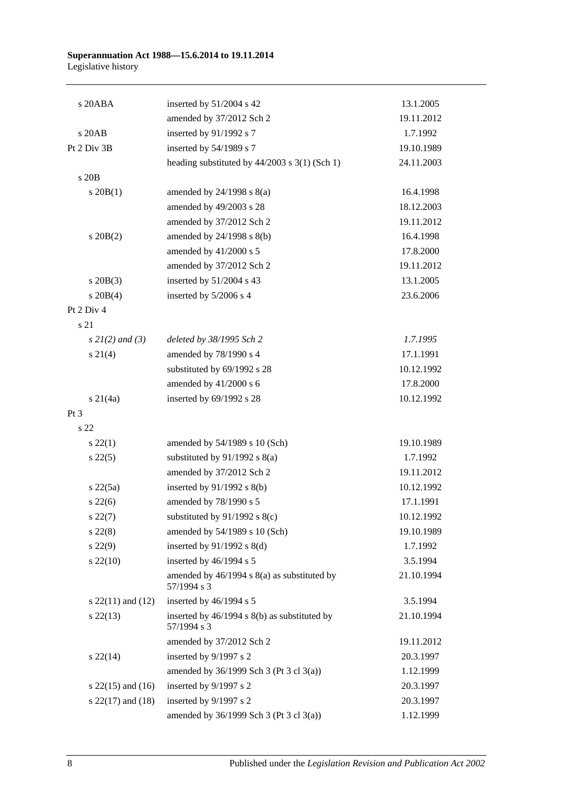| s 20ABA               | inserted by $51/2004$ s 42                                  | 13.1.2005  |
|-----------------------|-------------------------------------------------------------|------------|
|                       | amended by 37/2012 Sch 2                                    | 19.11.2012 |
| s 20AB                | inserted by 91/1992 s 7                                     | 1.7.1992   |
| Pt 2 Div 3B           | inserted by 54/1989 s 7                                     | 19.10.1989 |
|                       | heading substituted by $44/2003$ s $3(1)$ (Sch 1)           | 24.11.2003 |
| s 20 <sub>B</sub>     |                                                             |            |
| $s \ 20B(1)$          | amended by $24/1998$ s $8(a)$                               | 16.4.1998  |
|                       | amended by 49/2003 s 28                                     | 18.12.2003 |
|                       | amended by 37/2012 Sch 2                                    | 19.11.2012 |
| $s$ 20B $(2)$         | amended by 24/1998 s 8(b)                                   | 16.4.1998  |
|                       | amended by 41/2000 s 5                                      | 17.8.2000  |
|                       | amended by 37/2012 Sch 2                                    | 19.11.2012 |
| $s$ 20B(3)            | inserted by 51/2004 s 43                                    | 13.1.2005  |
| $s \ 20B(4)$          | inserted by 5/2006 s 4                                      | 23.6.2006  |
| Pt 2 Div 4            |                                                             |            |
| s 21                  |                                                             |            |
| $s 2I(2)$ and (3)     | deleted by 38/1995 Sch 2                                    | 1.7.1995   |
| $s \, 21(4)$          | amended by 78/1990 s 4                                      | 17.1.1991  |
|                       | substituted by 69/1992 s 28                                 | 10.12.1992 |
|                       | amended by 41/2000 s 6                                      | 17.8.2000  |
| $s \ 21(4a)$          | inserted by 69/1992 s 28                                    | 10.12.1992 |
| Pt <sub>3</sub>       |                                                             |            |
| s <sub>22</sub>       |                                                             |            |
| $s\,22(1)$            | amended by 54/1989 s 10 (Sch)                               | 19.10.1989 |
| $s\,22(5)$            | substituted by $91/1992$ s $8(a)$                           | 1.7.1992   |
|                       | amended by 37/2012 Sch 2                                    | 19.11.2012 |
| $s\ 22(5a)$           | inserted by $91/1992$ s $8(b)$                              | 10.12.1992 |
| $s\,22(6)$            | amended by 78/1990 s 5                                      | 17.1.1991  |
| $s\,22(7)$            | substituted by $91/1992$ s 8(c)                             | 10.12.1992 |
| $s\,22(8)$            | amended by 54/1989 s 10 (Sch)                               | 19.10.1989 |
| $s\,22(9)$            | inserted by $91/1992$ s $8(d)$                              | 1.7.1992   |
| $s\,22(10)$           | inserted by 46/1994 s 5                                     | 3.5.1994   |
|                       | amended by 46/1994 s 8(a) as substituted by<br>57/1994 s 3  | 21.10.1994 |
| s $22(11)$ and $(12)$ | inserted by 46/1994 s 5                                     | 3.5.1994   |
| $s\,22(13)$           | inserted by 46/1994 s 8(b) as substituted by<br>57/1994 s 3 | 21.10.1994 |
|                       | amended by 37/2012 Sch 2                                    | 19.11.2012 |
| $s\,22(14)$           | inserted by 9/1997 s 2                                      | 20.3.1997  |
|                       | amended by 36/1999 Sch 3 (Pt 3 cl 3(a))                     | 1.12.1999  |
| s $22(15)$ and $(16)$ | inserted by 9/1997 s 2                                      | 20.3.1997  |
| s $22(17)$ and $(18)$ | inserted by 9/1997 s 2                                      | 20.3.1997  |
|                       | amended by 36/1999 Sch 3 (Pt 3 cl 3(a))                     | 1.12.1999  |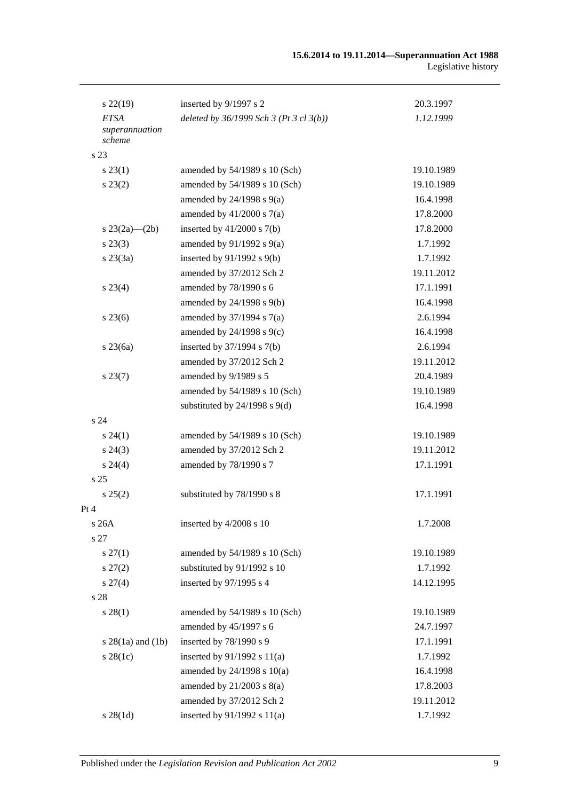| $s\,22(19)$              | inserted by 9/1997 s 2                    | 20.3.1997  |
|--------------------------|-------------------------------------------|------------|
| <b>ETSA</b>              | deleted by $36/1999$ Sch 3 (Pt 3 cl 3(b)) | 1.12.1999  |
| superannuation<br>scheme |                                           |            |
| s 23                     |                                           |            |
| $s\,23(1)$               | amended by 54/1989 s 10 (Sch)             | 19.10.1989 |
| $s\,23(2)$               | amended by 54/1989 s 10 (Sch)             | 19.10.1989 |
|                          | amended by $24/1998$ s $9(a)$             | 16.4.1998  |
|                          | amended by $41/2000$ s $7(a)$             | 17.8.2000  |
| s $23(2a)$ — $(2b)$      | inserted by $41/2000$ s $7(b)$            | 17.8.2000  |
| $s\,23(3)$               | amended by $91/1992$ s $9(a)$             | 1.7.1992   |
| $s\,23(3a)$              | inserted by $91/1992$ s $9(b)$            | 1.7.1992   |
|                          | amended by 37/2012 Sch 2                  | 19.11.2012 |
| $s\,23(4)$               | amended by 78/1990 s 6                    | 17.1.1991  |
|                          | amended by $24/1998$ s $9(b)$             | 16.4.1998  |
| $s\,23(6)$               | amended by $37/1994$ s $7(a)$             | 2.6.1994   |
|                          | amended by $24/1998$ s $9(c)$             | 16.4.1998  |
| $s$ 23 $(6a)$            | inserted by $37/1994$ s $7(b)$            | 2.6.1994   |
|                          | amended by 37/2012 Sch 2                  | 19.11.2012 |
| $s\,23(7)$               | amended by 9/1989 s 5                     | 20.4.1989  |
|                          | amended by 54/1989 s 10 (Sch)             | 19.10.1989 |
|                          | substituted by $24/1998$ s $9(d)$         | 16.4.1998  |
| s <sub>24</sub>          |                                           |            |
| $s\,24(1)$               | amended by 54/1989 s 10 (Sch)             | 19.10.1989 |
| $s\,24(3)$               | amended by 37/2012 Sch 2                  | 19.11.2012 |
| $s\,24(4)$               | amended by 78/1990 s 7                    | 17.1.1991  |
| s <sub>25</sub>          |                                           |            |
| $s\,25(2)$               | substituted by 78/1990 s 8                | 17.1.1991  |
| Pt 4                     |                                           |            |
| s 26A                    | inserted by 4/2008 s 10                   | 1.7.2008   |
| s 27                     |                                           |            |
| $s \, 27(1)$             | amended by 54/1989 s 10 (Sch)             | 19.10.1989 |
| $s\,27(2)$               | substituted by 91/1992 s 10               | 1.7.1992   |
| $s\,27(4)$               | inserted by 97/1995 s 4                   | 14.12.1995 |
| s 28                     |                                           |            |
| $s\,28(1)$               | amended by 54/1989 s 10 (Sch)             | 19.10.1989 |
|                          | amended by 45/1997 s 6                    | 24.7.1997  |
| $s 28(1a)$ and $(1b)$    | inserted by 78/1990 s 9                   | 17.1.1991  |
| $s\,28(1c)$              | inserted by $91/1992$ s $11(a)$           | 1.7.1992   |
|                          | amended by $24/1998$ s $10(a)$            | 16.4.1998  |
|                          | amended by $21/2003$ s $8(a)$             | 17.8.2003  |
|                          | amended by 37/2012 Sch 2                  | 19.11.2012 |
| $s \, 28(1d)$            | inserted by $91/1992$ s $11(a)$           | 1.7.1992   |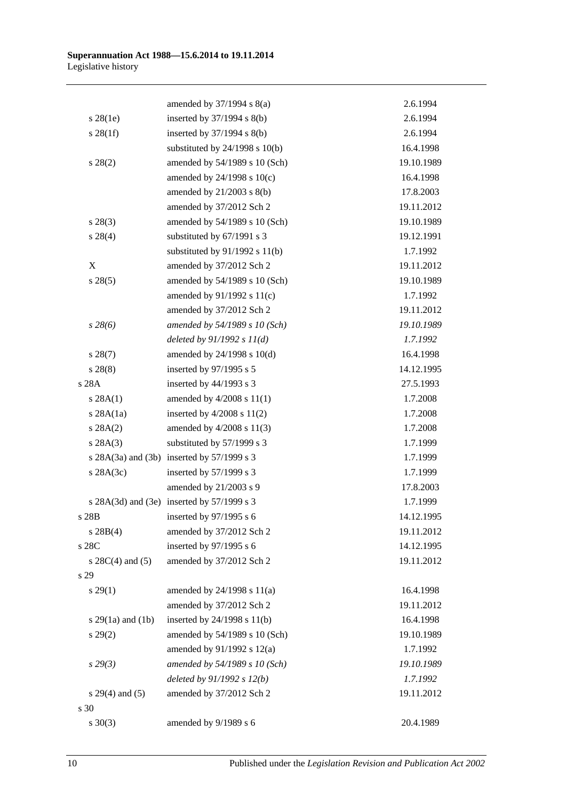|                       | amended by $37/1994$ s $8(a)$              | 2.6.1994   |
|-----------------------|--------------------------------------------|------------|
| $s\,28(1e)$           | inserted by 37/1994 s 8(b)                 | 2.6.1994   |
| $s \, 28(1f)$         | inserted by $37/1994$ s $8(b)$             | 2.6.1994   |
|                       | substituted by $24/1998$ s $10(b)$         | 16.4.1998  |
| $s\,28(2)$            | amended by 54/1989 s 10 (Sch)              | 19.10.1989 |
|                       | amended by 24/1998 s 10(c)                 | 16.4.1998  |
|                       | amended by 21/2003 s 8(b)                  | 17.8.2003  |
|                       | amended by 37/2012 Sch 2                   | 19.11.2012 |
| $s\,28(3)$            | amended by 54/1989 s 10 (Sch)              | 19.10.1989 |
| $s\,28(4)$            | substituted by 67/1991 s 3                 | 19.12.1991 |
|                       | substituted by $91/1992$ s $11(b)$         | 1.7.1992   |
| X                     | amended by 37/2012 Sch 2                   | 19.11.2012 |
| $s\,28(5)$            | amended by 54/1989 s 10 (Sch)              | 19.10.1989 |
|                       | amended by $91/1992$ s $11(c)$             | 1.7.1992   |
|                       | amended by 37/2012 Sch 2                   | 19.11.2012 |
| $s\,28(6)$            | amended by 54/1989 s 10 (Sch)              | 19.10.1989 |
|                       | deleted by $91/1992 s 11(d)$               | 1.7.1992   |
| $s\,28(7)$            | amended by 24/1998 s 10(d)                 | 16.4.1998  |
| $s\,28(8)$            | inserted by 97/1995 s 5                    | 14.12.1995 |
| s 28A                 | inserted by 44/1993 s 3                    | 27.5.1993  |
| s 28A(1)              | amended by 4/2008 s 11(1)                  | 1.7.2008   |
| $s$ 28A $(1a)$        | inserted by $4/2008$ s $11(2)$             | 1.7.2008   |
| s 28A(2)              | amended by $4/2008$ s $11(3)$              | 1.7.2008   |
| s 28A(3)              | substituted by 57/1999 s 3                 | 1.7.1999   |
|                       | s 28A(3a) and (3b) inserted by 57/1999 s 3 | 1.7.1999   |
| $s$ 28A(3c)           | inserted by 57/1999 s 3                    | 1.7.1999   |
|                       | amended by 21/2003 s 9                     | 17.8.2003  |
|                       | s 28A(3d) and (3e) inserted by 57/1999 s 3 | 1.7.1999   |
| s 28B                 | inserted by 97/1995 s 6                    | 14.12.1995 |
| s 28B(4)              | amended by 37/2012 Sch 2                   | 19.11.2012 |
| s 28C                 | inserted by $97/1995$ s 6                  | 14.12.1995 |
| s $28C(4)$ and $(5)$  | amended by 37/2012 Sch 2                   | 19.11.2012 |
| s 29                  |                                            |            |
| $s\,29(1)$            | amended by $24/1998$ s $11(a)$             | 16.4.1998  |
|                       | amended by 37/2012 Sch 2                   | 19.11.2012 |
| s $29(1a)$ and $(1b)$ | inserted by $24/1998$ s $11(b)$            | 16.4.1998  |
| $s\,29(2)$            | amended by 54/1989 s 10 (Sch)              | 19.10.1989 |
|                       | amended by 91/1992 s 12(a)                 | 1.7.1992   |
| s29(3)                | amended by 54/1989 s 10 (Sch)              | 19.10.1989 |
|                       | deleted by $91/1992 s 12(b)$               | 1.7.1992   |
| $s 29(4)$ and (5)     | amended by 37/2012 Sch 2                   | 19.11.2012 |
| s 30                  |                                            |            |
| $s \ 30(3)$           | amended by 9/1989 s 6                      | 20.4.1989  |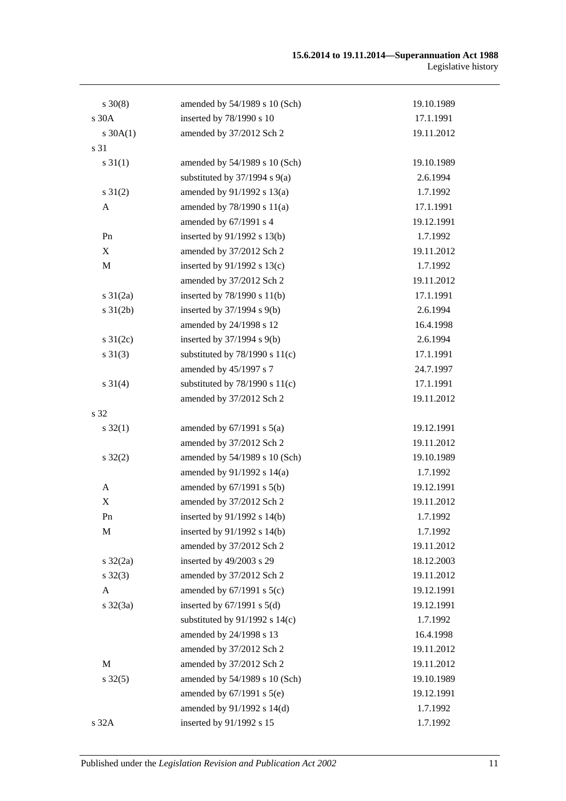| $s \ 30(8)$       | amended by 54/1989 s 10 (Sch)      | 19.10.1989 |
|-------------------|------------------------------------|------------|
| s 30A             | inserted by 78/1990 s 10           | 17.1.1991  |
| $s \, 30A(1)$     | amended by 37/2012 Sch 2           | 19.11.2012 |
| s 31              |                                    |            |
| $s \, 31(1)$      | amended by 54/1989 s 10 (Sch)      | 19.10.1989 |
|                   | substituted by $37/1994$ s $9(a)$  | 2.6.1994   |
| $s \, 31(2)$      | amended by 91/1992 s 13(a)         | 1.7.1992   |
| A                 | amended by 78/1990 s 11(a)         | 17.1.1991  |
|                   | amended by 67/1991 s 4             | 19.12.1991 |
| Pn                | inserted by 91/1992 s 13(b)        | 1.7.1992   |
| X                 | amended by 37/2012 Sch 2           | 19.11.2012 |
| $\mathbf M$       | inserted by $91/1992$ s $13(c)$    | 1.7.1992   |
|                   | amended by 37/2012 Sch 2           | 19.11.2012 |
| $s \frac{31}{2a}$ | inserted by 78/1990 s 11(b)        | 17.1.1991  |
| $s \, 31(2b)$     | inserted by $37/1994$ s $9(b)$     | 2.6.1994   |
|                   | amended by 24/1998 s 12            | 16.4.1998  |
| s $31(2c)$        | inserted by $37/1994$ s $9(b)$     | 2.6.1994   |
| $s \ 31(3)$       | substituted by $78/1990$ s $11(c)$ | 17.1.1991  |
|                   | amended by 45/1997 s 7             | 24.7.1997  |
| $s \ 31(4)$       | substituted by $78/1990$ s $11(c)$ | 17.1.1991  |
|                   | amended by 37/2012 Sch 2           | 19.11.2012 |
| s 32              |                                    |            |
| $s \, 32(1)$      | amended by $67/1991$ s $5(a)$      | 19.12.1991 |
|                   | amended by 37/2012 Sch 2           | 19.11.2012 |
| $s \, 32(2)$      | amended by 54/1989 s 10 (Sch)      | 19.10.1989 |
|                   | amended by 91/1992 s 14(a)         | 1.7.1992   |
| A                 | amended by $67/1991$ s $5(b)$      | 19.12.1991 |
| X                 | amended by 37/2012 Sch 2           | 19.11.2012 |
| ${\rm Pn}$        | inserted by 91/1992 s 14(b)        | 1.7.1992   |
| M                 | inserted by $91/1992$ s $14(b)$    | 1.7.1992   |
|                   | amended by 37/2012 Sch 2           | 19.11.2012 |
| $s \frac{32}{2a}$ | inserted by 49/2003 s 29           | 18.12.2003 |
| $s \, 32(3)$      | amended by 37/2012 Sch 2           | 19.11.2012 |
| A                 | amended by $67/1991$ s $5(c)$      | 19.12.1991 |
| $s \frac{32}{3a}$ | inserted by $67/1991$ s $5(d)$     | 19.12.1991 |
|                   | substituted by $91/1992$ s $14(c)$ | 1.7.1992   |
|                   | amended by 24/1998 s 13            | 16.4.1998  |
|                   | amended by 37/2012 Sch 2           | 19.11.2012 |
| М                 | amended by 37/2012 Sch 2           | 19.11.2012 |
| $s \, 32(5)$      | amended by 54/1989 s 10 (Sch)      | 19.10.1989 |
|                   | amended by $67/1991$ s $5(e)$      | 19.12.1991 |
|                   | amended by 91/1992 s 14(d)         | 1.7.1992   |
| s 32A             | inserted by 91/1992 s 15           | 1.7.1992   |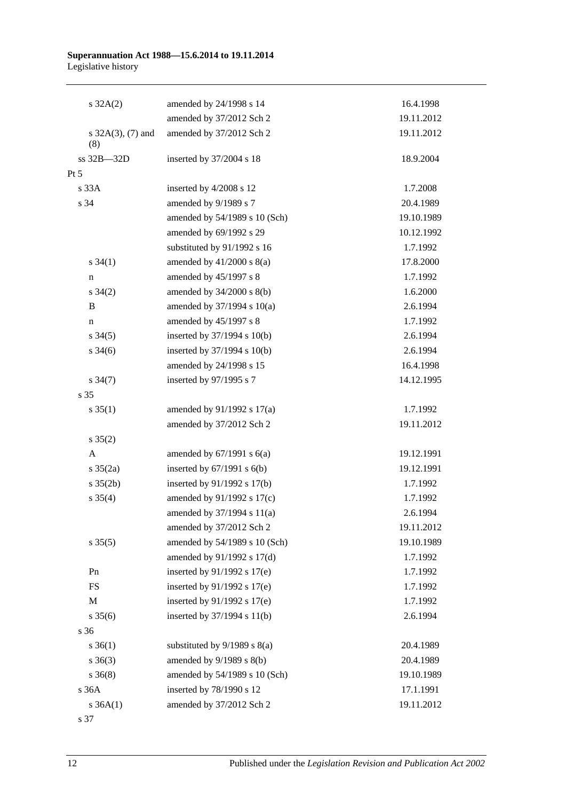| $s \, 32A(2)$               | amended by 24/1998 s 14          | 16.4.1998  |
|-----------------------------|----------------------------------|------------|
|                             | amended by 37/2012 Sch 2         | 19.11.2012 |
| s $32A(3)$ , (7) and<br>(8) | amended by 37/2012 Sch 2         | 19.11.2012 |
| ss 32B-32D                  | inserted by 37/2004 s 18         | 18.9.2004  |
| $Pt\,5$                     |                                  |            |
| s 33A                       | inserted by 4/2008 s 12          | 1.7.2008   |
| s 34                        | amended by 9/1989 s 7            | 20.4.1989  |
|                             | amended by 54/1989 s 10 (Sch)    | 19.10.1989 |
|                             | amended by 69/1992 s 29          | 10.12.1992 |
|                             | substituted by 91/1992 s 16      | 1.7.1992   |
| $s \; 34(1)$                | amended by $41/2000$ s $8(a)$    | 17.8.2000  |
| n                           | amended by 45/1997 s 8           | 1.7.1992   |
| $s \; 34(2)$                | amended by 34/2000 s 8(b)        | 1.6.2000   |
| B                           | amended by 37/1994 s 10(a)       | 2.6.1994   |
| $\mathbf n$                 | amended by 45/1997 s 8           | 1.7.1992   |
| $s \, 34(5)$                | inserted by 37/1994 s 10(b)      | 2.6.1994   |
| $s \; 34(6)$                | inserted by $37/1994$ s $10(b)$  | 2.6.1994   |
|                             | amended by 24/1998 s 15          | 16.4.1998  |
| $s \frac{34(7)}{2}$         | inserted by 97/1995 s 7          | 14.12.1995 |
| s 35                        |                                  |            |
| $s \, 35(1)$                | amended by $91/1992$ s $17(a)$   | 1.7.1992   |
|                             | amended by 37/2012 Sch 2         | 19.11.2012 |
| $s \; 35(2)$                |                                  |            |
| A                           | amended by $67/1991$ s $6(a)$    | 19.12.1991 |
| $s \frac{35(2a)}{2}$        | inserted by $67/1991$ s $6(b)$   | 19.12.1991 |
| $s \, 35(2b)$               | inserted by $91/1992$ s $17(b)$  | 1.7.1992   |
| $s \; 35(4)$                | amended by 91/1992 s 17(c)       | 1.7.1992   |
|                             | amended by 37/1994 s 11(a)       | 2.6.1994   |
|                             | amended by 37/2012 Sch 2         | 19.11.2012 |
| $s \, 35(5)$                | amended by 54/1989 s 10 (Sch)    | 19.10.1989 |
|                             | amended by 91/1992 s 17(d)       | 1.7.1992   |
| Pn                          | inserted by $91/1992$ s $17(e)$  | 1.7.1992   |
| <b>FS</b>                   | inserted by $91/1992$ s $17(e)$  | 1.7.1992   |
| $\mathbf M$                 | inserted by 91/1992 s 17(e)      | 1.7.1992   |
| $s \; 35(6)$                | inserted by $37/1994$ s $11(b)$  | 2.6.1994   |
| s 36                        |                                  |            |
| $s \; 36(1)$                | substituted by $9/1989$ s $8(a)$ | 20.4.1989  |
| $s \; 36(3)$                | amended by $9/1989$ s $8(b)$     | 20.4.1989  |
| $s \; 36(8)$                | amended by 54/1989 s 10 (Sch)    | 19.10.1989 |
| s36A                        | inserted by 78/1990 s 12         | 17.1.1991  |
| $s \, 36A(1)$               | amended by 37/2012 Sch 2         | 19.11.2012 |
|                             |                                  |            |

s 37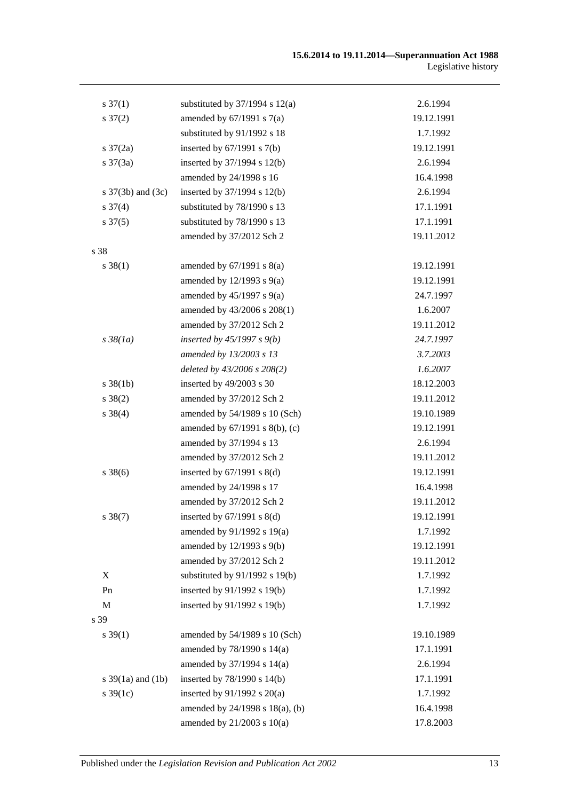| $s \frac{37(1)}{2}$   | substituted by $37/1994$ s $12(a)$ | 2.6.1994   |
|-----------------------|------------------------------------|------------|
| $s \frac{37(2)}{2}$   | amended by $67/1991$ s $7(a)$      | 19.12.1991 |
|                       | substituted by 91/1992 s 18        | 1.7.1992   |
| $s \frac{37}{2a}$     | inserted by $67/1991$ s $7(b)$     | 19.12.1991 |
| $s \frac{37(3a)}{2}$  | inserted by $37/1994$ s $12(b)$    | 2.6.1994   |
|                       | amended by 24/1998 s 16            | 16.4.1998  |
| s $37(3b)$ and $(3c)$ | inserted by $37/1994$ s $12(b)$    | 2.6.1994   |
| $s \frac{37(4)}{4}$   | substituted by 78/1990 s 13        | 17.1.1991  |
| $s \frac{37(5)}{2}$   | substituted by 78/1990 s 13        | 17.1.1991  |
|                       | amended by 37/2012 Sch 2           | 19.11.2012 |
| s 38                  |                                    |            |
| $s \, 38(1)$          | amended by $67/1991$ s $8(a)$      | 19.12.1991 |
|                       | amended by $12/1993$ s $9(a)$      | 19.12.1991 |
|                       | amended by $45/1997$ s $9(a)$      | 24.7.1997  |
|                       | amended by 43/2006 s 208(1)        | 1.6.2007   |
|                       | amended by 37/2012 Sch 2           | 19.11.2012 |
| $s \frac{38}{1a}$     | inserted by $45/1997 s 9(b)$       | 24.7.1997  |
|                       | amended by 13/2003 s 13            | 3.7.2003   |
|                       | deleted by 43/2006 s 208(2)        | 1.6.2007   |
| $s \, 38(1b)$         | inserted by 49/2003 s 30           | 18.12.2003 |
| $s \ 38(2)$           | amended by 37/2012 Sch 2           | 19.11.2012 |
| $s \, 38(4)$          | amended by 54/1989 s 10 (Sch)      | 19.10.1989 |
|                       | amended by 67/1991 s 8(b), (c)     | 19.12.1991 |
|                       | amended by 37/1994 s 13            | 2.6.1994   |
|                       | amended by 37/2012 Sch 2           | 19.11.2012 |
| $s \, 38(6)$          | inserted by $67/1991$ s $8(d)$     | 19.12.1991 |
|                       | amended by 24/1998 s 17            | 16.4.1998  |
|                       | amended by 37/2012 Sch 2           | 19.11.2012 |
| $s \, 38(7)$          | inserted by $67/1991$ s $8(d)$     | 19.12.1991 |
|                       | amended by 91/1992 s 19(a)         | 1.7.1992   |
|                       | amended by 12/1993 s 9(b)          | 19.12.1991 |
|                       | amended by 37/2012 Sch 2           | 19.11.2012 |
| X                     | substituted by $91/1992$ s $19(b)$ | 1.7.1992   |
| Pn                    | inserted by 91/1992 s 19(b)        | 1.7.1992   |
| M                     | inserted by 91/1992 s 19(b)        | 1.7.1992   |
| s 39                  |                                    |            |
| $s \, 39(1)$          | amended by 54/1989 s 10 (Sch)      | 19.10.1989 |
|                       | amended by 78/1990 s 14(a)         | 17.1.1991  |
|                       | amended by 37/1994 s 14(a)         | 2.6.1994   |
| s $39(1a)$ and $(1b)$ | inserted by $78/1990$ s $14(b)$    | 17.1.1991  |
| s $39(1c)$            | inserted by $91/1992$ s $20(a)$    | 1.7.1992   |
|                       | amended by 24/1998 s 18(a), (b)    | 16.4.1998  |
|                       | amended by $21/2003$ s $10(a)$     | 17.8.2003  |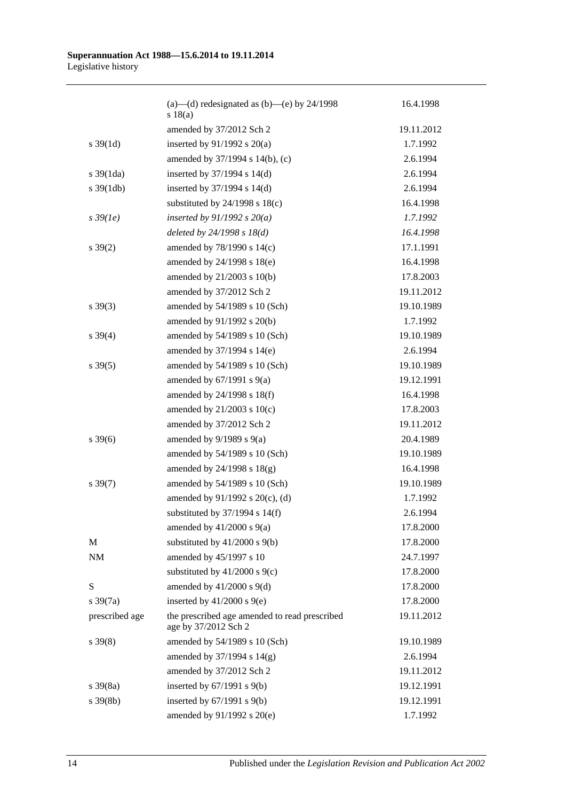|                       | (a)—(d) redesignated as $(b)$ —(e) by 24/1998<br>s 18(a)              | 16.4.1998  |
|-----------------------|-----------------------------------------------------------------------|------------|
|                       | amended by 37/2012 Sch 2                                              | 19.11.2012 |
| $s \frac{39(1d)}{2}$  | inserted by $91/1992$ s $20(a)$                                       | 1.7.1992   |
|                       | amended by 37/1994 s 14(b), (c)                                       | 2.6.1994   |
| $s \frac{39(1da)}{2}$ | inserted by $37/1994$ s $14(d)$                                       | 2.6.1994   |
| $s \frac{39(1db)}{2}$ | inserted by $37/1994$ s $14(d)$                                       | 2.6.1994   |
|                       | substituted by $24/1998$ s $18(c)$                                    | 16.4.1998  |
| $s\,39(1e)$           | inserted by $91/1992$ s $20(a)$                                       | 1.7.1992   |
|                       | deleted by $24/1998 s 18(d)$                                          | 16.4.1998  |
| $s \, 39(2)$          | amended by 78/1990 s 14(c)                                            | 17.1.1991  |
|                       | amended by 24/1998 s 18(e)                                            | 16.4.1998  |
|                       | amended by $21/2003$ s $10(b)$                                        | 17.8.2003  |
|                       | amended by 37/2012 Sch 2                                              | 19.11.2012 |
| $s \, 39(3)$          | amended by 54/1989 s 10 (Sch)                                         | 19.10.1989 |
|                       | amended by 91/1992 s 20(b)                                            | 1.7.1992   |
| $s \, 39(4)$          | amended by 54/1989 s 10 (Sch)                                         | 19.10.1989 |
|                       | amended by 37/1994 s 14(e)                                            | 2.6.1994   |
| $s \, 39(5)$          | amended by 54/1989 s 10 (Sch)                                         | 19.10.1989 |
|                       | amended by $67/1991$ s $9(a)$                                         | 19.12.1991 |
|                       | amended by 24/1998 s 18(f)                                            | 16.4.1998  |
|                       | amended by $21/2003$ s $10(c)$                                        | 17.8.2003  |
|                       | amended by 37/2012 Sch 2                                              | 19.11.2012 |
| $s \, 39(6)$          | amended by $9/1989$ s $9(a)$                                          | 20.4.1989  |
|                       | amended by 54/1989 s 10 (Sch)                                         | 19.10.1989 |
|                       | amended by $24/1998$ s $18(g)$                                        | 16.4.1998  |
| $s \, 39(7)$          | amended by 54/1989 s 10 (Sch)                                         | 19.10.1989 |
|                       | amended by 91/1992 s 20(c), (d)                                       | 1.7.1992   |
|                       | substituted by $37/1994$ s $14(f)$                                    | 2.6.1994   |
|                       | amended by $41/2000$ s $9(a)$                                         | 17.8.2000  |
| M                     | substituted by $41/2000$ s $9(b)$                                     | 17.8.2000  |
| NM                    | amended by 45/1997 s 10                                               | 24.7.1997  |
|                       | substituted by $41/2000$ s $9(c)$                                     | 17.8.2000  |
| S                     | amended by $41/2000$ s $9(d)$                                         | 17.8.2000  |
| $s \frac{39(7a)}{2}$  | inserted by $41/2000$ s $9(e)$                                        | 17.8.2000  |
| prescribed age        | the prescribed age amended to read prescribed<br>age by 37/2012 Sch 2 | 19.11.2012 |
| $s \, 39(8)$          | amended by 54/1989 s 10 (Sch)                                         | 19.10.1989 |
|                       | amended by 37/1994 s 14(g)                                            | 2.6.1994   |
|                       | amended by 37/2012 Sch 2                                              | 19.11.2012 |
| $s \frac{39(8a)}{2}$  | inserted by $67/1991$ s $9(b)$                                        | 19.12.1991 |
| $s \, 39(8b)$         | inserted by $67/1991$ s $9(b)$                                        | 19.12.1991 |
|                       | amended by 91/1992 s 20(e)                                            | 1.7.1992   |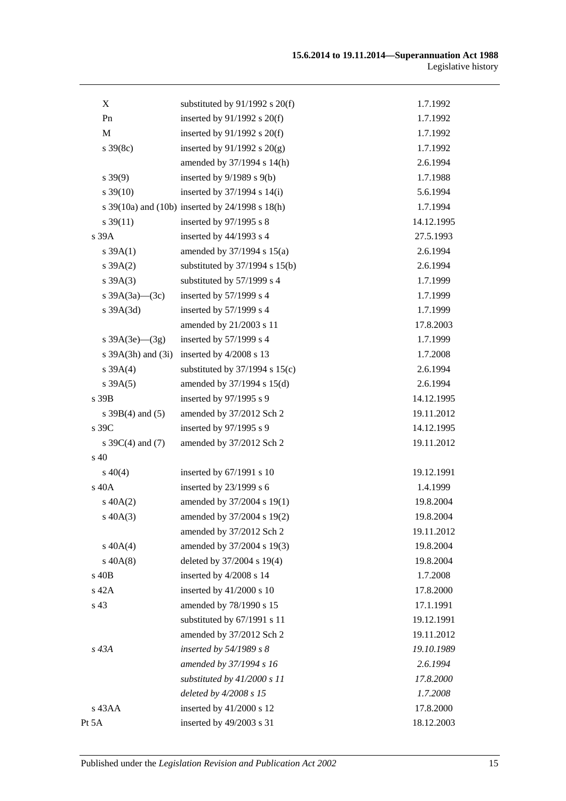| X                      | substituted by $91/1992$ s $20(f)$              | 1.7.1992   |
|------------------------|-------------------------------------------------|------------|
| Pn                     | inserted by $91/1992$ s $20(f)$                 | 1.7.1992   |
| M                      | inserted by $91/1992$ s $20(f)$                 | 1.7.1992   |
| $s \, 39(8c)$          | inserted by $91/1992$ s $20(g)$                 | 1.7.1992   |
|                        | amended by 37/1994 s 14(h)                      | 2.6.1994   |
| $s \, 39(9)$           | inserted by $9/1989$ s $9(b)$                   | 1.7.1988   |
| $s \, 39(10)$          | inserted by $37/1994$ s $14(i)$                 | 5.6.1994   |
|                        | s 39(10a) and (10b) inserted by 24/1998 s 18(h) | 1.7.1994   |
| $s \, 39(11)$          | inserted by 97/1995 s 8                         | 14.12.1995 |
| s 39A                  | inserted by 44/1993 s 4                         | 27.5.1993  |
| s $39A(1)$             | amended by $37/1994$ s $15(a)$                  | 2.6.1994   |
| $s \, 39A(2)$          | substituted by $37/1994$ s $15(b)$              | 2.6.1994   |
| $s \, 39A(3)$          | substituted by 57/1999 s 4                      | 1.7.1999   |
| s $39A(3a)$ (3c)       | inserted by 57/1999 s 4                         | 1.7.1999   |
| $s$ 39A $(3d)$         | inserted by 57/1999 s 4                         | 1.7.1999   |
|                        | amended by 21/2003 s 11                         | 17.8.2003  |
| s $39A(3e)$ — $(3g)$   | inserted by 57/1999 s 4                         | 1.7.1999   |
| s $39A(3h)$ and $(3i)$ | inserted by 4/2008 s 13                         | 1.7.2008   |
| s 39A(4)               | substituted by $37/1994$ s $15(c)$              | 2.6.1994   |
| $s \, 39A(5)$          | amended by 37/1994 s 15(d)                      | 2.6.1994   |
| s 39B                  | inserted by 97/1995 s 9                         | 14.12.1995 |
| s $39B(4)$ and $(5)$   | amended by 37/2012 Sch 2                        | 19.11.2012 |
| s 39C                  | inserted by 97/1995 s 9                         | 14.12.1995 |
| s $39C(4)$ and $(7)$   | amended by 37/2012 Sch 2                        | 19.11.2012 |
| s 40                   |                                                 |            |
| $s\ 40(4)$             | inserted by 67/1991 s 10                        | 19.12.1991 |
| s 40A                  | inserted by 23/1999 s 6                         | 1.4.1999   |
| $s\ 40A(2)$            | amended by 37/2004 s 19(1)                      | 19.8.2004  |
| $s\,40A(3)$            | amended by 37/2004 s 19(2)                      | 19.8.2004  |
|                        | amended by 37/2012 Sch 2                        | 19.11.2012 |
| $s\ 40A(4)$            | amended by 37/2004 s 19(3)                      | 19.8.2004  |
| $s\ 40A(8)$            | deleted by 37/2004 s 19(4)                      | 19.8.2004  |
| s 40B                  | inserted by 4/2008 s 14                         | 1.7.2008   |
| s 42A                  | inserted by $41/2000$ s 10                      | 17.8.2000  |
| s 43                   | amended by 78/1990 s 15                         | 17.1.1991  |
|                        | substituted by 67/1991 s 11                     | 19.12.1991 |
|                        | amended by 37/2012 Sch 2                        | 19.11.2012 |
| s 43A                  | inserted by $54/1989 s 8$                       | 19.10.1989 |
|                        | amended by 37/1994 s 16                         | 2.6.1994   |
|                        | substituted by $41/2000 s 11$                   | 17.8.2000  |
|                        | deleted by 4/2008 s 15                          | 1.7.2008   |
| s 43AA                 | inserted by 41/2000 s 12                        | 17.8.2000  |
| Pt 5A                  | inserted by 49/2003 s 31                        | 18.12.2003 |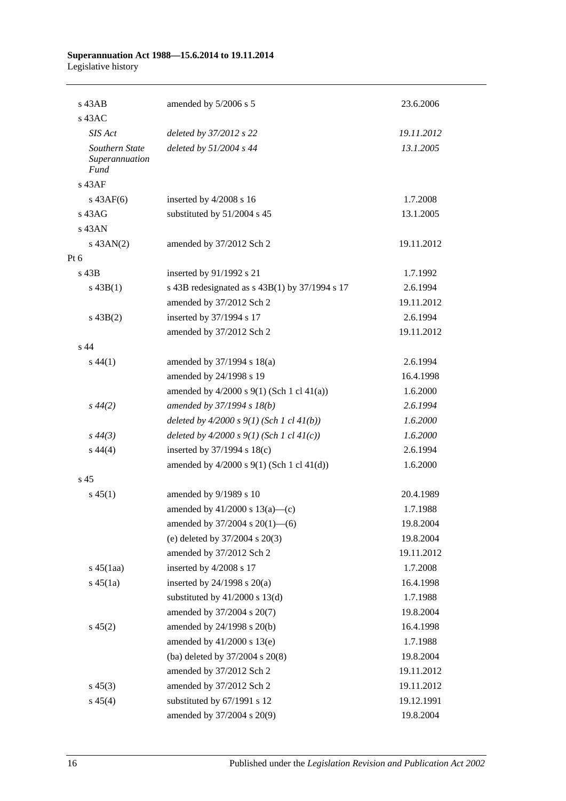| $s$ 43AB                                        | amended by 5/2006 s 5                            | 23.6.2006  |
|-------------------------------------------------|--------------------------------------------------|------------|
| $s$ 43AC                                        |                                                  |            |
| SIS Act                                         | deleted by 37/2012 s 22                          | 19.11.2012 |
| Southern State<br>Superannuation<br><b>Fund</b> | deleted by 51/2004 s 44                          | 13.1.2005  |
| s 43AF                                          |                                                  |            |
| $s\,43AF(6)$                                    | inserted by 4/2008 s 16                          | 1.7.2008   |
| $s$ 43A $G$                                     | substituted by 51/2004 s 45                      | 13.1.2005  |
| s 43AN                                          |                                                  |            |
| $s$ 43AN(2)                                     | amended by 37/2012 Sch 2                         | 19.11.2012 |
| Pt 6                                            |                                                  |            |
| $s$ 43B                                         | inserted by 91/1992 s 21                         | 1.7.1992   |
| $s\,43B(1)$                                     | s 43B redesignated as $s$ 43B(1) by 37/1994 s 17 | 2.6.1994   |
|                                                 | amended by 37/2012 Sch 2                         | 19.11.2012 |
| $s\,43B(2)$                                     | inserted by 37/1994 s 17                         | 2.6.1994   |
|                                                 | amended by 37/2012 Sch 2                         | 19.11.2012 |
| s 44                                            |                                                  |            |
| $s\,44(1)$                                      | amended by 37/1994 s 18(a)                       | 2.6.1994   |
|                                                 | amended by 24/1998 s 19                          | 16.4.1998  |
|                                                 | amended by $4/2000$ s $9(1)$ (Sch 1 cl $41(a)$ ) | 1.6.2000   |
| $s\,44(2)$                                      | amended by 37/1994 s 18(b)                       | 2.6.1994   |
|                                                 | deleted by $4/2000 s 9(1)$ (Sch 1 cl $41(b)$ )   | 1.6.2000   |
| $s\,44(3)$                                      | deleted by $4/2000 s 9(1)$ (Sch 1 cl $41(c)$ )   | 1.6.2000   |
| $s\,44(4)$                                      | inserted by 37/1994 s 18(c)                      | 2.6.1994   |
|                                                 | amended by $4/2000$ s $9(1)$ (Sch 1 cl $41(d)$ ) | 1.6.2000   |
| s <sub>45</sub>                                 |                                                  |            |
| $s\,45(1)$                                      | amended by 9/1989 s 10                           | 20.4.1989  |
|                                                 | amended by $41/2000$ s $13(a)$ —(c)              | 1.7.1988   |
|                                                 | amended by $37/2004$ s $20(1)$ —(6)              | 19.8.2004  |
|                                                 | (e) deleted by 37/2004 s 20(3)                   | 19.8.2004  |
|                                                 | amended by 37/2012 Sch 2                         | 19.11.2012 |
| $s\,45(1aa)$                                    | inserted by 4/2008 s 17                          | 1.7.2008   |
| $s\,45(1a)$                                     | inserted by $24/1998$ s $20(a)$                  | 16.4.1998  |
|                                                 | substituted by $41/2000$ s $13(d)$               | 1.7.1988   |
|                                                 | amended by 37/2004 s 20(7)                       | 19.8.2004  |
| $s\,45(2)$                                      | amended by 24/1998 s 20(b)                       | 16.4.1998  |
|                                                 | amended by 41/2000 s 13(e)                       | 1.7.1988   |
|                                                 | (ba) deleted by 37/2004 s 20(8)                  | 19.8.2004  |
|                                                 | amended by 37/2012 Sch 2                         | 19.11.2012 |
| $s\,45(3)$                                      | amended by 37/2012 Sch 2                         | 19.11.2012 |
| $s\,45(4)$                                      | substituted by 67/1991 s 12                      | 19.12.1991 |
|                                                 | amended by 37/2004 s 20(9)                       | 19.8.2004  |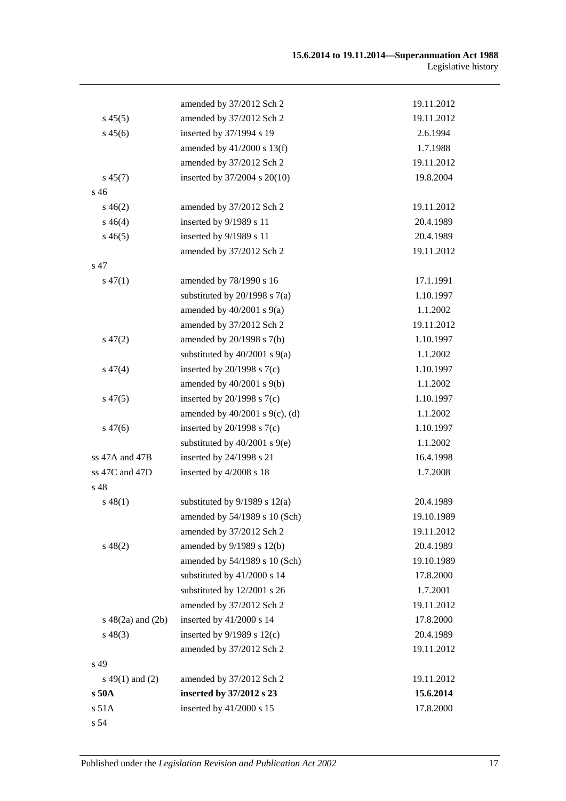|                        | amended by 37/2012 Sch 2            | 19.11.2012 |
|------------------------|-------------------------------------|------------|
| $s\,45(5)$             | amended by 37/2012 Sch 2            | 19.11.2012 |
| $s\,45(6)$             | inserted by 37/1994 s 19            | 2.6.1994   |
|                        | amended by $41/2000$ s $13(f)$      | 1.7.1988   |
|                        | amended by 37/2012 Sch 2            | 19.11.2012 |
| $s\,45(7)$             | inserted by 37/2004 s 20(10)        | 19.8.2004  |
| s 46                   |                                     |            |
| $s\,46(2)$             | amended by 37/2012 Sch 2            | 19.11.2012 |
| $s\,46(4)$             | inserted by 9/1989 s 11             | 20.4.1989  |
| $s\,46(5)$             | inserted by 9/1989 s 11             | 20.4.1989  |
|                        | amended by 37/2012 Sch 2            | 19.11.2012 |
| s 47                   |                                     |            |
| $s\,47(1)$             | amended by 78/1990 s 16             | 17.1.1991  |
|                        | substituted by $20/1998$ s $7(a)$   | 1.10.1997  |
|                        | amended by $40/2001$ s $9(a)$       | 1.1.2002   |
|                        | amended by 37/2012 Sch 2            | 19.11.2012 |
| $s\,47(2)$             | amended by 20/1998 s 7(b)           | 1.10.1997  |
|                        | substituted by $40/2001$ s $9(a)$   | 1.1.2002   |
| $s\,47(4)$             | inserted by $20/1998$ s $7(c)$      | 1.10.1997  |
|                        | amended by $40/2001$ s $9(b)$       | 1.1.2002   |
| $s\,47(5)$             | inserted by $20/1998$ s $7(c)$      | 1.10.1997  |
|                        | amended by $40/2001$ s $9(c)$ , (d) | 1.1.2002   |
| $s\,47(6)$             | inserted by $20/1998$ s $7(c)$      | 1.10.1997  |
|                        | substituted by $40/2001$ s $9(e)$   | 1.1.2002   |
| ss 47A and 47B         | inserted by 24/1998 s 21            | 16.4.1998  |
| ss 47C and 47D         | inserted by 4/2008 s 18             | 1.7.2008   |
| s 48                   |                                     |            |
| $s\,48(1)$             | substituted by $9/1989$ s $12(a)$   | 20.4.1989  |
|                        | amended by 54/1989 s 10 (Sch)       | 19.10.1989 |
|                        | amended by 37/2012 Sch 2            | 19.11.2012 |
| $s\,48(2)$             | amended by 9/1989 s 12(b)           | 20.4.1989  |
|                        | amended by 54/1989 s 10 (Sch)       | 19.10.1989 |
|                        | substituted by 41/2000 s 14         | 17.8.2000  |
|                        | substituted by 12/2001 s 26         | 1.7.2001   |
|                        | amended by 37/2012 Sch 2            | 19.11.2012 |
| $s\ 48(2a)$ and $(2b)$ | inserted by 41/2000 s 14            | 17.8.2000  |
| $s\,48(3)$             | inserted by $9/1989$ s $12(c)$      | 20.4.1989  |
|                        | amended by 37/2012 Sch 2            | 19.11.2012 |
| s 49                   |                                     |            |
| $s\ 49(1)$ and (2)     | amended by 37/2012 Sch 2            | 19.11.2012 |
| s50A                   | inserted by 37/2012 s 23            | 15.6.2014  |
| s 51A                  | inserted by 41/2000 s 15            | 17.8.2000  |
| s 54                   |                                     |            |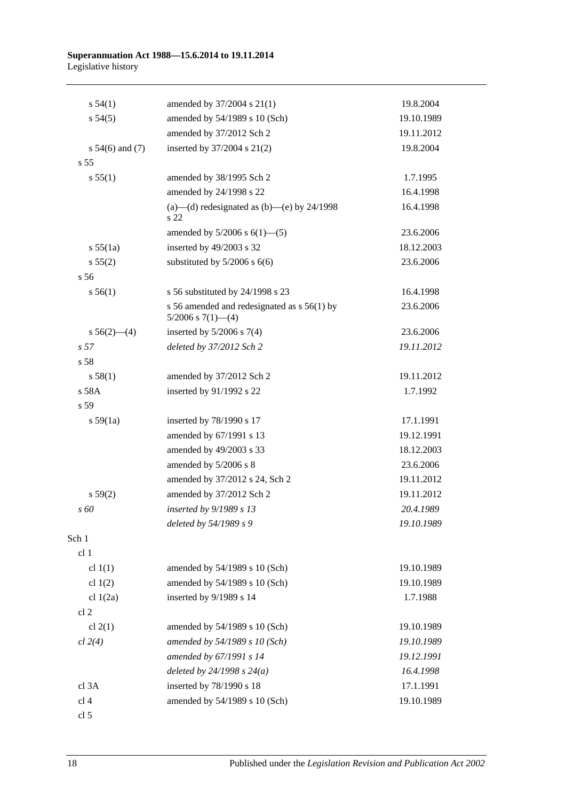| s 54(1)             | amended by 37/2004 s 21(1)                                              | 19.8.2004  |
|---------------------|-------------------------------------------------------------------------|------------|
| $s\,54(5)$          | amended by 54/1989 s 10 (Sch)                                           | 19.10.1989 |
|                     | amended by 37/2012 Sch 2                                                | 19.11.2012 |
| s $54(6)$ and $(7)$ | inserted by 37/2004 s 21(2)                                             | 19.8.2004  |
| s <sub>55</sub>     |                                                                         |            |
| s 55(1)             | amended by 38/1995 Sch 2                                                | 1.7.1995   |
|                     | amended by 24/1998 s 22                                                 | 16.4.1998  |
|                     | (a)—(d) redesignated as (b)—(e) by $24/1998$<br>s 22                    | 16.4.1998  |
|                     | amended by $5/2006$ s $6(1)$ — $(5)$                                    | 23.6.2006  |
| s 55(1a)            | inserted by 49/2003 s 32                                                | 18.12.2003 |
| s 55(2)             | substituted by $5/2006$ s $6(6)$                                        | 23.6.2006  |
| s 56                |                                                                         |            |
| s 56(1)             | s 56 substituted by 24/1998 s 23                                        | 16.4.1998  |
|                     | s 56 amended and redesignated as $s$ 56(1) by<br>$5/2006$ s $7(1)$ —(4) | 23.6.2006  |
| s $56(2)$ — $(4)$   | inserted by $5/2006$ s $7(4)$                                           | 23.6.2006  |
| s <sub>57</sub>     | deleted by 37/2012 Sch 2                                                | 19.11.2012 |
| s 58                |                                                                         |            |
| s 58(1)             | amended by 37/2012 Sch 2                                                | 19.11.2012 |
| s 58A               | inserted by 91/1992 s 22                                                | 1.7.1992   |
| s <sub>59</sub>     |                                                                         |            |
| s 59(1a)            | inserted by 78/1990 s 17                                                | 17.1.1991  |
|                     | amended by 67/1991 s 13                                                 | 19.12.1991 |
|                     | amended by 49/2003 s 33                                                 | 18.12.2003 |
|                     | amended by 5/2006 s 8                                                   | 23.6.2006  |
|                     | amended by 37/2012 s 24, Sch 2                                          | 19.11.2012 |
| s 59(2)             | amended by 37/2012 Sch 2                                                | 19.11.2012 |
| s 60                | inserted by 9/1989 s 13                                                 | 20.4.1989  |
|                     | deleted by 54/1989 s 9                                                  | 19.10.1989 |
| Sch 1               |                                                                         |            |
| cl 1                |                                                                         |            |
| cl $1(1)$           | amended by 54/1989 s 10 (Sch)                                           | 19.10.1989 |
| cl $1(2)$           | amended by 54/1989 s 10 (Sch)                                           | 19.10.1989 |
| cl $1(2a)$          | inserted by 9/1989 s 14                                                 | 1.7.1988   |
| cl <sub>2</sub>     |                                                                         |            |
| cl $2(1)$           | amended by 54/1989 s 10 (Sch)                                           | 19.10.1989 |
| cl 2(4)             | amended by 54/1989 s 10 (Sch)                                           | 19.10.1989 |
|                     | amended by 67/1991 s 14                                                 | 19.12.1991 |
|                     | deleted by $24/1998 s 24(a)$                                            | 16.4.1998  |
| cl 3A               | inserted by 78/1990 s 18                                                | 17.1.1991  |
| cl <sub>4</sub>     | amended by 54/1989 s 10 (Sch)                                           | 19.10.1989 |
| cl 5                |                                                                         |            |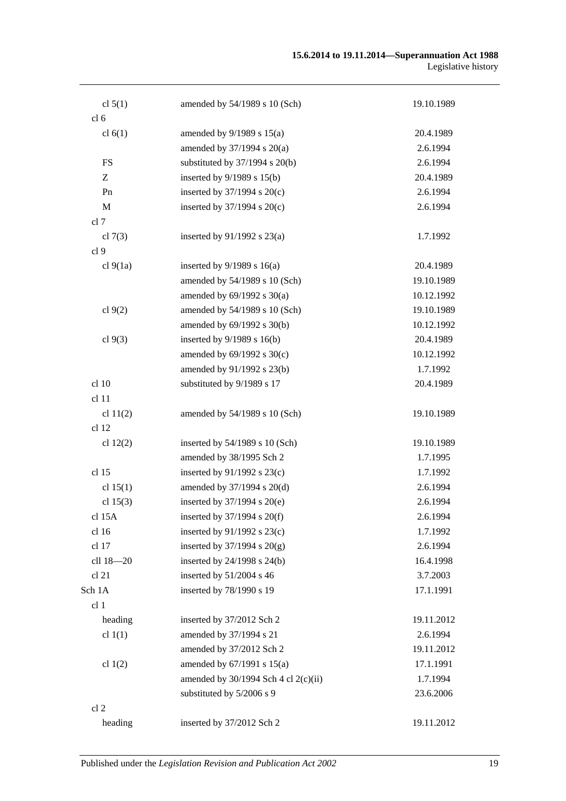#### **15.6.2014 to 19.11.2014—Superannuation Act 1988** Legislative history

| cl $5(1)$       | amended by 54/1989 s 10 (Sch)          | 19.10.1989 |
|-----------------|----------------------------------------|------------|
| cl <sub>6</sub> |                                        |            |
| cl $6(1)$       | amended by $9/1989$ s $15(a)$          | 20.4.1989  |
|                 | amended by $37/1994$ s $20(a)$         | 2.6.1994   |
| <b>FS</b>       | substituted by $37/1994$ s $20(b)$     | 2.6.1994   |
| Z               | inserted by 9/1989 s 15(b)             | 20.4.1989  |
| Pn              | inserted by $37/1994$ s $20(c)$        | 2.6.1994   |
| M               | inserted by $37/1994$ s $20(c)$        | 2.6.1994   |
| cl 7            |                                        |            |
| cl $7(3)$       | inserted by $91/1992$ s $23(a)$        | 1.7.1992   |
| cl 9            |                                        |            |
| cl $9(1a)$      | inserted by $9/1989$ s $16(a)$         | 20.4.1989  |
|                 | amended by 54/1989 s 10 (Sch)          | 19.10.1989 |
|                 | amended by $69/1992$ s $30(a)$         | 10.12.1992 |
| cl $9(2)$       | amended by 54/1989 s 10 (Sch)          | 19.10.1989 |
|                 | amended by 69/1992 s 30(b)             | 10.12.1992 |
| cl $9(3)$       | inserted by $9/1989$ s $16(b)$         | 20.4.1989  |
|                 | amended by $69/1992$ s $30(c)$         | 10.12.1992 |
|                 | amended by 91/1992 s 23(b)             | 1.7.1992   |
| cl 10           | substituted by 9/1989 s 17             | 20.4.1989  |
| cl 11           |                                        |            |
| cl $11(2)$      | amended by 54/1989 s 10 (Sch)          | 19.10.1989 |
| cl 12           |                                        |            |
| cl $12(2)$      | inserted by $54/1989$ s 10 (Sch)       | 19.10.1989 |
|                 | amended by 38/1995 Sch 2               | 1.7.1995   |
| cl 15           | inserted by $91/1992$ s $23(c)$        | 1.7.1992   |
| cl $15(1)$      | amended by 37/1994 s 20(d)             | 2.6.1994   |
| cl $15(3)$      | inserted by 37/1994 s 20(e)            | 2.6.1994   |
| cl 15A          | inserted by $37/1994$ s $20(f)$        | 2.6.1994   |
| cl 16           | inserted by $91/1992$ s $23(c)$        | 1.7.1992   |
| cl 17           | inserted by $37/1994$ s $20(g)$        | 2.6.1994   |
| cll 18-20       | inserted by $24/1998$ s $24(b)$        | 16.4.1998  |
| cl 21           | inserted by 51/2004 s 46               | 3.7.2003   |
| Sch 1A          | inserted by 78/1990 s 19               | 17.1.1991  |
| cl 1            |                                        |            |
| heading         | inserted by 37/2012 Sch 2              | 19.11.2012 |
| cl $1(1)$       | amended by 37/1994 s 21                | 2.6.1994   |
|                 | amended by 37/2012 Sch 2               | 19.11.2012 |
| cl $1(2)$       | amended by $67/1991$ s $15(a)$         | 17.1.1991  |
|                 | amended by $30/1994$ Sch 4 cl 2(c)(ii) | 1.7.1994   |
|                 | substituted by 5/2006 s 9              | 23.6.2006  |
| cl <sub>2</sub> |                                        |            |
| heading         | inserted by 37/2012 Sch 2              | 19.11.2012 |
|                 |                                        |            |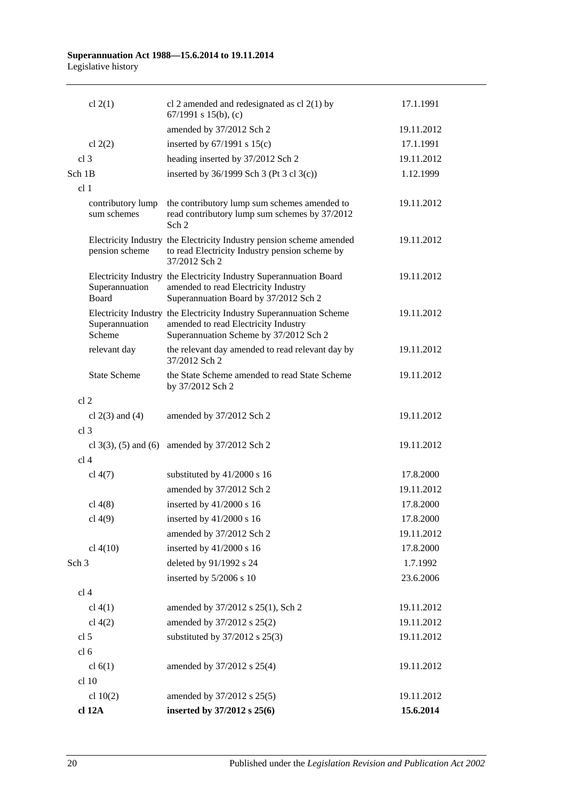|                  | cl $2(1)$                        | cl 2 amended and redesignated as cl $2(1)$ by<br>67/1991 s 15(b), (c)                                                                                 | 17.1.1991  |
|------------------|----------------------------------|-------------------------------------------------------------------------------------------------------------------------------------------------------|------------|
|                  |                                  | amended by 37/2012 Sch 2                                                                                                                              | 19.11.2012 |
|                  | cl $2(2)$                        | inserted by $67/1991$ s $15(c)$                                                                                                                       | 17.1.1991  |
| cl <sub>3</sub>  |                                  | heading inserted by 37/2012 Sch 2                                                                                                                     | 19.11.2012 |
| Sch 1B           |                                  | inserted by 36/1999 Sch 3 (Pt 3 cl 3(c))                                                                                                              | 1.12.1999  |
| cl <sub>1</sub>  |                                  |                                                                                                                                                       |            |
|                  | contributory lump<br>sum schemes | the contributory lump sum schemes amended to<br>read contributory lump sum schemes by 37/2012<br>Sch <sub>2</sub>                                     | 19.11.2012 |
|                  | pension scheme                   | Electricity Industry the Electricity Industry pension scheme amended<br>to read Electricity Industry pension scheme by<br>37/2012 Sch 2               | 19.11.2012 |
|                  | Superannuation<br><b>Board</b>   | Electricity Industry the Electricity Industry Superannuation Board<br>amended to read Electricity Industry<br>Superannuation Board by 37/2012 Sch 2   | 19.11.2012 |
|                  | Superannuation<br>Scheme         | Electricity Industry the Electricity Industry Superannuation Scheme<br>amended to read Electricity Industry<br>Superannuation Scheme by 37/2012 Sch 2 | 19.11.2012 |
|                  | relevant day                     | the relevant day amended to read relevant day by<br>37/2012 Sch 2                                                                                     | 19.11.2012 |
|                  | <b>State Scheme</b>              | the State Scheme amended to read State Scheme<br>by 37/2012 Sch 2                                                                                     | 19.11.2012 |
| cl <sub>2</sub>  |                                  |                                                                                                                                                       |            |
|                  | cl $2(3)$ and $(4)$              | amended by 37/2012 Sch 2                                                                                                                              | 19.11.2012 |
| cl <sub>3</sub>  |                                  |                                                                                                                                                       |            |
|                  |                                  | cl 3(3), (5) and (6) amended by $37/2012$ Sch 2                                                                                                       | 19.11.2012 |
| cl <sub>4</sub>  |                                  |                                                                                                                                                       |            |
|                  | cl $4(7)$                        | substituted by 41/2000 s 16                                                                                                                           | 17.8.2000  |
|                  |                                  | amended by 37/2012 Sch 2                                                                                                                              | 19.11.2012 |
|                  | cl $4(8)$                        | inserted by $41/2000$ s 16                                                                                                                            | 17.8.2000  |
|                  | $cl$ 4(9)                        | inserted by 41/2000 s 16                                                                                                                              | 17.8.2000  |
|                  |                                  | amended by 37/2012 Sch 2                                                                                                                              | 19.11.2012 |
|                  | cl 4(10)                         | inserted by 41/2000 s 16                                                                                                                              | 17.8.2000  |
| Sch <sub>3</sub> |                                  | deleted by 91/1992 s 24                                                                                                                               | 1.7.1992   |
|                  |                                  | inserted by 5/2006 s 10                                                                                                                               | 23.6.2006  |
| cl <sub>4</sub>  |                                  |                                                                                                                                                       |            |
|                  | $cl$ 4(1)                        | amended by 37/2012 s 25(1), Sch 2                                                                                                                     | 19.11.2012 |
|                  | cl $4(2)$                        | amended by 37/2012 s 25(2)                                                                                                                            | 19.11.2012 |
| cl <sub>5</sub>  |                                  | substituted by $37/2012$ s $25(3)$                                                                                                                    | 19.11.2012 |
| cl <sub>6</sub>  |                                  |                                                                                                                                                       |            |
|                  | cl $6(1)$                        | amended by 37/2012 s 25(4)                                                                                                                            | 19.11.2012 |
|                  | cl 10                            |                                                                                                                                                       |            |
|                  | cl $10(2)$                       | amended by 37/2012 s 25(5)                                                                                                                            | 19.11.2012 |
|                  | cl 12A                           | inserted by 37/2012 s 25(6)                                                                                                                           | 15.6.2014  |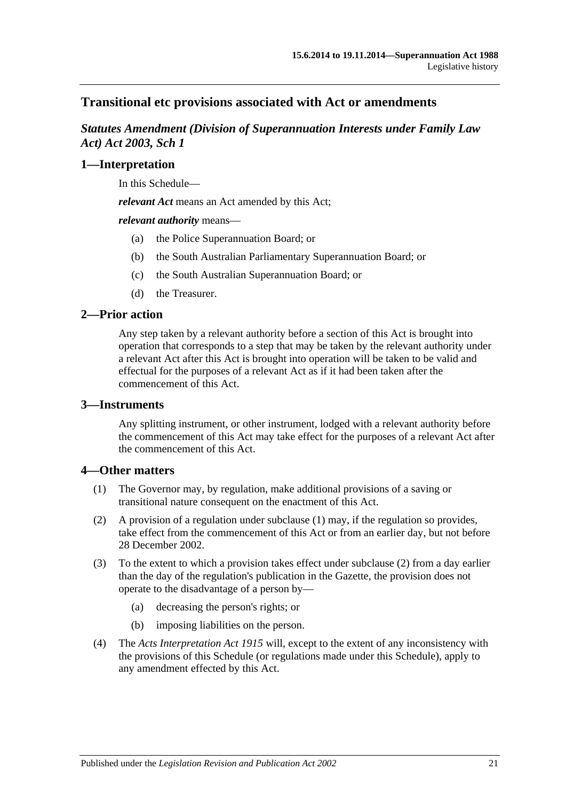## **Transitional etc provisions associated with Act or amendments**

*Statutes Amendment (Division of Superannuation Interests under Family Law Act) Act 2003, Sch 1*

#### **1—Interpretation**

In this Schedule—

*relevant Act* means an Act amended by this Act;

*relevant authority* means—

- (a) the Police Superannuation Board; or
- (b) the South Australian Parliamentary Superannuation Board; or
- (c) the South Australian Superannuation Board; or
- (d) the Treasurer.

#### **2—Prior action**

Any step taken by a relevant authority before a section of this Act is brought into operation that corresponds to a step that may be taken by the relevant authority under a relevant Act after this Act is brought into operation will be taken to be valid and effectual for the purposes of a relevant Act as if it had been taken after the commencement of this Act.

#### **3—Instruments**

Any splitting instrument, or other instrument, lodged with a relevant authority before the commencement of this Act may take effect for the purposes of a relevant Act after the commencement of this Act.

#### **4—Other matters**

- (1) The Governor may, by regulation, make additional provisions of a saving or transitional nature consequent on the enactment of this Act.
- (2) A provision of a regulation under subclause (1) may, if the regulation so provides, take effect from the commencement of this Act or from an earlier day, but not before 28 December 2002.
- (3) To the extent to which a provision takes effect under subclause (2) from a day earlier than the day of the regulation's publication in the Gazette, the provision does not operate to the disadvantage of a person by—
	- (a) decreasing the person's rights; or
	- (b) imposing liabilities on the person.
- (4) The *[Acts Interpretation Act](http://www.legislation.sa.gov.au/index.aspx?action=legref&type=act&legtitle=Acts%20Interpretation%20Act%201915) 1915* will, except to the extent of any inconsistency with the provisions of this Schedule (or regulations made under this Schedule), apply to any amendment effected by this Act.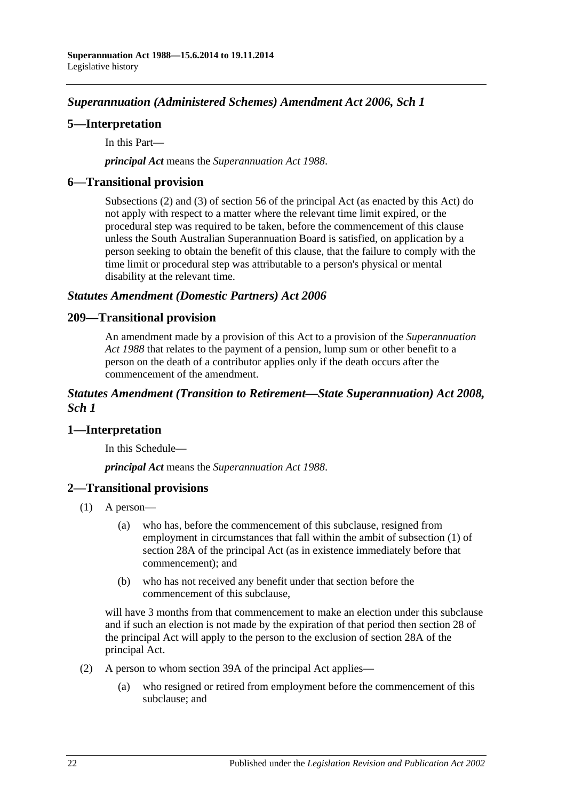# *Superannuation (Administered Schemes) Amendment Act 2006, Sch 1*

### **5—Interpretation**

In this Part—

*principal Act* means the *[Superannuation Act](http://www.legislation.sa.gov.au/index.aspx?action=legref&type=act&legtitle=Superannuation%20Act%201988) 1988*.

### **6—Transitional provision**

Subsections (2) and (3) of section 56 of the principal Act (as enacted by this Act) do not apply with respect to a matter where the relevant time limit expired, or the procedural step was required to be taken, before the commencement of this clause unless the South Australian Superannuation Board is satisfied, on application by a person seeking to obtain the benefit of this clause, that the failure to comply with the time limit or procedural step was attributable to a person's physical or mental disability at the relevant time.

#### *Statutes Amendment (Domestic Partners) Act 2006*

#### **209—Transitional provision**

An amendment made by a provision of this Act to a provision of the *[Superannuation](http://www.legislation.sa.gov.au/index.aspx?action=legref&type=act&legtitle=Superannuation%20Act%201988)  Act [1988](http://www.legislation.sa.gov.au/index.aspx?action=legref&type=act&legtitle=Superannuation%20Act%201988)* that relates to the payment of a pension, lump sum or other benefit to a person on the death of a contributor applies only if the death occurs after the commencement of the amendment.

### *Statutes Amendment (Transition to Retirement—State Superannuation) Act 2008, Sch 1*

### **1—Interpretation**

In this Schedule—

*principal Act* means the *[Superannuation Act](http://www.legislation.sa.gov.au/index.aspx?action=legref&type=act&legtitle=Superannuation%20Act%201988) 1988*.

### **2—Transitional provisions**

- (1) A person—
	- (a) who has, before the commencement of this subclause, resigned from employment in circumstances that fall within the ambit of subsection (1) of section 28A of the principal Act (as in existence immediately before that commencement); and
	- (b) who has not received any benefit under that section before the commencement of this subclause,

will have 3 months from that commencement to make an election under this subclause and if such an election is not made by the expiration of that period then section 28 of the principal Act will apply to the person to the exclusion of section 28A of the principal Act.

- (2) A person to whom section 39A of the principal Act applies—
	- (a) who resigned or retired from employment before the commencement of this subclause; and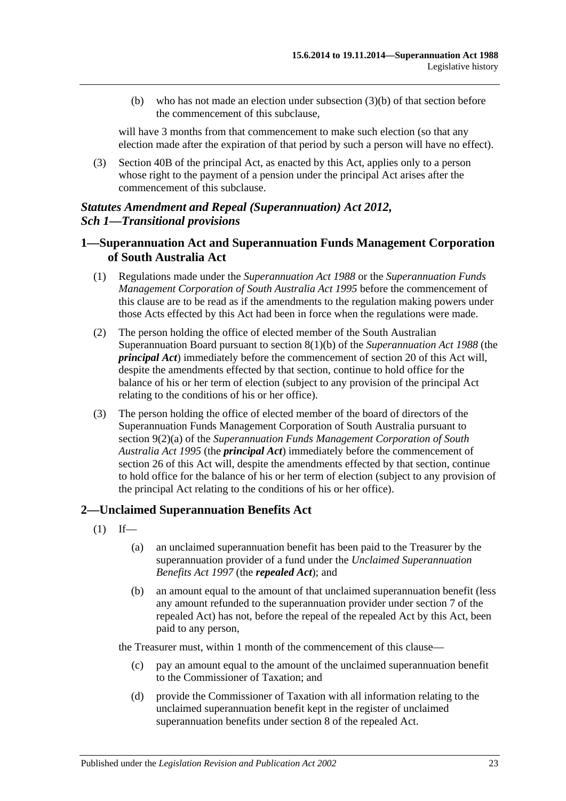(b) who has not made an election under subsection (3)(b) of that section before the commencement of this subclause,

will have 3 months from that commencement to make such election (so that any election made after the expiration of that period by such a person will have no effect).

(3) Section 40B of the principal Act, as enacted by this Act, applies only to a person whose right to the payment of a pension under the principal Act arises after the commencement of this subclause.

## *Statutes Amendment and Repeal (Superannuation) Act 2012, Sch 1—Transitional provisions*

## **1—Superannuation Act and Superannuation Funds Management Corporation of South Australia Act**

- (1) Regulations made under the *[Superannuation Act](http://www.legislation.sa.gov.au/index.aspx?action=legref&type=act&legtitle=Superannuation%20Act%201988) 1988* or the *[Superannuation Funds](http://www.legislation.sa.gov.au/index.aspx?action=legref&type=act&legtitle=Superannuation%20Funds%20Management%20Corporation%20of%20South%20Australia%20Act%201995)  [Management Corporation of South Australia Act](http://www.legislation.sa.gov.au/index.aspx?action=legref&type=act&legtitle=Superannuation%20Funds%20Management%20Corporation%20of%20South%20Australia%20Act%201995) 1995* before the commencement of this clause are to be read as if the amendments to the regulation making powers under those Acts effected by this Act had been in force when the regulations were made.
- (2) The person holding the office of elected member of the South Australian Superannuation Board pursuant to section 8(1)(b) of the *[Superannuation Act](http://www.legislation.sa.gov.au/index.aspx?action=legref&type=act&legtitle=Superannuation%20Act%201988) 1988* (the *principal Act*) immediately before the commencement of section 20 of this Act will, despite the amendments effected by that section, continue to hold office for the balance of his or her term of election (subject to any provision of the principal Act relating to the conditions of his or her office).
- (3) The person holding the office of elected member of the board of directors of the Superannuation Funds Management Corporation of South Australia pursuant to section 9(2)(a) of the *[Superannuation Funds Management Corporation of South](http://www.legislation.sa.gov.au/index.aspx?action=legref&type=act&legtitle=Superannuation%20Funds%20Management%20Corporation%20of%20South%20Australia%20Act%201995)  [Australia Act](http://www.legislation.sa.gov.au/index.aspx?action=legref&type=act&legtitle=Superannuation%20Funds%20Management%20Corporation%20of%20South%20Australia%20Act%201995) 1995* (the *principal Act*) immediately before the commencement of section 26 of this Act will, despite the amendments effected by that section, continue to hold office for the balance of his or her term of election (subject to any provision of the principal Act relating to the conditions of his or her office).

### **2—Unclaimed Superannuation Benefits Act**

- $(1)$  If—
	- (a) an unclaimed superannuation benefit has been paid to the Treasurer by the superannuation provider of a fund under the *[Unclaimed Superannuation](http://www.legislation.sa.gov.au/index.aspx?action=legref&type=act&legtitle=Unclaimed%20Superannuation%20Benefits%20Act%201997)  [Benefits Act](http://www.legislation.sa.gov.au/index.aspx?action=legref&type=act&legtitle=Unclaimed%20Superannuation%20Benefits%20Act%201997) 1997* (the *repealed Act*); and
	- (b) an amount equal to the amount of that unclaimed superannuation benefit (less any amount refunded to the superannuation provider under section 7 of the repealed Act) has not, before the repeal of the repealed Act by this Act, been paid to any person,

the Treasurer must, within 1 month of the commencement of this clause—

- (c) pay an amount equal to the amount of the unclaimed superannuation benefit to the Commissioner of Taxation; and
- (d) provide the Commissioner of Taxation with all information relating to the unclaimed superannuation benefit kept in the register of unclaimed superannuation benefits under section 8 of the repealed Act.